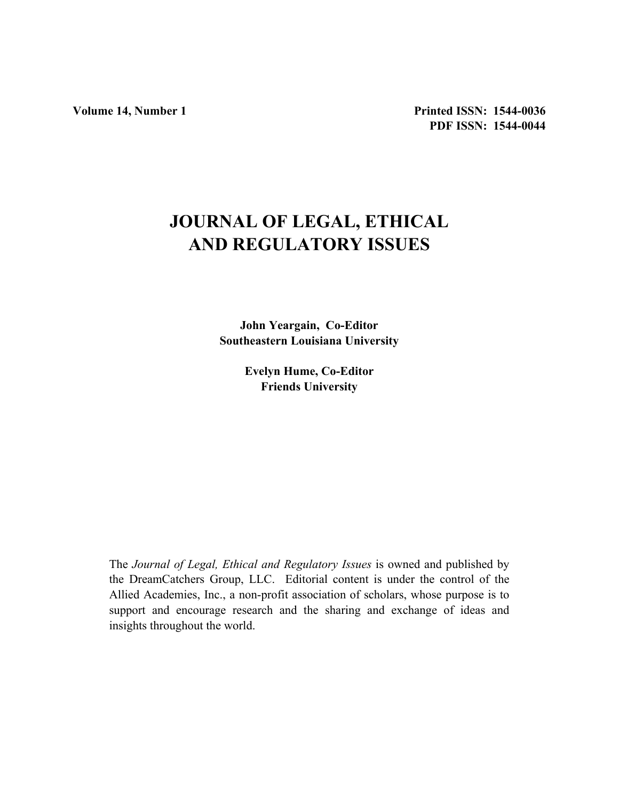# **JOURNAL OF LEGAL, ETHICAL AND REGULATORY ISSUES**

**John Yeargain, Co-Editor Southeastern Louisiana University** 

> **Evelyn Hume, Co-Editor Friends University**

The *Journal of Legal, Ethical and Regulatory Issues* is owned and published by the DreamCatchers Group, LLC. Editorial content is under the control of the Allied Academies, Inc., a non-profit association of scholars, whose purpose is to support and encourage research and the sharing and exchange of ideas and insights throughout the world.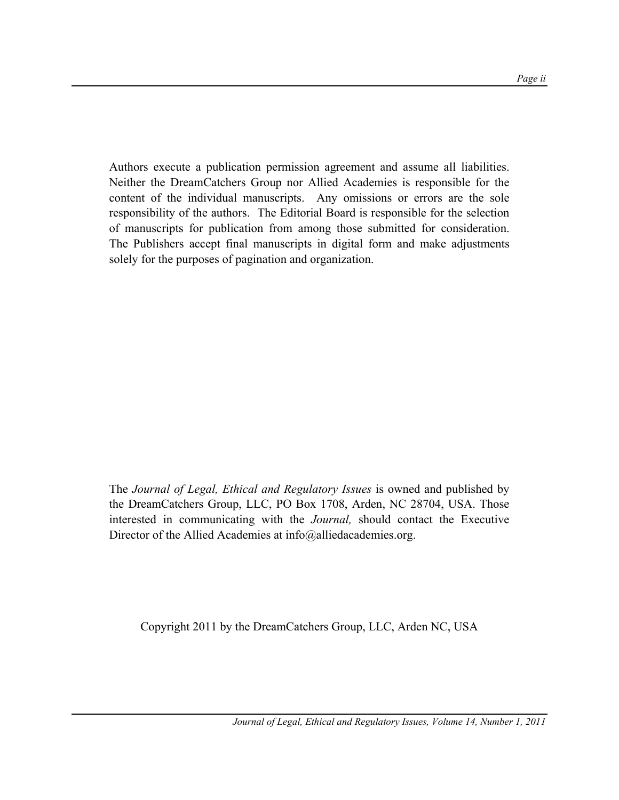Authors execute a publication permission agreement and assume all liabilities. Neither the DreamCatchers Group nor Allied Academies is responsible for the content of the individual manuscripts. Any omissions or errors are the sole responsibility of the authors. The Editorial Board is responsible for the selection of manuscripts for publication from among those submitted for consideration. The Publishers accept final manuscripts in digital form and make adjustments solely for the purposes of pagination and organization.

The *Journal of Legal, Ethical and Regulatory Issues* is owned and published by the DreamCatchers Group, LLC, PO Box 1708, Arden, NC 28704, USA. Those interested in communicating with the *Journal,* should contact the Executive Director of the Allied Academies at info@alliedacademies.org.

Copyright 2011 by the DreamCatchers Group, LLC, Arden NC, USA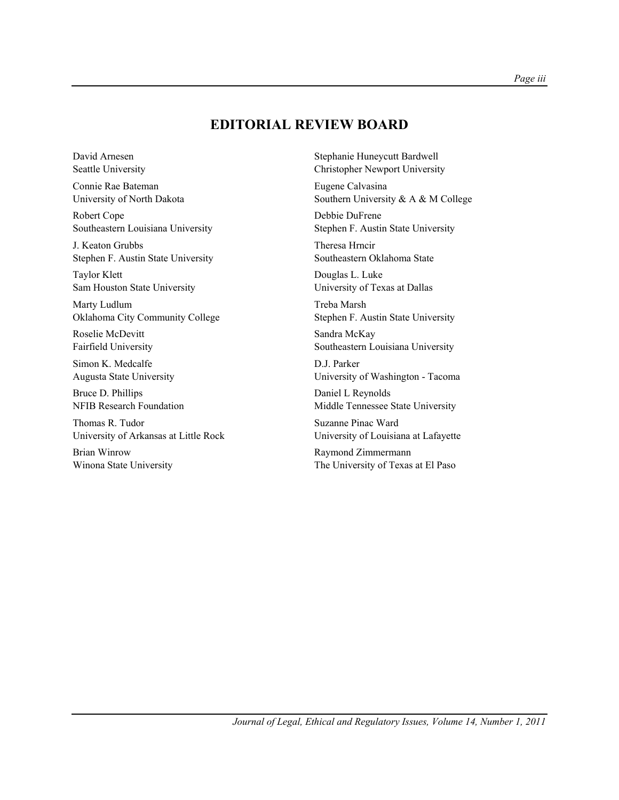## **EDITORIAL REVIEW BOARD**

David Arnesen Seattle University

Connie Rae Bateman University of North Dakota

Robert Cope Southeastern Louisiana University

J. Keaton Grubbs Stephen F. Austin State University

Taylor Klett Sam Houston State University

Marty Ludlum Oklahoma City Community College

Roselie McDevitt Fairfield University

Simon K. Medcalfe Augusta State University

Bruce D. Phillips NFIB Research Foundation

Thomas R. Tudor University of Arkansas at Little Rock

Brian Winrow Winona State University Stephanie Huneycutt Bardwell Christopher Newport University

Eugene Calvasina Southern University & A & M College Debbie DuFrene

Stephen F. Austin State University

Theresa Hrncir Southeastern Oklahoma State

Douglas L. Luke University of Texas at Dallas

Treba Marsh Stephen F. Austin State University

Sandra McKay Southeastern Louisiana University

D.J. Parker University of Washington - Tacoma

Daniel L Reynolds Middle Tennessee State University

Suzanne Pinac Ward University of Louisiana at Lafayette

Raymond Zimmermann The University of Texas at El Paso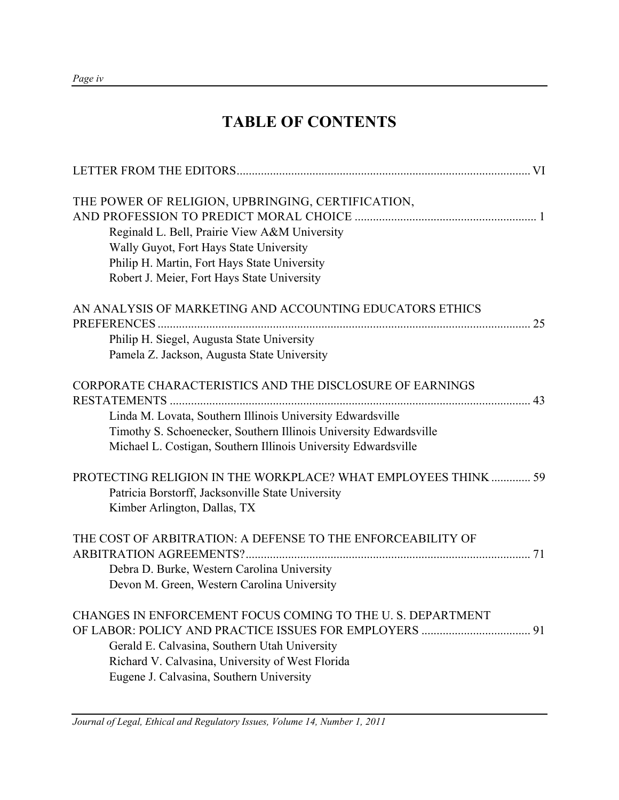## **TABLE OF CONTENTS**

| THE POWER OF RELIGION, UPBRINGING, CERTIFICATION,                 |  |
|-------------------------------------------------------------------|--|
|                                                                   |  |
| Reginald L. Bell, Prairie View A&M University                     |  |
| Wally Guyot, Fort Hays State University                           |  |
| Philip H. Martin, Fort Hays State University                      |  |
| Robert J. Meier, Fort Hays State University                       |  |
| AN ANALYSIS OF MARKETING AND ACCOUNTING EDUCATORS ETHICS          |  |
|                                                                   |  |
| Philip H. Siegel, Augusta State University                        |  |
| Pamela Z. Jackson, Augusta State University                       |  |
| CORPORATE CHARACTERISTICS AND THE DISCLOSURE OF EARNINGS          |  |
|                                                                   |  |
| Linda M. Lovata, Southern Illinois University Edwardsville        |  |
| Timothy S. Schoenecker, Southern Illinois University Edwardsville |  |
| Michael L. Costigan, Southern Illinois University Edwardsville    |  |
| PROTECTING RELIGION IN THE WORKPLACE? WHAT EMPLOYEES THINK  59    |  |
| Patricia Borstorff, Jacksonville State University                 |  |
| Kimber Arlington, Dallas, TX                                      |  |
| THE COST OF ARBITRATION: A DEFENSE TO THE ENFORCEABILITY OF       |  |
|                                                                   |  |
| Debra D. Burke, Western Carolina University                       |  |
| Devon M. Green, Western Carolina University                       |  |
|                                                                   |  |
| CHANGES IN ENFORCEMENT FOCUS COMING TO THE U. S. DEPARTMENT       |  |
|                                                                   |  |
| Gerald E. Calvasina, Southern Utah University                     |  |
| Richard V. Calvasina, University of West Florida                  |  |
| Eugene J. Calvasina, Southern University                          |  |
|                                                                   |  |

*Journal of Legal, Ethical and Regulatory Issues, Volume 14, Number 1, 2011*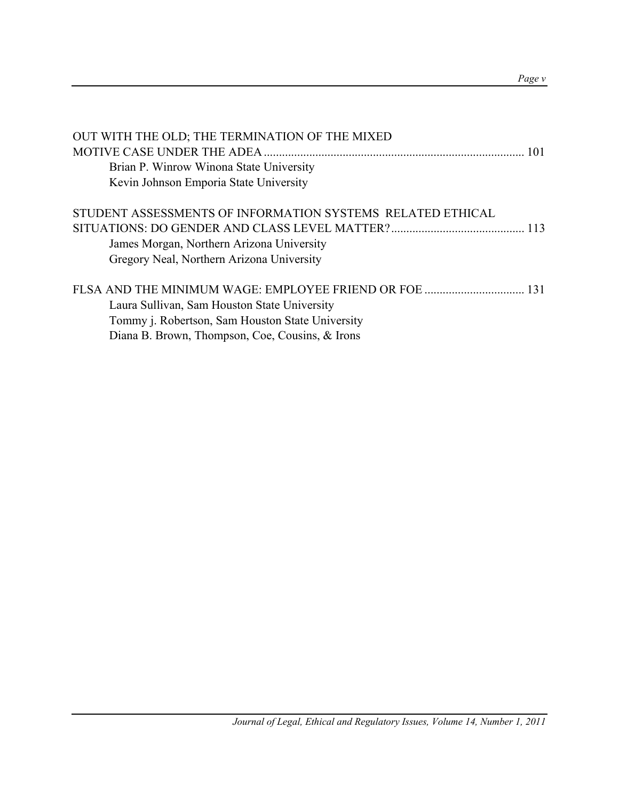| OUT WITH THE OLD; THE TERMINATION OF THE MIXED             |  |
|------------------------------------------------------------|--|
|                                                            |  |
| Brian P. Winrow Winona State University                    |  |
| Kevin Johnson Emporia State University                     |  |
| STUDENT ASSESSMENTS OF INFORMATION SYSTEMS RELATED ETHICAL |  |
|                                                            |  |
| James Morgan, Northern Arizona University                  |  |
| Gregory Neal, Northern Arizona University                  |  |
|                                                            |  |
| Laura Sullivan, Sam Houston State University               |  |
| Tommy <i>j.</i> Robertson, Sam Houston State University    |  |
| Diana B. Brown, Thompson, Coe, Cousins, & Irons            |  |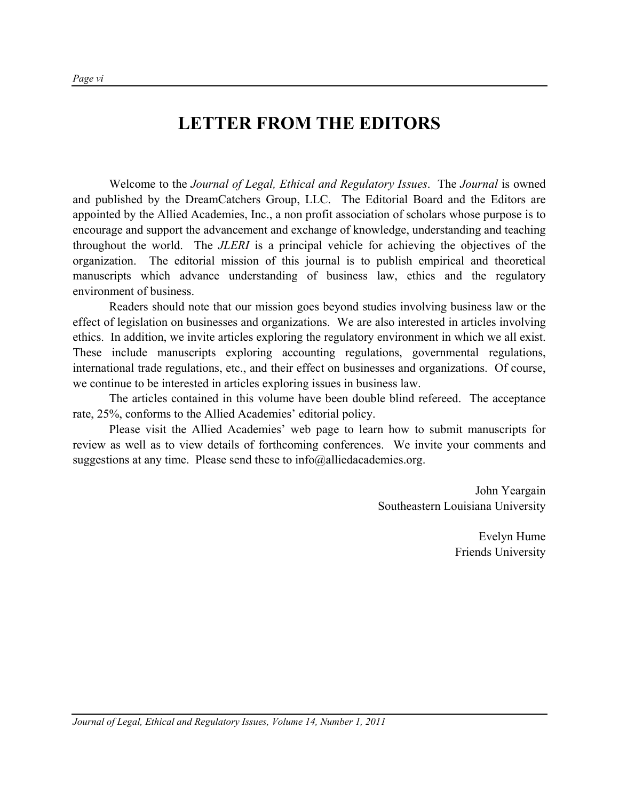# **LETTER FROM THE EDITORS**

 Welcome to the *Journal of Legal, Ethical and Regulatory Issues*. The *Journal* is owned and published by the DreamCatchers Group, LLC. The Editorial Board and the Editors are appointed by the Allied Academies, Inc., a non profit association of scholars whose purpose is to encourage and support the advancement and exchange of knowledge, understanding and teaching throughout the world. The *JLERI* is a principal vehicle for achieving the objectives of the organization. The editorial mission of this journal is to publish empirical and theoretical manuscripts which advance understanding of business law, ethics and the regulatory environment of business.

 Readers should note that our mission goes beyond studies involving business law or the effect of legislation on businesses and organizations. We are also interested in articles involving ethics. In addition, we invite articles exploring the regulatory environment in which we all exist. These include manuscripts exploring accounting regulations, governmental regulations, international trade regulations, etc., and their effect on businesses and organizations. Of course, we continue to be interested in articles exploring issues in business law.

 The articles contained in this volume have been double blind refereed. The acceptance rate, 25%, conforms to the Allied Academies' editorial policy.

 Please visit the Allied Academies' web page to learn how to submit manuscripts for review as well as to view details of forthcoming conferences. We invite your comments and suggestions at any time. Please send these to  $info@alliedacademies.org$ .

> John Yeargain Southeastern Louisiana University

> > Evelyn Hume Friends University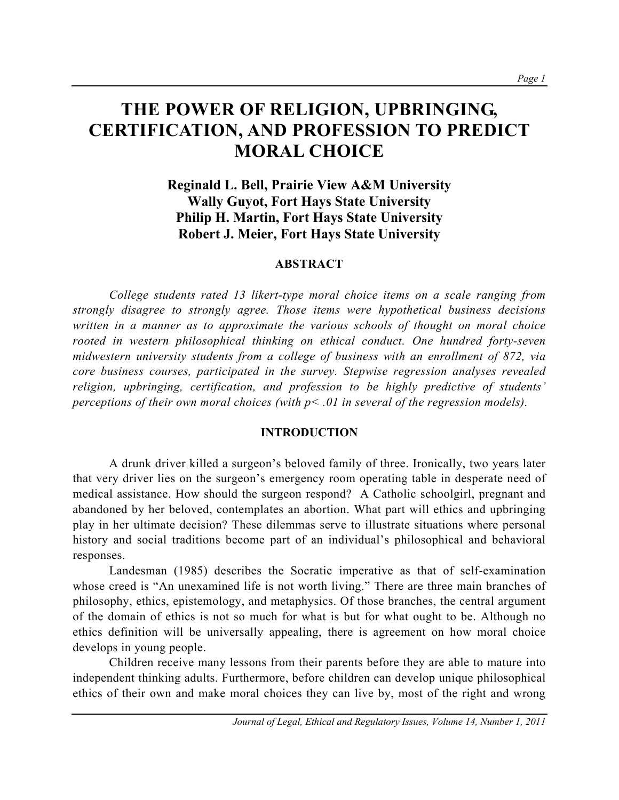## **THE POWER OF RELIGION, UPBRINGING, CERTIFICATION, AND PROFESSION TO PREDICT MORAL CHOICE**

## **Reginald L. Bell, Prairie View A&M University Wally Guyot, Fort Hays State University Philip H. Martin, Fort Hays State University Robert J. Meier, Fort Hays State University**

## **ABSTRACT**

*College students rated 13 likert-type moral choice items on a scale ranging from strongly disagree to strongly agree. Those items were hypothetical business decisions written in a manner as to approximate the various schools of thought on moral choice rooted in western philosophical thinking on ethical conduct. One hundred forty-seven midwestern university students from a college of business with an enrollment of 872, via core business courses, participated in the survey. Stepwise regression analyses revealed religion, upbringing, certification, and profession to be highly predictive of students' perceptions of their own moral choices (with p< .01 in several of the regression models).* 

### **INTRODUCTION**

 A drunk driver killed a surgeon's beloved family of three. Ironically, two years later that very driver lies on the surgeon's emergency room operating table in desperate need of medical assistance. How should the surgeon respond? A Catholic schoolgirl, pregnant and abandoned by her beloved, contemplates an abortion. What part will ethics and upbringing play in her ultimate decision? These dilemmas serve to illustrate situations where personal history and social traditions become part of an individual's philosophical and behavioral responses.

 Landesman (1985) describes the Socratic imperative as that of self-examination whose creed is "An unexamined life is not worth living." There are three main branches of philosophy, ethics, epistemology, and metaphysics. Of those branches, the central argument of the domain of ethics is not so much for what is but for what ought to be. Although no ethics definition will be universally appealing, there is agreement on how moral choice develops in young people.

 Children receive many lessons from their parents before they are able to mature into independent thinking adults. Furthermore, before children can develop unique philosophical ethics of their own and make moral choices they can live by, most of the right and wrong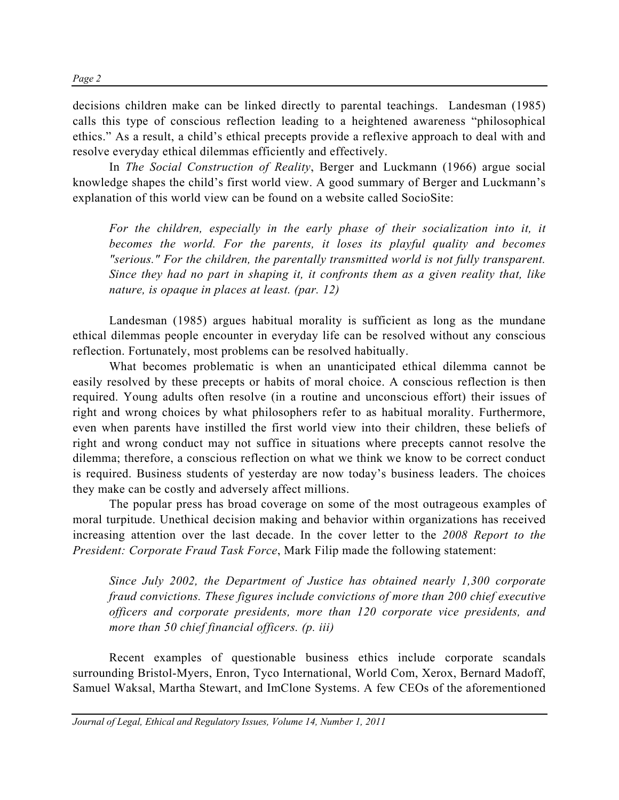decisions children make can be linked directly to parental teachings. Landesman (1985) calls this type of conscious reflection leading to a heightened awareness "philosophical ethics." As a result, a child's ethical precepts provide a reflexive approach to deal with and resolve everyday ethical dilemmas efficiently and effectively.

 In *The Social Construction of Reality*, Berger and Luckmann (1966) argue social knowledge shapes the child's first world view. A good summary of Berger and Luckmann's explanation of this world view can be found on a website called SocioSite:

For the children, especially in the early phase of their socialization into it, it *becomes the world. For the parents, it loses its playful quality and becomes "serious." For the children, the parentally transmitted world is not fully transparent. Since they had no part in shaping it, it confronts them as a given reality that, like nature, is opaque in places at least. (par. 12)* 

 Landesman (1985) argues habitual morality is sufficient as long as the mundane ethical dilemmas people encounter in everyday life can be resolved without any conscious reflection. Fortunately, most problems can be resolved habitually.

 What becomes problematic is when an unanticipated ethical dilemma cannot be easily resolved by these precepts or habits of moral choice. A conscious reflection is then required. Young adults often resolve (in a routine and unconscious effort) their issues of right and wrong choices by what philosophers refer to as habitual morality. Furthermore, even when parents have instilled the first world view into their children, these beliefs of right and wrong conduct may not suffice in situations where precepts cannot resolve the dilemma; therefore, a conscious reflection on what we think we know to be correct conduct is required. Business students of yesterday are now today's business leaders. The choices they make can be costly and adversely affect millions.

 The popular press has broad coverage on some of the most outrageous examples of moral turpitude. Unethical decision making and behavior within organizations has received increasing attention over the last decade. In the cover letter to the *2008 Report to the President: Corporate Fraud Task Force*, Mark Filip made the following statement:

*Since July 2002, the Department of Justice has obtained nearly 1,300 corporate fraud convictions. These figures include convictions of more than 200 chief executive officers and corporate presidents, more than 120 corporate vice presidents, and more than 50 chief financial officers. (p. iii)* 

 Recent examples of questionable business ethics include corporate scandals surrounding Bristol-Myers, Enron, Tyco International, World Com, Xerox, Bernard Madoff, Samuel Waksal, Martha Stewart, and ImClone Systems. A few CEOs of the aforementioned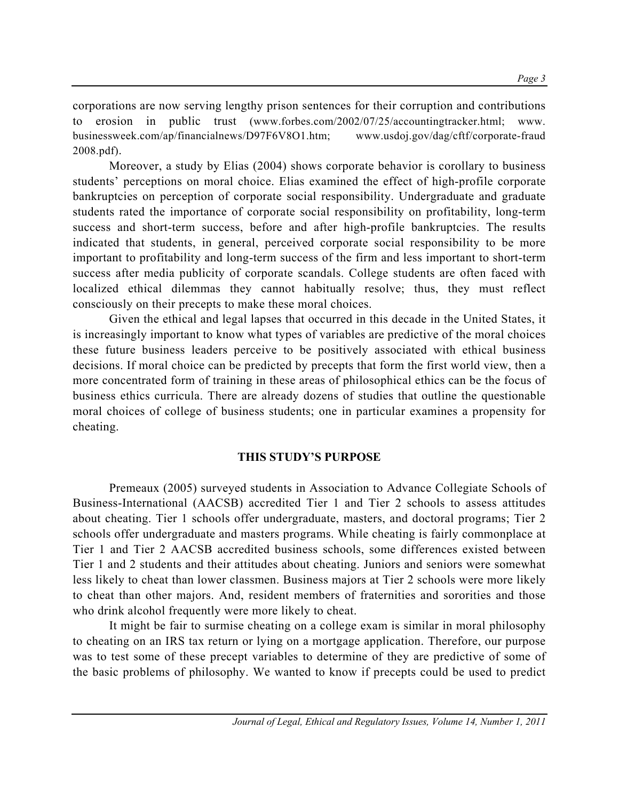corporations are now serving lengthy prison sentences for their corruption and contributions to erosion in public trust (www.forbes.com/2002/07/25/accountingtracker.html; www. businessweek.com/ap/financialnews/D97F6V8O1.htm; www.usdoj.gov/dag/cftf/corporate-fraud 2008.pdf).

 Moreover, a study by Elias (2004) shows corporate behavior is corollary to business students' perceptions on moral choice. Elias examined the effect of high-profile corporate bankruptcies on perception of corporate social responsibility. Undergraduate and graduate students rated the importance of corporate social responsibility on profitability, long-term success and short-term success, before and after high-profile bankruptcies. The results indicated that students, in general, perceived corporate social responsibility to be more important to profitability and long-term success of the firm and less important to short-term success after media publicity of corporate scandals. College students are often faced with localized ethical dilemmas they cannot habitually resolve; thus, they must reflect consciously on their precepts to make these moral choices.

 Given the ethical and legal lapses that occurred in this decade in the United States, it is increasingly important to know what types of variables are predictive of the moral choices these future business leaders perceive to be positively associated with ethical business decisions. If moral choice can be predicted by precepts that form the first world view, then a more concentrated form of training in these areas of philosophical ethics can be the focus of business ethics curricula. There are already dozens of studies that outline the questionable moral choices of college of business students; one in particular examines a propensity for cheating.

### **THIS STUDY'S PURPOSE**

 Premeaux (2005) surveyed students in Association to Advance Collegiate Schools of Business-International (AACSB) accredited Tier 1 and Tier 2 schools to assess attitudes about cheating. Tier 1 schools offer undergraduate, masters, and doctoral programs; Tier 2 schools offer undergraduate and masters programs. While cheating is fairly commonplace at Tier 1 and Tier 2 AACSB accredited business schools, some differences existed between Tier 1 and 2 students and their attitudes about cheating. Juniors and seniors were somewhat less likely to cheat than lower classmen. Business majors at Tier 2 schools were more likely to cheat than other majors. And, resident members of fraternities and sororities and those who drink alcohol frequently were more likely to cheat.

 It might be fair to surmise cheating on a college exam is similar in moral philosophy to cheating on an IRS tax return or lying on a mortgage application. Therefore, our purpose was to test some of these precept variables to determine of they are predictive of some of the basic problems of philosophy. We wanted to know if precepts could be used to predict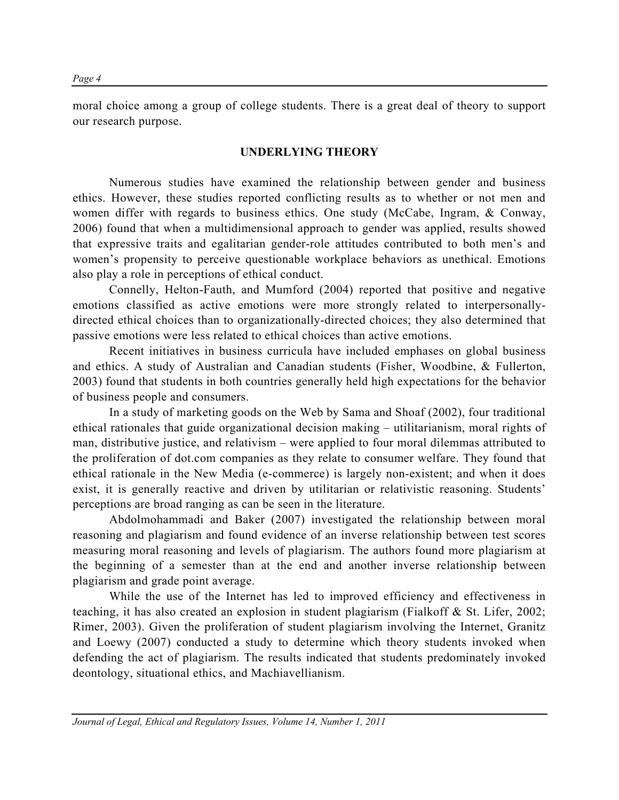moral choice among a group of college students. There is a great deal of theory to support our research purpose.

#### **UNDERLYING THEORY**

 Numerous studies have examined the relationship between gender and business ethics. However, these studies reported conflicting results as to whether or not men and women differ with regards to business ethics. One study (McCabe, Ingram, & Conway, 2006) found that when a multidimensional approach to gender was applied, results showed that expressive traits and egalitarian gender-role attitudes contributed to both men's and women's propensity to perceive questionable workplace behaviors as unethical. Emotions also play a role in perceptions of ethical conduct.

 Connelly, Helton-Fauth, and Mumford (2004) reported that positive and negative emotions classified as active emotions were more strongly related to interpersonallydirected ethical choices than to organizationally-directed choices; they also determined that passive emotions were less related to ethical choices than active emotions.

 Recent initiatives in business curricula have included emphases on global business and ethics. A study of Australian and Canadian students (Fisher, Woodbine, & Fullerton, 2003) found that students in both countries generally held high expectations for the behavior of business people and consumers.

 In a study of marketing goods on the Web by Sama and Shoaf (2002), four traditional ethical rationales that guide organizational decision making – utilitarianism, moral rights of man, distributive justice, and relativism – were applied to four moral dilemmas attributed to the proliferation of dot.com companies as they relate to consumer welfare. They found that ethical rationale in the New Media (e-commerce) is largely non-existent; and when it does exist, it is generally reactive and driven by utilitarian or relativistic reasoning. Students' perceptions are broad ranging as can be seen in the literature.

 Abdolmohammadi and Baker (2007) investigated the relationship between moral reasoning and plagiarism and found evidence of an inverse relationship between test scores measuring moral reasoning and levels of plagiarism. The authors found more plagiarism at the beginning of a semester than at the end and another inverse relationship between plagiarism and grade point average.

 While the use of the Internet has led to improved efficiency and effectiveness in teaching, it has also created an explosion in student plagiarism (Fialkoff & St. Lifer, 2002; Rimer, 2003). Given the proliferation of student plagiarism involving the Internet, Granitz and Loewy (2007) conducted a study to determine which theory students invoked when defending the act of plagiarism. The results indicated that students predominately invoked deontology, situational ethics, and Machiavellianism.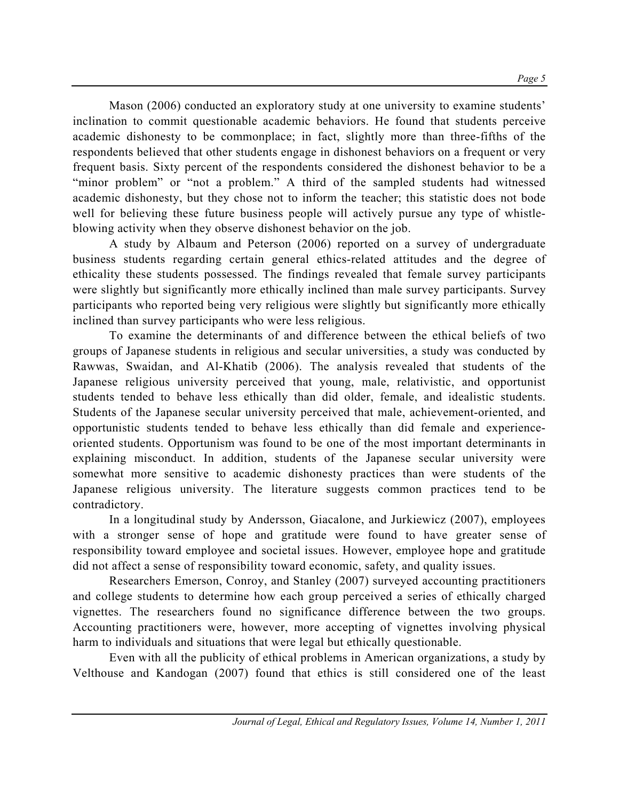*Page 5* 

 Mason (2006) conducted an exploratory study at one university to examine students' inclination to commit questionable academic behaviors. He found that students perceive academic dishonesty to be commonplace; in fact, slightly more than three-fifths of the respondents believed that other students engage in dishonest behaviors on a frequent or very frequent basis. Sixty percent of the respondents considered the dishonest behavior to be a "minor problem" or "not a problem." A third of the sampled students had witnessed academic dishonesty, but they chose not to inform the teacher; this statistic does not bode well for believing these future business people will actively pursue any type of whistleblowing activity when they observe dishonest behavior on the job.

 A study by Albaum and Peterson (2006) reported on a survey of undergraduate business students regarding certain general ethics-related attitudes and the degree of ethicality these students possessed. The findings revealed that female survey participants were slightly but significantly more ethically inclined than male survey participants. Survey participants who reported being very religious were slightly but significantly more ethically inclined than survey participants who were less religious.

 To examine the determinants of and difference between the ethical beliefs of two groups of Japanese students in religious and secular universities, a study was conducted by Rawwas, Swaidan, and Al-Khatib (2006). The analysis revealed that students of the Japanese religious university perceived that young, male, relativistic, and opportunist students tended to behave less ethically than did older, female, and idealistic students. Students of the Japanese secular university perceived that male, achievement-oriented, and opportunistic students tended to behave less ethically than did female and experienceoriented students. Opportunism was found to be one of the most important determinants in explaining misconduct. In addition, students of the Japanese secular university were somewhat more sensitive to academic dishonesty practices than were students of the Japanese religious university. The literature suggests common practices tend to be contradictory.

 In a longitudinal study by Andersson, Giacalone, and Jurkiewicz (2007), employees with a stronger sense of hope and gratitude were found to have greater sense of responsibility toward employee and societal issues. However, employee hope and gratitude did not affect a sense of responsibility toward economic, safety, and quality issues.

 Researchers Emerson, Conroy, and Stanley (2007) surveyed accounting practitioners and college students to determine how each group perceived a series of ethically charged vignettes. The researchers found no significance difference between the two groups. Accounting practitioners were, however, more accepting of vignettes involving physical harm to individuals and situations that were legal but ethically questionable.

 Even with all the publicity of ethical problems in American organizations, a study by Velthouse and Kandogan (2007) found that ethics is still considered one of the least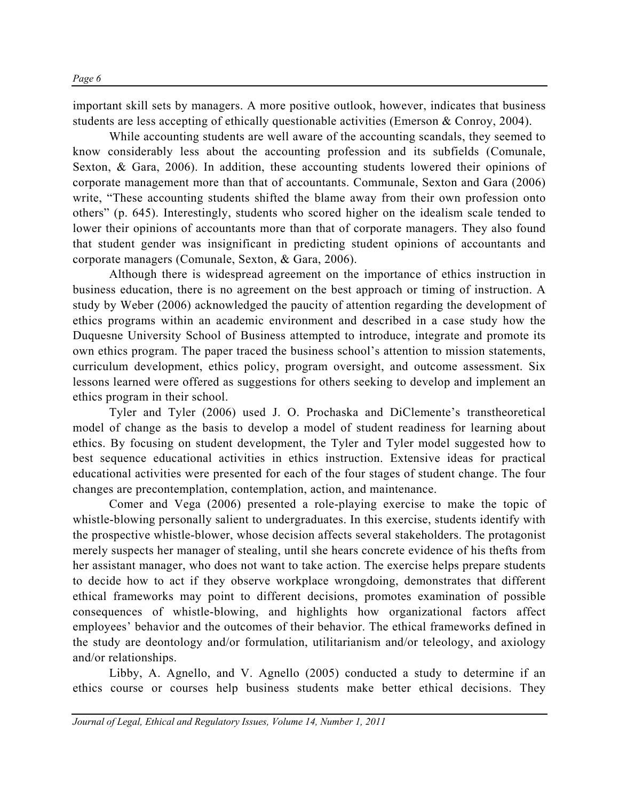important skill sets by managers. A more positive outlook, however, indicates that business students are less accepting of ethically questionable activities (Emerson & Conroy, 2004).

 While accounting students are well aware of the accounting scandals, they seemed to know considerably less about the accounting profession and its subfields (Comunale, Sexton, & Gara, 2006). In addition, these accounting students lowered their opinions of corporate management more than that of accountants. Communale, Sexton and Gara (2006) write, "These accounting students shifted the blame away from their own profession onto others" (p. 645). Interestingly, students who scored higher on the idealism scale tended to lower their opinions of accountants more than that of corporate managers. They also found that student gender was insignificant in predicting student opinions of accountants and corporate managers (Comunale, Sexton, & Gara, 2006).

 Although there is widespread agreement on the importance of ethics instruction in business education, there is no agreement on the best approach or timing of instruction. A study by Weber (2006) acknowledged the paucity of attention regarding the development of ethics programs within an academic environment and described in a case study how the Duquesne University School of Business attempted to introduce, integrate and promote its own ethics program. The paper traced the business school's attention to mission statements, curriculum development, ethics policy, program oversight, and outcome assessment. Six lessons learned were offered as suggestions for others seeking to develop and implement an ethics program in their school.

 Tyler and Tyler (2006) used J. O. Prochaska and DiClemente's transtheoretical model of change as the basis to develop a model of student readiness for learning about ethics. By focusing on student development, the Tyler and Tyler model suggested how to best sequence educational activities in ethics instruction. Extensive ideas for practical educational activities were presented for each of the four stages of student change. The four changes are precontemplation, contemplation, action, and maintenance.

 Comer and Vega (2006) presented a role-playing exercise to make the topic of whistle-blowing personally salient to undergraduates. In this exercise, students identify with the prospective whistle-blower, whose decision affects several stakeholders. The protagonist merely suspects her manager of stealing, until she hears concrete evidence of his thefts from her assistant manager, who does not want to take action. The exercise helps prepare students to decide how to act if they observe workplace wrongdoing, demonstrates that different ethical frameworks may point to different decisions, promotes examination of possible consequences of whistle-blowing, and highlights how organizational factors affect employees' behavior and the outcomes of their behavior. The ethical frameworks defined in the study are deontology and/or formulation, utilitarianism and/or teleology, and axiology and/or relationships.

 Libby, A. Agnello, and V. Agnello (2005) conducted a study to determine if an ethics course or courses help business students make better ethical decisions. They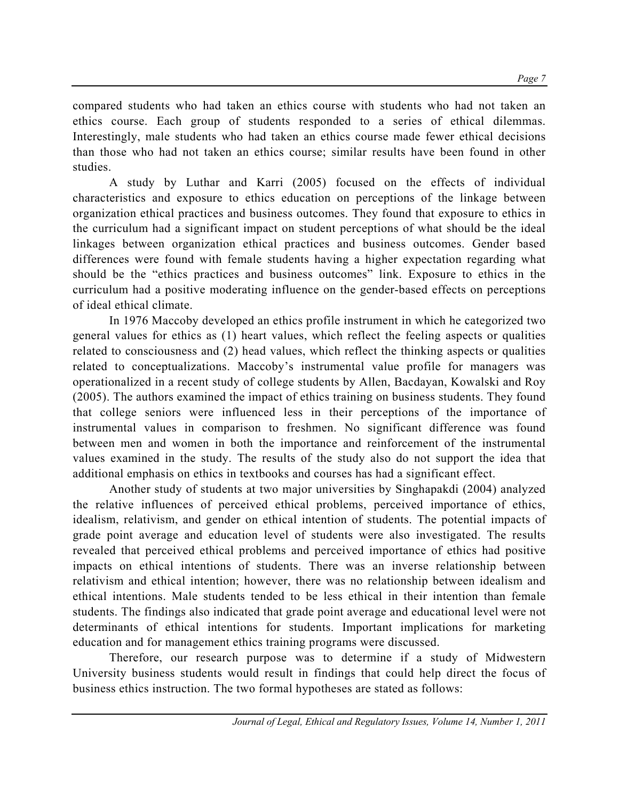compared students who had taken an ethics course with students who had not taken an ethics course. Each group of students responded to a series of ethical dilemmas. Interestingly, male students who had taken an ethics course made fewer ethical decisions than those who had not taken an ethics course; similar results have been found in other studies.

 A study by Luthar and Karri (2005) focused on the effects of individual characteristics and exposure to ethics education on perceptions of the linkage between organization ethical practices and business outcomes. They found that exposure to ethics in the curriculum had a significant impact on student perceptions of what should be the ideal linkages between organization ethical practices and business outcomes. Gender based differences were found with female students having a higher expectation regarding what should be the "ethics practices and business outcomes" link. Exposure to ethics in the curriculum had a positive moderating influence on the gender-based effects on perceptions of ideal ethical climate.

 In 1976 Maccoby developed an ethics profile instrument in which he categorized two general values for ethics as (1) heart values, which reflect the feeling aspects or qualities related to consciousness and (2) head values, which reflect the thinking aspects or qualities related to conceptualizations. Maccoby's instrumental value profile for managers was operationalized in a recent study of college students by Allen, Bacdayan, Kowalski and Roy (2005). The authors examined the impact of ethics training on business students. They found that college seniors were influenced less in their perceptions of the importance of instrumental values in comparison to freshmen. No significant difference was found between men and women in both the importance and reinforcement of the instrumental values examined in the study. The results of the study also do not support the idea that additional emphasis on ethics in textbooks and courses has had a significant effect.

 Another study of students at two major universities by Singhapakdi (2004) analyzed the relative influences of perceived ethical problems, perceived importance of ethics, idealism, relativism, and gender on ethical intention of students. The potential impacts of grade point average and education level of students were also investigated. The results revealed that perceived ethical problems and perceived importance of ethics had positive impacts on ethical intentions of students. There was an inverse relationship between relativism and ethical intention; however, there was no relationship between idealism and ethical intentions. Male students tended to be less ethical in their intention than female students. The findings also indicated that grade point average and educational level were not determinants of ethical intentions for students. Important implications for marketing education and for management ethics training programs were discussed.

 Therefore, our research purpose was to determine if a study of Midwestern University business students would result in findings that could help direct the focus of business ethics instruction. The two formal hypotheses are stated as follows: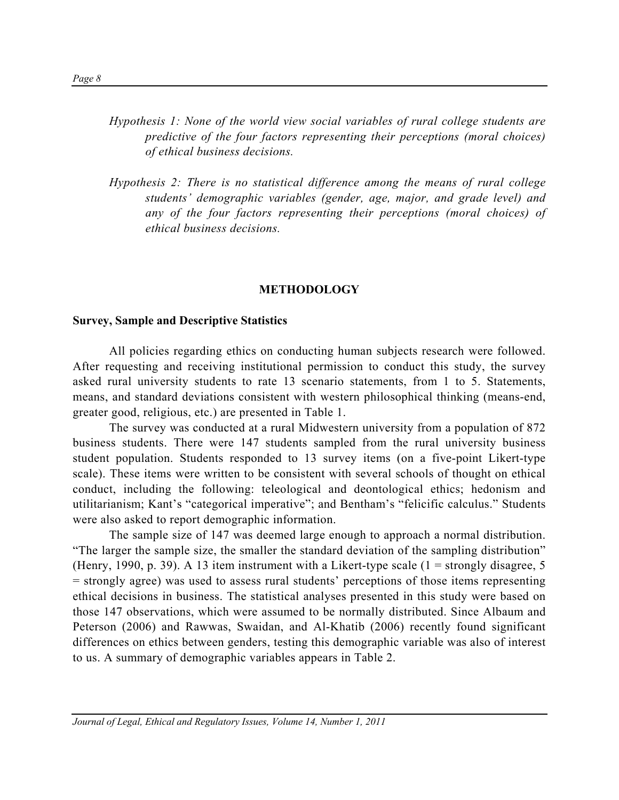- *Hypothesis 1: None of the world view social variables of rural college students are predictive of the four factors representing their perceptions (moral choices) of ethical business decisions.*
- *Hypothesis 2: There is no statistical difference among the means of rural college students' demographic variables (gender, age, major, and grade level) and any of the four factors representing their perceptions (moral choices) of ethical business decisions.*

### **METHODOLOGY**

#### **Survey, Sample and Descriptive Statistics**

 All policies regarding ethics on conducting human subjects research were followed. After requesting and receiving institutional permission to conduct this study, the survey asked rural university students to rate 13 scenario statements, from 1 to 5. Statements, means, and standard deviations consistent with western philosophical thinking (means-end, greater good, religious, etc.) are presented in Table 1.

 The survey was conducted at a rural Midwestern university from a population of 872 business students. There were 147 students sampled from the rural university business student population. Students responded to 13 survey items (on a five-point Likert-type scale). These items were written to be consistent with several schools of thought on ethical conduct, including the following: teleological and deontological ethics; hedonism and utilitarianism; Kant's "categorical imperative"; and Bentham's "felicific calculus." Students were also asked to report demographic information.

 The sample size of 147 was deemed large enough to approach a normal distribution. "The larger the sample size, the smaller the standard deviation of the sampling distribution" (Henry, 1990, p. 39). A 13 item instrument with a Likert-type scale  $(1 =$  strongly disagree, 5 = strongly agree) was used to assess rural students' perceptions of those items representing ethical decisions in business. The statistical analyses presented in this study were based on those 147 observations, which were assumed to be normally distributed. Since Albaum and Peterson (2006) and Rawwas, Swaidan, and Al-Khatib (2006) recently found significant differences on ethics between genders, testing this demographic variable was also of interest to us. A summary of demographic variables appears in Table 2.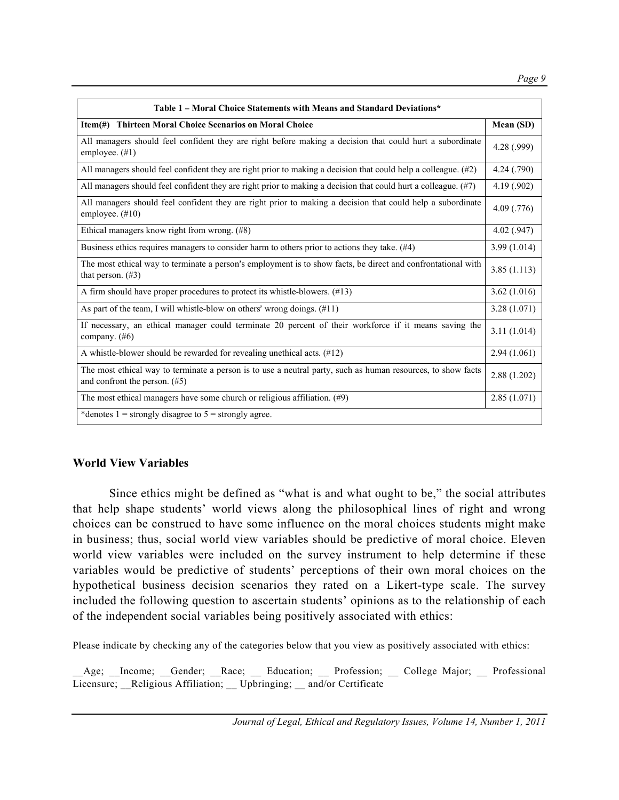| Table 1 - Moral Choice Statements with Means and Standard Deviations*                                                                            |             |  |  |  |
|--------------------------------------------------------------------------------------------------------------------------------------------------|-------------|--|--|--|
| <b>Thirteen Moral Choice Scenarios on Moral Choice</b><br>$Item(\#)$                                                                             | Mean (SD)   |  |  |  |
| All managers should feel confident they are right before making a decision that could hurt a subordinate<br>employee. (#1)                       | 4.28 (.999) |  |  |  |
| All managers should feel confident they are right prior to making a decision that could help a colleague. $(\#2)$                                | 4.24 (.790) |  |  |  |
| All managers should feel confident they are right prior to making a decision that could hurt a colleague. (#7)                                   | 4.19 (.902) |  |  |  |
| All managers should feel confident they are right prior to making a decision that could help a subordinate<br>employee. (#10)                    | 4.09 (.776) |  |  |  |
| Ethical managers know right from wrong. (#8)                                                                                                     | 4.02(.947)  |  |  |  |
| Business ethics requires managers to consider harm to others prior to actions they take. (#4)                                                    | 3.99(1.014) |  |  |  |
| The most ethical way to terminate a person's employment is to show facts, be direct and confrontational with<br>that person. $(\#3)$             | 3.85(1.113) |  |  |  |
| A firm should have proper procedures to protect its whistle-blowers. $(\#13)$                                                                    | 3.62(1.016) |  |  |  |
| As part of the team, I will whistle-blow on others' wrong doings. (#11)                                                                          | 3.28(1.071) |  |  |  |
| If necessary, an ethical manager could terminate 20 percent of their workforce if it means saving the<br>company. $(\#6)$                        | 3.11(1.014) |  |  |  |
| A whistle-blower should be rewarded for revealing unethical acts. $(\#12)$                                                                       | 2.94(1.061) |  |  |  |
| The most ethical way to terminate a person is to use a neutral party, such as human resources, to show facts<br>and confront the person. $(\#5)$ | 2.88(1.202) |  |  |  |
| The most ethical managers have some church or religious affiliation. $(\#9)$                                                                     | 2.85(1.071) |  |  |  |
| * denotes $1 =$ strongly disagree to $5 =$ strongly agree.                                                                                       |             |  |  |  |

#### **World View Variables**

 Since ethics might be defined as "what is and what ought to be," the social attributes that help shape students' world views along the philosophical lines of right and wrong choices can be construed to have some influence on the moral choices students might make in business; thus, social world view variables should be predictive of moral choice. Eleven world view variables were included on the survey instrument to help determine if these variables would be predictive of students' perceptions of their own moral choices on the hypothetical business decision scenarios they rated on a Likert-type scale. The survey included the following question to ascertain students' opinions as to the relationship of each of the independent social variables being positively associated with ethics:

Please indicate by checking any of the categories below that you view as positively associated with ethics:

Age; Income; Gender; Race; Education; Profession; College Major; Professional Licensure; Religious Affiliation; Upbringing; and/or Certificate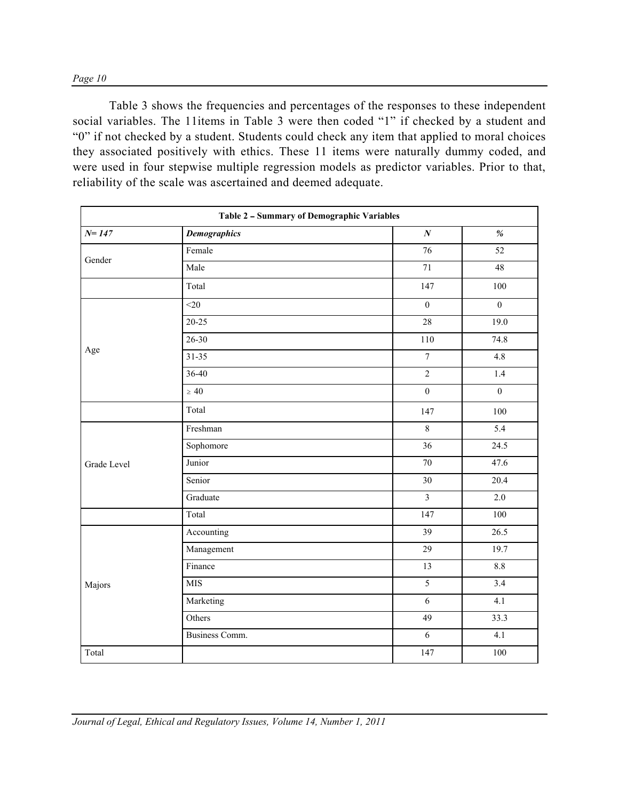*Page 10* 

 Table 3 shows the frequencies and percentages of the responses to these independent social variables. The 11items in Table 3 were then coded "1" if checked by a student and "0" if not checked by a student. Students could check any item that applied to moral choices they associated positively with ethics. These 11 items were naturally dummy coded, and were used in four stepwise multiple regression models as predictor variables. Prior to that, reliability of the scale was ascertained and deemed adequate.

| Table 2 - Summary of Demographic Variables |                       |                  |                  |  |  |
|--------------------------------------------|-----------------------|------------------|------------------|--|--|
| $N = 147$                                  | <b>Demographics</b>   | $\boldsymbol{N}$ | $\%$             |  |  |
|                                            | Female                | 76               | 52               |  |  |
| Gender                                     | Male                  | $71\,$           | 48               |  |  |
|                                            | Total                 | 147              | 100              |  |  |
|                                            | $<$ 20                | $\mathbf{0}$     | $\mathbf{0}$     |  |  |
|                                            | $20 - 25$             | $28\,$           | 19.0             |  |  |
|                                            | $26 - 30$             | $110\,$          | 74.8             |  |  |
| Age                                        | $31 - 35$             | $\overline{7}$   | 4.8              |  |  |
|                                            | $36 - 40$             | $\overline{2}$   | 1.4              |  |  |
|                                            | $\geq 40$             | $\overline{0}$   | $\boldsymbol{0}$ |  |  |
|                                            | Total                 | 147              | 100              |  |  |
|                                            | Freshman              | 8                | 5.4              |  |  |
|                                            | Sophomore             | 36               | 24.5             |  |  |
| Grade Level                                | Junior                | $70\,$           | 47.6             |  |  |
|                                            | Senior                | 30               | 20.4             |  |  |
|                                            | Graduate              | $\overline{3}$   | 2.0              |  |  |
|                                            | Total                 | 147              | 100              |  |  |
|                                            | Accounting            | 39               | 26.5             |  |  |
|                                            | Management            | 29               | 19.7             |  |  |
| Majors                                     | Finance               | 13               | 8.8              |  |  |
|                                            | <b>MIS</b>            | 5                | 3.4              |  |  |
|                                            | Marketing             | 6                | 4.1              |  |  |
|                                            | Others                | 49               | 33.3             |  |  |
|                                            | <b>Business Comm.</b> | 6                | 4.1              |  |  |
| Total                                      |                       | 147              | 100              |  |  |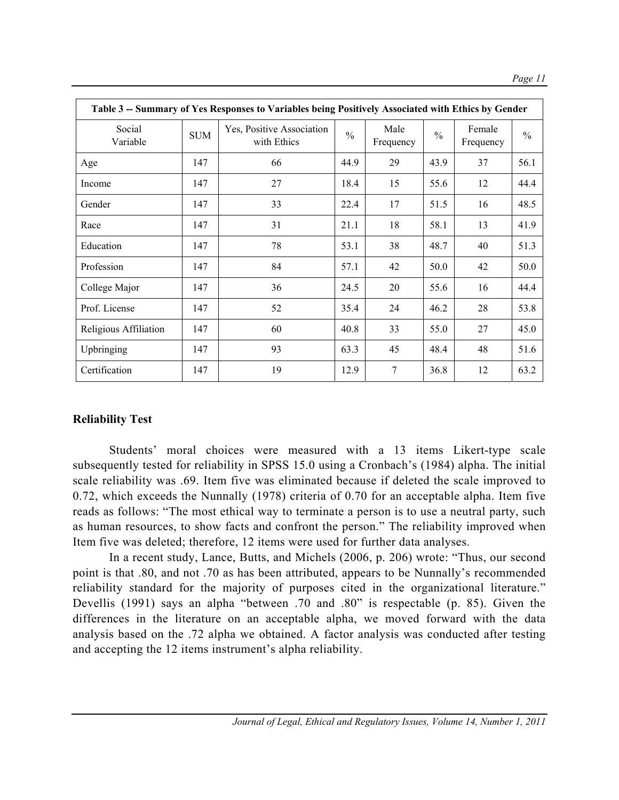| Table 3 -- Summary of Yes Responses to Variables being Positively Associated with Ethics by Gender |            |                                          |               |                   |               |                     |               |
|----------------------------------------------------------------------------------------------------|------------|------------------------------------------|---------------|-------------------|---------------|---------------------|---------------|
| Social<br>Variable                                                                                 | <b>SUM</b> | Yes, Positive Association<br>with Ethics | $\frac{0}{0}$ | Male<br>Frequency | $\frac{0}{0}$ | Female<br>Frequency | $\frac{0}{0}$ |
| Age                                                                                                | 147        | 66                                       | 44.9          | 29                | 43.9          | 37                  | 56.1          |
| Income                                                                                             | 147        | 27                                       | 18.4          | 15                | 55.6          | 12                  | 44.4          |
| Gender                                                                                             | 147        | 33                                       | 22.4          | 17                | 51.5          | 16                  | 48.5          |
| Race                                                                                               | 147        | 31                                       | 21.1          | 18                | 58.1          | 13                  | 41.9          |
| Education                                                                                          | 147        | 78                                       | 53.1          | 38                | 48.7          | 40                  | 51.3          |
| Profession                                                                                         | 147        | 84                                       | 57.1          | 42                | 50.0          | 42                  | 50.0          |
| College Major                                                                                      | 147        | 36                                       | 24.5          | 20                | 55.6          | 16                  | 44.4          |
| Prof. License                                                                                      | 147        | 52                                       | 35.4          | 24                | 46.2          | 28                  | 53.8          |
| Religious Affiliation                                                                              | 147        | 60                                       | 40.8          | 33                | 55.0          | 27                  | 45.0          |
| Upbringing                                                                                         | 147        | 93                                       | 63.3          | 45                | 48.4          | 48                  | 51.6          |
| Certification                                                                                      | 147        | 19                                       | 12.9          | 7                 | 36.8          | 12                  | 63.2          |

### **Reliability Test**

 Students' moral choices were measured with a 13 items Likert-type scale subsequently tested for reliability in SPSS 15.0 using a Cronbach's (1984) alpha. The initial scale reliability was .69. Item five was eliminated because if deleted the scale improved to 0.72, which exceeds the Nunnally (1978) criteria of 0.70 for an acceptable alpha. Item five reads as follows: "The most ethical way to terminate a person is to use a neutral party, such as human resources, to show facts and confront the person." The reliability improved when Item five was deleted; therefore, 12 items were used for further data analyses.

 In a recent study, Lance, Butts, and Michels (2006, p. 206) wrote: "Thus, our second point is that .80, and not .70 as has been attributed, appears to be Nunnally's recommended reliability standard for the majority of purposes cited in the organizational literature." Devellis (1991) says an alpha "between .70 and .80" is respectable (p. 85). Given the differences in the literature on an acceptable alpha, we moved forward with the data analysis based on the .72 alpha we obtained. A factor analysis was conducted after testing and accepting the 12 items instrument's alpha reliability.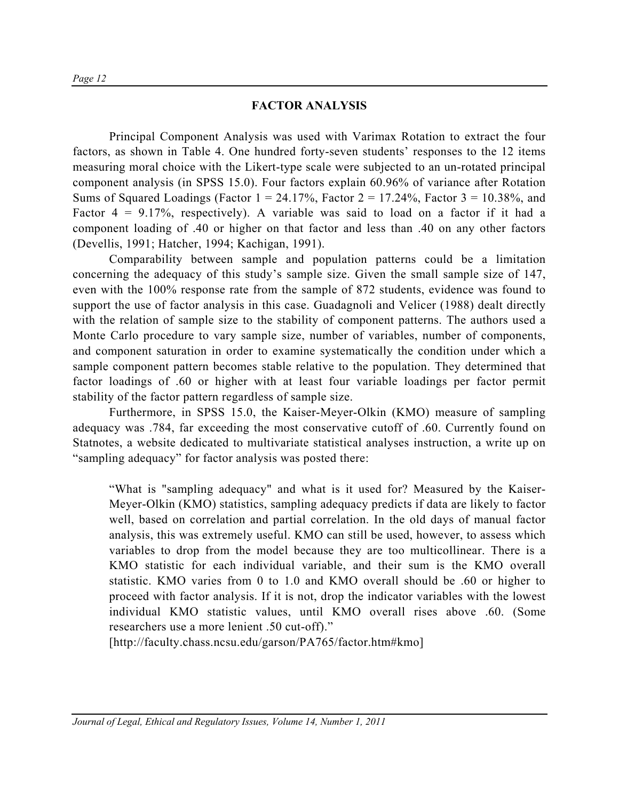#### **FACTOR ANALYSIS**

 Principal Component Analysis was used with Varimax Rotation to extract the four factors, as shown in Table 4. One hundred forty-seven students' responses to the 12 items measuring moral choice with the Likert-type scale were subjected to an un-rotated principal component analysis (in SPSS 15.0). Four factors explain 60.96% of variance after Rotation Sums of Squared Loadings (Factor  $1 = 24.17\%$ , Factor  $2 = 17.24\%$ , Factor  $3 = 10.38\%$ , and Factor  $4 = 9.17\%$ , respectively). A variable was said to load on a factor if it had a component loading of .40 or higher on that factor and less than .40 on any other factors (Devellis, 1991; Hatcher, 1994; Kachigan, 1991).

 Comparability between sample and population patterns could be a limitation concerning the adequacy of this study's sample size. Given the small sample size of 147, even with the 100% response rate from the sample of 872 students, evidence was found to support the use of factor analysis in this case. Guadagnoli and Velicer (1988) dealt directly with the relation of sample size to the stability of component patterns. The authors used a Monte Carlo procedure to vary sample size, number of variables, number of components, and component saturation in order to examine systematically the condition under which a sample component pattern becomes stable relative to the population. They determined that factor loadings of .60 or higher with at least four variable loadings per factor permit stability of the factor pattern regardless of sample size.

 Furthermore, in SPSS 15.0, the Kaiser-Meyer-Olkin (KMO) measure of sampling adequacy was .784, far exceeding the most conservative cutoff of .60. Currently found on Statnotes, a website dedicated to multivariate statistical analyses instruction, a write up on "sampling adequacy" for factor analysis was posted there:

"What is "sampling adequacy" and what is it used for? Measured by the Kaiser-Meyer-Olkin (KMO) statistics, sampling adequacy predicts if data are likely to factor well, based on correlation and partial correlation. In the old days of manual factor analysis, this was extremely useful. KMO can still be used, however, to assess which variables to drop from the model because they are too multicollinear. There is a KMO statistic for each individual variable, and their sum is the KMO overall statistic. KMO varies from 0 to 1.0 and KMO overall should be .60 or higher to proceed with factor analysis. If it is not, drop the indicator variables with the lowest individual KMO statistic values, until KMO overall rises above .60. (Some researchers use a more lenient .50 cut-off)."

[http://faculty.chass.ncsu.edu/garson/PA765/factor.htm#kmo]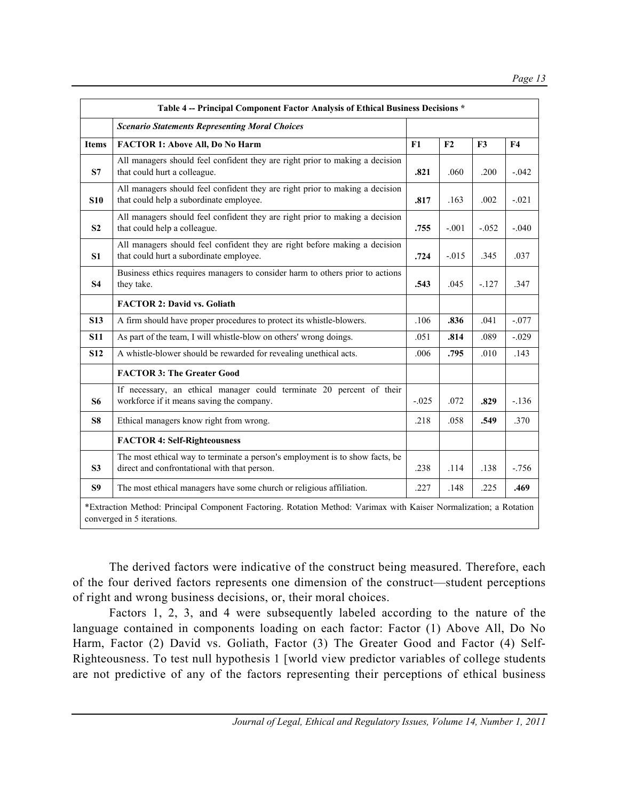| Table 4 -- Principal Component Factor Analysis of Ethical Business Decisions * |                                                                                                                                                 |         |         |         |                |  |
|--------------------------------------------------------------------------------|-------------------------------------------------------------------------------------------------------------------------------------------------|---------|---------|---------|----------------|--|
|                                                                                | <b>Scenario Statements Representing Moral Choices</b>                                                                                           |         |         |         |                |  |
| <b>Items</b>                                                                   | <b>FACTOR 1: Above All, Do No Harm</b>                                                                                                          | F1      | F2      | F3      | F <sub>4</sub> |  |
| S7                                                                             | All managers should feel confident they are right prior to making a decision<br>that could hurt a colleague.                                    | .821    | .060    | .200    | $-.042$        |  |
| <b>S10</b>                                                                     | All managers should feel confident they are right prior to making a decision<br>that could help a subordinate employee.                         | .817    | .163    | .002    | $-.021$        |  |
| <b>S2</b>                                                                      | All managers should feel confident they are right prior to making a decision<br>that could help a colleague.                                    | .755    | $-.001$ | $-.052$ | $-.040$        |  |
| S1                                                                             | All managers should feel confident they are right before making a decision<br>that could hurt a subordinate employee.                           | .724    | $-.015$ | .345    | .037           |  |
| <b>S4</b>                                                                      | Business ethics requires managers to consider harm to others prior to actions<br>they take.                                                     | .543    | .045    | $-127$  | .347           |  |
|                                                                                | <b>FACTOR 2: David vs. Goliath</b>                                                                                                              |         |         |         |                |  |
| <b>S13</b>                                                                     | A firm should have proper procedures to protect its whistle-blowers.                                                                            | .106    | .836    | .041    | $-.077$        |  |
| <b>S11</b>                                                                     | As part of the team, I will whistle-blow on others' wrong doings.                                                                               | .051    | .814    | .089    | $-.029$        |  |
| <b>S12</b>                                                                     | A whistle-blower should be rewarded for revealing unethical acts.                                                                               | .006    | .795    | .010    | .143           |  |
|                                                                                | <b>FACTOR 3: The Greater Good</b>                                                                                                               |         |         |         |                |  |
| <b>S6</b>                                                                      | If necessary, an ethical manager could terminate 20 percent of their<br>workforce if it means saving the company.                               | $-.025$ | .072    | .829    | $-.136$        |  |
| S <sub>8</sub>                                                                 | Ethical managers know right from wrong.                                                                                                         | .218    | .058    | .549    | .370           |  |
|                                                                                | <b>FACTOR 4: Self-Righteousness</b>                                                                                                             |         |         |         |                |  |
| S <sub>3</sub>                                                                 | The most ethical way to terminate a person's employment is to show facts, be<br>direct and confrontational with that person.                    | .238    | .114    | .138    | $-0.756$       |  |
| S <sub>9</sub>                                                                 | The most ethical managers have some church or religious affiliation.                                                                            | .227    | .148    | .225    | .469           |  |
|                                                                                | *Extraction Method: Principal Component Factoring. Rotation Method: Varimax with Kaiser Normalization; a Rotation<br>converged in 5 iterations. |         |         |         |                |  |

 The derived factors were indicative of the construct being measured. Therefore, each of the four derived factors represents one dimension of the construct—student perceptions of right and wrong business decisions, or, their moral choices.

 Factors 1, 2, 3, and 4 were subsequently labeled according to the nature of the language contained in components loading on each factor: Factor (1) Above All, Do No Harm, Factor (2) David vs. Goliath, Factor (3) The Greater Good and Factor (4) Self-Righteousness. To test null hypothesis 1 [world view predictor variables of college students are not predictive of any of the factors representing their perceptions of ethical business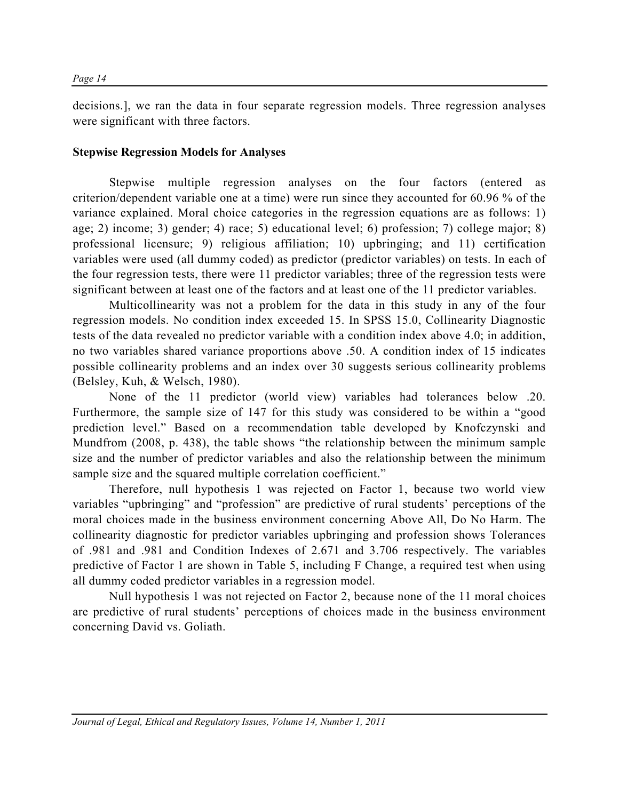decisions.], we ran the data in four separate regression models. Three regression analyses were significant with three factors.

#### **Stepwise Regression Models for Analyses**

 Stepwise multiple regression analyses on the four factors (entered as criterion/dependent variable one at a time) were run since they accounted for 60.96 % of the variance explained. Moral choice categories in the regression equations are as follows: 1) age; 2) income; 3) gender; 4) race; 5) educational level; 6) profession; 7) college major; 8) professional licensure; 9) religious affiliation; 10) upbringing; and 11) certification variables were used (all dummy coded) as predictor (predictor variables) on tests. In each of the four regression tests, there were 11 predictor variables; three of the regression tests were significant between at least one of the factors and at least one of the 11 predictor variables.

 Multicollinearity was not a problem for the data in this study in any of the four regression models. No condition index exceeded 15. In SPSS 15.0, Collinearity Diagnostic tests of the data revealed no predictor variable with a condition index above 4.0; in addition, no two variables shared variance proportions above .50. A condition index of 15 indicates possible collinearity problems and an index over 30 suggests serious collinearity problems (Belsley, Kuh, & Welsch, 1980).

 None of the 11 predictor (world view) variables had tolerances below .20. Furthermore, the sample size of 147 for this study was considered to be within a "good prediction level." Based on a recommendation table developed by Knofczynski and Mundfrom (2008, p. 438), the table shows "the relationship between the minimum sample size and the number of predictor variables and also the relationship between the minimum sample size and the squared multiple correlation coefficient."

 Therefore, null hypothesis 1 was rejected on Factor 1, because two world view variables "upbringing" and "profession" are predictive of rural students' perceptions of the moral choices made in the business environment concerning Above All, Do No Harm. The collinearity diagnostic for predictor variables upbringing and profession shows Tolerances of .981 and .981 and Condition Indexes of 2.671 and 3.706 respectively. The variables predictive of Factor 1 are shown in Table 5, including F Change, a required test when using all dummy coded predictor variables in a regression model.

 Null hypothesis 1 was not rejected on Factor 2, because none of the 11 moral choices are predictive of rural students' perceptions of choices made in the business environment concerning David vs. Goliath.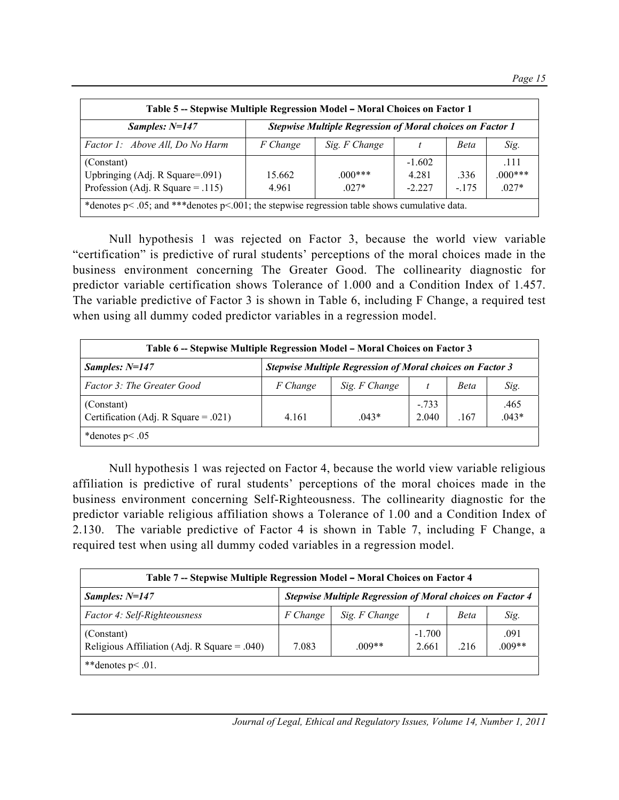| Table 5 -- Stepwise Multiple Regression Model - Moral Choices on Factor 1                             |          |               |          |      |           |  |  |  |
|-------------------------------------------------------------------------------------------------------|----------|---------------|----------|------|-----------|--|--|--|
| <b>Stepwise Multiple Regression of Moral choices on Factor 1</b><br>Samples: $N=147$                  |          |               |          |      |           |  |  |  |
| Factor 1: Above All, Do No Harm                                                                       | F Change | Sig. F Change |          | Beta | Sig.      |  |  |  |
| (Constant)                                                                                            |          |               | $-1.602$ |      | -111      |  |  |  |
| Upbringing (Adj. R Square=.091)                                                                       | 15.662   | $000***$      | 4 2 8 1  | .336 | $.000***$ |  |  |  |
| Profession (Adj. R Square = .115)<br>$027*$<br>$-175$<br>4.961<br>$027*$<br>$-2.227$                  |          |               |          |      |           |  |  |  |
| *denotes $p < .05$ ; and ***denotes $p < .001$ ; the stepwise regression table shows cumulative data. |          |               |          |      |           |  |  |  |

 Null hypothesis 1 was rejected on Factor 3, because the world view variable "certification" is predictive of rural students' perceptions of the moral choices made in the business environment concerning The Greater Good. The collinearity diagnostic for predictor variable certification shows Tolerance of 1.000 and a Condition Index of 1.457. The variable predictive of Factor 3 is shown in Table 6, including F Change, a required test when using all dummy coded predictor variables in a regression model.

| Table 6 -- Stepwise Multiple Regression Model - Moral Choices on Factor 3            |          |               |                 |             |                 |  |  |
|--------------------------------------------------------------------------------------|----------|---------------|-----------------|-------------|-----------------|--|--|
| <b>Stepwise Multiple Regression of Moral choices on Factor 3</b><br>Samples: $N=147$ |          |               |                 |             |                 |  |  |
| Factor 3: The Greater Good                                                           | F Change | Sig. F Change |                 | <b>Beta</b> | Sig.            |  |  |
| (Constant)<br>Certification (Adj. R Square = .021)                                   | 4.161    | $.043*$       | $-733$<br>2.040 | .167        | .465<br>$.043*$ |  |  |
| *denotes $p<.05$                                                                     |          |               |                 |             |                 |  |  |

 Null hypothesis 1 was rejected on Factor 4, because the world view variable religious affiliation is predictive of rural students' perceptions of the moral choices made in the business environment concerning Self-Righteousness. The collinearity diagnostic for the predictor variable religious affiliation shows a Tolerance of 1.00 and a Condition Index of 2.130. The variable predictive of Factor 4 is shown in Table 7, including F Change, a required test when using all dummy coded variables in a regression model.

| Table 7 -- Stepwise Multiple Regression Model - Moral Choices on Factor 4            |          |               |                   |      |                 |  |  |
|--------------------------------------------------------------------------------------|----------|---------------|-------------------|------|-----------------|--|--|
| <b>Stepwise Multiple Regression of Moral choices on Factor 4</b><br>Samples: $N=147$ |          |               |                   |      |                 |  |  |
| <i>Factor 4: Self-Righteousness</i>                                                  | F Change | Sig. F Change |                   | Beta | Sig.            |  |  |
| (Constant)<br>Religious Affiliation (Adj. R Square = .040)                           | 7.083    | $.009**$      | $-1.700$<br>2.661 | .216 | .091<br>$009**$ |  |  |
| **denotes $p<.01$ .                                                                  |          |               |                   |      |                 |  |  |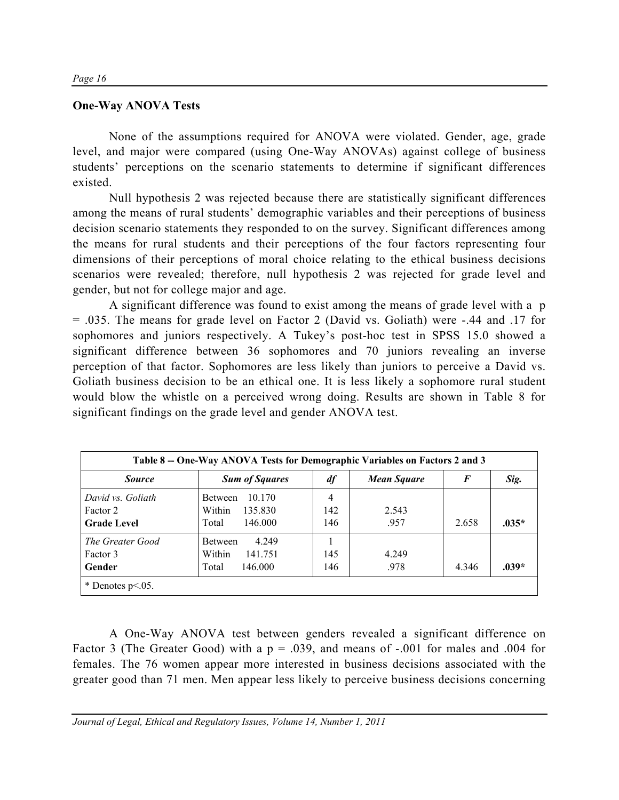#### **One-Way ANOVA Tests**

 None of the assumptions required for ANOVA were violated. Gender, age, grade level, and major were compared (using One-Way ANOVAs) against college of business students' perceptions on the scenario statements to determine if significant differences existed.

 Null hypothesis 2 was rejected because there are statistically significant differences among the means of rural students' demographic variables and their perceptions of business decision scenario statements they responded to on the survey. Significant differences among the means for rural students and their perceptions of the four factors representing four dimensions of their perceptions of moral choice relating to the ethical business decisions scenarios were revealed; therefore, null hypothesis 2 was rejected for grade level and gender, but not for college major and age.

 A significant difference was found to exist among the means of grade level with a p = .035. The means for grade level on Factor 2 (David vs. Goliath) were -.44 and .17 for sophomores and juniors respectively. A Tukey's post-hoc test in SPSS 15.0 showed a significant difference between 36 sophomores and 70 juniors revealing an inverse perception of that factor. Sophomores are less likely than juniors to perceive a David vs. Goliath business decision to be an ethical one. It is less likely a sophomore rural student would blow the whistle on a perceived wrong doing. Results are shown in Table 8 for significant findings on the grade level and gender ANOVA test.

| Table 8 -- One-Way ANOVA Tests for Demographic Variables on Factors 2 and 3 |                          |     |             |          |         |  |
|-----------------------------------------------------------------------------|--------------------------|-----|-------------|----------|---------|--|
| <b>Source</b>                                                               | <b>Sum of Squares</b>    | df  | Mean Square | $\bm{F}$ | Sig.    |  |
| David vs. Goliath                                                           | 10 170<br><b>Between</b> | 4   |             |          |         |  |
| Factor 2                                                                    | Within<br>135.830        | 142 | 2.543       |          |         |  |
| <b>Grade Level</b>                                                          | 146.000<br>Total         | 146 | .957        | 2.658    | $.035*$ |  |
| The Greater Good                                                            | 4.249<br><b>Between</b>  |     |             |          |         |  |
| Factor 3                                                                    | Within<br>141.751        | 145 | 4.249       |          |         |  |
| Gender                                                                      | 146.000<br>Total         | 146 | .978        | 4.346    | $.039*$ |  |
| * Denotes $p<.05$ .                                                         |                          |     |             |          |         |  |

 A One-Way ANOVA test between genders revealed a significant difference on Factor 3 (The Greater Good) with a  $p = .039$ , and means of  $-.001$  for males and .004 for females. The 76 women appear more interested in business decisions associated with the greater good than 71 men. Men appear less likely to perceive business decisions concerning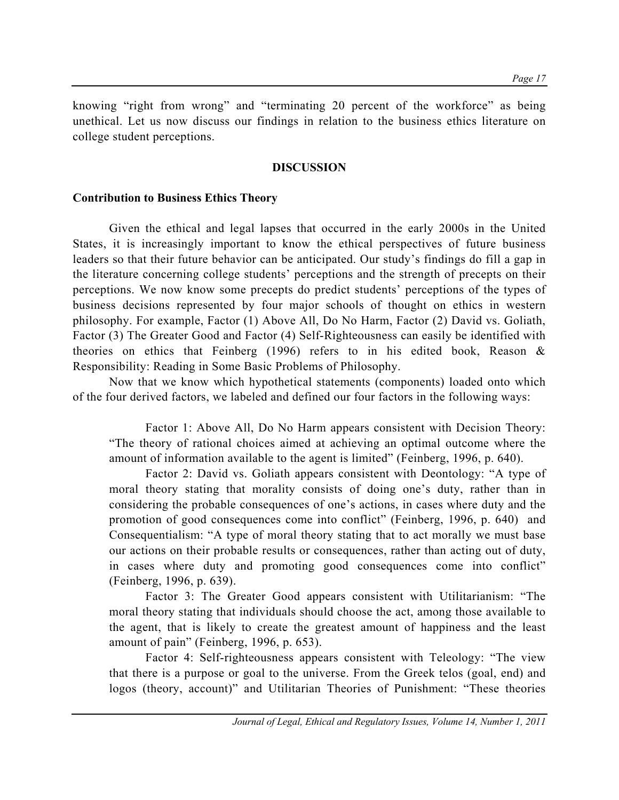knowing "right from wrong" and "terminating 20 percent of the workforce" as being unethical. Let us now discuss our findings in relation to the business ethics literature on college student perceptions.

## **DISCUSSION**

### **Contribution to Business Ethics Theory**

 Given the ethical and legal lapses that occurred in the early 2000s in the United States, it is increasingly important to know the ethical perspectives of future business leaders so that their future behavior can be anticipated. Our study's findings do fill a gap in the literature concerning college students' perceptions and the strength of precepts on their perceptions. We now know some precepts do predict students' perceptions of the types of business decisions represented by four major schools of thought on ethics in western philosophy. For example, Factor (1) Above All, Do No Harm, Factor (2) David vs. Goliath, Factor (3) The Greater Good and Factor (4) Self-Righteousness can easily be identified with theories on ethics that Feinberg (1996) refers to in his edited book, Reason & Responsibility: Reading in Some Basic Problems of Philosophy.

 Now that we know which hypothetical statements (components) loaded onto which of the four derived factors, we labeled and defined our four factors in the following ways:

 Factor 1: Above All, Do No Harm appears consistent with Decision Theory: "The theory of rational choices aimed at achieving an optimal outcome where the amount of information available to the agent is limited" (Feinberg, 1996, p. 640).

 Factor 2: David vs. Goliath appears consistent with Deontology: "A type of moral theory stating that morality consists of doing one's duty, rather than in considering the probable consequences of one's actions, in cases where duty and the promotion of good consequences come into conflict" (Feinberg, 1996, p. 640) and Consequentialism: "A type of moral theory stating that to act morally we must base our actions on their probable results or consequences, rather than acting out of duty, in cases where duty and promoting good consequences come into conflict" (Feinberg, 1996, p. 639).

 Factor 3: The Greater Good appears consistent with Utilitarianism: "The moral theory stating that individuals should choose the act, among those available to the agent, that is likely to create the greatest amount of happiness and the least amount of pain" (Feinberg, 1996, p. 653).

 Factor 4: Self-righteousness appears consistent with Teleology: "The view that there is a purpose or goal to the universe. From the Greek telos (goal, end) and logos (theory, account)" and Utilitarian Theories of Punishment: "These theories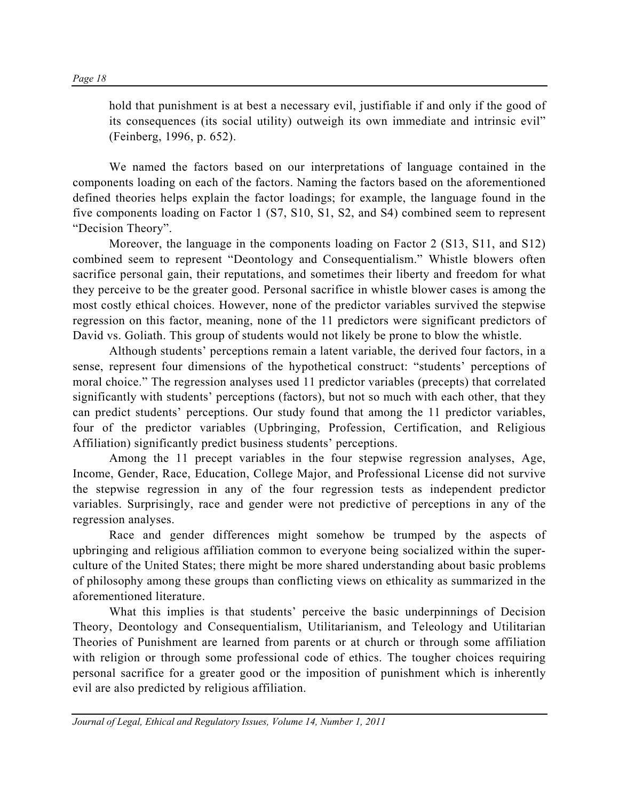hold that punishment is at best a necessary evil, justifiable if and only if the good of its consequences (its social utility) outweigh its own immediate and intrinsic evil" (Feinberg, 1996, p. 652).

 We named the factors based on our interpretations of language contained in the components loading on each of the factors. Naming the factors based on the aforementioned defined theories helps explain the factor loadings; for example, the language found in the five components loading on Factor 1 (S7, S10, S1, S2, and S4) combined seem to represent "Decision Theory".

 Moreover, the language in the components loading on Factor 2 (S13, S11, and S12) combined seem to represent "Deontology and Consequentialism." Whistle blowers often sacrifice personal gain, their reputations, and sometimes their liberty and freedom for what they perceive to be the greater good. Personal sacrifice in whistle blower cases is among the most costly ethical choices. However, none of the predictor variables survived the stepwise regression on this factor, meaning, none of the 11 predictors were significant predictors of David vs. Goliath. This group of students would not likely be prone to blow the whistle.

 Although students' perceptions remain a latent variable, the derived four factors, in a sense, represent four dimensions of the hypothetical construct: "students' perceptions of moral choice." The regression analyses used 11 predictor variables (precepts) that correlated significantly with students' perceptions (factors), but not so much with each other, that they can predict students' perceptions. Our study found that among the 11 predictor variables, four of the predictor variables (Upbringing, Profession, Certification, and Religious Affiliation) significantly predict business students' perceptions.

 Among the 11 precept variables in the four stepwise regression analyses, Age, Income, Gender, Race, Education, College Major, and Professional License did not survive the stepwise regression in any of the four regression tests as independent predictor variables. Surprisingly, race and gender were not predictive of perceptions in any of the regression analyses.

 Race and gender differences might somehow be trumped by the aspects of upbringing and religious affiliation common to everyone being socialized within the superculture of the United States; there might be more shared understanding about basic problems of philosophy among these groups than conflicting views on ethicality as summarized in the aforementioned literature.

 What this implies is that students' perceive the basic underpinnings of Decision Theory, Deontology and Consequentialism, Utilitarianism, and Teleology and Utilitarian Theories of Punishment are learned from parents or at church or through some affiliation with religion or through some professional code of ethics. The tougher choices requiring personal sacrifice for a greater good or the imposition of punishment which is inherently evil are also predicted by religious affiliation.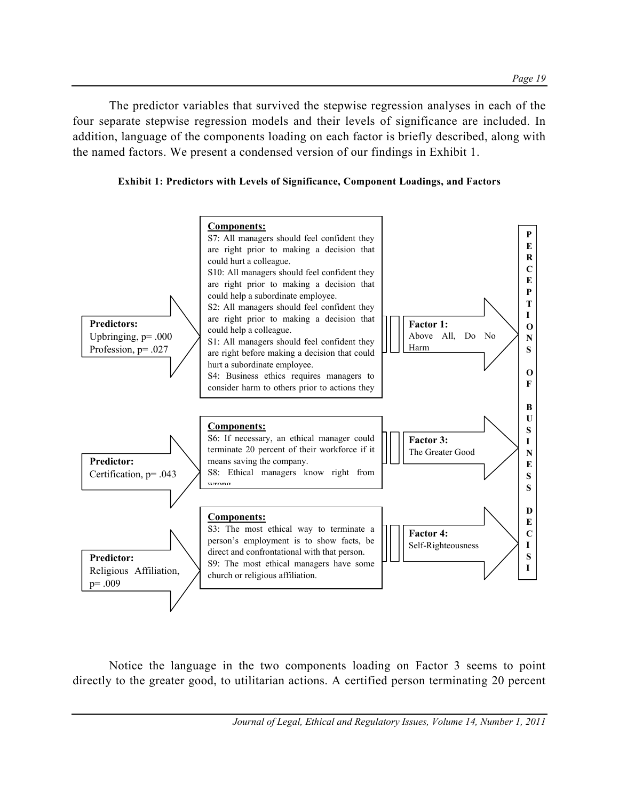The predictor variables that survived the stepwise regression analyses in each of the four separate stepwise regression models and their levels of significance are included. In addition, language of the components loading on each factor is briefly described, along with the named factors. We present a condensed version of our findings in Exhibit 1.

**Exhibit 1: Predictors with Levels of Significance, Component Loadings, and Factors** 



 Notice the language in the two components loading on Factor 3 seems to point directly to the greater good, to utilitarian actions. A certified person terminating 20 percent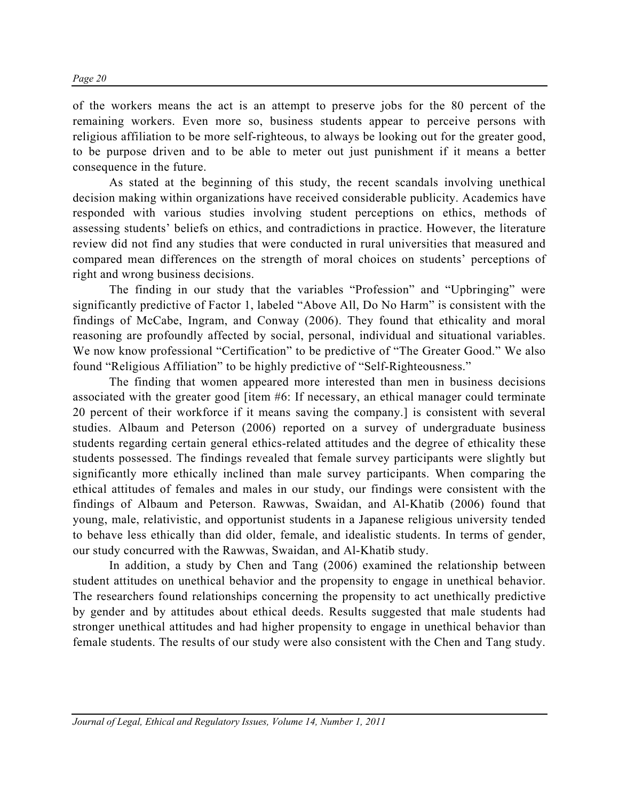of the workers means the act is an attempt to preserve jobs for the 80 percent of the remaining workers. Even more so, business students appear to perceive persons with religious affiliation to be more self-righteous, to always be looking out for the greater good, to be purpose driven and to be able to meter out just punishment if it means a better consequence in the future.

 As stated at the beginning of this study, the recent scandals involving unethical decision making within organizations have received considerable publicity. Academics have responded with various studies involving student perceptions on ethics, methods of assessing students' beliefs on ethics, and contradictions in practice. However, the literature review did not find any studies that were conducted in rural universities that measured and compared mean differences on the strength of moral choices on students' perceptions of right and wrong business decisions.

 The finding in our study that the variables "Profession" and "Upbringing" were significantly predictive of Factor 1, labeled "Above All, Do No Harm" is consistent with the findings of McCabe, Ingram, and Conway (2006). They found that ethicality and moral reasoning are profoundly affected by social, personal, individual and situational variables. We now know professional "Certification" to be predictive of "The Greater Good." We also found "Religious Affiliation" to be highly predictive of "Self-Righteousness."

 The finding that women appeared more interested than men in business decisions associated with the greater good [item #6: If necessary, an ethical manager could terminate 20 percent of their workforce if it means saving the company.] is consistent with several studies. Albaum and Peterson (2006) reported on a survey of undergraduate business students regarding certain general ethics-related attitudes and the degree of ethicality these students possessed. The findings revealed that female survey participants were slightly but significantly more ethically inclined than male survey participants. When comparing the ethical attitudes of females and males in our study, our findings were consistent with the findings of Albaum and Peterson. Rawwas, Swaidan, and Al-Khatib (2006) found that young, male, relativistic, and opportunist students in a Japanese religious university tended to behave less ethically than did older, female, and idealistic students. In terms of gender, our study concurred with the Rawwas, Swaidan, and Al-Khatib study.

 In addition, a study by Chen and Tang (2006) examined the relationship between student attitudes on unethical behavior and the propensity to engage in unethical behavior. The researchers found relationships concerning the propensity to act unethically predictive by gender and by attitudes about ethical deeds. Results suggested that male students had stronger unethical attitudes and had higher propensity to engage in unethical behavior than female students. The results of our study were also consistent with the Chen and Tang study.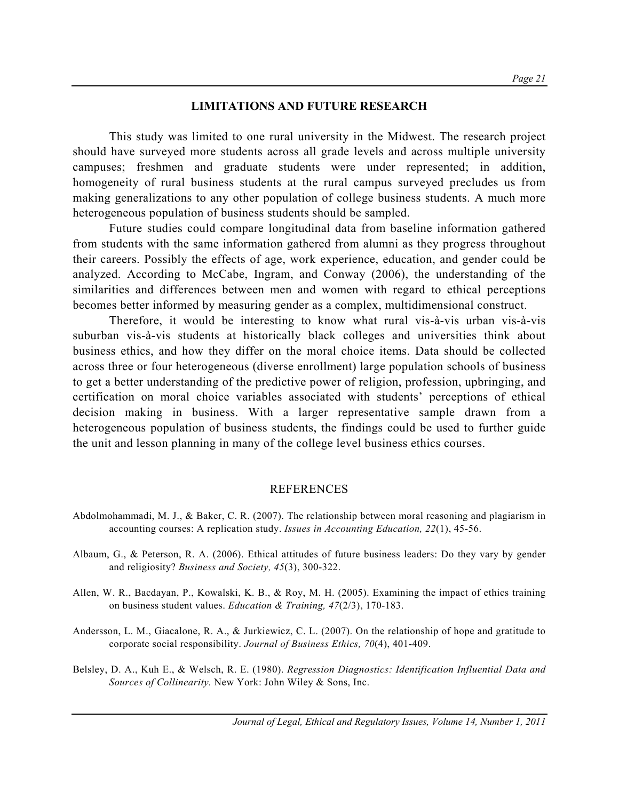#### **LIMITATIONS AND FUTURE RESEARCH**

 This study was limited to one rural university in the Midwest. The research project should have surveyed more students across all grade levels and across multiple university campuses; freshmen and graduate students were under represented; in addition, homogeneity of rural business students at the rural campus surveyed precludes us from making generalizations to any other population of college business students. A much more heterogeneous population of business students should be sampled.

 Future studies could compare longitudinal data from baseline information gathered from students with the same information gathered from alumni as they progress throughout their careers. Possibly the effects of age, work experience, education, and gender could be analyzed. According to McCabe, Ingram, and Conway (2006), the understanding of the similarities and differences between men and women with regard to ethical perceptions becomes better informed by measuring gender as a complex, multidimensional construct.

 Therefore, it would be interesting to know what rural vis-à-vis urban vis-à-vis suburban vis-à-vis students at historically black colleges and universities think about business ethics, and how they differ on the moral choice items. Data should be collected across three or four heterogeneous (diverse enrollment) large population schools of business to get a better understanding of the predictive power of religion, profession, upbringing, and certification on moral choice variables associated with students' perceptions of ethical decision making in business. With a larger representative sample drawn from a heterogeneous population of business students, the findings could be used to further guide the unit and lesson planning in many of the college level business ethics courses.

#### REFERENCES

- Abdolmohammadi, M. J., & Baker, C. R. (2007). The relationship between moral reasoning and plagiarism in accounting courses: A replication study. *Issues in Accounting Education, 22*(1), 45-56.
- Albaum, G., & Peterson, R. A. (2006). Ethical attitudes of future business leaders: Do they vary by gender and religiosity? *Business and Society, 45*(3), 300-322.
- Allen, W. R., Bacdayan, P., Kowalski, K. B., & Roy, M. H. (2005). Examining the impact of ethics training on business student values. *Education & Training, 47*(2/3), 170-183.
- Andersson, L. M., Giacalone, R. A., & Jurkiewicz, C. L. (2007). On the relationship of hope and gratitude to corporate social responsibility. *Journal of Business Ethics, 70*(4), 401-409.
- Belsley, D. A., Kuh E., & Welsch, R. E. (1980). *Regression Diagnostics: Identification Influential Data and Sources of Collinearity.* New York: John Wiley & Sons, Inc.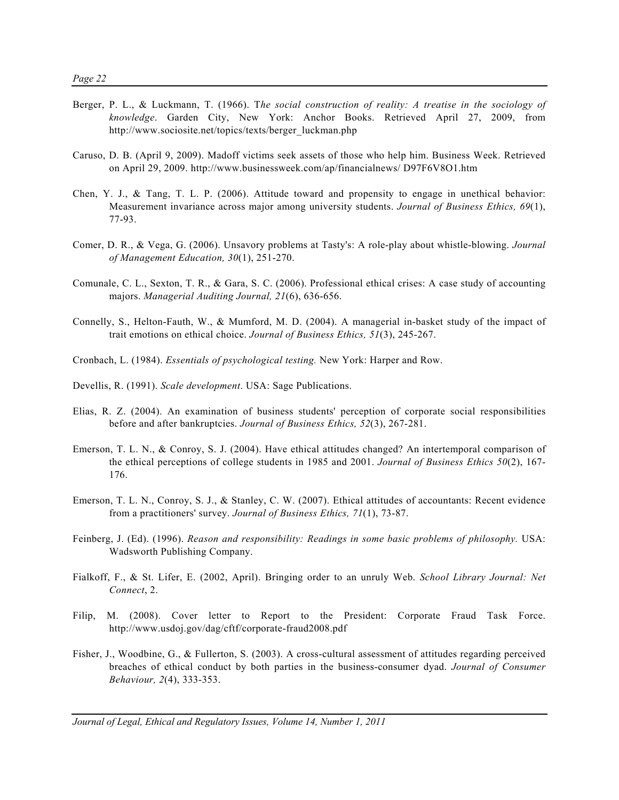- Berger, P. L., & Luckmann, T. (1966). T*he social construction of reality: A treatise in the sociology of knowledge*. Garden City, New York: Anchor Books. Retrieved April 27, 2009, from http://www.sociosite.net/topics/texts/berger\_luckman.php
- Caruso, D. B. (April 9, 2009). Madoff victims seek assets of those who help him. Business Week. Retrieved on April 29, 2009. http://www.businessweek.com/ap/financialnews/ D97F6V8O1.htm
- Chen, Y. J., & Tang, T. L. P. (2006). Attitude toward and propensity to engage in unethical behavior: Measurement invariance across major among university students. *Journal of Business Ethics, 69*(1), 77-93.
- Comer, D. R., & Vega, G. (2006). Unsavory problems at Tasty's: A role-play about whistle-blowing. *Journal of Management Education, 30*(1), 251-270.
- Comunale, C. L., Sexton, T. R., & Gara, S. C. (2006). Professional ethical crises: A case study of accounting majors. *Managerial Auditing Journal, 21*(6), 636-656.
- Connelly, S., Helton-Fauth, W., & Mumford, M. D. (2004). A managerial in-basket study of the impact of trait emotions on ethical choice. *Journal of Business Ethics, 51*(3), 245-267.
- Cronbach, L. (1984). *Essentials of psychological testing.* New York: Harper and Row.
- Devellis, R. (1991). *Scale development*. USA: Sage Publications.
- Elias, R. Z. (2004). An examination of business students' perception of corporate social responsibilities before and after bankruptcies. *Journal of Business Ethics, 52*(3), 267-281.
- Emerson, T. L. N., & Conroy, S. J. (2004). Have ethical attitudes changed? An intertemporal comparison of the ethical perceptions of college students in 1985 and 2001. *Journal of Business Ethics 50*(2), 167- 176.
- Emerson, T. L. N., Conroy, S. J., & Stanley, C. W. (2007). Ethical attitudes of accountants: Recent evidence from a practitioners' survey. *Journal of Business Ethics, 71*(1), 73-87.
- Feinberg, J. (Ed). (1996). *Reason and responsibility: Readings in some basic problems of philosophy.* USA: Wadsworth Publishing Company.
- Fialkoff, F., & St. Lifer, E. (2002, April). Bringing order to an unruly Web. *School Library Journal: Net Connect*, 2.
- Filip, M. (2008). Cover letter to Report to the President: Corporate Fraud Task Force. http://www.usdoj.gov/dag/cftf/corporate-fraud2008.pdf
- Fisher, J., Woodbine, G., & Fullerton, S. (2003). A cross-cultural assessment of attitudes regarding perceived breaches of ethical conduct by both parties in the business-consumer dyad. *Journal of Consumer Behaviour, 2*(4), 333-353.

*Journal of Legal, Ethical and Regulatory Issues, Volume 14, Number 1, 2011*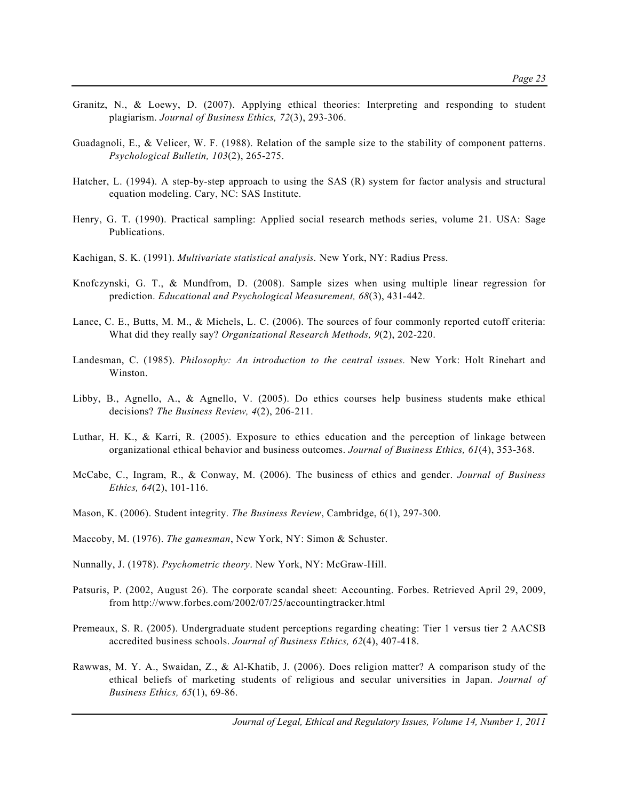- Granitz, N., & Loewy, D. (2007). Applying ethical theories: Interpreting and responding to student plagiarism. *Journal of Business Ethics, 72*(3), 293-306.
- Guadagnoli, E., & Velicer, W. F. (1988). Relation of the sample size to the stability of component patterns. *Psychological Bulletin, 103*(2), 265-275.
- Hatcher, L. (1994). A step-by-step approach to using the SAS (R) system for factor analysis and structural equation modeling. Cary, NC: SAS Institute.
- Henry, G. T. (1990). Practical sampling: Applied social research methods series, volume 21. USA: Sage Publications.
- Kachigan, S. K. (1991). *Multivariate statistical analysis.* New York, NY: Radius Press.
- Knofczynski, G. T., & Mundfrom, D. (2008). Sample sizes when using multiple linear regression for prediction. *Educational and Psychological Measurement, 68*(3), 431-442.
- Lance, C. E., Butts, M. M., & Michels, L. C. (2006). The sources of four commonly reported cutoff criteria: What did they really say? *Organizational Research Methods, 9*(2), 202-220.
- Landesman, C. (1985). *Philosophy: An introduction to the central issues.* New York: Holt Rinehart and Winston.
- Libby, B., Agnello, A., & Agnello, V. (2005). Do ethics courses help business students make ethical decisions? *The Business Review, 4*(2), 206-211.
- Luthar, H. K., & Karri, R. (2005). Exposure to ethics education and the perception of linkage between organizational ethical behavior and business outcomes. *Journal of Business Ethics, 61*(4), 353-368.
- McCabe, C., Ingram, R., & Conway, M. (2006). The business of ethics and gender. *Journal of Business Ethics, 64*(2), 101-116.
- Mason, K. (2006). Student integrity. *The Business Review*, Cambridge, 6(1), 297-300.
- Maccoby, M. (1976). *The gamesman*, New York, NY: Simon & Schuster.
- Nunnally, J. (1978). *Psychometric theory*. New York, NY: McGraw-Hill.
- Patsuris, P. (2002, August 26). The corporate scandal sheet: Accounting. Forbes. Retrieved April 29, 2009, from http://www.forbes.com/2002/07/25/accountingtracker.html
- Premeaux, S. R. (2005). Undergraduate student perceptions regarding cheating: Tier 1 versus tier 2 AACSB accredited business schools. *Journal of Business Ethics, 62*(4), 407-418.
- Rawwas, M. Y. A., Swaidan, Z., & Al-Khatib, J. (2006). Does religion matter? A comparison study of the ethical beliefs of marketing students of religious and secular universities in Japan. *Journal of Business Ethics, 65*(1), 69-86.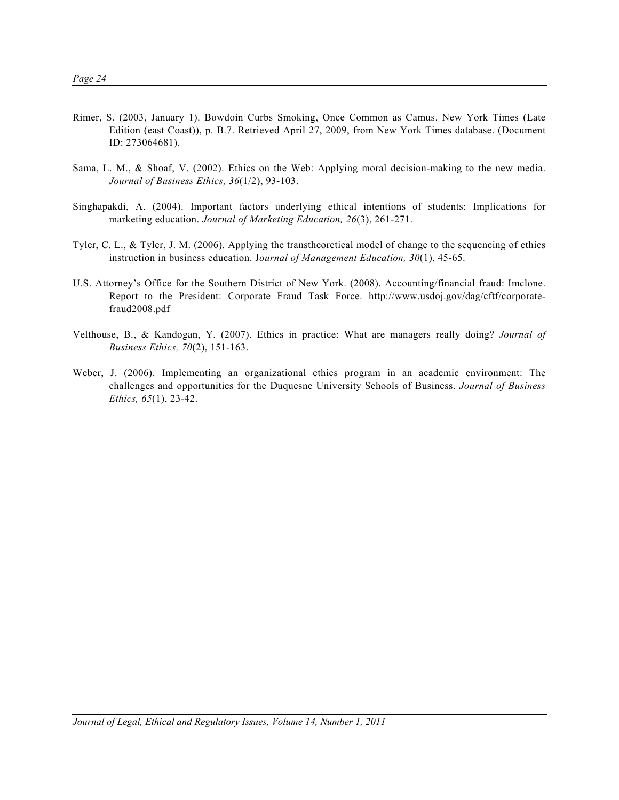- Rimer, S. (2003, January 1). Bowdoin Curbs Smoking, Once Common as Camus. New York Times (Late Edition (east Coast)), p. B.7. Retrieved April 27, 2009, from New York Times database. (Document ID: 273064681).
- Sama, L. M., & Shoaf, V. (2002). Ethics on the Web: Applying moral decision-making to the new media. *Journal of Business Ethics, 36*(1/2), 93-103.
- Singhapakdi, A. (2004). Important factors underlying ethical intentions of students: Implications for marketing education. *Journal of Marketing Education, 26*(3), 261-271.
- Tyler, C. L., & Tyler, J. M. (2006). Applying the transtheoretical model of change to the sequencing of ethics instruction in business education. J*ournal of Management Education, 30*(1), 45-65.
- U.S. Attorney's Office for the Southern District of New York. (2008). Accounting/financial fraud: Imclone. Report to the President: Corporate Fraud Task Force. http://www.usdoj.gov/dag/cftf/corporatefraud2008.pdf
- Velthouse, B., & Kandogan, Y. (2007). Ethics in practice: What are managers really doing? *Journal of Business Ethics, 70*(2), 151-163.
- Weber, J. (2006). Implementing an organizational ethics program in an academic environment: The challenges and opportunities for the Duquesne University Schools of Business. *Journal of Business Ethics, 65*(1), 23-42.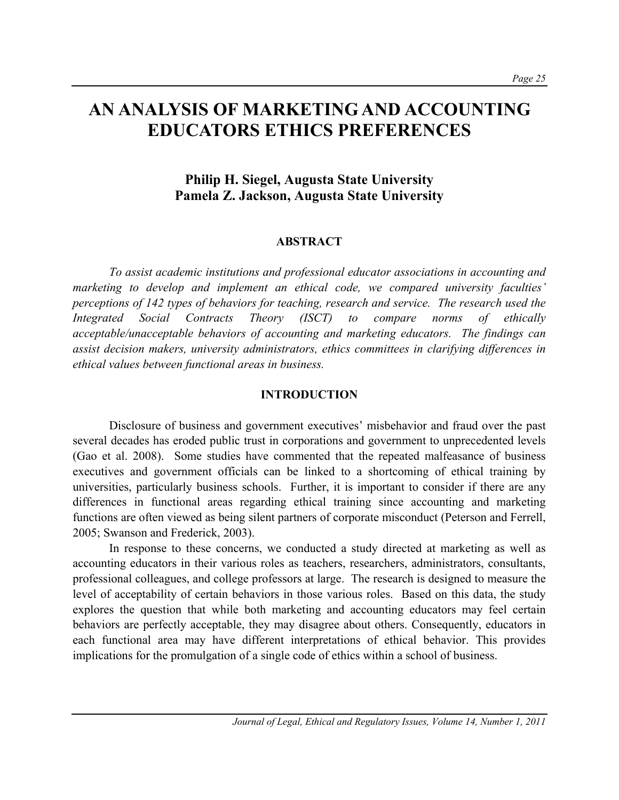## **AN ANALYSIS OF MARKETING AND ACCOUNTING EDUCATORS ETHICS PREFERENCES**

## **Philip H. Siegel, Augusta State University Pamela Z. Jackson, Augusta State University**

#### **ABSTRACT**

*To assist academic institutions and professional educator associations in accounting and marketing to develop and implement an ethical code, we compared university faculties' perceptions of 142 types of behaviors for teaching, research and service. The research used the Integrated Social Contracts Theory (ISCT) to compare norms of ethically acceptable/unacceptable behaviors of accounting and marketing educators. The findings can assist decision makers, university administrators, ethics committees in clarifying differences in ethical values between functional areas in business.* 

#### **INTRODUCTION**

 Disclosure of business and government executives' misbehavior and fraud over the past several decades has eroded public trust in corporations and government to unprecedented levels (Gao et al. 2008). Some studies have commented that the repeated malfeasance of business executives and government officials can be linked to a shortcoming of ethical training by universities, particularly business schools. Further, it is important to consider if there are any differences in functional areas regarding ethical training since accounting and marketing functions are often viewed as being silent partners of corporate misconduct (Peterson and Ferrell, 2005; Swanson and Frederick, 2003).

 In response to these concerns, we conducted a study directed at marketing as well as accounting educators in their various roles as teachers, researchers, administrators, consultants, professional colleagues, and college professors at large. The research is designed to measure the level of acceptability of certain behaviors in those various roles. Based on this data, the study explores the question that while both marketing and accounting educators may feel certain behaviors are perfectly acceptable, they may disagree about others. Consequently, educators in each functional area may have different interpretations of ethical behavior. This provides implications for the promulgation of a single code of ethics within a school of business.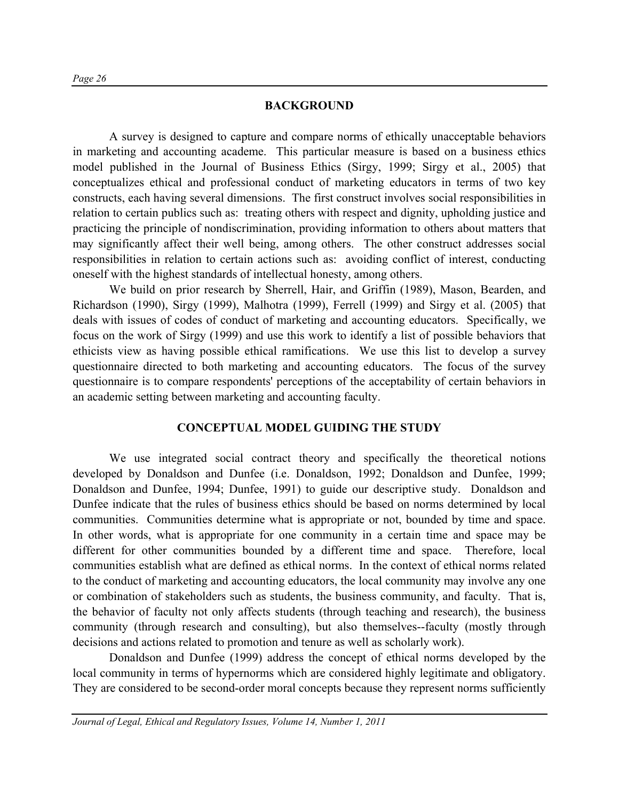#### **BACKGROUND**

 A survey is designed to capture and compare norms of ethically unacceptable behaviors in marketing and accounting academe. This particular measure is based on a business ethics model published in the Journal of Business Ethics (Sirgy, 1999; Sirgy et al., 2005) that conceptualizes ethical and professional conduct of marketing educators in terms of two key constructs, each having several dimensions. The first construct involves social responsibilities in relation to certain publics such as: treating others with respect and dignity, upholding justice and practicing the principle of nondiscrimination, providing information to others about matters that may significantly affect their well being, among others. The other construct addresses social responsibilities in relation to certain actions such as: avoiding conflict of interest, conducting oneself with the highest standards of intellectual honesty, among others.

 We build on prior research by Sherrell, Hair, and Griffin (1989), Mason, Bearden, and Richardson (1990), Sirgy (1999), Malhotra (1999), Ferrell (1999) and Sirgy et al. (2005) that deals with issues of codes of conduct of marketing and accounting educators. Specifically, we focus on the work of Sirgy (1999) and use this work to identify a list of possible behaviors that ethicists view as having possible ethical ramifications. We use this list to develop a survey questionnaire directed to both marketing and accounting educators. The focus of the survey questionnaire is to compare respondents' perceptions of the acceptability of certain behaviors in an academic setting between marketing and accounting faculty.

#### **CONCEPTUAL MODEL GUIDING THE STUDY**

 We use integrated social contract theory and specifically the theoretical notions developed by Donaldson and Dunfee (i.e. Donaldson, 1992; Donaldson and Dunfee, 1999; Donaldson and Dunfee, 1994; Dunfee, 1991) to guide our descriptive study. Donaldson and Dunfee indicate that the rules of business ethics should be based on norms determined by local communities. Communities determine what is appropriate or not, bounded by time and space. In other words, what is appropriate for one community in a certain time and space may be different for other communities bounded by a different time and space. Therefore, local communities establish what are defined as ethical norms. In the context of ethical norms related to the conduct of marketing and accounting educators, the local community may involve any one or combination of stakeholders such as students, the business community, and faculty. That is, the behavior of faculty not only affects students (through teaching and research), the business community (through research and consulting), but also themselves--faculty (mostly through decisions and actions related to promotion and tenure as well as scholarly work).

 Donaldson and Dunfee (1999) address the concept of ethical norms developed by the local community in terms of hypernorms which are considered highly legitimate and obligatory. They are considered to be second-order moral concepts because they represent norms sufficiently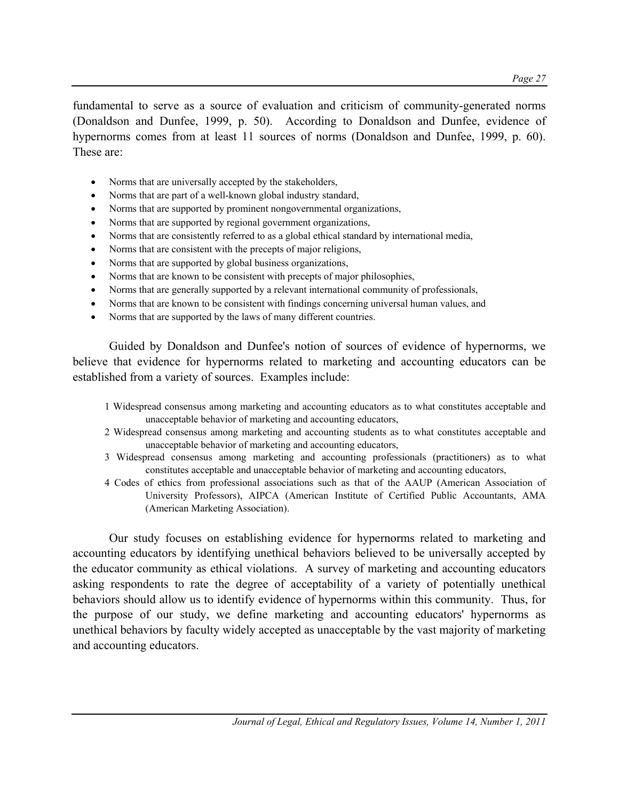fundamental to serve as a source of evaluation and criticism of community-generated norms (Donaldson and Dunfee, 1999, p. 50). According to Donaldson and Dunfee, evidence of hypernorms comes from at least 11 sources of norms (Donaldson and Dunfee, 1999, p. 60). These are:

- Norms that are universally accepted by the stakeholders,
- Norms that are part of a well-known global industry standard,
- Norms that are supported by prominent nongovernmental organizations,
- Norms that are supported by regional government organizations,
- Norms that are consistently referred to as a global ethical standard by international media,
- Norms that are consistent with the precepts of major religions,
- Norms that are supported by global business organizations,
- Norms that are known to be consistent with precepts of major philosophies,
- Norms that are generally supported by a relevant international community of professionals,
- Norms that are known to be consistent with findings concerning universal human values, and
- Norms that are supported by the laws of many different countries.

 Guided by Donaldson and Dunfee's notion of sources of evidence of hypernorms, we believe that evidence for hypernorms related to marketing and accounting educators can be established from a variety of sources. Examples include:

- 1 Widespread consensus among marketing and accounting educators as to what constitutes acceptable and unacceptable behavior of marketing and accounting educators,
- 2 Widespread consensus among marketing and accounting students as to what constitutes acceptable and unacceptable behavior of marketing and accounting educators,
- 3 Widespread consensus among marketing and accounting professionals (practitioners) as to what constitutes acceptable and unacceptable behavior of marketing and accounting educators,
- 4 Codes of ethics from professional associations such as that of the AAUP (American Association of University Professors), AIPCA (American Institute of Certified Public Accountants, AMA (American Marketing Association).

 Our study focuses on establishing evidence for hypernorms related to marketing and accounting educators by identifying unethical behaviors believed to be universally accepted by the educator community as ethical violations. A survey of marketing and accounting educators asking respondents to rate the degree of acceptability of a variety of potentially unethical behaviors should allow us to identify evidence of hypernorms within this community. Thus, for the purpose of our study, we define marketing and accounting educators' hypernorms as unethical behaviors by faculty widely accepted as unacceptable by the vast majority of marketing and accounting educators.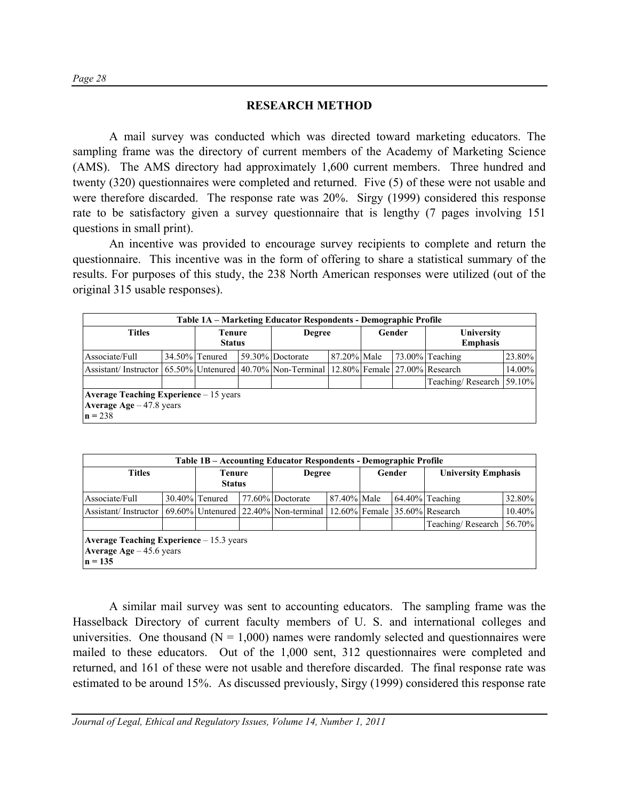#### **RESEARCH METHOD**

 A mail survey was conducted which was directed toward marketing educators. The sampling frame was the directory of current members of the Academy of Marketing Science (AMS). The AMS directory had approximately 1,600 current members. Three hundred and twenty (320) questionnaires were completed and returned. Five (5) of these were not usable and were therefore discarded. The response rate was 20%. Sirgy (1999) considered this response rate to be satisfactory given a survey questionnaire that is lengthy (7 pages involving 151 questions in small print).

 An incentive was provided to encourage survey recipients to complete and return the questionnaire. This incentive was in the form of offering to share a statistical summary of the results. For purposes of this study, the 238 North American responses were utilized (out of the original 315 usable responses).

| Table 1A – Marketing Educator Respondents - Demographic Profile                                 |  |                         |  |                  |             |        |  |                               |        |
|-------------------------------------------------------------------------------------------------|--|-------------------------|--|------------------|-------------|--------|--|-------------------------------|--------|
| <b>Titles</b>                                                                                   |  | Tenure<br><b>Status</b> |  | <b>Degree</b>    |             | Gender |  | University<br><b>Emphasis</b> |        |
| Associate/Full                                                                                  |  | $34.50\%$ Tenured       |  | 59.30% Doctorate | 87.20% Male |        |  | $73.00\%$ Teaching            | 23.80% |
| Assistant/Instructor 65.50% Untenured 40.70% Non-Terminal 12.80% Female 27.00% Research         |  |                         |  |                  |             |        |  |                               | 14.00% |
|                                                                                                 |  |                         |  |                  |             |        |  | Teaching/Research             | 59.10% |
| <b>Average Teaching Experience</b> $-15$ years<br><b>Average Age</b> $-47.8$ years<br>$n = 238$ |  |                         |  |                  |             |        |  |                               |        |

| Table 1B – Accounting Educator Respondents - Demographic Profile                                  |  |                         |  |                                                                    |             |        |  |                            |           |
|---------------------------------------------------------------------------------------------------|--|-------------------------|--|--------------------------------------------------------------------|-------------|--------|--|----------------------------|-----------|
| <b>Titles</b>                                                                                     |  | Tenure<br><b>Status</b> |  | <b>Degree</b>                                                      |             | Gender |  | <b>University Emphasis</b> |           |
| Associate/Full                                                                                    |  | $30.40\%$ Tenured       |  | 77.60% Doctorate                                                   | 87.40% Male |        |  | $64.40\%$ Teaching         | 32.80%    |
| Assistant/Instructor                                                                              |  |                         |  | 69.60% Untenured 22.40% Non-terminal 12.60% Female 35.60% Research |             |        |  |                            | $10.40\%$ |
|                                                                                                   |  |                         |  |                                                                    |             |        |  | Teaching/Research          | 56.70%    |
| <b>Average Teaching Experience</b> $-15.3$ years<br><b>Average Age</b> $-45.6$ years<br>$n = 135$ |  |                         |  |                                                                    |             |        |  |                            |           |

 A similar mail survey was sent to accounting educators. The sampling frame was the Hasselback Directory of current faculty members of U. S. and international colleges and universities. One thousand  $(N = 1,000)$  names were randomly selected and questionnaires were mailed to these educators. Out of the 1,000 sent, 312 questionnaires were completed and returned, and 161 of these were not usable and therefore discarded. The final response rate was estimated to be around 15%. As discussed previously, Sirgy (1999) considered this response rate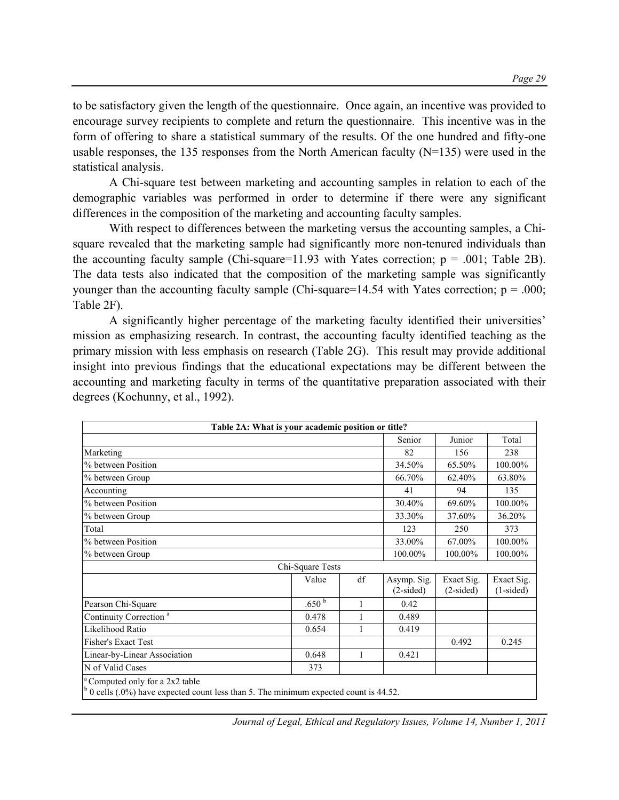to be satisfactory given the length of the questionnaire. Once again, an incentive was provided to encourage survey recipients to complete and return the questionnaire. This incentive was in the form of offering to share a statistical summary of the results. Of the one hundred and fifty-one usable responses, the 135 responses from the North American faculty (N=135) were used in the statistical analysis.

 A Chi-square test between marketing and accounting samples in relation to each of the demographic variables was performed in order to determine if there were any significant differences in the composition of the marketing and accounting faculty samples.

 With respect to differences between the marketing versus the accounting samples, a Chisquare revealed that the marketing sample had significantly more non-tenured individuals than the accounting faculty sample (Chi-square=11.93 with Yates correction;  $p = .001$ ; Table 2B). The data tests also indicated that the composition of the marketing sample was significantly younger than the accounting faculty sample (Chi-square=14.54 with Yates correction;  $p = .000$ ; Table 2F).

 A significantly higher percentage of the marketing faculty identified their universities' mission as emphasizing research. In contrast, the accounting faculty identified teaching as the primary mission with less emphasis on research (Table 2G). This result may provide additional insight into previous findings that the educational expectations may be different between the accounting and marketing faculty in terms of the quantitative preparation associated with their degrees (Kochunny, et al., 1992).

| Table 2A: What is your academic position or title?                                                                                    |                  |         |                            |                           |                           |  |  |  |
|---------------------------------------------------------------------------------------------------------------------------------------|------------------|---------|----------------------------|---------------------------|---------------------------|--|--|--|
|                                                                                                                                       |                  |         | Senior                     | Junior                    | Total                     |  |  |  |
| Marketing                                                                                                                             | 82               | 156     | 238                        |                           |                           |  |  |  |
| % between Position                                                                                                                    | 34.50%           | 65.50%  | 100.00%                    |                           |                           |  |  |  |
| % between Group                                                                                                                       |                  |         | 66.70%                     | 62.40%                    | 63.80%                    |  |  |  |
| Accounting                                                                                                                            |                  |         | 41                         | 94                        | 135                       |  |  |  |
| % between Position                                                                                                                    |                  |         | 30.40%                     | 69.60%                    | 100.00%                   |  |  |  |
| % between Group                                                                                                                       |                  |         | 33.30%                     | 37.60%                    | 36.20%                    |  |  |  |
| Total                                                                                                                                 |                  |         | 123                        | 250                       | 373                       |  |  |  |
| % between Position                                                                                                                    |                  |         | 33.00%                     | 67.00%                    | 100.00%                   |  |  |  |
| % between Group                                                                                                                       | 100.00%          | 100.00% | 100.00%                    |                           |                           |  |  |  |
|                                                                                                                                       | Chi-Square Tests |         |                            |                           |                           |  |  |  |
|                                                                                                                                       | Value            | df      | Asymp. Sig.<br>$(2-sided)$ | Exact Sig.<br>$(2-sided)$ | Exact Sig.<br>$(1-sided)$ |  |  |  |
| Pearson Chi-Square                                                                                                                    | .650 $b$         |         | 0.42                       |                           |                           |  |  |  |
| Continuity Correction <sup>a</sup>                                                                                                    | 0.478            | 1       | 0.489                      |                           |                           |  |  |  |
| Likelihood Ratio                                                                                                                      | 0.654            | 1       | 0.419                      |                           |                           |  |  |  |
| <b>Fisher's Exact Test</b>                                                                                                            |                  |         |                            | 0.492                     | 0.245                     |  |  |  |
| Linear-by-Linear Association                                                                                                          | 0.648            | 1       | 0.421                      |                           |                           |  |  |  |
| N of Valid Cases                                                                                                                      | 373              |         |                            |                           |                           |  |  |  |
| <sup>a</sup> Computed only for a 2x2 table<br>$b$ 0 cells (.0%) have expected count less than 5. The minimum expected count is 44.52. |                  |         |                            |                           |                           |  |  |  |

*Journal of Legal, Ethical and Regulatory Issues, Volume 14, Number 1, 2011*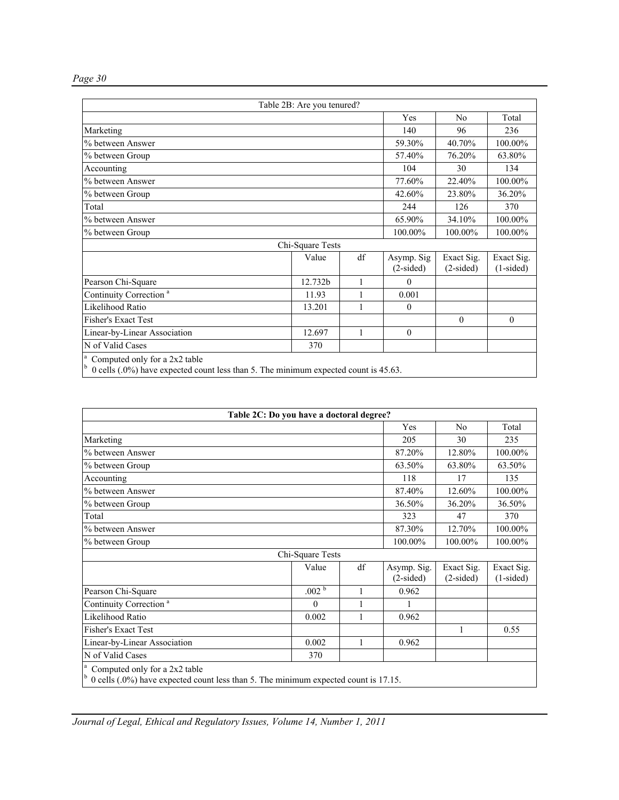|                                    | Table 2B: Are you tenured? |              |                           |                           |                           |
|------------------------------------|----------------------------|--------------|---------------------------|---------------------------|---------------------------|
|                                    |                            |              | Yes                       | No                        | Total                     |
| Marketing                          | 140                        | 96           | 236                       |                           |                           |
| % between Answer                   |                            |              | 59.30%                    | 40.70%                    | 100.00%                   |
| % between Group                    |                            |              | 57.40%                    | 76.20%                    | 63.80%                    |
| Accounting                         |                            |              | 104                       | 30                        | 134                       |
| % between Answer                   | 77.60%                     | 22.40%       | 100.00%                   |                           |                           |
| % between Group                    |                            |              | 42.60%                    | 23.80%                    | 36.20%                    |
| Total                              |                            |              | 244                       | 126                       | 370                       |
| % between Answer                   | 65.90%                     | 34.10%       | 100.00%                   |                           |                           |
| % between Group                    | 100.00%                    | 100.00%      | 100.00%                   |                           |                           |
|                                    | Chi-Square Tests           |              |                           |                           |                           |
|                                    | Value                      | df           | Asymp. Sig<br>$(2-sided)$ | Exact Sig.<br>$(2-sided)$ | Exact Sig.<br>$(1-sided)$ |
| Pearson Chi-Square                 | 12.732b                    | $\mathbf{1}$ | $\theta$                  |                           |                           |
| Continuity Correction <sup>a</sup> | 11.93                      |              | 0.001                     |                           |                           |
| Likelihood Ratio                   | 13.201                     |              | $\theta$                  |                           |                           |
| <b>Fisher's Exact Test</b>         |                            |              |                           | $\mathbf{0}$              | $\mathbf{0}$              |
| Linear-by-Linear Association       | 12.697                     | 1            | $\theta$                  |                           |                           |
| N of Valid Cases                   | 370                        |              |                           |                           |                           |

|                                                                                                                                       | Table 2C: Do you have a doctoral degree? |         |                            |                           |                           |
|---------------------------------------------------------------------------------------------------------------------------------------|------------------------------------------|---------|----------------------------|---------------------------|---------------------------|
|                                                                                                                                       |                                          |         | Yes                        | N <sub>0</sub>            | Total                     |
| Marketing                                                                                                                             | 205                                      | 30      | 235                        |                           |                           |
| % between Answer                                                                                                                      |                                          |         | 87.20%                     | 12.80%                    | 100.00%                   |
| % between Group                                                                                                                       |                                          |         | 63.50%                     | 63.80%                    | 63.50%                    |
| Accounting                                                                                                                            |                                          |         | 118                        | 17                        | 135                       |
| % between Answer                                                                                                                      |                                          |         | 87.40%                     | 12.60%                    | 100.00%                   |
| % between Group                                                                                                                       |                                          |         | 36.50%                     | 36.20%                    | 36.50%                    |
| Total                                                                                                                                 | 323                                      | 47      | 370                        |                           |                           |
| % between Answer                                                                                                                      |                                          |         | 87.30%                     | 12.70%                    | 100.00%                   |
| % between Group                                                                                                                       | 100.00%                                  | 100.00% | 100.00%                    |                           |                           |
|                                                                                                                                       | Chi-Square Tests                         |         |                            |                           |                           |
|                                                                                                                                       | Value                                    | df      | Asymp. Sig.<br>$(2-sided)$ | Exact Sig.<br>$(2-sided)$ | Exact Sig.<br>$(1-sided)$ |
| Pearson Chi-Square                                                                                                                    | .002 <sup>b</sup>                        | 1       | 0.962                      |                           |                           |
| Continuity Correction <sup>a</sup>                                                                                                    | $\theta$                                 | 1       |                            |                           |                           |
| Likelihood Ratio                                                                                                                      | 0.002                                    |         | 0.962                      |                           |                           |
| <b>Fisher's Exact Test</b>                                                                                                            |                                          |         |                            | 1                         | 0.55                      |
| Linear-by-Linear Association                                                                                                          | 0.002                                    |         | 0.962                      |                           |                           |
| N of Valid Cases                                                                                                                      | 370                                      |         |                            |                           |                           |
| <sup>a</sup> Computed only for a 2x2 table<br>$b$ 0 cells (.0%) have expected count less than 5. The minimum expected count is 17.15. |                                          |         |                            |                           |                           |

*Journal of Legal, Ethical and Regulatory Issues, Volume 14, Number 1, 2011*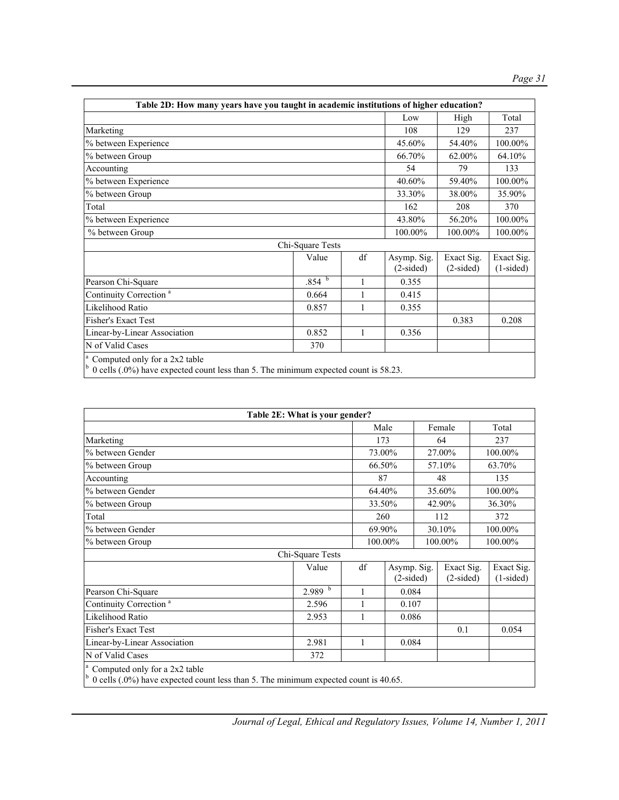| Table 2D: How many years have you taught in academic institutions of higher education?                                  |                   |         |                            |                           |                           |  |  |  |  |
|-------------------------------------------------------------------------------------------------------------------------|-------------------|---------|----------------------------|---------------------------|---------------------------|--|--|--|--|
|                                                                                                                         |                   |         | Low                        | High                      | Total                     |  |  |  |  |
| Marketing                                                                                                               | 108               | 129     | 237                        |                           |                           |  |  |  |  |
| % between Experience                                                                                                    |                   |         | 45.60%                     | 54.40%                    | 100.00%                   |  |  |  |  |
| % between Group                                                                                                         |                   |         | 66.70%                     | 62.00%                    | 64.10%                    |  |  |  |  |
| Accounting                                                                                                              |                   |         | 54                         | 79                        | 133                       |  |  |  |  |
| % between Experience                                                                                                    |                   |         | 40.60%                     | 59.40%                    | 100.00%                   |  |  |  |  |
| % between Group                                                                                                         |                   |         | 33.30%                     | 38.00%                    | 35.90%                    |  |  |  |  |
| Total                                                                                                                   | 162               | 208     | 370                        |                           |                           |  |  |  |  |
| % between Experience                                                                                                    | 43.80%            | 56.20%  | 100.00%                    |                           |                           |  |  |  |  |
| % between Group                                                                                                         | 100.00%           | 100.00% | 100.00%                    |                           |                           |  |  |  |  |
|                                                                                                                         | Chi-Square Tests  |         |                            |                           |                           |  |  |  |  |
|                                                                                                                         | Value             | df      | Asymp. Sig.<br>$(2-sided)$ | Exact Sig.<br>$(2-sided)$ | Exact Sig.<br>$(1-sided)$ |  |  |  |  |
| Pearson Chi-Square                                                                                                      | .854 <sup>b</sup> | 1       | 0.355                      |                           |                           |  |  |  |  |
| Continuity Correction <sup>a</sup>                                                                                      | 0.664             |         | 0.415                      |                           |                           |  |  |  |  |
| Likelihood Ratio                                                                                                        | 0.857             | 1       | 0.355                      |                           |                           |  |  |  |  |
| Fisher's Exact Test                                                                                                     |                   |         |                            | 0.383                     | 0.208                     |  |  |  |  |
| Linear-by-Linear Association                                                                                            | 0.356             |         |                            |                           |                           |  |  |  |  |
| N of Valid Cases                                                                                                        | 370               |         |                            |                           |                           |  |  |  |  |
| Computed only for a 2x2 table<br>0 cells $(.0\%)$ have expected count less than 5. The minimum expected count is 58.23. |                   |         |                            |                           |                           |  |  |  |  |

|                                                                                                                          | Table 2E: What is your gender? |         |                            |         |                           |         |                           |
|--------------------------------------------------------------------------------------------------------------------------|--------------------------------|---------|----------------------------|---------|---------------------------|---------|---------------------------|
|                                                                                                                          |                                |         | Male                       |         | Female                    |         | Total                     |
| Marketing                                                                                                                |                                | 173     |                            | 64      |                           | 237     |                           |
| % between Gender                                                                                                         |                                |         | 73.00%                     |         | 27.00%                    |         | 100.00%                   |
| % between Group                                                                                                          |                                |         | 66.50%                     |         | 57.10%                    |         | 63.70%                    |
| Accounting                                                                                                               |                                |         | 87                         |         | 48                        |         | 135                       |
| % between Gender                                                                                                         |                                |         | 64.40%                     |         | 35.60%                    |         | 100.00%                   |
| % between Group                                                                                                          |                                |         | 33.50%                     |         | 42.90%                    |         | 36.30%                    |
| Total                                                                                                                    |                                | 260     |                            | 112     | 372                       |         |                           |
| % between Gender                                                                                                         |                                | 69.90%  |                            | 30.10%  |                           | 100.00% |                           |
| % between Group                                                                                                          |                                | 100.00% |                            | 100.00% |                           | 100.00% |                           |
|                                                                                                                          | Chi-Square Tests               |         |                            |         |                           |         |                           |
|                                                                                                                          | Value                          | df      | Asymp. Sig.<br>$(2-sided)$ |         | Exact Sig.<br>$(2-sided)$ |         | Exact Sig.<br>$(1-sided)$ |
| Pearson Chi-Square                                                                                                       | b<br>2.989                     |         | 0.084                      |         |                           |         |                           |
| Continuity Correction <sup>a</sup>                                                                                       | 2.596                          |         | 0.107                      |         |                           |         |                           |
| Likelihood Ratio                                                                                                         | 2.953                          | 1       | 0.086                      |         |                           |         |                           |
| Fisher's Exact Test                                                                                                      |                                |         |                            |         | 0.1                       |         | 0.054                     |
| Linear-by-Linear Association                                                                                             | 2.981                          | 1       | 0.084                      |         |                           |         |                           |
| N of Valid Cases                                                                                                         | 372                            |         |                            |         |                           |         |                           |
| Computed only for a 2x2 table<br>$b$ 0 cells (.0%) have expected count less than 5. The minimum expected count is 40.65. |                                |         |                            |         |                           |         |                           |

 *Journal of Legal, Ethical and Regulatory Issues, Volume 14, Number 1, 2011*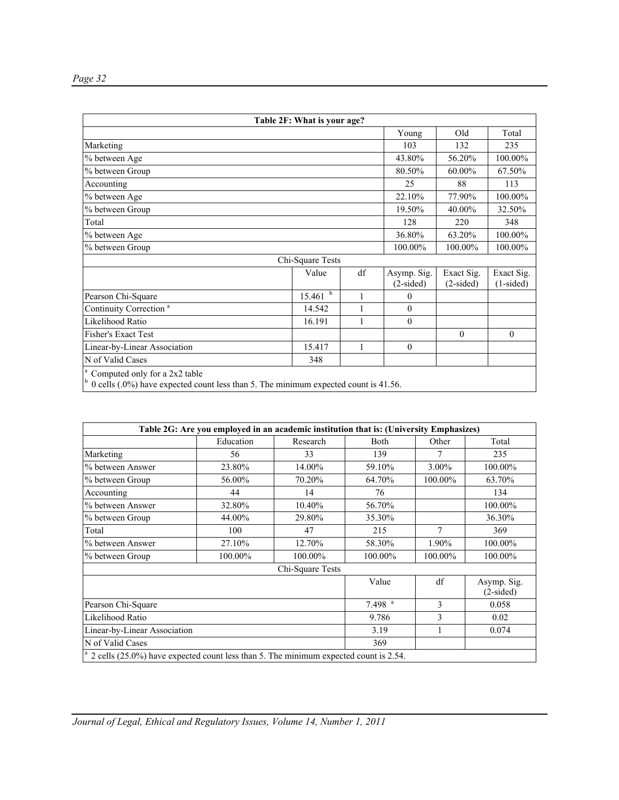|                                                                                                                                       | Table 2F: What is your age? |              |                            |                           |                           |
|---------------------------------------------------------------------------------------------------------------------------------------|-----------------------------|--------------|----------------------------|---------------------------|---------------------------|
|                                                                                                                                       |                             |              | Young                      | Old                       | Total                     |
| Marketing                                                                                                                             |                             |              | 103                        | 132                       | 235                       |
| % between Age                                                                                                                         |                             |              | 43.80%                     | 56.20%                    | 100.00%                   |
| % between Group                                                                                                                       |                             |              | 80.50%                     | 60.00%                    | 67.50%                    |
| Accounting                                                                                                                            |                             |              | 25                         | 88                        | 113                       |
| % between Age                                                                                                                         |                             |              | 22.10%                     | 77.90%                    | 100.00%                   |
| % between Group                                                                                                                       |                             |              | 19.50%                     | 40.00%                    | 32.50%                    |
| Total                                                                                                                                 | 128                         | 220          | 348                        |                           |                           |
| % between Age                                                                                                                         | 36.80%                      | 63.20%       | 100.00%                    |                           |                           |
| % between Group                                                                                                                       | 100.00%                     | 100.00%      | 100.00%                    |                           |                           |
|                                                                                                                                       | Chi-Square Tests            |              |                            |                           |                           |
|                                                                                                                                       | Value                       | df           | Asymp. Sig.<br>$(2-sided)$ | Exact Sig.<br>$(2-sided)$ | Exact Sig.<br>$(1-sided)$ |
| Pearson Chi-Square                                                                                                                    | b<br>15.461                 | 1            | 0                          |                           |                           |
| Continuity Correction <sup>a</sup>                                                                                                    | 14.542                      | 1            | $\mathbf{0}$               |                           |                           |
| Likelihood Ratio                                                                                                                      | 16.191                      |              | $\theta$                   |                           |                           |
| Fisher's Exact Test                                                                                                                   |                             |              |                            | $\Omega$                  | $\theta$                  |
| Linear-by-Linear Association                                                                                                          | 15.417                      | $\mathbf{1}$ | $\theta$                   |                           |                           |
| N of Valid Cases                                                                                                                      | 348                         |              |                            |                           |                           |
| <sup>a</sup> Computed only for a 2x2 table<br>$b$ 0 cells (.0%) have expected count less than 5. The minimum expected count is 41.56. |                             |              |                            |                           |                           |

|                                                                                                 | Table 2G: Are you employed in an academic institution that is: (University Emphasizes) |                  |                      |          |                            |  |  |  |  |
|-------------------------------------------------------------------------------------------------|----------------------------------------------------------------------------------------|------------------|----------------------|----------|----------------------------|--|--|--|--|
|                                                                                                 | Education                                                                              | Research         | Both                 | Other    | Total                      |  |  |  |  |
| Marketing                                                                                       | 56                                                                                     | 33               | 139                  | 7        | 235                        |  |  |  |  |
| % between Answer                                                                                | 23.80%                                                                                 | 14.00%           | 59.10%               | $3.00\%$ | 100.00%                    |  |  |  |  |
| % between Group                                                                                 | 56.00%                                                                                 | 70.20%           | 64.70%               | 100.00%  | 63.70%                     |  |  |  |  |
| Accounting                                                                                      | 44                                                                                     | 14               | 76                   |          | 134                        |  |  |  |  |
| % between Answer                                                                                | 32.80%                                                                                 | 10.40%           | 56.70%               |          | 100.00%                    |  |  |  |  |
| % between Group                                                                                 | 44.00%                                                                                 | 29.80%           | 35.30%               |          | 36.30%                     |  |  |  |  |
| Total                                                                                           | 100                                                                                    | 47               | 215                  | 7        | 369                        |  |  |  |  |
| % between Answer                                                                                | 27.10%                                                                                 | 12.70%           | 58.30%               | 1.90%    | 100.00%                    |  |  |  |  |
| % between Group                                                                                 | 100.00%                                                                                | 100.00%          | 100.00%              | 100.00%  | 100.00%                    |  |  |  |  |
|                                                                                                 |                                                                                        | Chi-Square Tests |                      |          |                            |  |  |  |  |
|                                                                                                 |                                                                                        |                  | Value                | df       | Asymp. Sig.<br>$(2-sided)$ |  |  |  |  |
| Pearson Chi-Square                                                                              |                                                                                        |                  | $7.498$ <sup>a</sup> | 3        | 0.058                      |  |  |  |  |
| Likelihood Ratio                                                                                |                                                                                        |                  | 9.786                | 3        | 0.02                       |  |  |  |  |
| Linear-by-Linear Association                                                                    | 3.19                                                                                   |                  | 0.074                |          |                            |  |  |  |  |
| N of Valid Cases                                                                                |                                                                                        |                  | 369                  |          |                            |  |  |  |  |
| $^{\circ}$ 2 cells (25.0%) have expected count less than 5. The minimum expected count is 2.54. |                                                                                        |                  |                      |          |                            |  |  |  |  |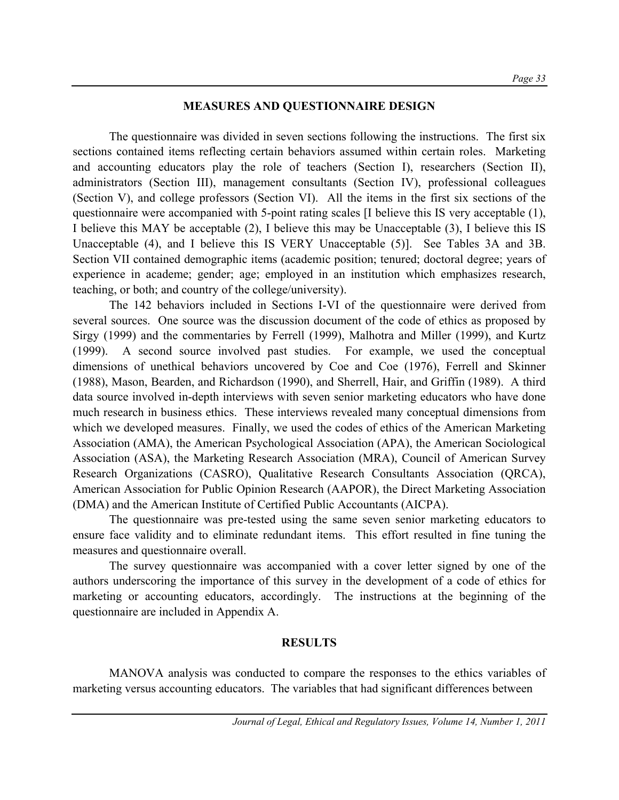#### **MEASURES AND QUESTIONNAIRE DESIGN**

 The questionnaire was divided in seven sections following the instructions. The first six sections contained items reflecting certain behaviors assumed within certain roles. Marketing and accounting educators play the role of teachers (Section I), researchers (Section II), administrators (Section III), management consultants (Section IV), professional colleagues (Section V), and college professors (Section VI). All the items in the first six sections of the questionnaire were accompanied with 5-point rating scales [I believe this IS very acceptable (1), I believe this MAY be acceptable (2), I believe this may be Unacceptable (3), I believe this IS Unacceptable (4), and I believe this IS VERY Unacceptable (5)]. See Tables 3A and 3B. Section VII contained demographic items (academic position; tenured; doctoral degree; years of experience in academe; gender; age; employed in an institution which emphasizes research, teaching, or both; and country of the college/university).

 The 142 behaviors included in Sections I-VI of the questionnaire were derived from several sources. One source was the discussion document of the code of ethics as proposed by Sirgy (1999) and the commentaries by Ferrell (1999), Malhotra and Miller (1999), and Kurtz (1999). A second source involved past studies. For example, we used the conceptual dimensions of unethical behaviors uncovered by Coe and Coe (1976), Ferrell and Skinner (1988), Mason, Bearden, and Richardson (1990), and Sherrell, Hair, and Griffin (1989). A third data source involved in-depth interviews with seven senior marketing educators who have done much research in business ethics. These interviews revealed many conceptual dimensions from which we developed measures. Finally, we used the codes of ethics of the American Marketing Association (AMA), the American Psychological Association (APA), the American Sociological Association (ASA), the Marketing Research Association (MRA), Council of American Survey Research Organizations (CASRO), Qualitative Research Consultants Association (QRCA), American Association for Public Opinion Research (AAPOR), the Direct Marketing Association (DMA) and the American Institute of Certified Public Accountants (AICPA).

 The questionnaire was pre-tested using the same seven senior marketing educators to ensure face validity and to eliminate redundant items. This effort resulted in fine tuning the measures and questionnaire overall.

 The survey questionnaire was accompanied with a cover letter signed by one of the authors underscoring the importance of this survey in the development of a code of ethics for marketing or accounting educators, accordingly. The instructions at the beginning of the questionnaire are included in Appendix A.

#### **RESULTS**

 MANOVA analysis was conducted to compare the responses to the ethics variables of marketing versus accounting educators. The variables that had significant differences between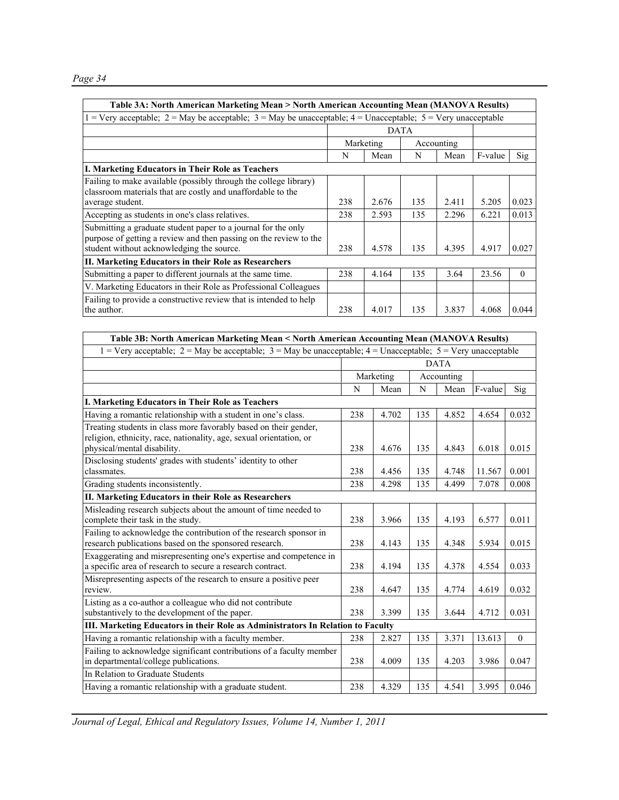| Table 3A: North American Marketing Mean > North American Accounting Mean (MANOVA Results)                                          |     |             |     |            |         |          |  |  |  |
|------------------------------------------------------------------------------------------------------------------------------------|-----|-------------|-----|------------|---------|----------|--|--|--|
| = Very acceptable; $2 =$ May be acceptable; $3 =$ May be unacceptable; $4 =$ Unacceptable; $5 =$ Very unacceptable                 |     |             |     |            |         |          |  |  |  |
|                                                                                                                                    |     | <b>DATA</b> |     |            |         |          |  |  |  |
|                                                                                                                                    |     | Marketing   |     | Accounting |         |          |  |  |  |
|                                                                                                                                    | N   | Mean        | N   | Mean       | F-value | Sig      |  |  |  |
| I. Marketing Educators in Their Role as Teachers                                                                                   |     |             |     |            |         |          |  |  |  |
| Failing to make available (possibly through the college library)<br>classroom materials that are costly and unaffordable to the    |     |             |     |            |         |          |  |  |  |
| average student.                                                                                                                   | 238 | 2.676       | 135 | 2.411      | 5.205   | 0.023    |  |  |  |
| Accepting as students in one's class relatives.                                                                                    | 238 | 2.593       | 135 | 2.296      | 6.221   | 0.013    |  |  |  |
| Submitting a graduate student paper to a journal for the only<br>purpose of getting a review and then passing on the review to the |     |             |     |            |         |          |  |  |  |
| student without acknowledging the source.                                                                                          | 238 | 4.578       | 135 | 4.395      | 4.917   | 0.027    |  |  |  |
| <b>II. Marketing Educators in their Role as Researchers</b>                                                                        |     |             |     |            |         |          |  |  |  |
| Submitting a paper to different journals at the same time.                                                                         | 238 | 4.164       | 135 | 3.64       | 23.56   | $\Omega$ |  |  |  |
| V. Marketing Educators in their Role as Professional Colleagues                                                                    |     |             |     |            |         |          |  |  |  |
| Failing to provide a constructive review that is intended to help                                                                  |     |             |     |            |         |          |  |  |  |
| the author.                                                                                                                        | 238 | 4.017       | 135 | 3.837      | 4.068   | 0.044    |  |  |  |

| Table 3B: North American Marketing Mean < North American Accounting Mean (MANOVA Results)                                                                              |             |           |     |            |         |              |  |  |
|------------------------------------------------------------------------------------------------------------------------------------------------------------------------|-------------|-----------|-----|------------|---------|--------------|--|--|
| $1 =$ Very acceptable; $2 =$ May be acceptable; $3 =$ May be unacceptable; $4 =$ Unacceptable; $5 =$ Very unacceptable                                                 |             |           |     |            |         |              |  |  |
|                                                                                                                                                                        | <b>DATA</b> |           |     |            |         |              |  |  |
|                                                                                                                                                                        |             | Marketing |     | Accounting |         |              |  |  |
|                                                                                                                                                                        | N           | Mean      | N   | Mean       | F-value | Sig          |  |  |
| I. Marketing Educators in Their Role as Teachers                                                                                                                       |             |           |     |            |         |              |  |  |
| Having a romantic relationship with a student in one's class.                                                                                                          | 238         | 4.702     | 135 | 4.852      | 4.654   | 0.032        |  |  |
| Treating students in class more favorably based on their gender,<br>religion, ethnicity, race, nationality, age, sexual orientation, or<br>physical/mental disability. | 238         | 4.676     | 135 | 4.843      | 6.018   | 0.015        |  |  |
| Disclosing students' grades with students' identity to other<br>classmates.                                                                                            | 238         | 4.456     | 135 | 4.748      | 11.567  | 0.001        |  |  |
| Grading students inconsistently.                                                                                                                                       | 238         | 4.298     | 135 | 4.499      | 7.078   | 0.008        |  |  |
| II. Marketing Educators in their Role as Researchers                                                                                                                   |             |           |     |            |         |              |  |  |
| Misleading research subjects about the amount of time needed to<br>complete their task in the study.                                                                   | 238         | 3.966     | 135 | 4.193      | 6.577   | 0.011        |  |  |
| Failing to acknowledge the contribution of the research sponsor in<br>research publications based on the sponsored research.                                           | 238         | 4.143     | 135 | 4.348      | 5.934   | 0.015        |  |  |
| Exaggerating and misrepresenting one's expertise and competence in<br>a specific area of research to secure a research contract.                                       | 238         | 4.194     | 135 | 4.378      | 4.554   | 0.033        |  |  |
| Misrepresenting aspects of the research to ensure a positive peer<br>review.                                                                                           | 238         | 4.647     | 135 | 4.774      | 4.619   | 0.032        |  |  |
| Listing as a co-author a colleague who did not contribute<br>substantively to the development of the paper.                                                            | 238         | 3.399     | 135 | 3.644      | 4.712   | 0.031        |  |  |
| III. Marketing Educators in their Role as Administrators In Relation to Faculty                                                                                        |             |           |     |            |         |              |  |  |
| Having a romantic relationship with a faculty member.                                                                                                                  | 238         | 2.827     | 135 | 3.371      | 13.613  | $\mathbf{0}$ |  |  |
| Failing to acknowledge significant contributions of a faculty member<br>in departmental/college publications.                                                          | 238         | 4.009     | 135 | 4.203      | 3.986   | 0.047        |  |  |
| In Relation to Graduate Students                                                                                                                                       |             |           |     |            |         |              |  |  |
| Having a romantic relationship with a graduate student.                                                                                                                | 238         | 4.329     | 135 | 4.541      | 3.995   | 0.046        |  |  |

*Journal of Legal, Ethical and Regulatory Issues, Volume 14, Number 1, 2011*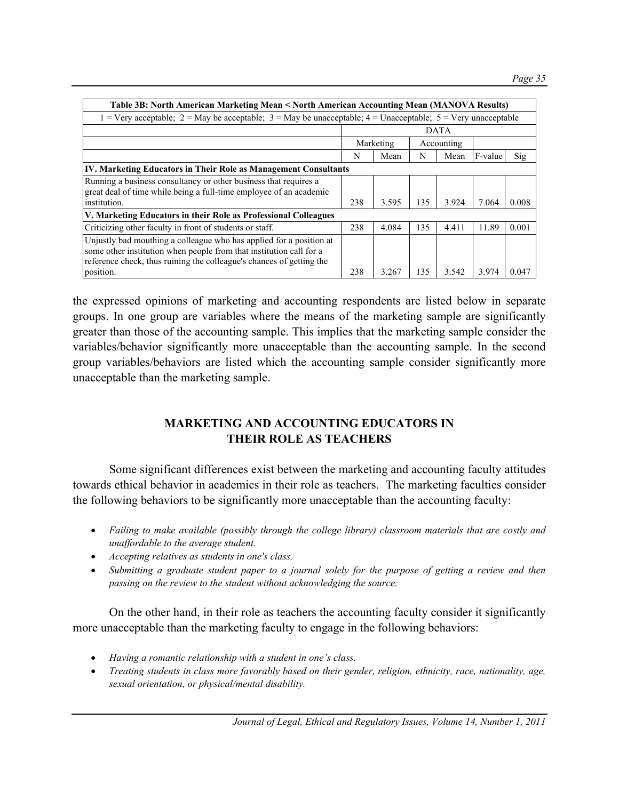| Table 3B: North American Marketing Mean < North American Accounting Mean (MANOVA Results)                              |     |           |            |             |         |       |  |  |  |
|------------------------------------------------------------------------------------------------------------------------|-----|-----------|------------|-------------|---------|-------|--|--|--|
| $1 =$ Very acceptable; $2 =$ May be acceptable; $3 =$ May be unacceptable; $4 =$ Unacceptable; $5 =$ Very unacceptable |     |           |            |             |         |       |  |  |  |
|                                                                                                                        |     |           |            | <b>DATA</b> |         |       |  |  |  |
|                                                                                                                        |     | Marketing | Accounting |             |         |       |  |  |  |
|                                                                                                                        | N   | Mean      | N          | Mean        | F-value | Sig   |  |  |  |
| IV. Marketing Educators in Their Role as Management Consultants                                                        |     |           |            |             |         |       |  |  |  |
| Running a business consultancy or other business that requires a                                                       |     |           |            |             |         |       |  |  |  |
| great deal of time while being a full-time employee of an academic                                                     |     |           |            |             |         |       |  |  |  |
| institution.                                                                                                           | 238 | 3.595     | 135        | 3.924       | 7.064   | 0.008 |  |  |  |
| V. Marketing Educators in their Role as Professional Colleagues                                                        |     |           |            |             |         |       |  |  |  |
| Criticizing other faculty in front of students or staff.                                                               | 238 | 4.084     | 135        | 4.411       | 11.89   | 0.001 |  |  |  |
| Unjustly bad mouthing a colleague who has applied for a position at                                                    |     |           |            |             |         |       |  |  |  |
| some other institution when people from that institution call for a                                                    |     |           |            |             |         |       |  |  |  |
| reference check, thus ruining the colleague's chances of getting the                                                   |     |           |            |             |         |       |  |  |  |
| position.                                                                                                              | 238 | 3.267     | 135        | 3.542       | 3.974   | 0.047 |  |  |  |

the expressed opinions of marketing and accounting respondents are listed below in separate groups. In one group are variables where the means of the marketing sample are significantly greater than those of the accounting sample. This implies that the marketing sample consider the variables/behavior significantly more unacceptable than the accounting sample. In the second group variables/behaviors are listed which the accounting sample consider significantly more unacceptable than the marketing sample.

# **MARKETING AND ACCOUNTING EDUCATORS IN THEIR ROLE AS TEACHERS**

 Some significant differences exist between the marketing and accounting faculty attitudes towards ethical behavior in academics in their role as teachers. The marketing faculties consider the following behaviors to be significantly more unacceptable than the accounting faculty:

- *Failing to make available (possibly through the college library) classroom materials that are costly and unaffordable to the average student.*
- *Accepting relatives as students in one's class.*
- *Submitting a graduate student paper to a journal solely for the purpose of getting a review and then passing on the review to the student without acknowledging the source.*

 On the other hand, in their role as teachers the accounting faculty consider it significantly more unacceptable than the marketing faculty to engage in the following behaviors:

- *Having a romantic relationship with a student in one's class.*
- *Treating students in class more favorably based on their gender, religion, ethnicity, race, nationality, age, sexual orientation, or physical/mental disability.*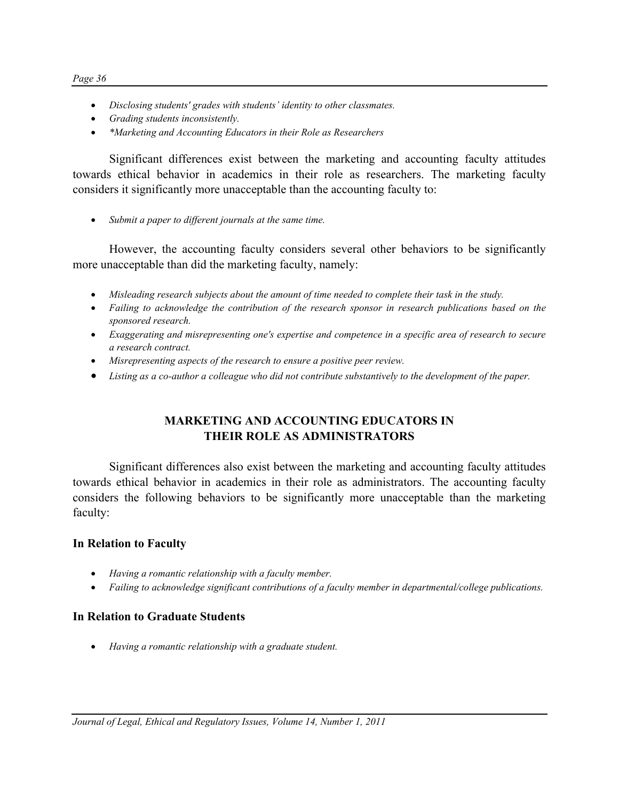- *Disclosing students' grades with students' identity to other classmates.*
- *Grading students inconsistently.*
- *\*Marketing and Accounting Educators in their Role as Researchers*

 Significant differences exist between the marketing and accounting faculty attitudes towards ethical behavior in academics in their role as researchers. The marketing faculty considers it significantly more unacceptable than the accounting faculty to:

• *Submit a paper to different journals at the same time.* 

 However, the accounting faculty considers several other behaviors to be significantly more unacceptable than did the marketing faculty, namely:

- *Misleading research subjects about the amount of time needed to complete their task in the study.*
- *Failing to acknowledge the contribution of the research sponsor in research publications based on the sponsored research.*
- *Exaggerating and misrepresenting one's expertise and competence in a specific area of research to secure a research contract.*
- *Misrepresenting aspects of the research to ensure a positive peer review.*
- *Listing as a co-author a colleague who did not contribute substantively to the development of the paper.*

# **MARKETING AND ACCOUNTING EDUCATORS IN THEIR ROLE AS ADMINISTRATORS**

 Significant differences also exist between the marketing and accounting faculty attitudes towards ethical behavior in academics in their role as administrators. The accounting faculty considers the following behaviors to be significantly more unacceptable than the marketing faculty:

#### **In Relation to Faculty**

- *Having a romantic relationship with a faculty member.*
- *Failing to acknowledge significant contributions of a faculty member in departmental/college publications.*

# **In Relation to Graduate Students**

• *Having a romantic relationship with a graduate student.*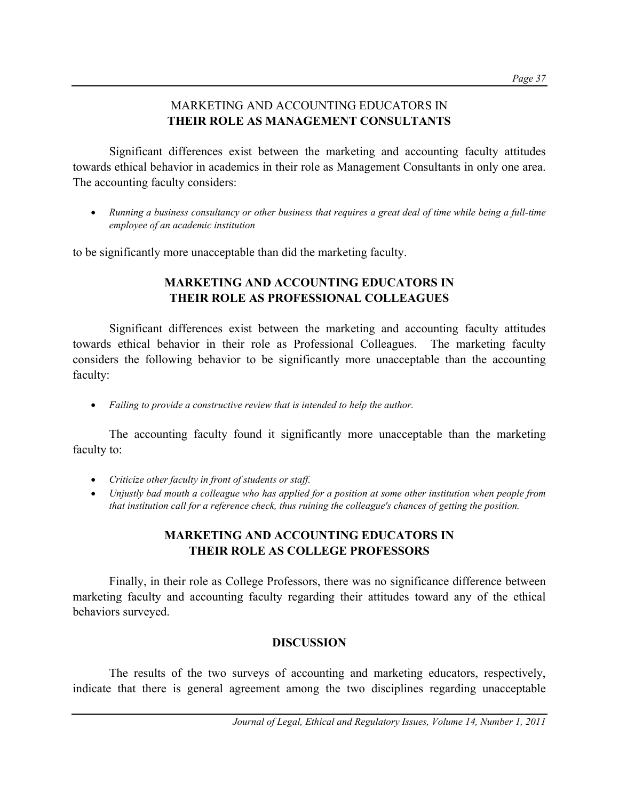# MARKETING AND ACCOUNTING EDUCATORS IN **THEIR ROLE AS MANAGEMENT CONSULTANTS**

 Significant differences exist between the marketing and accounting faculty attitudes towards ethical behavior in academics in their role as Management Consultants in only one area. The accounting faculty considers:

• *Running a business consultancy or other business that requires a great deal of time while being a full-time employee of an academic institution* 

to be significantly more unacceptable than did the marketing faculty.

# **MARKETING AND ACCOUNTING EDUCATORS IN THEIR ROLE AS PROFESSIONAL COLLEAGUES**

 Significant differences exist between the marketing and accounting faculty attitudes towards ethical behavior in their role as Professional Colleagues. The marketing faculty considers the following behavior to be significantly more unacceptable than the accounting faculty:

• *Failing to provide a constructive review that is intended to help the author.* 

 The accounting faculty found it significantly more unacceptable than the marketing faculty to:

- *Criticize other faculty in front of students or staff.*
- *Unjustly bad mouth a colleague who has applied for a position at some other institution when people from that institution call for a reference check, thus ruining the colleague's chances of getting the position.*

# **MARKETING AND ACCOUNTING EDUCATORS IN THEIR ROLE AS COLLEGE PROFESSORS**

 Finally, in their role as College Professors, there was no significance difference between marketing faculty and accounting faculty regarding their attitudes toward any of the ethical behaviors surveyed.

# **DISCUSSION**

 The results of the two surveys of accounting and marketing educators, respectively, indicate that there is general agreement among the two disciplines regarding unacceptable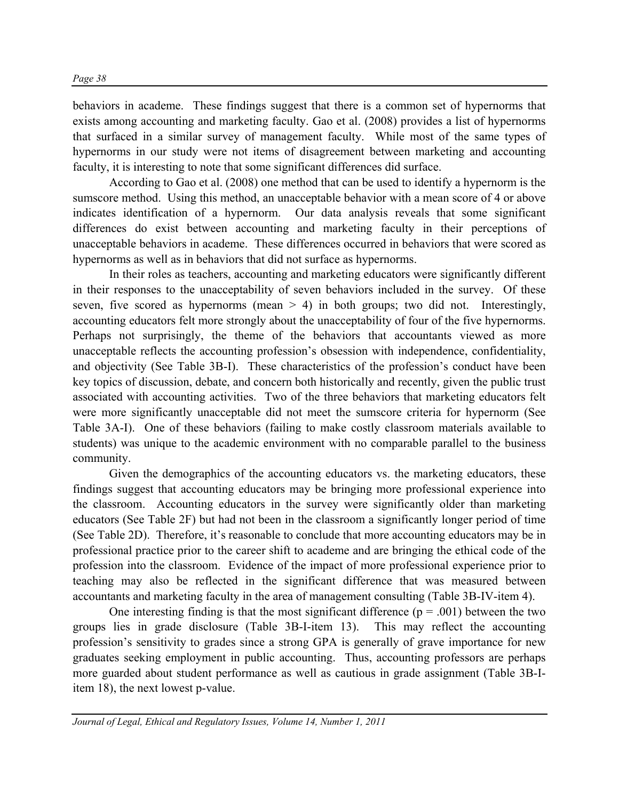behaviors in academe. These findings suggest that there is a common set of hypernorms that exists among accounting and marketing faculty. Gao et al. (2008) provides a list of hypernorms that surfaced in a similar survey of management faculty. While most of the same types of hypernorms in our study were not items of disagreement between marketing and accounting faculty, it is interesting to note that some significant differences did surface.

 According to Gao et al. (2008) one method that can be used to identify a hypernorm is the sumscore method. Using this method, an unacceptable behavior with a mean score of 4 or above indicates identification of a hypernorm. Our data analysis reveals that some significant differences do exist between accounting and marketing faculty in their perceptions of unacceptable behaviors in academe. These differences occurred in behaviors that were scored as hypernorms as well as in behaviors that did not surface as hypernorms.

 In their roles as teachers, accounting and marketing educators were significantly different in their responses to the unacceptability of seven behaviors included in the survey. Of these seven, five scored as hypernorms (mean  $> 4$ ) in both groups; two did not. Interestingly, accounting educators felt more strongly about the unacceptability of four of the five hypernorms. Perhaps not surprisingly, the theme of the behaviors that accountants viewed as more unacceptable reflects the accounting profession's obsession with independence, confidentiality, and objectivity (See Table 3B-I). These characteristics of the profession's conduct have been key topics of discussion, debate, and concern both historically and recently, given the public trust associated with accounting activities. Two of the three behaviors that marketing educators felt were more significantly unacceptable did not meet the sumscore criteria for hypernorm (See Table 3A-I). One of these behaviors (failing to make costly classroom materials available to students) was unique to the academic environment with no comparable parallel to the business community.

 Given the demographics of the accounting educators vs. the marketing educators, these findings suggest that accounting educators may be bringing more professional experience into the classroom. Accounting educators in the survey were significantly older than marketing educators (See Table 2F) but had not been in the classroom a significantly longer period of time (See Table 2D). Therefore, it's reasonable to conclude that more accounting educators may be in professional practice prior to the career shift to academe and are bringing the ethical code of the profession into the classroom. Evidence of the impact of more professional experience prior to teaching may also be reflected in the significant difference that was measured between accountants and marketing faculty in the area of management consulting (Table 3B-IV-item 4).

One interesting finding is that the most significant difference ( $p = .001$ ) between the two groups lies in grade disclosure (Table 3B-I-item 13). This may reflect the accounting profession's sensitivity to grades since a strong GPA is generally of grave importance for new graduates seeking employment in public accounting. Thus, accounting professors are perhaps more guarded about student performance as well as cautious in grade assignment (Table 3B-Iitem 18), the next lowest p-value.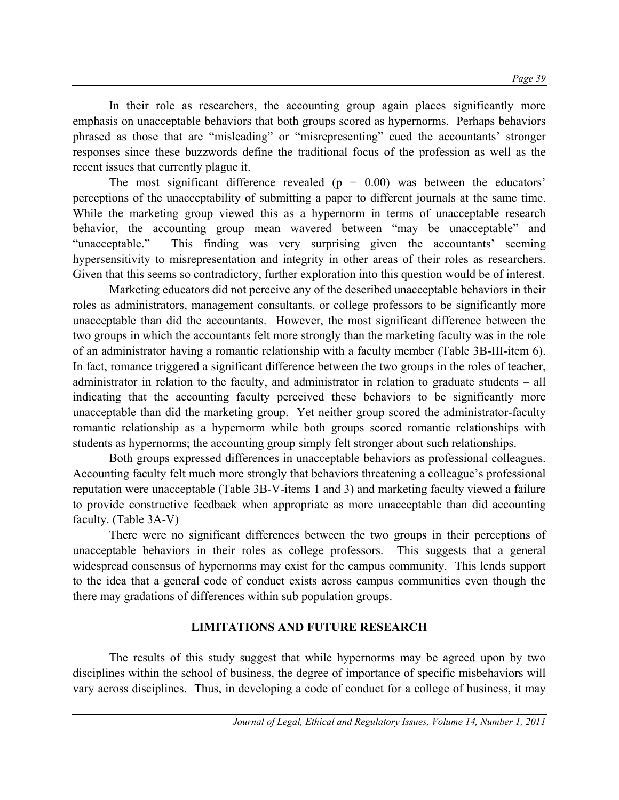In their role as researchers, the accounting group again places significantly more emphasis on unacceptable behaviors that both groups scored as hypernorms. Perhaps behaviors phrased as those that are "misleading" or "misrepresenting" cued the accountants' stronger responses since these buzzwords define the traditional focus of the profession as well as the recent issues that currently plague it.

The most significant difference revealed  $(p = 0.00)$  was between the educators' perceptions of the unacceptability of submitting a paper to different journals at the same time. While the marketing group viewed this as a hypernorm in terms of unacceptable research behavior, the accounting group mean wavered between "may be unacceptable" and "unacceptable." This finding was very surprising given the accountants' seeming hypersensitivity to misrepresentation and integrity in other areas of their roles as researchers. Given that this seems so contradictory, further exploration into this question would be of interest.

 Marketing educators did not perceive any of the described unacceptable behaviors in their roles as administrators, management consultants, or college professors to be significantly more unacceptable than did the accountants. However, the most significant difference between the two groups in which the accountants felt more strongly than the marketing faculty was in the role of an administrator having a romantic relationship with a faculty member (Table 3B-III-item 6). In fact, romance triggered a significant difference between the two groups in the roles of teacher, administrator in relation to the faculty, and administrator in relation to graduate students – all indicating that the accounting faculty perceived these behaviors to be significantly more unacceptable than did the marketing group. Yet neither group scored the administrator-faculty romantic relationship as a hypernorm while both groups scored romantic relationships with students as hypernorms; the accounting group simply felt stronger about such relationships.

 Both groups expressed differences in unacceptable behaviors as professional colleagues. Accounting faculty felt much more strongly that behaviors threatening a colleague's professional reputation were unacceptable (Table 3B-V-items 1 and 3) and marketing faculty viewed a failure to provide constructive feedback when appropriate as more unacceptable than did accounting faculty. (Table 3A-V)

 There were no significant differences between the two groups in their perceptions of unacceptable behaviors in their roles as college professors. This suggests that a general widespread consensus of hypernorms may exist for the campus community. This lends support to the idea that a general code of conduct exists across campus communities even though the there may gradations of differences within sub population groups.

# **LIMITATIONS AND FUTURE RESEARCH**

 The results of this study suggest that while hypernorms may be agreed upon by two disciplines within the school of business, the degree of importance of specific misbehaviors will vary across disciplines. Thus, in developing a code of conduct for a college of business, it may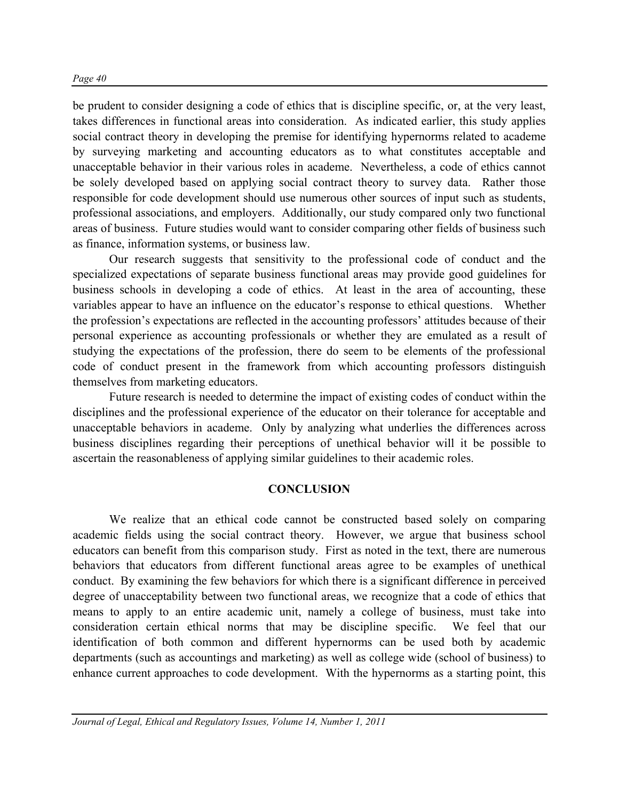#### *Page 40*

be prudent to consider designing a code of ethics that is discipline specific, or, at the very least, takes differences in functional areas into consideration. As indicated earlier, this study applies social contract theory in developing the premise for identifying hypernorms related to academe by surveying marketing and accounting educators as to what constitutes acceptable and unacceptable behavior in their various roles in academe. Nevertheless, a code of ethics cannot be solely developed based on applying social contract theory to survey data. Rather those responsible for code development should use numerous other sources of input such as students, professional associations, and employers. Additionally, our study compared only two functional areas of business. Future studies would want to consider comparing other fields of business such as finance, information systems, or business law.

 Our research suggests that sensitivity to the professional code of conduct and the specialized expectations of separate business functional areas may provide good guidelines for business schools in developing a code of ethics. At least in the area of accounting, these variables appear to have an influence on the educator's response to ethical questions. Whether the profession's expectations are reflected in the accounting professors' attitudes because of their personal experience as accounting professionals or whether they are emulated as a result of studying the expectations of the profession, there do seem to be elements of the professional code of conduct present in the framework from which accounting professors distinguish themselves from marketing educators.

 Future research is needed to determine the impact of existing codes of conduct within the disciplines and the professional experience of the educator on their tolerance for acceptable and unacceptable behaviors in academe. Only by analyzing what underlies the differences across business disciplines regarding their perceptions of unethical behavior will it be possible to ascertain the reasonableness of applying similar guidelines to their academic roles.

#### **CONCLUSION**

 We realize that an ethical code cannot be constructed based solely on comparing academic fields using the social contract theory. However, we argue that business school educators can benefit from this comparison study. First as noted in the text, there are numerous behaviors that educators from different functional areas agree to be examples of unethical conduct. By examining the few behaviors for which there is a significant difference in perceived degree of unacceptability between two functional areas, we recognize that a code of ethics that means to apply to an entire academic unit, namely a college of business, must take into consideration certain ethical norms that may be discipline specific. We feel that our identification of both common and different hypernorms can be used both by academic departments (such as accountings and marketing) as well as college wide (school of business) to enhance current approaches to code development. With the hypernorms as a starting point, this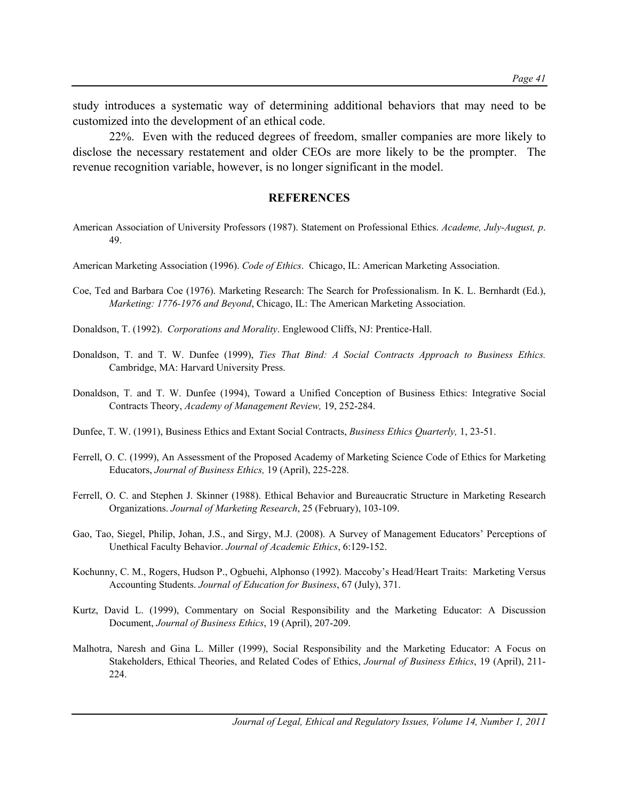study introduces a systematic way of determining additional behaviors that may need to be customized into the development of an ethical code.

22%. Even with the reduced degrees of freedom, smaller companies are more likely to disclose the necessary restatement and older CEOs are more likely to be the prompter. The revenue recognition variable, however, is no longer significant in the model.

#### **REFERENCES**

- American Association of University Professors (1987). Statement on Professional Ethics. *Academe, July-August, p*. 49.
- American Marketing Association (1996). *Code of Ethics*. Chicago, IL: American Marketing Association.
- Coe, Ted and Barbara Coe (1976). Marketing Research: The Search for Professionalism. In K. L. Bernhardt (Ed.), *Marketing: 1776-1976 and Beyond*, Chicago, IL: The American Marketing Association.
- Donaldson, T. (1992). *Corporations and Morality*. Englewood Cliffs, NJ: Prentice-Hall.
- Donaldson, T. and T. W. Dunfee (1999), *Ties That Bind: A Social Contracts Approach to Business Ethics.* Cambridge, MA: Harvard University Press.
- Donaldson, T. and T. W. Dunfee (1994), Toward a Unified Conception of Business Ethics: Integrative Social Contracts Theory, *Academy of Management Review,* 19, 252-284.
- Dunfee, T. W. (1991), Business Ethics and Extant Social Contracts, *Business Ethics Quarterly,* 1, 23-51.
- Ferrell, O. C. (1999), An Assessment of the Proposed Academy of Marketing Science Code of Ethics for Marketing Educators, *Journal of Business Ethics,* 19 (April), 225-228.
- Ferrell, O. C. and Stephen J. Skinner (1988). Ethical Behavior and Bureaucratic Structure in Marketing Research Organizations. *Journal of Marketing Research*, 25 (February), 103-109.
- Gao, Tao, Siegel, Philip, Johan, J.S., and Sirgy, M.J. (2008). A Survey of Management Educators' Perceptions of Unethical Faculty Behavior. *Journal of Academic Ethics*, 6:129-152.
- Kochunny, C. M., Rogers, Hudson P., Ogbuehi, Alphonso (1992). Maccoby's Head/Heart Traits: Marketing Versus Accounting Students. *Journal of Education for Business*, 67 (July), 371.
- Kurtz, David L. (1999), Commentary on Social Responsibility and the Marketing Educator: A Discussion Document, *Journal of Business Ethics*, 19 (April), 207-209.
- Malhotra, Naresh and Gina L. Miller (1999), Social Responsibility and the Marketing Educator: A Focus on Stakeholders, Ethical Theories, and Related Codes of Ethics, *Journal of Business Ethics*, 19 (April), 211- 224.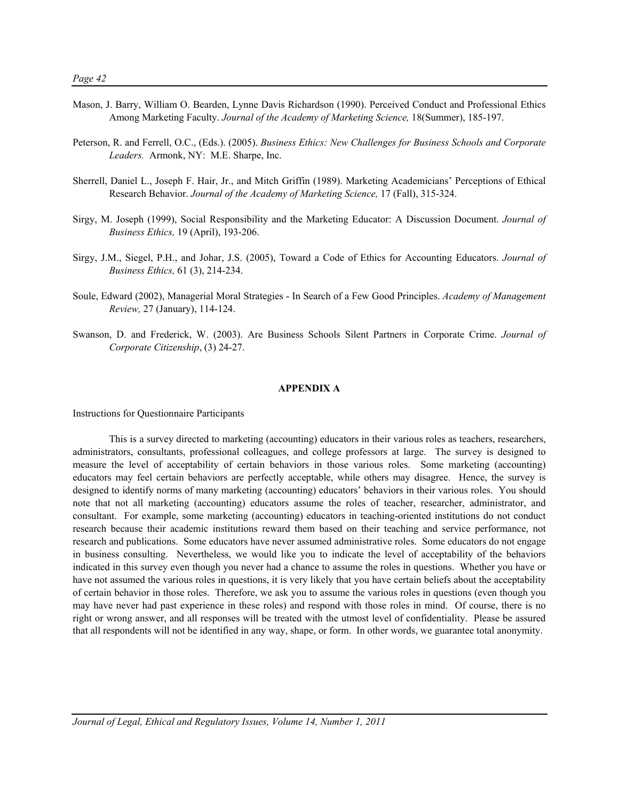- Mason, J. Barry, William O. Bearden, Lynne Davis Richardson (1990). Perceived Conduct and Professional Ethics Among Marketing Faculty. *Journal of the Academy of Marketing Science,* 18(Summer), 185-197.
- Peterson, R. and Ferrell, O.C., (Eds.). (2005). *Business Ethics: New Challenges for Business Schools and Corporate Leaders.* Armonk, NY: M.E. Sharpe, Inc.
- Sherrell, Daniel L., Joseph F. Hair, Jr., and Mitch Griffin (1989). Marketing Academicians' Perceptions of Ethical Research Behavior. *Journal of the Academy of Marketing Science,* 17 (Fall), 315-324.
- Sirgy, M. Joseph (1999), Social Responsibility and the Marketing Educator: A Discussion Document. *Journal of Business Ethics,* 19 (April), 193-206.
- Sirgy, J.M., Siegel, P.H., and Johar, J.S. (2005), Toward a Code of Ethics for Accounting Educators. *Journal of Business Ethics,* 61 (3), 214-234.
- Soule, Edward (2002), Managerial Moral Strategies In Search of a Few Good Principles. *Academy of Management Review,* 27 (January), 114-124.
- Swanson, D. and Frederick, W. (2003). Are Business Schools Silent Partners in Corporate Crime. *Journal of Corporate Citizenship*, (3) 24-27.

#### **APPENDIX A**

Instructions for Questionnaire Participants

 This is a survey directed to marketing (accounting) educators in their various roles as teachers, researchers, administrators, consultants, professional colleagues, and college professors at large. The survey is designed to measure the level of acceptability of certain behaviors in those various roles. Some marketing (accounting) educators may feel certain behaviors are perfectly acceptable, while others may disagree. Hence, the survey is designed to identify norms of many marketing (accounting) educators' behaviors in their various roles. You should note that not all marketing (accounting) educators assume the roles of teacher, researcher, administrator, and consultant. For example, some marketing (accounting) educators in teaching-oriented institutions do not conduct research because their academic institutions reward them based on their teaching and service performance, not research and publications. Some educators have never assumed administrative roles. Some educators do not engage in business consulting. Nevertheless, we would like you to indicate the level of acceptability of the behaviors indicated in this survey even though you never had a chance to assume the roles in questions. Whether you have or have not assumed the various roles in questions, it is very likely that you have certain beliefs about the acceptability of certain behavior in those roles. Therefore, we ask you to assume the various roles in questions (even though you may have never had past experience in these roles) and respond with those roles in mind. Of course, there is no right or wrong answer, and all responses will be treated with the utmost level of confidentiality. Please be assured that all respondents will not be identified in any way, shape, or form. In other words, we guarantee total anonymity.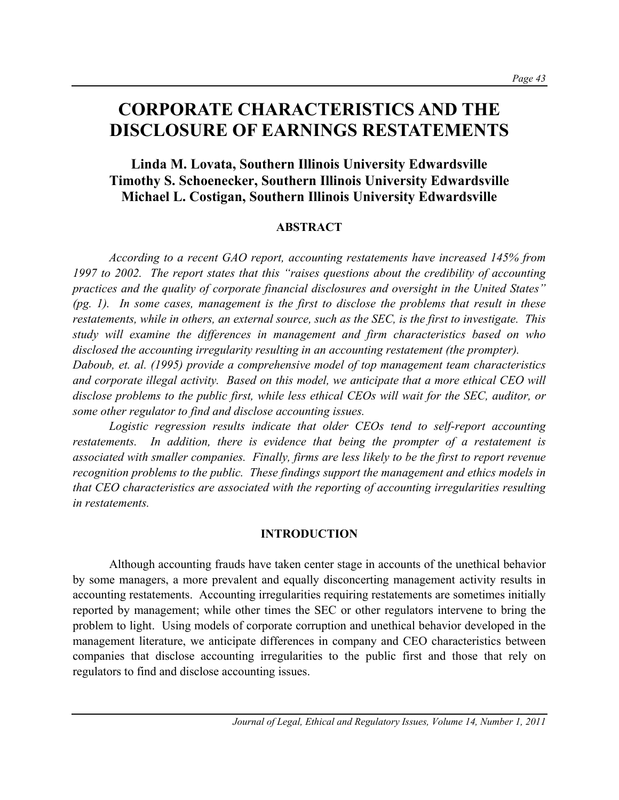# **CORPORATE CHARACTERISTICS AND THE DISCLOSURE OF EARNINGS RESTATEMENTS**

# **Linda M. Lovata, Southern Illinois University Edwardsville Timothy S. Schoenecker, Southern Illinois University Edwardsville Michael L. Costigan, Southern Illinois University Edwardsville**

#### **ABSTRACT**

*According to a recent GAO report, accounting restatements have increased 145% from 1997 to 2002. The report states that this "raises questions about the credibility of accounting practices and the quality of corporate financial disclosures and oversight in the United States" (pg. 1). In some cases, management is the first to disclose the problems that result in these restatements, while in others, an external source, such as the SEC, is the first to investigate. This study will examine the differences in management and firm characteristics based on who disclosed the accounting irregularity resulting in an accounting restatement (the prompter).* 

*Daboub, et. al. (1995) provide a comprehensive model of top management team characteristics and corporate illegal activity. Based on this model, we anticipate that a more ethical CEO will disclose problems to the public first, while less ethical CEOs will wait for the SEC, auditor, or some other regulator to find and disclose accounting issues.* 

Logistic regression results indicate that older CEOs tend to self-report accounting *restatements. In addition, there is evidence that being the prompter of a restatement is associated with smaller companies. Finally, firms are less likely to be the first to report revenue recognition problems to the public. These findings support the management and ethics models in that CEO characteristics are associated with the reporting of accounting irregularities resulting in restatements.* 

#### **INTRODUCTION**

Although accounting frauds have taken center stage in accounts of the unethical behavior by some managers, a more prevalent and equally disconcerting management activity results in accounting restatements. Accounting irregularities requiring restatements are sometimes initially reported by management; while other times the SEC or other regulators intervene to bring the problem to light. Using models of corporate corruption and unethical behavior developed in the management literature, we anticipate differences in company and CEO characteristics between companies that disclose accounting irregularities to the public first and those that rely on regulators to find and disclose accounting issues.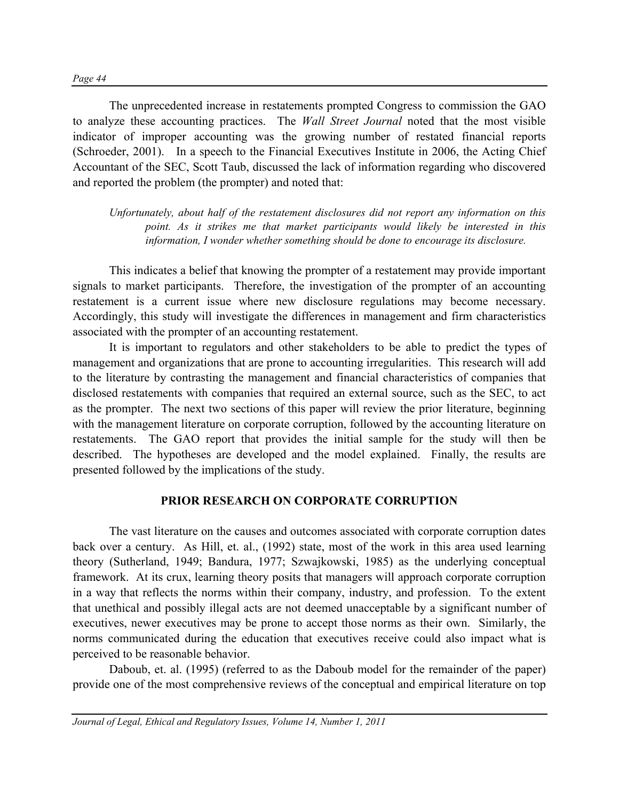The unprecedented increase in restatements prompted Congress to commission the GAO to analyze these accounting practices. The *Wall Street Journal* noted that the most visible indicator of improper accounting was the growing number of restated financial reports (Schroeder, 2001). In a speech to the Financial Executives Institute in 2006, the Acting Chief Accountant of the SEC, Scott Taub, discussed the lack of information regarding who discovered and reported the problem (the prompter) and noted that:

*Unfortunately, about half of the restatement disclosures did not report any information on this point. As it strikes me that market participants would likely be interested in this information, I wonder whether something should be done to encourage its disclosure.* 

This indicates a belief that knowing the prompter of a restatement may provide important signals to market participants. Therefore, the investigation of the prompter of an accounting restatement is a current issue where new disclosure regulations may become necessary. Accordingly, this study will investigate the differences in management and firm characteristics associated with the prompter of an accounting restatement.

It is important to regulators and other stakeholders to be able to predict the types of management and organizations that are prone to accounting irregularities. This research will add to the literature by contrasting the management and financial characteristics of companies that disclosed restatements with companies that required an external source, such as the SEC, to act as the prompter. The next two sections of this paper will review the prior literature, beginning with the management literature on corporate corruption, followed by the accounting literature on restatements. The GAO report that provides the initial sample for the study will then be described. The hypotheses are developed and the model explained. Finally, the results are presented followed by the implications of the study.

#### **PRIOR RESEARCH ON CORPORATE CORRUPTION**

The vast literature on the causes and outcomes associated with corporate corruption dates back over a century. As Hill, et. al., (1992) state, most of the work in this area used learning theory (Sutherland, 1949; Bandura, 1977; Szwajkowski, 1985) as the underlying conceptual framework. At its crux, learning theory posits that managers will approach corporate corruption in a way that reflects the norms within their company, industry, and profession. To the extent that unethical and possibly illegal acts are not deemed unacceptable by a significant number of executives, newer executives may be prone to accept those norms as their own. Similarly, the norms communicated during the education that executives receive could also impact what is perceived to be reasonable behavior.

Daboub, et. al. (1995) (referred to as the Daboub model for the remainder of the paper) provide one of the most comprehensive reviews of the conceptual and empirical literature on top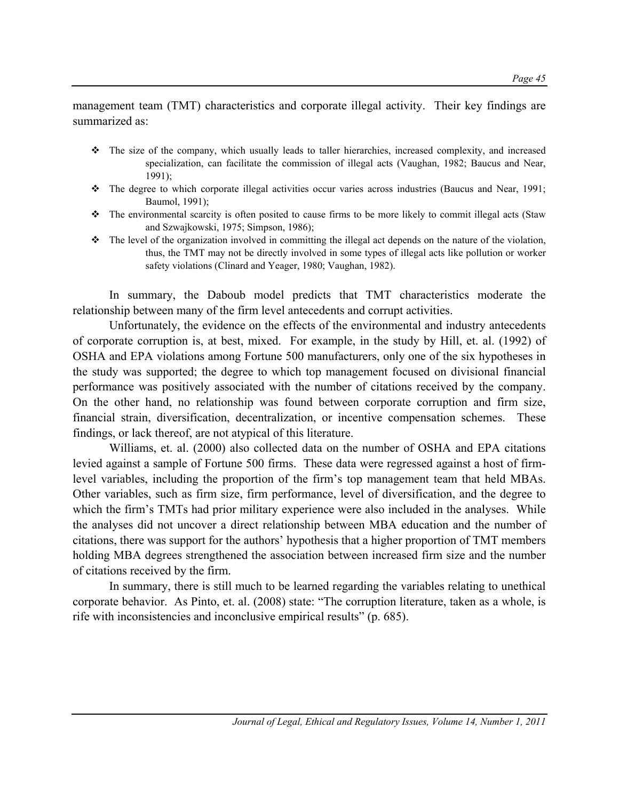management team (TMT) characteristics and corporate illegal activity. Their key findings are summarized as:

- The size of the company, which usually leads to taller hierarchies, increased complexity, and increased specialization, can facilitate the commission of illegal acts (Vaughan, 1982; Baucus and Near, 1991);
- \* The degree to which corporate illegal activities occur varies across industries (Baucus and Near, 1991; Baumol, 1991);
- $\cdot \cdot$  The environmental scarcity is often posited to cause firms to be more likely to commit illegal acts (Staw and Szwajkowski, 1975; Simpson, 1986);
- $\cdot \cdot$  The level of the organization involved in committing the illegal act depends on the nature of the violation, thus, the TMT may not be directly involved in some types of illegal acts like pollution or worker safety violations (Clinard and Yeager, 1980; Vaughan, 1982).

In summary, the Daboub model predicts that TMT characteristics moderate the relationship between many of the firm level antecedents and corrupt activities.

Unfortunately, the evidence on the effects of the environmental and industry antecedents of corporate corruption is, at best, mixed. For example, in the study by Hill, et. al. (1992) of OSHA and EPA violations among Fortune 500 manufacturers, only one of the six hypotheses in the study was supported; the degree to which top management focused on divisional financial performance was positively associated with the number of citations received by the company. On the other hand, no relationship was found between corporate corruption and firm size, financial strain, diversification, decentralization, or incentive compensation schemes. These findings, or lack thereof, are not atypical of this literature.

Williams, et. al. (2000) also collected data on the number of OSHA and EPA citations levied against a sample of Fortune 500 firms. These data were regressed against a host of firmlevel variables, including the proportion of the firm's top management team that held MBAs. Other variables, such as firm size, firm performance, level of diversification, and the degree to which the firm's TMTs had prior military experience were also included in the analyses. While the analyses did not uncover a direct relationship between MBA education and the number of citations, there was support for the authors' hypothesis that a higher proportion of TMT members holding MBA degrees strengthened the association between increased firm size and the number of citations received by the firm.

In summary, there is still much to be learned regarding the variables relating to unethical corporate behavior. As Pinto, et. al. (2008) state: "The corruption literature, taken as a whole, is rife with inconsistencies and inconclusive empirical results" (p. 685).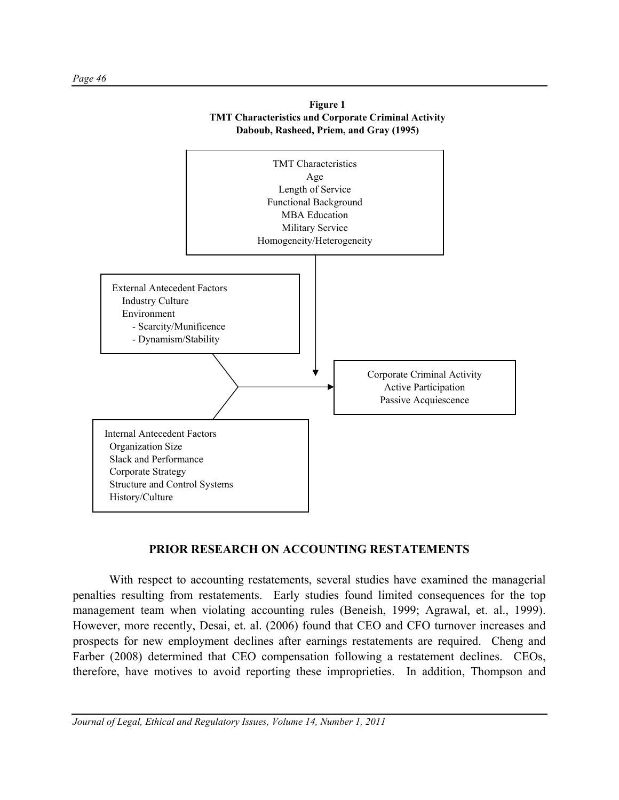

# **Figure 1**

#### **PRIOR RESEARCH ON ACCOUNTING RESTATEMENTS**

With respect to accounting restatements, several studies have examined the managerial penalties resulting from restatements. Early studies found limited consequences for the top management team when violating accounting rules (Beneish, 1999; Agrawal, et. al., 1999). However, more recently, Desai, et. al. (2006) found that CEO and CFO turnover increases and prospects for new employment declines after earnings restatements are required. Cheng and Farber (2008) determined that CEO compensation following a restatement declines. CEOs, therefore, have motives to avoid reporting these improprieties. In addition, Thompson and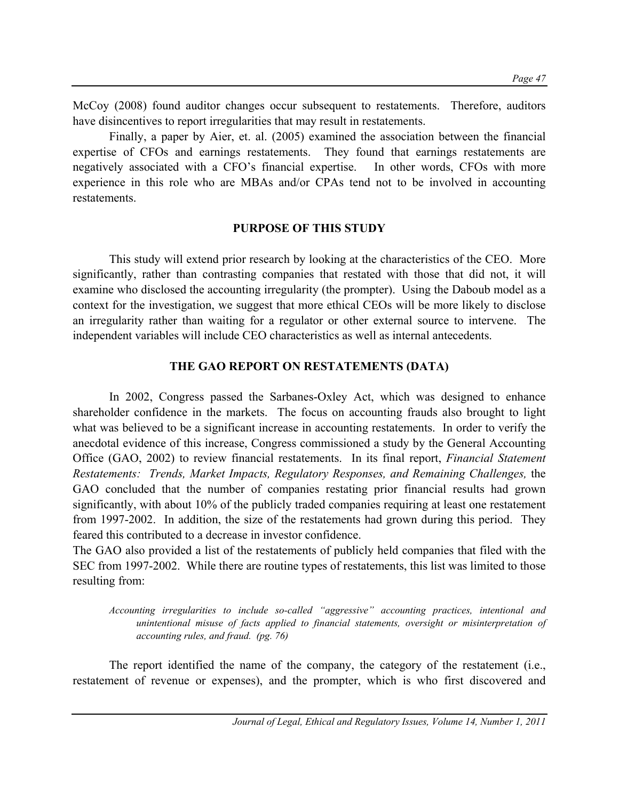McCoy (2008) found auditor changes occur subsequent to restatements. Therefore, auditors have disincentives to report irregularities that may result in restatements.

Finally, a paper by Aier, et. al. (2005) examined the association between the financial expertise of CFOs and earnings restatements. They found that earnings restatements are negatively associated with a CFO's financial expertise. In other words, CFOs with more experience in this role who are MBAs and/or CPAs tend not to be involved in accounting restatements.

# **PURPOSE OF THIS STUDY**

This study will extend prior research by looking at the characteristics of the CEO. More significantly, rather than contrasting companies that restated with those that did not, it will examine who disclosed the accounting irregularity (the prompter). Using the Daboub model as a context for the investigation, we suggest that more ethical CEOs will be more likely to disclose an irregularity rather than waiting for a regulator or other external source to intervene. The independent variables will include CEO characteristics as well as internal antecedents.

# **THE GAO REPORT ON RESTATEMENTS (DATA)**

In 2002, Congress passed the Sarbanes-Oxley Act, which was designed to enhance shareholder confidence in the markets. The focus on accounting frauds also brought to light what was believed to be a significant increase in accounting restatements. In order to verify the anecdotal evidence of this increase, Congress commissioned a study by the General Accounting Office (GAO, 2002) to review financial restatements. In its final report, *Financial Statement Restatements: Trends, Market Impacts, Regulatory Responses, and Remaining Challenges,* the GAO concluded that the number of companies restating prior financial results had grown significantly, with about 10% of the publicly traded companies requiring at least one restatement from 1997-2002. In addition, the size of the restatements had grown during this period. They feared this contributed to a decrease in investor confidence.

The GAO also provided a list of the restatements of publicly held companies that filed with the SEC from 1997-2002. While there are routine types of restatements, this list was limited to those resulting from:

*Accounting irregularities to include so-called "aggressive" accounting practices, intentional and unintentional misuse of facts applied to financial statements, oversight or misinterpretation of accounting rules, and fraud. (pg. 76)* 

The report identified the name of the company, the category of the restatement (i.e., restatement of revenue or expenses), and the prompter, which is who first discovered and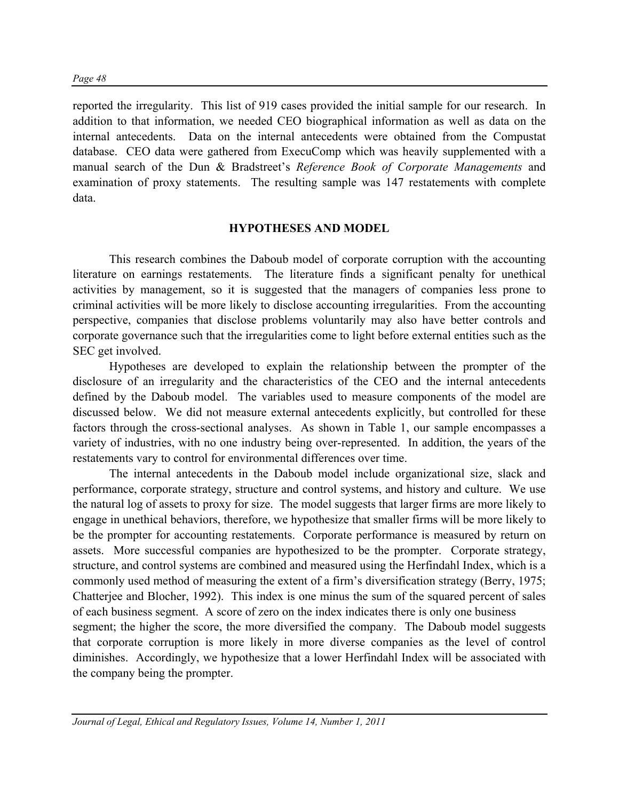reported the irregularity. This list of 919 cases provided the initial sample for our research. In addition to that information, we needed CEO biographical information as well as data on the internal antecedents. Data on the internal antecedents were obtained from the Compustat database. CEO data were gathered from ExecuComp which was heavily supplemented with a manual search of the Dun & Bradstreet's *Reference Book of Corporate Managements* and examination of proxy statements. The resulting sample was 147 restatements with complete data.

#### **HYPOTHESES AND MODEL**

This research combines the Daboub model of corporate corruption with the accounting literature on earnings restatements. The literature finds a significant penalty for unethical activities by management, so it is suggested that the managers of companies less prone to criminal activities will be more likely to disclose accounting irregularities. From the accounting perspective, companies that disclose problems voluntarily may also have better controls and corporate governance such that the irregularities come to light before external entities such as the SEC get involved.

Hypotheses are developed to explain the relationship between the prompter of the disclosure of an irregularity and the characteristics of the CEO and the internal antecedents defined by the Daboub model. The variables used to measure components of the model are discussed below. We did not measure external antecedents explicitly, but controlled for these factors through the cross-sectional analyses. As shown in Table 1, our sample encompasses a variety of industries, with no one industry being over-represented. In addition, the years of the restatements vary to control for environmental differences over time.

The internal antecedents in the Daboub model include organizational size, slack and performance, corporate strategy, structure and control systems, and history and culture. We use the natural log of assets to proxy for size. The model suggests that larger firms are more likely to engage in unethical behaviors, therefore, we hypothesize that smaller firms will be more likely to be the prompter for accounting restatements. Corporate performance is measured by return on assets. More successful companies are hypothesized to be the prompter. Corporate strategy, structure, and control systems are combined and measured using the Herfindahl Index, which is a commonly used method of measuring the extent of a firm's diversification strategy (Berry, 1975; Chatterjee and Blocher, 1992). This index is one minus the sum of the squared percent of sales of each business segment. A score of zero on the index indicates there is only one business segment; the higher the score, the more diversified the company. The Daboub model suggests that corporate corruption is more likely in more diverse companies as the level of control diminishes. Accordingly, we hypothesize that a lower Herfindahl Index will be associated with the company being the prompter.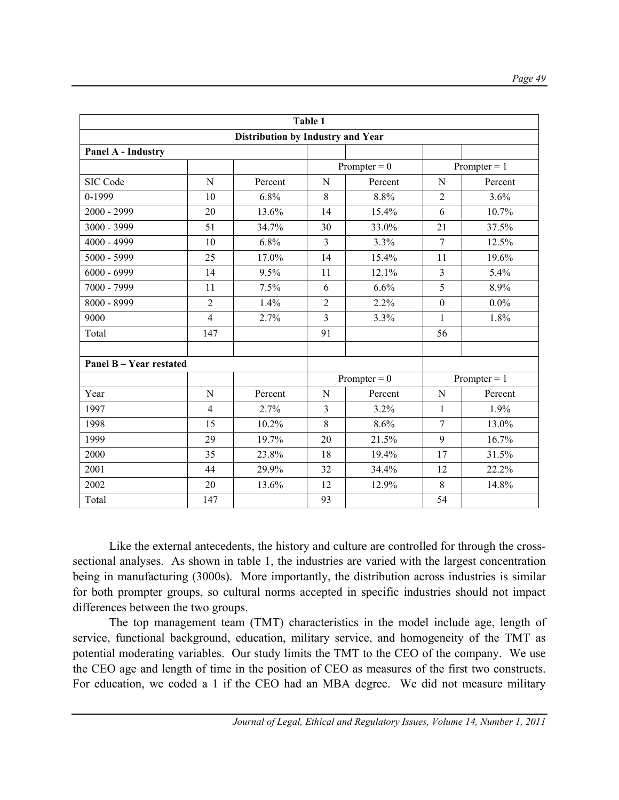|                         |                |                                   | Table 1        |                |                |                |
|-------------------------|----------------|-----------------------------------|----------------|----------------|----------------|----------------|
|                         |                | Distribution by Industry and Year |                |                |                |                |
| Panel A - Industry      |                |                                   |                |                |                |                |
|                         |                |                                   |                | Prompter $= 0$ |                | Prompter $= 1$ |
| SIC Code                | $\mathbf N$    | Percent                           | N              | Percent        | N              | Percent        |
| 0-1999                  | 10             | 6.8%                              | 8              | 8.8%           | $\overline{2}$ | 3.6%           |
| 2000 - 2999             | 20             | 13.6%                             | 14             | 15.4%          | 6              | 10.7%          |
| 3000 - 3999             | 51             | 34.7%                             | 30             | 33.0%          | 21             | 37.5%          |
| 4000 - 4999             | 10             | 6.8%                              | $\overline{3}$ | 3.3%           | $\overline{7}$ | 12.5%          |
| 5000 - 5999             | 25             | 17.0%                             | 14             | 15.4%          | 11             | 19.6%          |
| $6000 - 6999$           | 14             | 9.5%                              | 11             | 12.1%          | $\overline{3}$ | 5.4%           |
| 7000 - 7999             | 11             | 7.5%                              | 6              | 6.6%           | 5              | 8.9%           |
| 8000 - 8999             | $\overline{c}$ | 1.4%                              | $\overline{2}$ | 2.2%           | $\overline{0}$ | $0.0\%$        |
| 9000                    | $\overline{4}$ | 2.7%                              | $\overline{3}$ | 3.3%           | 1              | 1.8%           |
| Total                   | 147            |                                   | 91             |                | 56             |                |
| Panel B - Year restated |                |                                   |                |                |                |                |
|                         |                |                                   |                | Prompter $= 0$ |                | Prompter $= 1$ |
| Year                    | $\mathbf N$    | Percent                           | $\mathbf N$    | Percent        | ${\bf N}$      | Percent        |
| 1997                    | $\overline{4}$ | 2.7%                              | 3              | 3.2%           | $\mathbf{1}$   | 1.9%           |
| 1998                    | 15             | 10.2%                             | 8              | 8.6%           | $\overline{7}$ | 13.0%          |
| 1999                    | 29             | 19.7%                             | 20             | 21.5%          | 9              | 16.7%          |
| 2000                    | 35             | 23.8%                             | 18             | 19.4%          | 17             | 31.5%          |
| 2001                    | 44             | 29.9%                             | 32             | 34.4%          | 12             | 22.2%          |
| 2002                    | 20             | 13.6%                             | 12             | 12.9%          | 8              | 14.8%          |
| Total                   | 147            |                                   | 93             |                | 54             |                |

Like the external antecedents, the history and culture are controlled for through the crosssectional analyses. As shown in table 1, the industries are varied with the largest concentration being in manufacturing (3000s). More importantly, the distribution across industries is similar for both prompter groups, so cultural norms accepted in specific industries should not impact differences between the two groups.

The top management team (TMT) characteristics in the model include age, length of service, functional background, education, military service, and homogeneity of the TMT as potential moderating variables. Our study limits the TMT to the CEO of the company. We use the CEO age and length of time in the position of CEO as measures of the first two constructs. For education, we coded a 1 if the CEO had an MBA degree. We did not measure military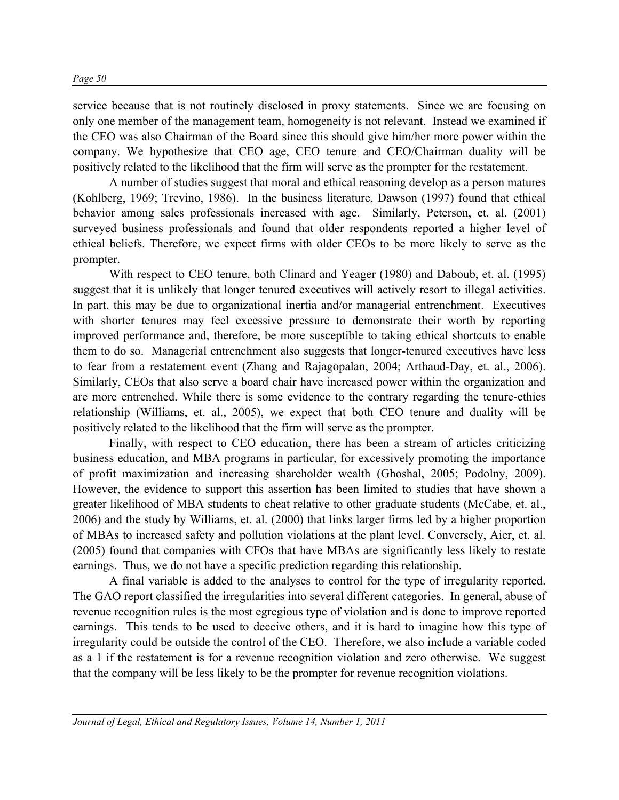service because that is not routinely disclosed in proxy statements. Since we are focusing on only one member of the management team, homogeneity is not relevant. Instead we examined if the CEO was also Chairman of the Board since this should give him/her more power within the company. We hypothesize that CEO age, CEO tenure and CEO/Chairman duality will be positively related to the likelihood that the firm will serve as the prompter for the restatement.

A number of studies suggest that moral and ethical reasoning develop as a person matures (Kohlberg, 1969; Trevino, 1986). In the business literature, Dawson (1997) found that ethical behavior among sales professionals increased with age. Similarly, Peterson, et. al. (2001) surveyed business professionals and found that older respondents reported a higher level of ethical beliefs. Therefore, we expect firms with older CEOs to be more likely to serve as the prompter.

With respect to CEO tenure, both Clinard and Yeager (1980) and Daboub, et. al. (1995) suggest that it is unlikely that longer tenured executives will actively resort to illegal activities. In part, this may be due to organizational inertia and/or managerial entrenchment. Executives with shorter tenures may feel excessive pressure to demonstrate their worth by reporting improved performance and, therefore, be more susceptible to taking ethical shortcuts to enable them to do so. Managerial entrenchment also suggests that longer-tenured executives have less to fear from a restatement event (Zhang and Rajagopalan, 2004; Arthaud-Day, et. al., 2006). Similarly, CEOs that also serve a board chair have increased power within the organization and are more entrenched. While there is some evidence to the contrary regarding the tenure-ethics relationship (Williams, et. al., 2005), we expect that both CEO tenure and duality will be positively related to the likelihood that the firm will serve as the prompter.

Finally, with respect to CEO education, there has been a stream of articles criticizing business education, and MBA programs in particular, for excessively promoting the importance of profit maximization and increasing shareholder wealth (Ghoshal, 2005; Podolny, 2009). However, the evidence to support this assertion has been limited to studies that have shown a greater likelihood of MBA students to cheat relative to other graduate students (McCabe, et. al., 2006) and the study by Williams, et. al. (2000) that links larger firms led by a higher proportion of MBAs to increased safety and pollution violations at the plant level. Conversely, Aier, et. al. (2005) found that companies with CFOs that have MBAs are significantly less likely to restate earnings. Thus, we do not have a specific prediction regarding this relationship.

A final variable is added to the analyses to control for the type of irregularity reported. The GAO report classified the irregularities into several different categories. In general, abuse of revenue recognition rules is the most egregious type of violation and is done to improve reported earnings. This tends to be used to deceive others, and it is hard to imagine how this type of irregularity could be outside the control of the CEO. Therefore, we also include a variable coded as a 1 if the restatement is for a revenue recognition violation and zero otherwise. We suggest that the company will be less likely to be the prompter for revenue recognition violations.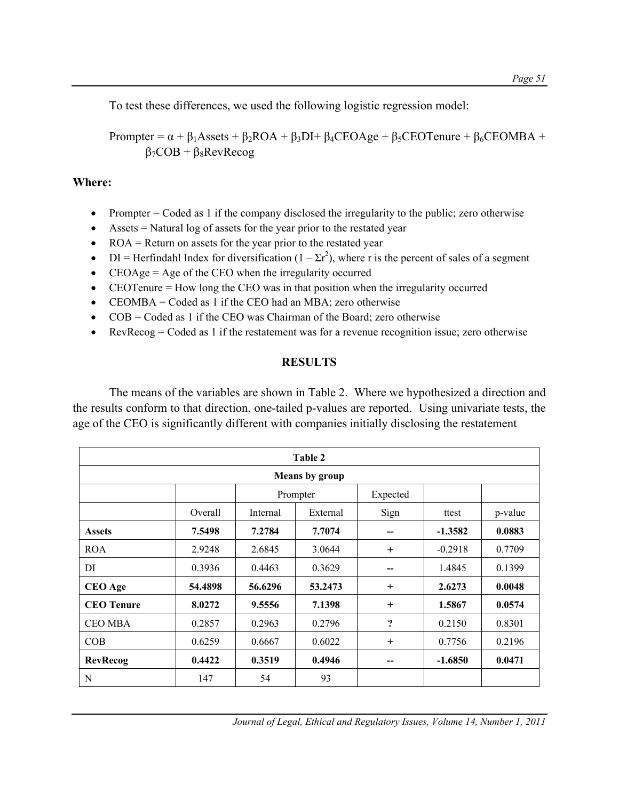To test these differences, we used the following logistic regression model:

Prompter =  $\alpha + \beta_1$ Assets +  $\beta_2$ ROA +  $\beta_3$ DI+  $\beta_4$ CEOAge +  $\beta_5$ CEOTenure +  $\beta_6$ CEOMBA +  $β_7COB + β_8$ RevRecog

#### **Where:**

- Prompter  $=$  Coded as 1 if the company disclosed the irregularity to the public; zero otherwise
- Assets = Natural log of assets for the year prior to the restated year
- ROA = Return on assets for the year prior to the restated year
- DI = Herfindahl Index for diversification  $(1 \Sigma r^2)$ , where r is the percent of sales of a segment
- CEOAge = Age of the CEO when the irregularity occurred
- CEOTenure = How long the CEO was in that position when the irregularity occurred
- CEOMBA = Coded as 1 if the CEO had an MBA; zero otherwise
- COB = Coded as 1 if the CEO was Chairman of the Board; zero otherwise
- RevRecog  $=$  Coded as 1 if the restatement was for a revenue recognition issue; zero otherwise

# **RESULTS**

The means of the variables are shown in Table 2. Where we hypothesized a direction and the results conform to that direction, one-tailed p-values are reported. Using univariate tests, the age of the CEO is significantly different with companies initially disclosing the restatement

| Table 2               |         |          |          |          |           |         |  |  |  |
|-----------------------|---------|----------|----------|----------|-----------|---------|--|--|--|
| <b>Means</b> by group |         |          |          |          |           |         |  |  |  |
|                       |         |          | Prompter | Expected |           |         |  |  |  |
|                       | Overall | Internal | External | Sign     | ttest     | p-value |  |  |  |
| <b>Assets</b>         | 7.5498  | 7.2784   | 7.7074   | --       | $-1.3582$ | 0.0883  |  |  |  |
| <b>ROA</b>            | 2.9248  | 2.6845   | 3.0644   | $^{+}$   | $-0.2918$ | 0.7709  |  |  |  |
| DI                    | 0.3936  | 0.4463   | 0.3629   | $- -$    | 1.4845    | 0.1399  |  |  |  |
| <b>CEO</b> Age        | 54.4898 | 56.6296  | 53.2473  | $^{+}$   | 2.6273    | 0.0048  |  |  |  |
| <b>CEO</b> Tenure     | 8.0272  | 9.5556   | 7.1398   | $^{+}$   | 1.5867    | 0.0574  |  |  |  |
| <b>CEO MBA</b>        | 0.2857  | 0.2963   | 0.2796   | ?        | 0.2150    | 0.8301  |  |  |  |
| COB                   | 0.6259  | 0.6667   | 0.6022   | $^{+}$   | 0.7756    | 0.2196  |  |  |  |
| <b>RevRecog</b>       | 0.4422  | 0.3519   | 0.4946   | --       | $-1.6850$ | 0.0471  |  |  |  |
| N                     | 147     | 54       | 93       |          |           |         |  |  |  |

 *Journal of Legal, Ethical and Regulatory Issues, Volume 14, Number 1, 2011*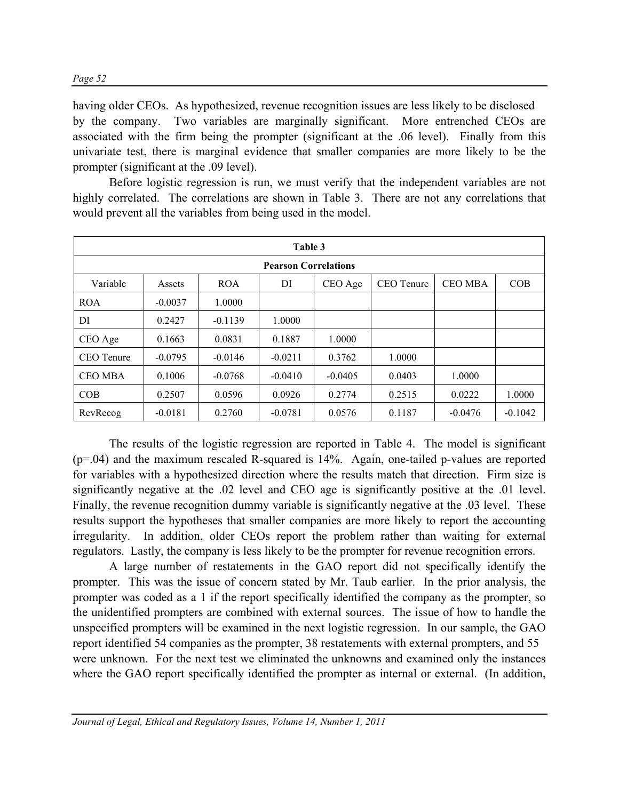having older CEOs. As hypothesized, revenue recognition issues are less likely to be disclosed by the company. Two variables are marginally significant. More entrenched CEOs are associated with the firm being the prompter (significant at the .06 level). Finally from this univariate test, there is marginal evidence that smaller companies are more likely to be the prompter (significant at the .09 level).

Before logistic regression is run, we must verify that the independent variables are not highly correlated. The correlations are shown in Table 3. There are not any correlations that would prevent all the variables from being used in the model.

| Table 3                     |           |            |           |           |            |                |           |  |
|-----------------------------|-----------|------------|-----------|-----------|------------|----------------|-----------|--|
| <b>Pearson Correlations</b> |           |            |           |           |            |                |           |  |
| Variable                    | Assets    | <b>ROA</b> | DI        | CEO Age   | CEO Tenure | <b>CEO MBA</b> | COB       |  |
| <b>ROA</b>                  | $-0.0037$ | 1.0000     |           |           |            |                |           |  |
| DI                          | 0.2427    | $-0.1139$  | 1.0000    |           |            |                |           |  |
| CEO Age                     | 0.1663    | 0.0831     | 0.1887    | 1.0000    |            |                |           |  |
| CEO Tenure                  | $-0.0795$ | $-0.0146$  | $-0.0211$ | 0.3762    | 1.0000     |                |           |  |
| <b>CEO MBA</b>              | 0.1006    | $-0.0768$  | $-0.0410$ | $-0.0405$ | 0.0403     | 1.0000         |           |  |
| COB                         | 0.2507    | 0.0596     | 0.0926    | 0.2774    | 0.2515     | 0.0222         | 1.0000    |  |
| RevRecog                    | $-0.0181$ | 0.2760     | $-0.0781$ | 0.0576    | 0.1187     | $-0.0476$      | $-0.1042$ |  |

The results of the logistic regression are reported in Table 4. The model is significant (p=.04) and the maximum rescaled R-squared is 14%. Again, one-tailed p-values are reported for variables with a hypothesized direction where the results match that direction. Firm size is significantly negative at the .02 level and CEO age is significantly positive at the .01 level. Finally, the revenue recognition dummy variable is significantly negative at the .03 level. These results support the hypotheses that smaller companies are more likely to report the accounting irregularity. In addition, older CEOs report the problem rather than waiting for external regulators. Lastly, the company is less likely to be the prompter for revenue recognition errors.

A large number of restatements in the GAO report did not specifically identify the prompter. This was the issue of concern stated by Mr. Taub earlier. In the prior analysis, the prompter was coded as a 1 if the report specifically identified the company as the prompter, so the unidentified prompters are combined with external sources. The issue of how to handle the unspecified prompters will be examined in the next logistic regression. In our sample, the GAO report identified 54 companies as the prompter, 38 restatements with external prompters, and 55 were unknown. For the next test we eliminated the unknowns and examined only the instances where the GAO report specifically identified the prompter as internal or external. (In addition,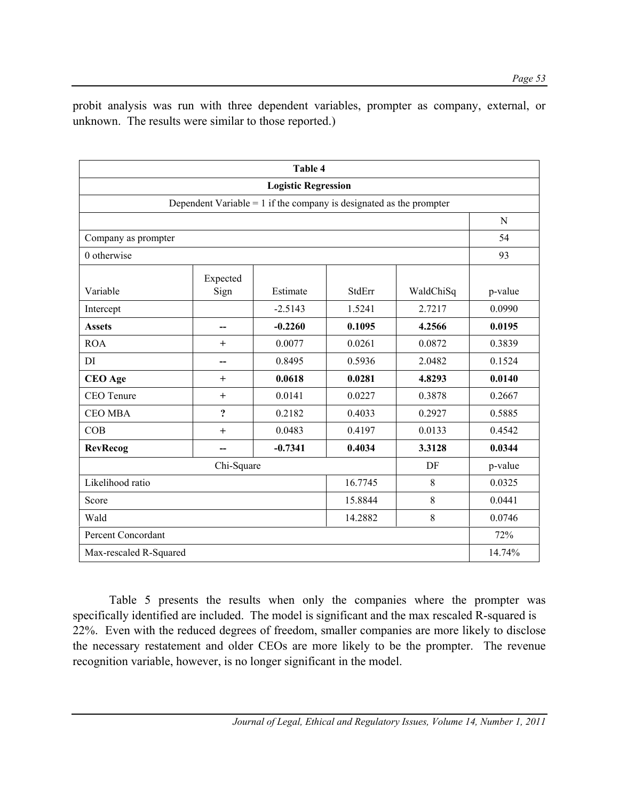probit analysis was run with three dependent variables, prompter as company, external, or unknown. The results were similar to those reported.)

|                                                                       | Table 4          |           |         |           |         |  |  |  |  |
|-----------------------------------------------------------------------|------------------|-----------|---------|-----------|---------|--|--|--|--|
| <b>Logistic Regression</b>                                            |                  |           |         |           |         |  |  |  |  |
| Dependent Variable = $1$ if the company is designated as the prompter |                  |           |         |           |         |  |  |  |  |
|                                                                       |                  |           |         |           |         |  |  |  |  |
| Company as prompter                                                   |                  |           |         |           |         |  |  |  |  |
| 0 otherwise                                                           |                  |           |         |           | 93      |  |  |  |  |
| Variable                                                              | Expected<br>Sign | Estimate  | StdErr  | WaldChiSq | p-value |  |  |  |  |
| Intercept                                                             |                  | $-2.5143$ | 1.5241  | 2.7217    | 0.0990  |  |  |  |  |
| <b>Assets</b>                                                         | --               | $-0.2260$ | 0.1095  | 4.2566    | 0.0195  |  |  |  |  |
| <b>ROA</b>                                                            | $+$              | 0.0077    | 0.0261  | 0.0872    | 0.3839  |  |  |  |  |
| DI                                                                    | --               | 0.8495    | 0.5936  | 2.0482    | 0.1524  |  |  |  |  |
| <b>CEO</b> Age                                                        | $\pm$            | 0.0618    | 0.0281  | 4.8293    | 0.0140  |  |  |  |  |
| CEO Tenure                                                            | $\ddot{}$        | 0.0141    | 0.0227  | 0.3878    | 0.2667  |  |  |  |  |
| <b>CEO MBA</b>                                                        | $\ddot{?}$       | 0.2182    | 0.4033  | 0.2927    | 0.5885  |  |  |  |  |
| COB                                                                   | $+$              | 0.0483    | 0.4197  | 0.0133    | 0.4542  |  |  |  |  |
| <b>RevRecog</b>                                                       |                  | $-0.7341$ | 0.4034  | 3.3128    | 0.0344  |  |  |  |  |
|                                                                       | Chi-Square       |           |         | DF        | p-value |  |  |  |  |
| Likelihood ratio                                                      |                  |           | 16.7745 | 8         | 0.0325  |  |  |  |  |
| 8<br>15.8844<br>Score                                                 |                  |           |         |           |         |  |  |  |  |
| Wald                                                                  | 0.0746           |           |         |           |         |  |  |  |  |
| Percent Concordant                                                    |                  |           |         |           |         |  |  |  |  |
| Max-rescaled R-Squared                                                |                  |           |         |           | 14.74%  |  |  |  |  |

Table 5 presents the results when only the companies where the prompter was specifically identified are included. The model is significant and the max rescaled R-squared is 22%. Even with the reduced degrees of freedom, smaller companies are more likely to disclose the necessary restatement and older CEOs are more likely to be the prompter. The revenue recognition variable, however, is no longer significant in the model.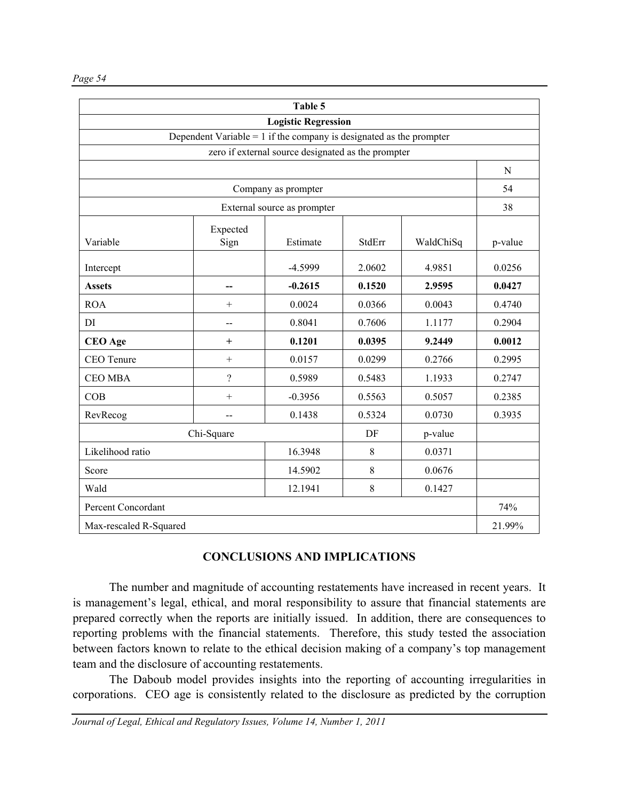| Table 5                                                                |                            |                             |        |         |        |  |  |  |  |
|------------------------------------------------------------------------|----------------------------|-----------------------------|--------|---------|--------|--|--|--|--|
|                                                                        | <b>Logistic Regression</b> |                             |        |         |        |  |  |  |  |
| Dependent Variable = 1 if the company is designated as the prompter    |                            |                             |        |         |        |  |  |  |  |
| zero if external source designated as the prompter                     |                            |                             |        |         |        |  |  |  |  |
|                                                                        |                            |                             |        |         |        |  |  |  |  |
| Company as prompter                                                    |                            |                             |        |         |        |  |  |  |  |
|                                                                        |                            | External source as prompter |        |         | 38     |  |  |  |  |
| Expected<br>Sign<br>Variable<br>Estimate<br><b>StdErr</b><br>WaldChiSq |                            |                             |        |         |        |  |  |  |  |
| Intercept                                                              |                            | -4.5999                     | 2.0602 | 4.9851  | 0.0256 |  |  |  |  |
| <b>Assets</b>                                                          | $-$                        | $-0.2615$                   | 0.1520 | 2.9595  | 0.0427 |  |  |  |  |
| <b>ROA</b>                                                             | $^{+}$                     | 0.0024                      | 0.0366 | 0.0043  | 0.4740 |  |  |  |  |
| DI                                                                     | $-$                        | 0.8041                      | 0.7606 | 1.1177  | 0.2904 |  |  |  |  |
| <b>CEO</b> Age                                                         | $\ddot{}$                  | 0.1201                      | 0.0395 | 9.2449  | 0.0012 |  |  |  |  |
| CEO Tenure                                                             | $^{+}$                     | 0.0157                      | 0.0299 | 0.2766  | 0.2995 |  |  |  |  |
| <b>CEO MBA</b>                                                         | $\overline{\mathcal{L}}$   | 0.5989                      | 0.5483 | 1.1933  | 0.2747 |  |  |  |  |
| COB                                                                    | $^+$                       | $-0.3956$                   | 0.5563 | 0.5057  | 0.2385 |  |  |  |  |
| RevRecog                                                               | $-$                        | 0.1438                      | 0.5324 | 0.0730  | 0.3935 |  |  |  |  |
|                                                                        | Chi-Square                 |                             | DF     | p-value |        |  |  |  |  |
| Likelihood ratio                                                       |                            | 16.3948                     | 8      | 0.0371  |        |  |  |  |  |
| Score                                                                  |                            | 14.5902                     | 8      | 0.0676  |        |  |  |  |  |
| 12.1941<br>8<br>Wald<br>0.1427                                         |                            |                             |        |         |        |  |  |  |  |
| Percent Concordant                                                     |                            |                             |        |         |        |  |  |  |  |
| Max-rescaled R-Squared                                                 |                            |                             |        |         |        |  |  |  |  |

# **CONCLUSIONS AND IMPLICATIONS**

The number and magnitude of accounting restatements have increased in recent years. It is management's legal, ethical, and moral responsibility to assure that financial statements are prepared correctly when the reports are initially issued. In addition, there are consequences to reporting problems with the financial statements. Therefore, this study tested the association between factors known to relate to the ethical decision making of a company's top management team and the disclosure of accounting restatements.

The Daboub model provides insights into the reporting of accounting irregularities in corporations. CEO age is consistently related to the disclosure as predicted by the corruption

*Journal of Legal, Ethical and Regulatory Issues, Volume 14, Number 1, 2011*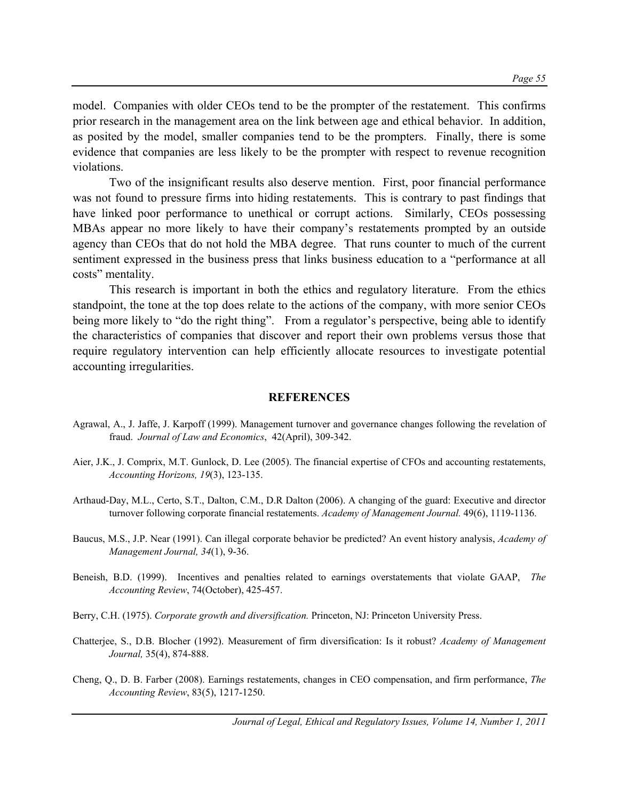model. Companies with older CEOs tend to be the prompter of the restatement. This confirms prior research in the management area on the link between age and ethical behavior. In addition, as posited by the model, smaller companies tend to be the prompters. Finally, there is some evidence that companies are less likely to be the prompter with respect to revenue recognition violations.

Two of the insignificant results also deserve mention. First, poor financial performance was not found to pressure firms into hiding restatements. This is contrary to past findings that have linked poor performance to unethical or corrupt actions. Similarly, CEOs possessing MBAs appear no more likely to have their company's restatements prompted by an outside agency than CEOs that do not hold the MBA degree. That runs counter to much of the current sentiment expressed in the business press that links business education to a "performance at all costs" mentality.

This research is important in both the ethics and regulatory literature. From the ethics standpoint, the tone at the top does relate to the actions of the company, with more senior CEOs being more likely to "do the right thing". From a regulator's perspective, being able to identify the characteristics of companies that discover and report their own problems versus those that require regulatory intervention can help efficiently allocate resources to investigate potential accounting irregularities.

#### **REFERENCES**

- Agrawal, A., J. Jaffe, J. Karpoff (1999). Management turnover and governance changes following the revelation of fraud. *Journal of Law and Economics*, 42(April), 309-342.
- Aier, J.K., J. Comprix, M.T. Gunlock, D. Lee (2005). The financial expertise of CFOs and accounting restatements, *Accounting Horizons, 19*(3), 123-135.
- Arthaud-Day, M.L., Certo, S.T., Dalton, C.M., D.R Dalton (2006). A changing of the guard: Executive and director turnover following corporate financial restatements. *Academy of Management Journal.* 49(6), 1119-1136.
- Baucus, M.S., J.P. Near (1991). Can illegal corporate behavior be predicted? An event history analysis, *Academy of Management Journal, 34*(1), 9-36.
- Beneish, B.D. (1999). Incentives and penalties related to earnings overstatements that violate GAAP, *The Accounting Review*, 74(October), 425-457.
- Berry, C.H. (1975). *Corporate growth and diversification.* Princeton, NJ: Princeton University Press.
- Chatterjee, S., D.B. Blocher (1992). Measurement of firm diversification: Is it robust? *Academy of Management Journal,* 35(4), 874-888.
- Cheng, Q., D. B. Farber (2008). Earnings restatements, changes in CEO compensation, and firm performance, *The Accounting Review*, 83(5), 1217-1250.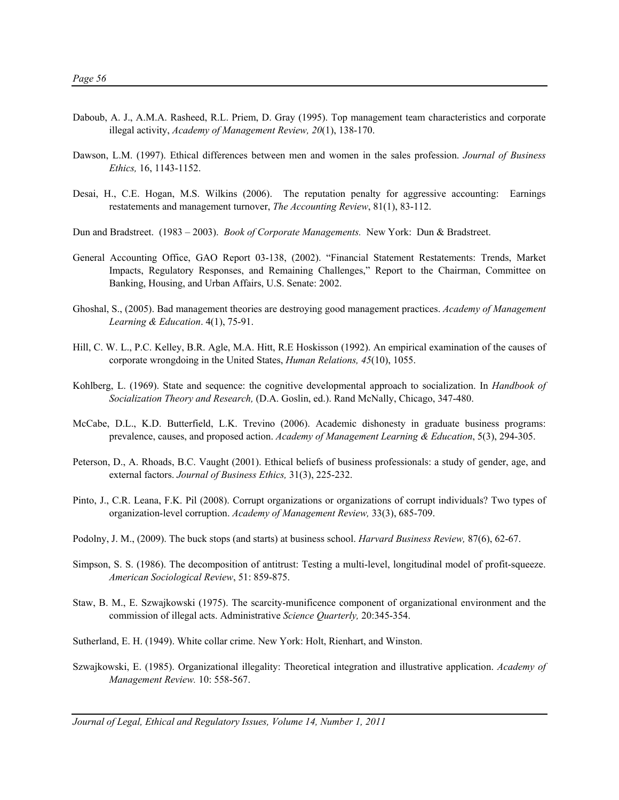- Daboub, A. J., A.M.A. Rasheed, R.L. Priem, D. Gray (1995). Top management team characteristics and corporate illegal activity, *Academy of Management Review, 20*(1), 138-170.
- Dawson, L.M. (1997). Ethical differences between men and women in the sales profession. *Journal of Business Ethics,* 16, 1143-1152.
- Desai, H., C.E. Hogan, M.S. Wilkins (2006). The reputation penalty for aggressive accounting: Earnings restatements and management turnover, *The Accounting Review*, 81(1), 83-112.
- Dun and Bradstreet. (1983 2003). *Book of Corporate Managements.* New York: Dun & Bradstreet.
- General Accounting Office, GAO Report 03-138, (2002). "Financial Statement Restatements: Trends, Market Impacts, Regulatory Responses, and Remaining Challenges," Report to the Chairman, Committee on Banking, Housing, and Urban Affairs, U.S. Senate: 2002.
- Ghoshal, S., (2005). Bad management theories are destroying good management practices. *Academy of Management Learning & Education*. 4(1), 75-91.
- Hill, C. W. L., P.C. Kelley, B.R. Agle, M.A. Hitt, R.E Hoskisson (1992). An empirical examination of the causes of corporate wrongdoing in the United States, *Human Relations, 45*(10), 1055.
- Kohlberg, L. (1969). State and sequence: the cognitive developmental approach to socialization. In *Handbook of Socialization Theory and Research,* (D.A. Goslin, ed.). Rand McNally, Chicago, 347-480.
- McCabe, D.L., K.D. Butterfield, L.K. Trevino (2006). Academic dishonesty in graduate business programs: prevalence, causes, and proposed action. *Academy of Management Learning & Education*, 5(3), 294-305.
- Peterson, D., A. Rhoads, B.C. Vaught (2001). Ethical beliefs of business professionals: a study of gender, age, and external factors. *Journal of Business Ethics,* 31(3), 225-232.
- Pinto, J., C.R. Leana, F.K. Pil (2008). Corrupt organizations or organizations of corrupt individuals? Two types of organization-level corruption. *Academy of Management Review,* 33(3), 685-709.
- Podolny, J. M., (2009). The buck stops (and starts) at business school. *Harvard Business Review,* 87(6), 62-67.
- Simpson, S. S. (1986). The decomposition of antitrust: Testing a multi-level, longitudinal model of profit-squeeze. *American Sociological Review*, 51: 859-875.
- Staw, B. M., E. Szwajkowski (1975). The scarcity-munificence component of organizational environment and the commission of illegal acts. Administrative *Science Quarterly,* 20:345-354.
- Sutherland, E. H. (1949). White collar crime. New York: Holt, Rienhart, and Winston.
- Szwajkowski, E. (1985). Organizational illegality: Theoretical integration and illustrative application. *Academy of Management Review.* 10: 558-567.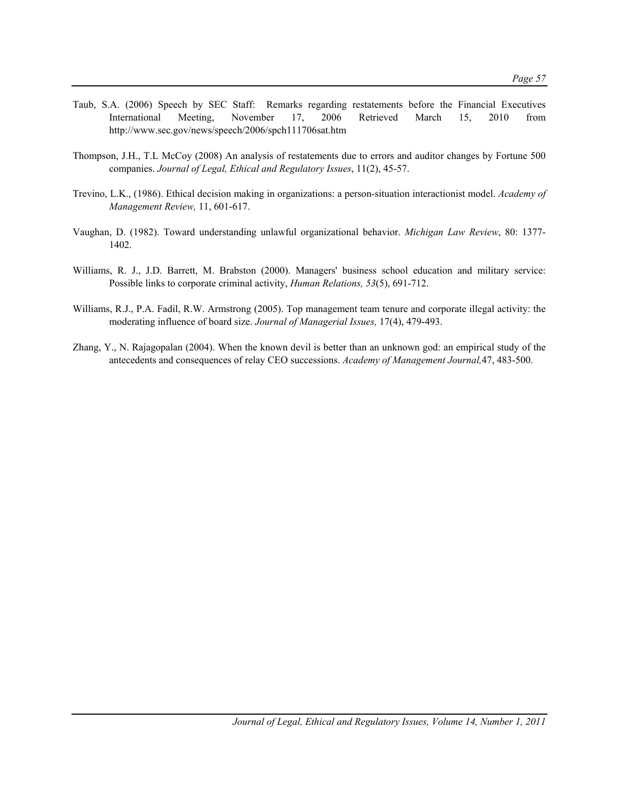- Taub, S.A. (2006) Speech by SEC Staff: Remarks regarding restatements before the Financial Executives International Meeting, November 17, 2006 Retrieved March 15, 2010 from http://www.sec.gov/news/speech/2006/spch111706sat.htm
- Thompson, J.H., T.L McCoy (2008) An analysis of restatements due to errors and auditor changes by Fortune 500 companies. *Journal of Legal, Ethical and Regulatory Issues*, 11(2), 45-57.
- Trevino, L.K., (1986). Ethical decision making in organizations: a person-situation interactionist model. *Academy of Management Review,* 11, 601-617.
- Vaughan, D. (1982). Toward understanding unlawful organizational behavior. *Michigan Law Review*, 80: 1377- 1402.
- Williams, R. J., J.D. Barrett, M. Brabston (2000). Managers' business school education and military service: Possible links to corporate criminal activity, *Human Relations, 53*(5), 691-712.
- Williams, R.J., P.A. Fadil, R.W. Armstrong (2005). Top management team tenure and corporate illegal activity: the moderating influence of board size. *Journal of Managerial Issues,* 17(4), 479-493.
- Zhang, Y., N. Rajagopalan (2004). When the known devil is better than an unknown god: an empirical study of the antecedents and consequences of relay CEO successions. *Academy of Management Journal,*47, 483-500.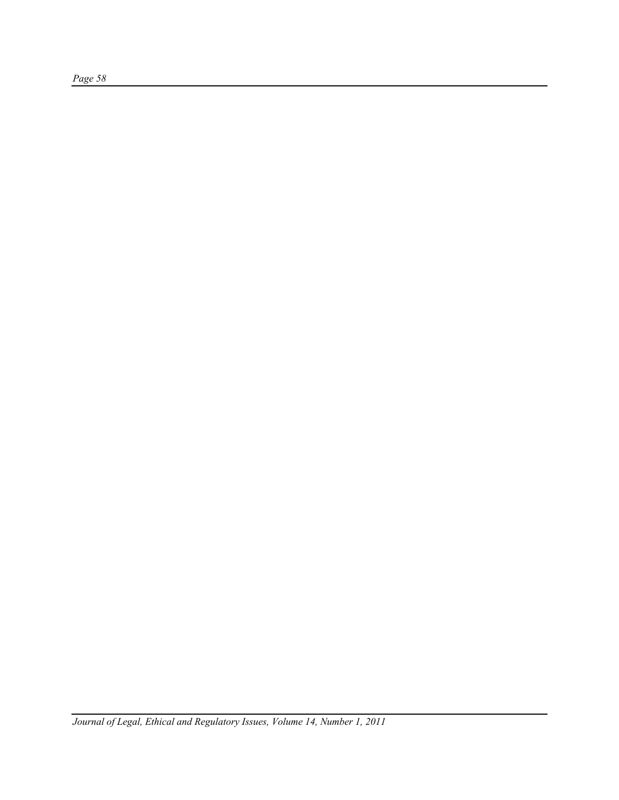*Page 58*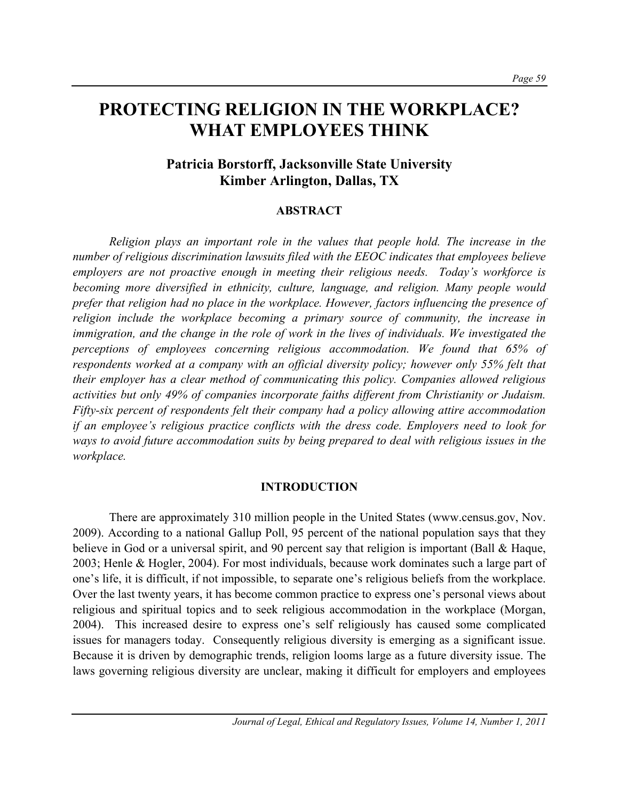# **PROTECTING RELIGION IN THE WORKPLACE? WHAT EMPLOYEES THINK**

# **Patricia Borstorff, Jacksonville State University Kimber Arlington, Dallas, TX**

# **ABSTRACT**

*Religion plays an important role in the values that people hold. The increase in the number of religious discrimination lawsuits filed with the EEOC indicates that employees believe employers are not proactive enough in meeting their religious needs. Today's workforce is becoming more diversified in ethnicity, culture, language, and religion. Many people would prefer that religion had no place in the workplace. However, factors influencing the presence of religion include the workplace becoming a primary source of community, the increase in immigration, and the change in the role of work in the lives of individuals. We investigated the perceptions of employees concerning religious accommodation. We found that 65% of respondents worked at a company with an official diversity policy; however only 55% felt that their employer has a clear method of communicating this policy. Companies allowed religious activities but only 49% of companies incorporate faiths different from Christianity or Judaism. Fifty-six percent of respondents felt their company had a policy allowing attire accommodation if an employee's religious practice conflicts with the dress code. Employers need to look for ways to avoid future accommodation suits by being prepared to deal with religious issues in the workplace.*

#### **INTRODUCTION**

There are approximately 310 million people in the United States (www.census.gov, Nov. 2009). According to a national Gallup Poll, 95 percent of the national population says that they believe in God or a universal spirit, and 90 percent say that religion is important (Ball & Haque, 2003; Henle & Hogler, 2004). For most individuals, because work dominates such a large part of one's life, it is difficult, if not impossible, to separate one's religious beliefs from the workplace. Over the last twenty years, it has become common practice to express one's personal views about religious and spiritual topics and to seek religious accommodation in the workplace (Morgan, 2004). This increased desire to express one's self religiously has caused some complicated issues for managers today. Consequently religious diversity is emerging as a significant issue. Because it is driven by demographic trends, religion looms large as a future diversity issue. The laws governing religious diversity are unclear, making it difficult for employers and employees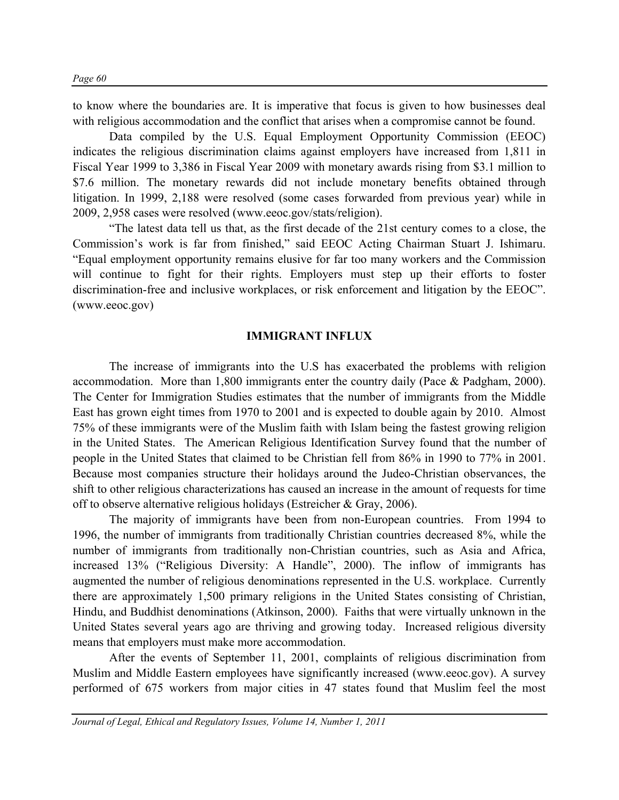to know where the boundaries are. It is imperative that focus is given to how businesses deal with religious accommodation and the conflict that arises when a compromise cannot be found.

Data compiled by the U.S. Equal Employment Opportunity Commission (EEOC) indicates the religious discrimination claims against employers have increased from 1,811 in Fiscal Year 1999 to 3,386 in Fiscal Year 2009 with monetary awards rising from \$3.1 million to \$7.6 million. The monetary rewards did not include monetary benefits obtained through litigation. In 1999, 2,188 were resolved (some cases forwarded from previous year) while in 2009, 2,958 cases were resolved (www.eeoc.gov/stats/religion).

"The latest data tell us that, as the first decade of the 21st century comes to a close, the Commission's work is far from finished," said EEOC Acting Chairman Stuart J. Ishimaru. "Equal employment opportunity remains elusive for far too many workers and the Commission will continue to fight for their rights. Employers must step up their efforts to foster discrimination-free and inclusive workplaces, or risk enforcement and litigation by the EEOC". (www.eeoc.gov)

#### **IMMIGRANT INFLUX**

The increase of immigrants into the U.S has exacerbated the problems with religion accommodation. More than 1,800 immigrants enter the country daily (Pace & Padgham, 2000). The Center for Immigration Studies estimates that the number of immigrants from the Middle East has grown eight times from 1970 to 2001 and is expected to double again by 2010. Almost 75% of these immigrants were of the Muslim faith with Islam being the fastest growing religion in the United States. The American Religious Identification Survey found that the number of people in the United States that claimed to be Christian fell from 86% in 1990 to 77% in 2001. Because most companies structure their holidays around the Judeo-Christian observances, the shift to other religious characterizations has caused an increase in the amount of requests for time off to observe alternative religious holidays (Estreicher & Gray, 2006).

The majority of immigrants have been from non-European countries. From 1994 to 1996, the number of immigrants from traditionally Christian countries decreased 8%, while the number of immigrants from traditionally non-Christian countries, such as Asia and Africa, increased 13% ("Religious Diversity: A Handle", 2000). The inflow of immigrants has augmented the number of religious denominations represented in the U.S. workplace. Currently there are approximately 1,500 primary religions in the United States consisting of Christian, Hindu, and Buddhist denominations (Atkinson, 2000). Faiths that were virtually unknown in the United States several years ago are thriving and growing today. Increased religious diversity means that employers must make more accommodation.

After the events of September 11, 2001, complaints of religious discrimination from Muslim and Middle Eastern employees have significantly increased (www.eeoc.gov). A survey performed of 675 workers from major cities in 47 states found that Muslim feel the most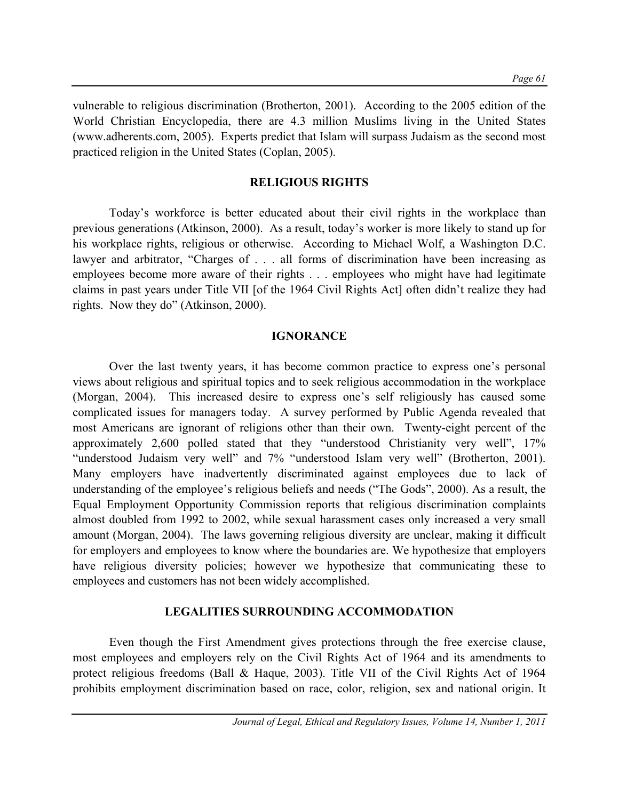vulnerable to religious discrimination (Brotherton, 2001). According to the 2005 edition of the World Christian Encyclopedia, there are 4.3 million Muslims living in the United States (www.adherents.com, 2005). Experts predict that Islam will surpass Judaism as the second most practiced religion in the United States (Coplan, 2005).

# **RELIGIOUS RIGHTS**

 Today's workforce is better educated about their civil rights in the workplace than previous generations (Atkinson, 2000). As a result, today's worker is more likely to stand up for his workplace rights, religious or otherwise. According to Michael Wolf, a Washington D.C. lawyer and arbitrator, "Charges of . . . all forms of discrimination have been increasing as employees become more aware of their rights . . . employees who might have had legitimate claims in past years under Title VII [of the 1964 Civil Rights Act] often didn't realize they had rights. Now they do" (Atkinson, 2000).

# **IGNORANCE**

 Over the last twenty years, it has become common practice to express one's personal views about religious and spiritual topics and to seek religious accommodation in the workplace (Morgan, 2004). This increased desire to express one's self religiously has caused some complicated issues for managers today. A survey performed by Public Agenda revealed that most Americans are ignorant of religions other than their own. Twenty-eight percent of the approximately 2,600 polled stated that they "understood Christianity very well", 17% "understood Judaism very well" and 7% "understood Islam very well" (Brotherton, 2001). Many employers have inadvertently discriminated against employees due to lack of understanding of the employee's religious beliefs and needs ("The Gods", 2000). As a result, the Equal Employment Opportunity Commission reports that religious discrimination complaints almost doubled from 1992 to 2002, while sexual harassment cases only increased a very small amount (Morgan, 2004). The laws governing religious diversity are unclear, making it difficult for employers and employees to know where the boundaries are. We hypothesize that employers have religious diversity policies; however we hypothesize that communicating these to employees and customers has not been widely accomplished.

# **LEGALITIES SURROUNDING ACCOMMODATION**

 Even though the First Amendment gives protections through the free exercise clause, most employees and employers rely on the Civil Rights Act of 1964 and its amendments to protect religious freedoms (Ball & Haque, 2003). Title VII of the Civil Rights Act of 1964 prohibits employment discrimination based on race, color, religion, sex and national origin. It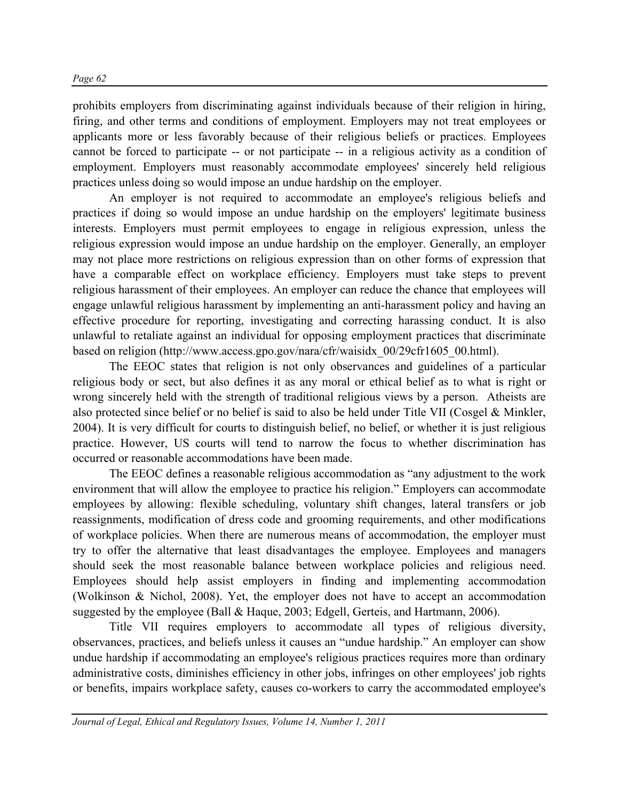prohibits employers from discriminating against individuals because of their religion in hiring, firing, and other terms and conditions of employment. Employers may not treat employees or applicants more or less favorably because of their religious beliefs or practices. Employees cannot be forced to participate -- or not participate -- in a religious activity as a condition of employment. Employers must reasonably accommodate employees' sincerely held religious practices unless doing so would impose an undue hardship on the employer.

An employer is not required to accommodate an employee's religious beliefs and practices if doing so would impose an undue hardship on the employers' legitimate business interests. Employers must permit employees to engage in religious expression, unless the religious expression would impose an undue hardship on the employer. Generally, an employer may not place more restrictions on religious expression than on other forms of expression that have a comparable effect on workplace efficiency. Employers must take steps to prevent religious harassment of their employees. An employer can reduce the chance that employees will engage unlawful religious harassment by implementing an anti-harassment policy and having an effective procedure for reporting, investigating and correcting harassing conduct. It is also unlawful to retaliate against an individual for opposing employment practices that discriminate based on religion (http://www.access.gpo.gov/nara/cfr/waisidx\_00/29cfr1605\_00.html).

The EEOC states that religion is not only observances and guidelines of a particular religious body or sect, but also defines it as any moral or ethical belief as to what is right or wrong sincerely held with the strength of traditional religious views by a person. Atheists are also protected since belief or no belief is said to also be held under Title VII (Cosgel & Minkler, 2004). It is very difficult for courts to distinguish belief, no belief, or whether it is just religious practice. However, US courts will tend to narrow the focus to whether discrimination has occurred or reasonable accommodations have been made.

The EEOC defines a reasonable religious accommodation as "any adjustment to the work environment that will allow the employee to practice his religion." Employers can accommodate employees by allowing: flexible scheduling, voluntary shift changes, lateral transfers or job reassignments, modification of dress code and grooming requirements, and other modifications of workplace policies. When there are numerous means of accommodation, the employer must try to offer the alternative that least disadvantages the employee. Employees and managers should seek the most reasonable balance between workplace policies and religious need. Employees should help assist employers in finding and implementing accommodation (Wolkinson & Nichol, 2008). Yet, the employer does not have to accept an accommodation suggested by the employee (Ball & Haque, 2003; Edgell, Gerteis, and Hartmann, 2006).

Title VII requires employers to accommodate all types of religious diversity, observances, practices, and beliefs unless it causes an "undue hardship." An employer can show undue hardship if accommodating an employee's religious practices requires more than ordinary administrative costs, diminishes efficiency in other jobs, infringes on other employees' job rights or benefits, impairs workplace safety, causes co-workers to carry the accommodated employee's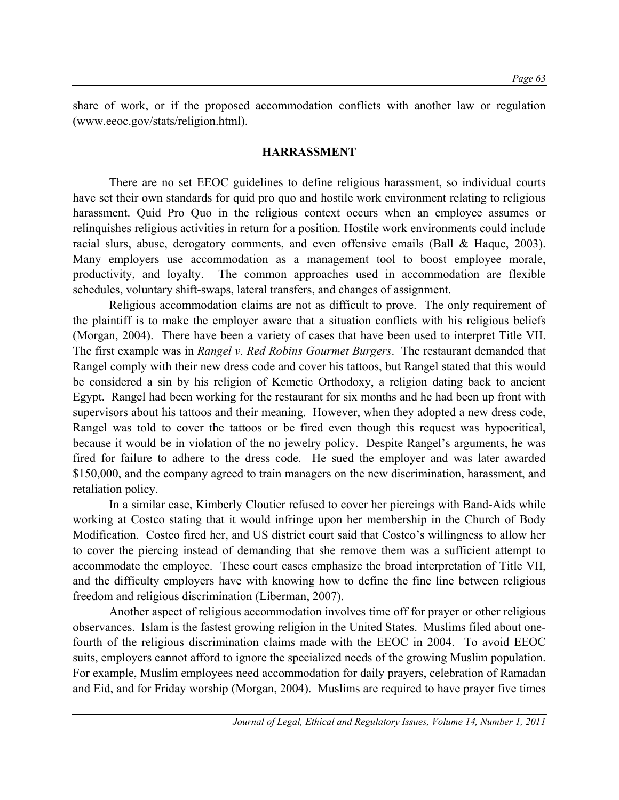share of work, or if the proposed accommodation conflicts with another law or regulation (www.eeoc.gov/stats/religion.html).

#### **HARRASSMENT**

 There are no set EEOC guidelines to define religious harassment, so individual courts have set their own standards for quid pro quo and hostile work environment relating to religious harassment. Quid Pro Quo in the religious context occurs when an employee assumes or relinquishes religious activities in return for a position. Hostile work environments could include racial slurs, abuse, derogatory comments, and even offensive emails (Ball & Haque, 2003). Many employers use accommodation as a management tool to boost employee morale, productivity, and loyalty. The common approaches used in accommodation are flexible schedules, voluntary shift-swaps, lateral transfers, and changes of assignment.

Religious accommodation claims are not as difficult to prove. The only requirement of the plaintiff is to make the employer aware that a situation conflicts with his religious beliefs (Morgan, 2004). There have been a variety of cases that have been used to interpret Title VII. The first example was in *Rangel v. Red Robins Gourmet Burgers*. The restaurant demanded that Rangel comply with their new dress code and cover his tattoos, but Rangel stated that this would be considered a sin by his religion of Kemetic Orthodoxy, a religion dating back to ancient Egypt. Rangel had been working for the restaurant for six months and he had been up front with supervisors about his tattoos and their meaning. However, when they adopted a new dress code, Rangel was told to cover the tattoos or be fired even though this request was hypocritical, because it would be in violation of the no jewelry policy. Despite Rangel's arguments, he was fired for failure to adhere to the dress code. He sued the employer and was later awarded \$150,000, and the company agreed to train managers on the new discrimination, harassment, and retaliation policy.

In a similar case, Kimberly Cloutier refused to cover her piercings with Band-Aids while working at Costco stating that it would infringe upon her membership in the Church of Body Modification. Costco fired her, and US district court said that Costco's willingness to allow her to cover the piercing instead of demanding that she remove them was a sufficient attempt to accommodate the employee. These court cases emphasize the broad interpretation of Title VII, and the difficulty employers have with knowing how to define the fine line between religious freedom and religious discrimination (Liberman, 2007).

Another aspect of religious accommodation involves time off for prayer or other religious observances. Islam is the fastest growing religion in the United States. Muslims filed about onefourth of the religious discrimination claims made with the EEOC in 2004. To avoid EEOC suits, employers cannot afford to ignore the specialized needs of the growing Muslim population. For example, Muslim employees need accommodation for daily prayers, celebration of Ramadan and Eid, and for Friday worship (Morgan, 2004). Muslims are required to have prayer five times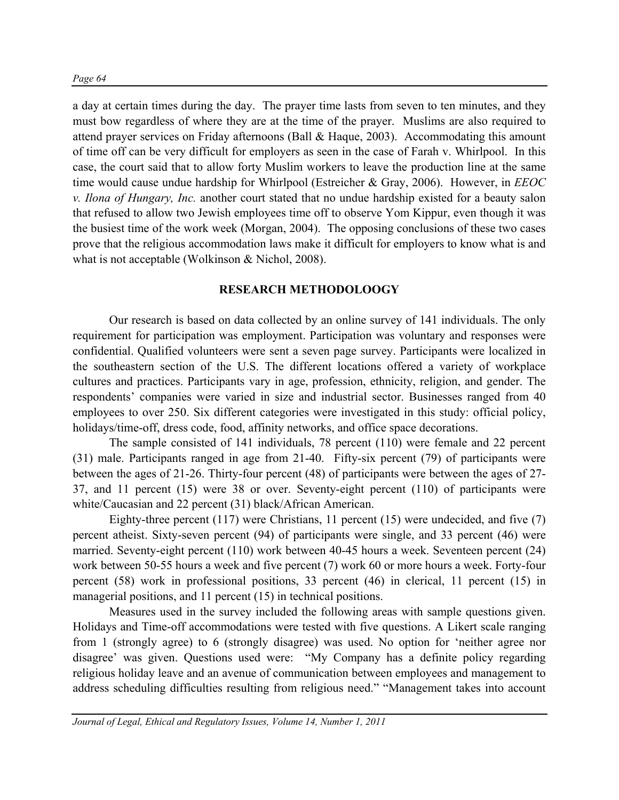a day at certain times during the day. The prayer time lasts from seven to ten minutes, and they must bow regardless of where they are at the time of the prayer. Muslims are also required to attend prayer services on Friday afternoons (Ball & Haque, 2003). Accommodating this amount of time off can be very difficult for employers as seen in the case of Farah v. Whirlpool. In this case, the court said that to allow forty Muslim workers to leave the production line at the same time would cause undue hardship for Whirlpool (Estreicher & Gray, 2006). However, in *EEOC v. Ilona of Hungary, Inc.* another court stated that no undue hardship existed for a beauty salon that refused to allow two Jewish employees time off to observe Yom Kippur, even though it was the busiest time of the work week (Morgan, 2004). The opposing conclusions of these two cases prove that the religious accommodation laws make it difficult for employers to know what is and what is not acceptable (Wolkinson & Nichol, 2008).

#### **RESEARCH METHODOLOOGY**

Our research is based on data collected by an online survey of 141 individuals. The only requirement for participation was employment. Participation was voluntary and responses were confidential. Qualified volunteers were sent a seven page survey. Participants were localized in the southeastern section of the U.S. The different locations offered a variety of workplace cultures and practices. Participants vary in age, profession, ethnicity, religion, and gender. The respondents' companies were varied in size and industrial sector. Businesses ranged from 40 employees to over 250. Six different categories were investigated in this study: official policy, holidays/time-off, dress code, food, affinity networks, and office space decorations.

The sample consisted of 141 individuals, 78 percent (110) were female and 22 percent (31) male. Participants ranged in age from 21-40. Fifty-six percent (79) of participants were between the ages of 21-26. Thirty-four percent (48) of participants were between the ages of 27- 37, and 11 percent (15) were 38 or over. Seventy-eight percent (110) of participants were white/Caucasian and 22 percent (31) black/African American.

Eighty-three percent (117) were Christians, 11 percent (15) were undecided, and five (7) percent atheist. Sixty-seven percent (94) of participants were single, and 33 percent (46) were married. Seventy-eight percent (110) work between 40-45 hours a week. Seventeen percent (24) work between 50-55 hours a week and five percent (7) work 60 or more hours a week. Forty-four percent (58) work in professional positions, 33 percent (46) in clerical, 11 percent (15) in managerial positions, and 11 percent (15) in technical positions.

Measures used in the survey included the following areas with sample questions given. Holidays and Time-off accommodations were tested with five questions. A Likert scale ranging from 1 (strongly agree) to 6 (strongly disagree) was used. No option for 'neither agree nor disagree' was given. Questions used were: "My Company has a definite policy regarding religious holiday leave and an avenue of communication between employees and management to address scheduling difficulties resulting from religious need." "Management takes into account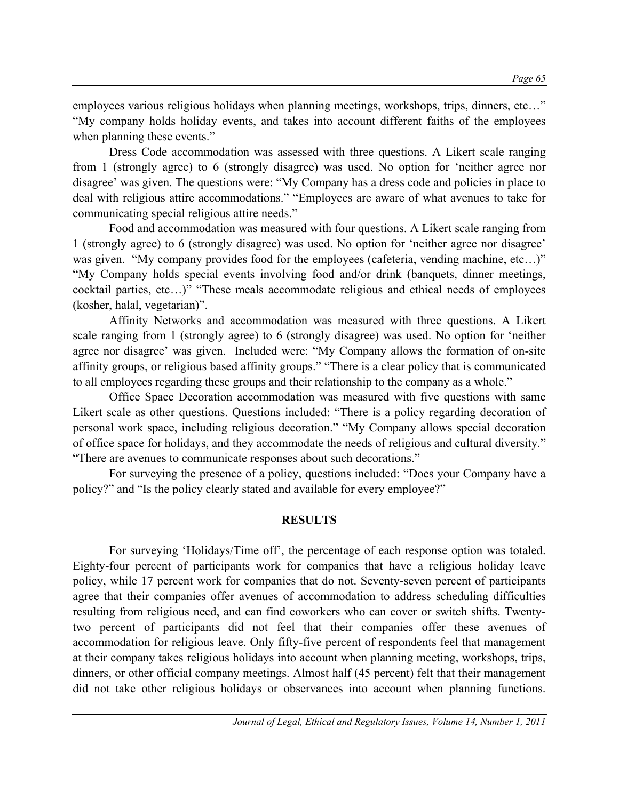employees various religious holidays when planning meetings, workshops, trips, dinners, etc…" "My company holds holiday events, and takes into account different faiths of the employees when planning these events."

Dress Code accommodation was assessed with three questions. A Likert scale ranging from 1 (strongly agree) to 6 (strongly disagree) was used. No option for 'neither agree nor disagree' was given. The questions were: "My Company has a dress code and policies in place to deal with religious attire accommodations." "Employees are aware of what avenues to take for communicating special religious attire needs."

Food and accommodation was measured with four questions. A Likert scale ranging from 1 (strongly agree) to 6 (strongly disagree) was used. No option for 'neither agree nor disagree' was given. "My company provides food for the employees (cafeteria, vending machine, etc...)" "My Company holds special events involving food and/or drink (banquets, dinner meetings, cocktail parties, etc…)" "These meals accommodate religious and ethical needs of employees (kosher, halal, vegetarian)".

Affinity Networks and accommodation was measured with three questions. A Likert scale ranging from 1 (strongly agree) to 6 (strongly disagree) was used. No option for 'neither agree nor disagree' was given. Included were: "My Company allows the formation of on-site affinity groups, or religious based affinity groups." "There is a clear policy that is communicated to all employees regarding these groups and their relationship to the company as a whole."

Office Space Decoration accommodation was measured with five questions with same Likert scale as other questions. Questions included: "There is a policy regarding decoration of personal work space, including religious decoration." "My Company allows special decoration of office space for holidays, and they accommodate the needs of religious and cultural diversity." "There are avenues to communicate responses about such decorations."

For surveying the presence of a policy, questions included: "Does your Company have a policy?" and "Is the policy clearly stated and available for every employee?"

#### **RESULTS**

For surveying 'Holidays/Time off', the percentage of each response option was totaled. Eighty-four percent of participants work for companies that have a religious holiday leave policy, while 17 percent work for companies that do not. Seventy-seven percent of participants agree that their companies offer avenues of accommodation to address scheduling difficulties resulting from religious need, and can find coworkers who can cover or switch shifts. Twentytwo percent of participants did not feel that their companies offer these avenues of accommodation for religious leave. Only fifty-five percent of respondents feel that management at their company takes religious holidays into account when planning meeting, workshops, trips, dinners, or other official company meetings. Almost half (45 percent) felt that their management did not take other religious holidays or observances into account when planning functions.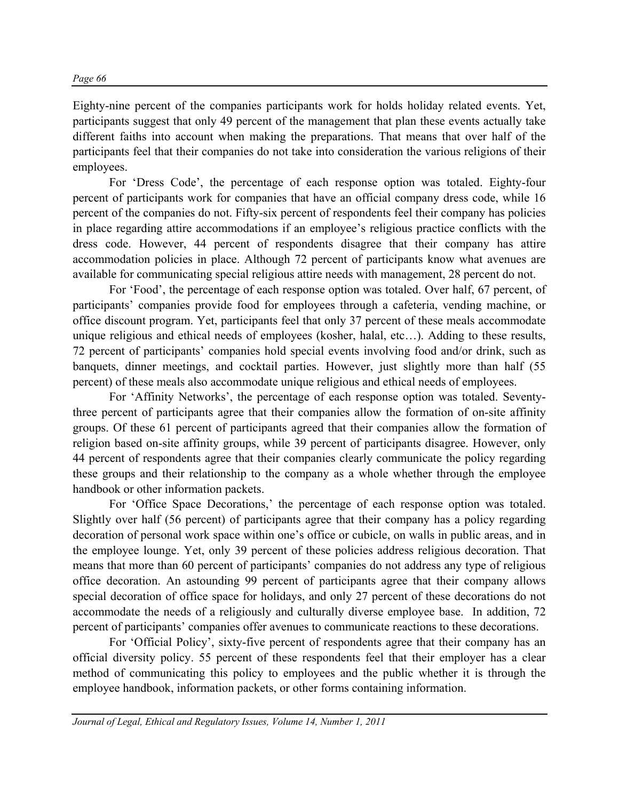Eighty-nine percent of the companies participants work for holds holiday related events. Yet, participants suggest that only 49 percent of the management that plan these events actually take different faiths into account when making the preparations. That means that over half of the participants feel that their companies do not take into consideration the various religions of their employees.

For 'Dress Code', the percentage of each response option was totaled. Eighty-four percent of participants work for companies that have an official company dress code, while 16 percent of the companies do not. Fifty-six percent of respondents feel their company has policies in place regarding attire accommodations if an employee's religious practice conflicts with the dress code. However, 44 percent of respondents disagree that their company has attire accommodation policies in place. Although 72 percent of participants know what avenues are available for communicating special religious attire needs with management, 28 percent do not.

For 'Food', the percentage of each response option was totaled. Over half, 67 percent, of participants' companies provide food for employees through a cafeteria, vending machine, or office discount program. Yet, participants feel that only 37 percent of these meals accommodate unique religious and ethical needs of employees (kosher, halal, etc…). Adding to these results, 72 percent of participants' companies hold special events involving food and/or drink, such as banquets, dinner meetings, and cocktail parties. However, just slightly more than half (55 percent) of these meals also accommodate unique religious and ethical needs of employees.

For 'Affinity Networks', the percentage of each response option was totaled. Seventythree percent of participants agree that their companies allow the formation of on-site affinity groups. Of these 61 percent of participants agreed that their companies allow the formation of religion based on-site affinity groups, while 39 percent of participants disagree. However, only 44 percent of respondents agree that their companies clearly communicate the policy regarding these groups and their relationship to the company as a whole whether through the employee handbook or other information packets.

For 'Office Space Decorations,' the percentage of each response option was totaled. Slightly over half (56 percent) of participants agree that their company has a policy regarding decoration of personal work space within one's office or cubicle, on walls in public areas, and in the employee lounge. Yet, only 39 percent of these policies address religious decoration. That means that more than 60 percent of participants' companies do not address any type of religious office decoration. An astounding 99 percent of participants agree that their company allows special decoration of office space for holidays, and only 27 percent of these decorations do not accommodate the needs of a religiously and culturally diverse employee base. In addition, 72 percent of participants' companies offer avenues to communicate reactions to these decorations.

For 'Official Policy', sixty-five percent of respondents agree that their company has an official diversity policy. 55 percent of these respondents feel that their employer has a clear method of communicating this policy to employees and the public whether it is through the employee handbook, information packets, or other forms containing information.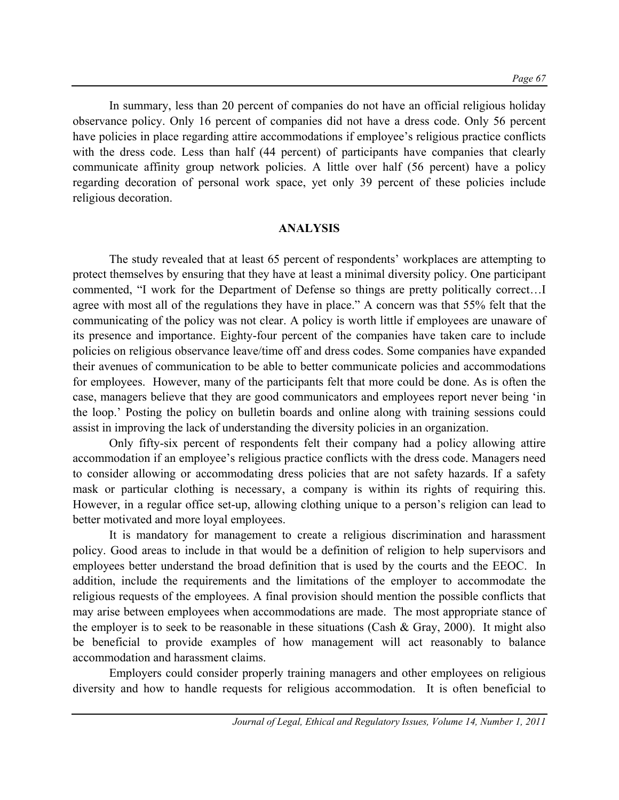In summary, less than 20 percent of companies do not have an official religious holiday observance policy. Only 16 percent of companies did not have a dress code. Only 56 percent have policies in place regarding attire accommodations if employee's religious practice conflicts with the dress code. Less than half (44 percent) of participants have companies that clearly communicate affinity group network policies. A little over half (56 percent) have a policy regarding decoration of personal work space, yet only 39 percent of these policies include religious decoration.

# **ANALYSIS**

The study revealed that at least 65 percent of respondents' workplaces are attempting to protect themselves by ensuring that they have at least a minimal diversity policy. One participant commented, "I work for the Department of Defense so things are pretty politically correct…I agree with most all of the regulations they have in place." A concern was that 55% felt that the communicating of the policy was not clear. A policy is worth little if employees are unaware of its presence and importance. Eighty-four percent of the companies have taken care to include policies on religious observance leave/time off and dress codes. Some companies have expanded their avenues of communication to be able to better communicate policies and accommodations for employees. However, many of the participants felt that more could be done. As is often the case, managers believe that they are good communicators and employees report never being 'in the loop.' Posting the policy on bulletin boards and online along with training sessions could assist in improving the lack of understanding the diversity policies in an organization.

Only fifty-six percent of respondents felt their company had a policy allowing attire accommodation if an employee's religious practice conflicts with the dress code. Managers need to consider allowing or accommodating dress policies that are not safety hazards. If a safety mask or particular clothing is necessary, a company is within its rights of requiring this. However, in a regular office set-up, allowing clothing unique to a person's religion can lead to better motivated and more loyal employees.

It is mandatory for management to create a religious discrimination and harassment policy. Good areas to include in that would be a definition of religion to help supervisors and employees better understand the broad definition that is used by the courts and the EEOC. In addition, include the requirements and the limitations of the employer to accommodate the religious requests of the employees. A final provision should mention the possible conflicts that may arise between employees when accommodations are made. The most appropriate stance of the employer is to seek to be reasonable in these situations (Cash & Gray, 2000). It might also be beneficial to provide examples of how management will act reasonably to balance accommodation and harassment claims.

Employers could consider properly training managers and other employees on religious diversity and how to handle requests for religious accommodation. It is often beneficial to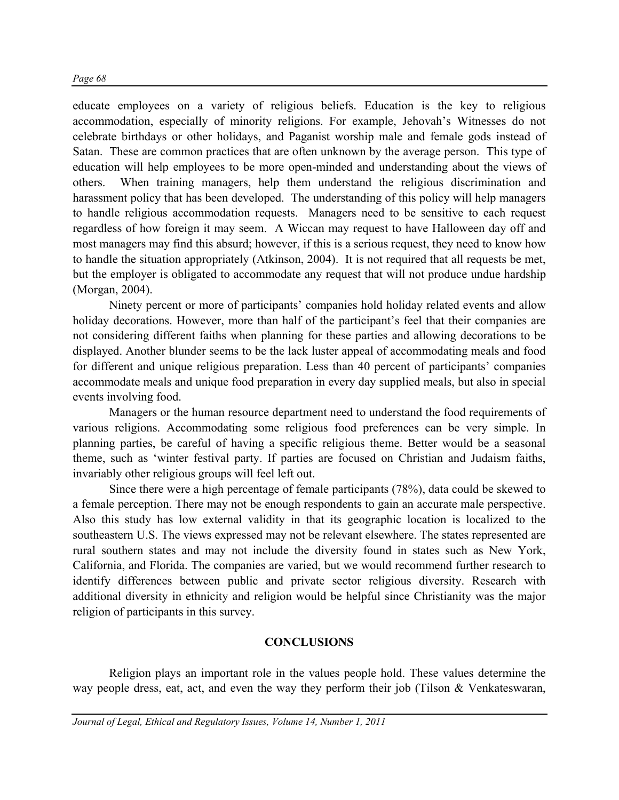educate employees on a variety of religious beliefs. Education is the key to religious accommodation, especially of minority religions. For example, Jehovah's Witnesses do not celebrate birthdays or other holidays, and Paganist worship male and female gods instead of Satan. These are common practices that are often unknown by the average person. This type of education will help employees to be more open-minded and understanding about the views of others. When training managers, help them understand the religious discrimination and harassment policy that has been developed. The understanding of this policy will help managers to handle religious accommodation requests. Managers need to be sensitive to each request regardless of how foreign it may seem. A Wiccan may request to have Halloween day off and most managers may find this absurd; however, if this is a serious request, they need to know how to handle the situation appropriately (Atkinson, 2004). It is not required that all requests be met, but the employer is obligated to accommodate any request that will not produce undue hardship (Morgan, 2004).

Ninety percent or more of participants' companies hold holiday related events and allow holiday decorations. However, more than half of the participant's feel that their companies are not considering different faiths when planning for these parties and allowing decorations to be displayed. Another blunder seems to be the lack luster appeal of accommodating meals and food for different and unique religious preparation. Less than 40 percent of participants' companies accommodate meals and unique food preparation in every day supplied meals, but also in special events involving food.

Managers or the human resource department need to understand the food requirements of various religions. Accommodating some religious food preferences can be very simple. In planning parties, be careful of having a specific religious theme. Better would be a seasonal theme, such as 'winter festival party. If parties are focused on Christian and Judaism faiths, invariably other religious groups will feel left out.

Since there were a high percentage of female participants (78%), data could be skewed to a female perception. There may not be enough respondents to gain an accurate male perspective. Also this study has low external validity in that its geographic location is localized to the southeastern U.S. The views expressed may not be relevant elsewhere. The states represented are rural southern states and may not include the diversity found in states such as New York, California, and Florida. The companies are varied, but we would recommend further research to identify differences between public and private sector religious diversity. Research with additional diversity in ethnicity and religion would be helpful since Christianity was the major religion of participants in this survey.

## **CONCLUSIONS**

Religion plays an important role in the values people hold. These values determine the way people dress, eat, act, and even the way they perform their job (Tilson & Venkateswaran,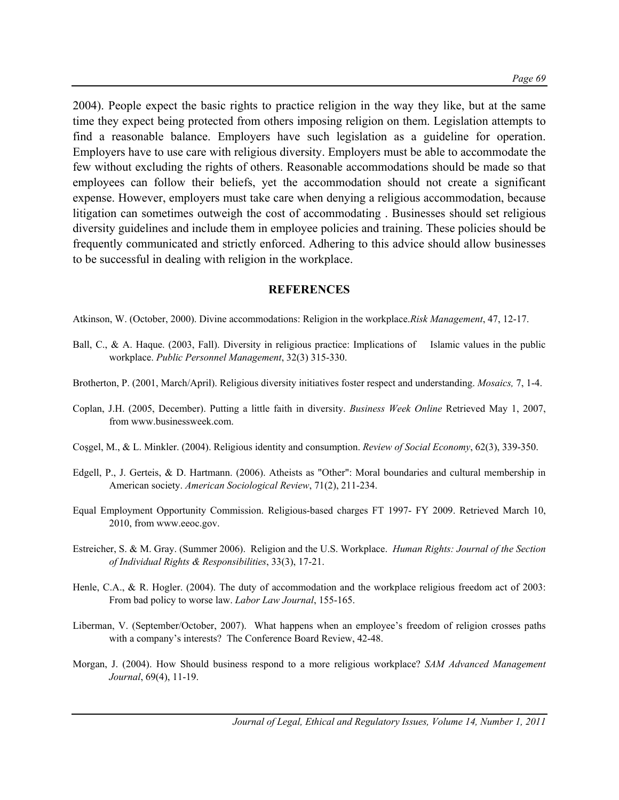2004). People expect the basic rights to practice religion in the way they like, but at the same time they expect being protected from others imposing religion on them. Legislation attempts to find a reasonable balance. Employers have such legislation as a guideline for operation. Employers have to use care with religious diversity. Employers must be able to accommodate the few without excluding the rights of others. Reasonable accommodations should be made so that employees can follow their beliefs, yet the accommodation should not create a significant expense. However, employers must take care when denying a religious accommodation, because litigation can sometimes outweigh the cost of accommodating . Businesses should set religious diversity guidelines and include them in employee policies and training. These policies should be frequently communicated and strictly enforced. Adhering to this advice should allow businesses to be successful in dealing with religion in the workplace.

#### **REFERENCES**

Atkinson, W. (October, 2000). Divine accommodations: Religion in the workplace.*Risk Management*, 47, 12-17.

- Ball, C., & A. Haque. (2003, Fall). Diversity in religious practice: Implications of Islamic values in the public workplace. *Public Personnel Management*, 32(3) 315-330.
- Brotherton, P. (2001, March/April). Religious diversity initiatives foster respect and understanding. *Mosaics,* 7, 1-4.
- Coplan, J.H. (2005, December). Putting a little faith in diversity. *Business Week Online* Retrieved May 1, 2007, from www.businessweek.com.
- Coşgel, M., & L. Minkler. (2004). Religious identity and consumption. *Review of Social Economy*, 62(3), 339-350.
- Edgell, P., J. Gerteis, & D. Hartmann. (2006). Atheists as "Other": Moral boundaries and cultural membership in American society. *American Sociological Review*, 71(2), 211-234.
- Equal Employment Opportunity Commission. Religious-based charges FT 1997- FY 2009. Retrieved March 10, 2010, from www.eeoc.gov.
- Estreicher, S. & M. Gray. (Summer 2006). Religion and the U.S. Workplace. *Human Rights: Journal of the Section of Individual Rights & Responsibilities*, 33(3), 17-21.
- Henle, C.A., & R. Hogler. (2004). The duty of accommodation and the workplace religious freedom act of 2003: From bad policy to worse law. *Labor Law Journal*, 155-165.
- Liberman, V. (September/October, 2007). What happens when an employee's freedom of religion crosses paths with a company's interests? The Conference Board Review, 42-48.
- Morgan, J. (2004). How Should business respond to a more religious workplace? *SAM Advanced Management Journal*, 69(4), 11-19.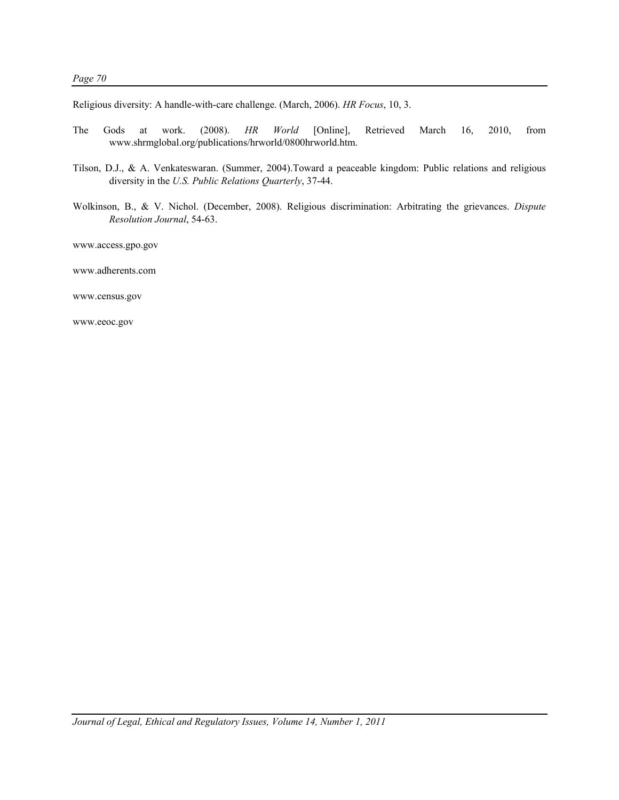Religious diversity: A handle-with-care challenge. (March, 2006). *HR Focus*, 10, 3.

- The Gods at work. (2008). *HR World* [Online], Retrieved March 16, 2010, from www.shrmglobal.org/publications/hrworld/0800hrworld.htm.
- Tilson, D.J., & A. Venkateswaran. (Summer, 2004).Toward a peaceable kingdom: Public relations and religious diversity in the *U.S. Public Relations Quarterly*, 37-44.
- Wolkinson, B., & V. Nichol. (December, 2008). Religious discrimination: Arbitrating the grievances. *Dispute Resolution Journal*, 54-63.

www.access.gpo.gov

www.adherents.com

www.census.gov

www.eeoc.gov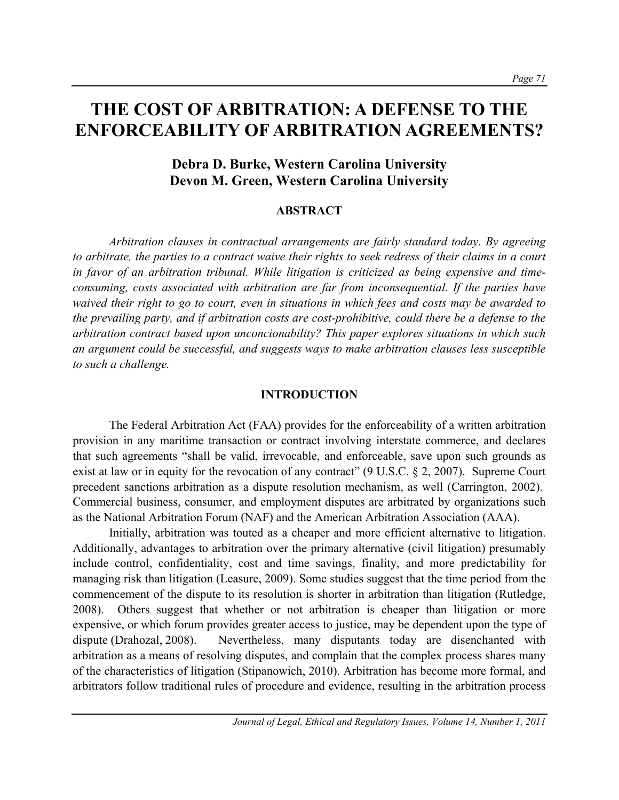# **THE COST OF ARBITRATION: A DEFENSE TO THE ENFORCEABILITY OF ARBITRATION AGREEMENTS?**

# **Debra D. Burke, Western Carolina University Devon M. Green, Western Carolina University**

### **ABSTRACT**

*Arbitration clauses in contractual arrangements are fairly standard today. By agreeing to arbitrate, the parties to a contract waive their rights to seek redress of their claims in a court in favor of an arbitration tribunal. While litigation is criticized as being expensive and timeconsuming, costs associated with arbitration are far from inconsequential. If the parties have waived their right to go to court, even in situations in which fees and costs may be awarded to the prevailing party, and if arbitration costs are cost-prohibitive, could there be a defense to the arbitration contract based upon unconcionability? This paper explores situations in which such an argument could be successful, and suggests ways to make arbitration clauses less susceptible to such a challenge.* 

### **INTRODUCTION**

 The Federal Arbitration Act (FAA) provides for the enforceability of a written arbitration provision in any maritime transaction or contract involving interstate commerce, and declares that such agreements "shall be valid, irrevocable, and enforceable, save upon such grounds as exist at law or in equity for the revocation of any contract" (9 U.S.C. § 2, 2007). Supreme Court precedent sanctions arbitration as a dispute resolution mechanism, as well (Carrington, 2002). Commercial business, consumer, and employment disputes are arbitrated by organizations such as the National Arbitration Forum (NAF) and the American Arbitration Association (AAA).

Initially, arbitration was touted as a cheaper and more efficient alternative to litigation. Additionally, advantages to arbitration over the primary alternative (civil litigation) presumably include control, confidentiality, cost and time savings, finality, and more predictability for managing risk than litigation (Leasure, 2009). Some studies suggest that the time period from the commencement of the dispute to its resolution is shorter in arbitration than litigation (Rutledge, 2008). Others suggest that whether or not arbitration is cheaper than litigation or more expensive, or which forum provides greater access to justice, may be dependent upon the type of dispute (Drahozal, 2008). Nevertheless, many disputants today are disenchanted with arbitration as a means of resolving disputes, and complain that the complex process shares many of the characteristics of litigation (Stipanowich, 2010). Arbitration has become more formal, and arbitrators follow traditional rules of procedure and evidence, resulting in the arbitration process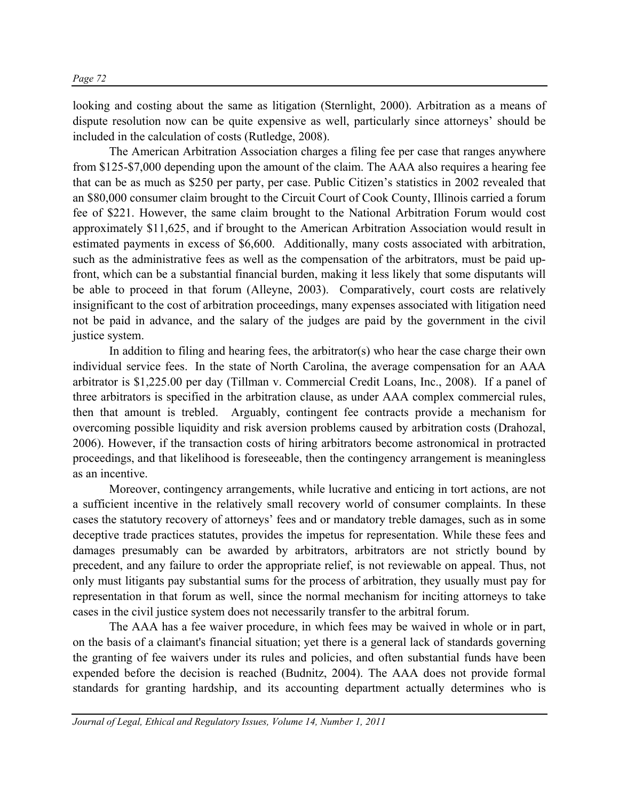looking and costing about the same as litigation (Sternlight, 2000). Arbitration as a means of dispute resolution now can be quite expensive as well, particularly since attorneys' should be included in the calculation of costs (Rutledge, 2008).

 The American Arbitration Association charges a filing fee per case that ranges anywhere from \$125-\$7,000 depending upon the amount of the claim. The AAA also requires a hearing fee that can be as much as \$250 per party, per case. Public Citizen's statistics in 2002 revealed that an \$80,000 consumer claim brought to the Circuit Court of Cook County, Illinois carried a forum fee of \$221. However, the same claim brought to the National Arbitration Forum would cost approximately \$11,625, and if brought to the American Arbitration Association would result in estimated payments in excess of \$6,600. Additionally, many costs associated with arbitration, such as the administrative fees as well as the compensation of the arbitrators, must be paid upfront, which can be a substantial financial burden, making it less likely that some disputants will be able to proceed in that forum (Alleyne, 2003). Comparatively, court costs are relatively insignificant to the cost of arbitration proceedings, many expenses associated with litigation need not be paid in advance, and the salary of the judges are paid by the government in the civil justice system.

 In addition to filing and hearing fees, the arbitrator(s) who hear the case charge their own individual service fees. In the state of North Carolina, the average compensation for an AAA arbitrator is \$1,225.00 per day (Tillman v. Commercial Credit Loans, Inc., 2008). If a panel of three arbitrators is specified in the arbitration clause, as under AAA complex commercial rules, then that amount is trebled. Arguably, contingent fee contracts provide a mechanism for overcoming possible liquidity and risk aversion problems caused by arbitration costs (Drahozal, 2006). However, if the transaction costs of hiring arbitrators become astronomical in protracted proceedings, and that likelihood is foreseeable, then the contingency arrangement is meaningless as an incentive.

 Moreover, contingency arrangements, while lucrative and enticing in tort actions, are not a sufficient incentive in the relatively small recovery world of consumer complaints. In these cases the statutory recovery of attorneys' fees and or mandatory treble damages, such as in some deceptive trade practices statutes, provides the impetus for representation. While these fees and damages presumably can be awarded by arbitrators, arbitrators are not strictly bound by precedent, and any failure to order the appropriate relief, is not reviewable on appeal. Thus, not only must litigants pay substantial sums for the process of arbitration, they usually must pay for representation in that forum as well, since the normal mechanism for inciting attorneys to take cases in the civil justice system does not necessarily transfer to the arbitral forum.

 The AAA has a fee waiver procedure, in which fees may be waived in whole or in part, on the basis of a claimant's financial situation; yet there is a general lack of standards governing the granting of fee waivers under its rules and policies, and often substantial funds have been expended before the decision is reached (Budnitz, 2004). The AAA does not provide formal standards for granting hardship, and its accounting department actually determines who is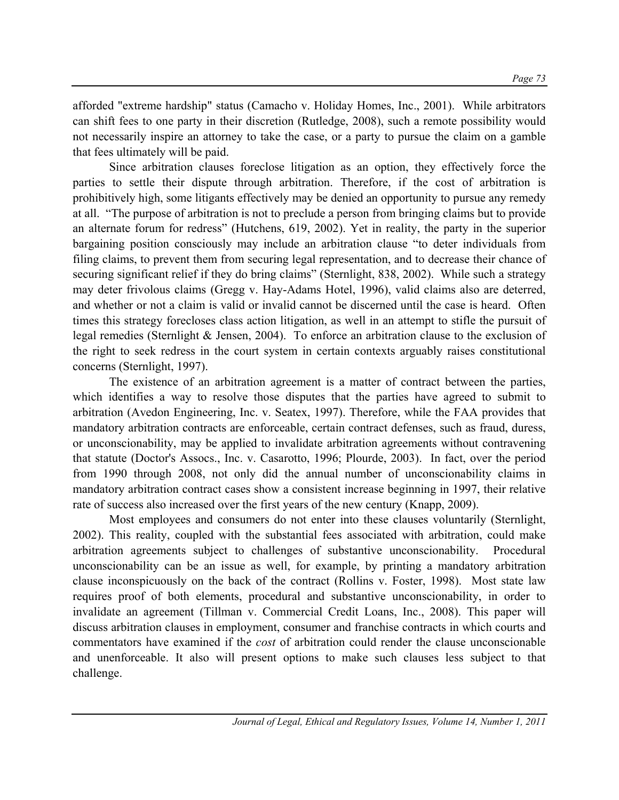afforded "extreme hardship" status (Camacho v. Holiday Homes, Inc., 2001). While arbitrators can shift fees to one party in their discretion (Rutledge, 2008), such a remote possibility would not necessarily inspire an attorney to take the case, or a party to pursue the claim on a gamble that fees ultimately will be paid.

 Since arbitration clauses foreclose litigation as an option, they effectively force the parties to settle their dispute through arbitration. Therefore, if the cost of arbitration is prohibitively high, some litigants effectively may be denied an opportunity to pursue any remedy at all. "The purpose of arbitration is not to preclude a person from bringing claims but to provide an alternate forum for redress" (Hutchens, 619, 2002). Yet in reality, the party in the superior bargaining position consciously may include an arbitration clause "to deter individuals from filing claims, to prevent them from securing legal representation, and to decrease their chance of securing significant relief if they do bring claims" (Sternlight, 838, 2002). While such a strategy may deter frivolous claims (Gregg v. Hay-Adams Hotel, 1996), valid claims also are deterred, and whether or not a claim is valid or invalid cannot be discerned until the case is heard. Often times this strategy forecloses class action litigation, as well in an attempt to stifle the pursuit of legal remedies (Sternlight & Jensen, 2004). To enforce an arbitration clause to the exclusion of the right to seek redress in the court system in certain contexts arguably raises constitutional concerns (Sternlight, 1997).

 The existence of an arbitration agreement is a matter of contract between the parties, which identifies a way to resolve those disputes that the parties have agreed to submit to arbitration (Avedon Engineering, Inc. v. Seatex, 1997). Therefore, while the FAA provides that mandatory arbitration contracts are enforceable, certain contract defenses, such as fraud, duress, or unconscionability, may be applied to invalidate arbitration agreements without contravening that statute (Doctor's Assocs., Inc. v. Casarotto, 1996; Plourde, 2003). In fact, over the period from 1990 through 2008, not only did the annual number of unconscionability claims in mandatory arbitration contract cases show a consistent increase beginning in 1997, their relative rate of success also increased over the first years of the new century (Knapp, 2009).

 Most employees and consumers do not enter into these clauses voluntarily (Sternlight, 2002). This reality, coupled with the substantial fees associated with arbitration, could make arbitration agreements subject to challenges of substantive unconscionability. Procedural unconscionability can be an issue as well, for example, by printing a mandatory arbitration clause inconspicuously on the back of the contract (Rollins v. Foster, 1998). Most state law requires proof of both elements, procedural and substantive unconscionability, in order to invalidate an agreement (Tillman v. Commercial Credit Loans, Inc., 2008). This paper will discuss arbitration clauses in employment, consumer and franchise contracts in which courts and commentators have examined if the *cost* of arbitration could render the clause unconscionable and unenforceable. It also will present options to make such clauses less subject to that challenge.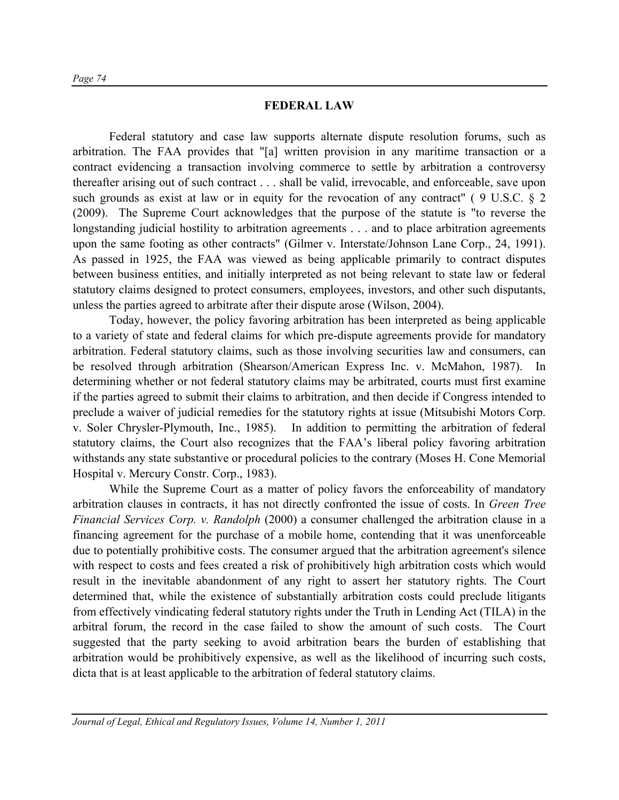### **FEDERAL LAW**

Federal statutory and case law supports alternate dispute resolution forums, such as arbitration. The FAA provides that "[a] written provision in any maritime transaction or a contract evidencing a transaction involving commerce to settle by arbitration a controversy thereafter arising out of such contract . . . shall be valid, irrevocable, and enforceable, save upon such grounds as exist at law or in equity for the revocation of any contract" (9 U.S.C. § 2 (2009). The Supreme Court acknowledges that the purpose of the statute is "to reverse the longstanding judicial hostility to arbitration agreements . . . and to place arbitration agreements upon the same footing as other contracts" (Gilmer v. Interstate/Johnson Lane Corp., 24, 1991). As passed in 1925, the FAA was viewed as being applicable primarily to contract disputes between business entities, and initially interpreted as not being relevant to state law or federal statutory claims designed to protect consumers, employees, investors, and other such disputants, unless the parties agreed to arbitrate after their dispute arose (Wilson, 2004).

Today, however, the policy favoring arbitration has been interpreted as being applicable to a variety of state and federal claims for which pre-dispute agreements provide for mandatory arbitration. Federal statutory claims, such as those involving securities law and consumers, can be resolved through arbitration (Shearson/American Express Inc. v. McMahon, 1987). In determining whether or not federal statutory claims may be arbitrated, courts must first examine if the parties agreed to submit their claims to arbitration, and then decide if Congress intended to preclude a waiver of judicial remedies for the statutory rights at issue (Mitsubishi Motors Corp. v. Soler Chrysler-Plymouth, Inc., 1985). In addition to permitting the arbitration of federal statutory claims, the Court also recognizes that the FAA's liberal policy favoring arbitration withstands any state substantive or procedural policies to the contrary (Moses H. Cone Memorial Hospital v. Mercury Constr. Corp., 1983).

While the Supreme Court as a matter of policy favors the enforceability of mandatory arbitration clauses in contracts, it has not directly confronted the issue of costs. In *Green Tree Financial Services Corp. v. Randolph* (2000) a consumer challenged the arbitration clause in a financing agreement for the purchase of a mobile home, contending that it was unenforceable due to potentially prohibitive costs. The consumer argued that the arbitration agreement's silence with respect to costs and fees created a risk of prohibitively high arbitration costs which would result in the inevitable abandonment of any right to assert her statutory rights. The Court determined that, while the existence of substantially arbitration costs could preclude litigants from effectively vindicating federal statutory rights under the Truth in Lending Act (TILA) in the arbitral forum, the record in the case failed to show the amount of such costs. The Court suggested that the party seeking to avoid arbitration bears the burden of establishing that arbitration would be prohibitively expensive, as well as the likelihood of incurring such costs, dicta that is at least applicable to the arbitration of federal statutory claims.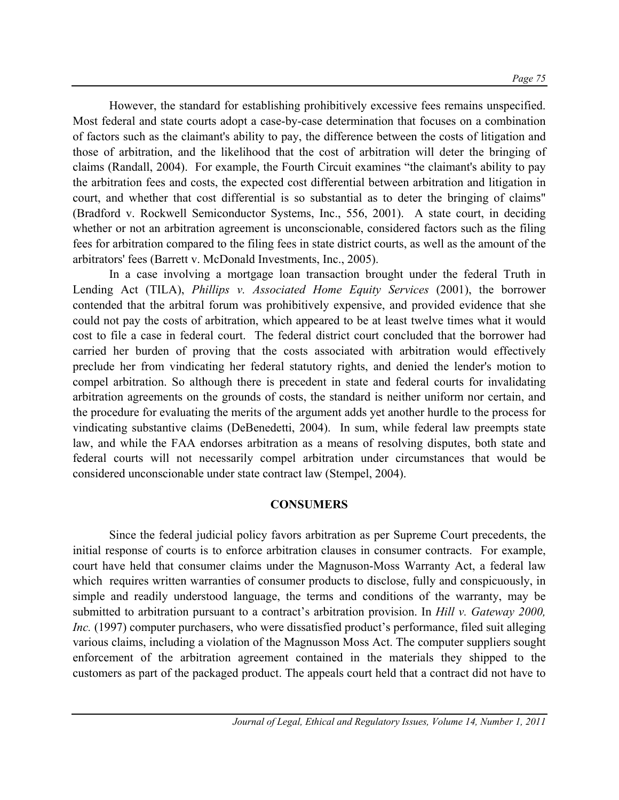However, the standard for establishing prohibitively excessive fees remains unspecified. Most federal and state courts adopt a case-by-case determination that focuses on a combination of factors such as the claimant's ability to pay, the difference between the costs of litigation and those of arbitration, and the likelihood that the cost of arbitration will deter the bringing of claims (Randall, 2004). For example, the Fourth Circuit examines "the claimant's ability to pay the arbitration fees and costs, the expected cost differential between arbitration and litigation in court, and whether that cost differential is so substantial as to deter the bringing of claims" (Bradford v. Rockwell Semiconductor Systems, Inc., 556, 2001). A state court, in deciding whether or not an arbitration agreement is unconscionable, considered factors such as the filing fees for arbitration compared to the filing fees in state district courts, as well as the amount of the arbitrators' fees (Barrett v. McDonald Investments, Inc., 2005).

In a case involving a mortgage loan transaction brought under the federal Truth in Lending Act (TILA), *Phillips v. Associated Home Equity Services* (2001), the borrower contended that the arbitral forum was prohibitively expensive, and provided evidence that she could not pay the costs of arbitration, which appeared to be at least twelve times what it would cost to file a case in federal court. The federal district court concluded that the borrower had carried her burden of proving that the costs associated with arbitration would effectively preclude her from vindicating her federal statutory rights, and denied the lender's motion to compel arbitration. So although there is precedent in state and federal courts for invalidating arbitration agreements on the grounds of costs, the standard is neither uniform nor certain, and the procedure for evaluating the merits of the argument adds yet another hurdle to the process for vindicating substantive claims (DeBenedetti, 2004). In sum, while federal law preempts state law, and while the FAA endorses arbitration as a means of resolving disputes, both state and federal courts will not necessarily compel arbitration under circumstances that would be considered unconscionable under state contract law (Stempel, 2004).

### **CONSUMERS**

 Since the federal judicial policy favors arbitration as per Supreme Court precedents, the initial response of courts is to enforce arbitration clauses in consumer contracts. For example, court have held that consumer claims under the Magnuson-Moss Warranty Act, a federal law which requires written warranties of consumer products to disclose, fully and conspicuously, in simple and readily understood language, the terms and conditions of the warranty, may be submitted to arbitration pursuant to a contract's arbitration provision. In *Hill v. Gateway 2000, Inc.* (1997) computer purchasers, who were dissatisfied product's performance, filed suit alleging various claims, including a violation of the Magnusson Moss Act. The computer suppliers sought enforcement of the arbitration agreement contained in the materials they shipped to the customers as part of the packaged product. The appeals court held that a contract did not have to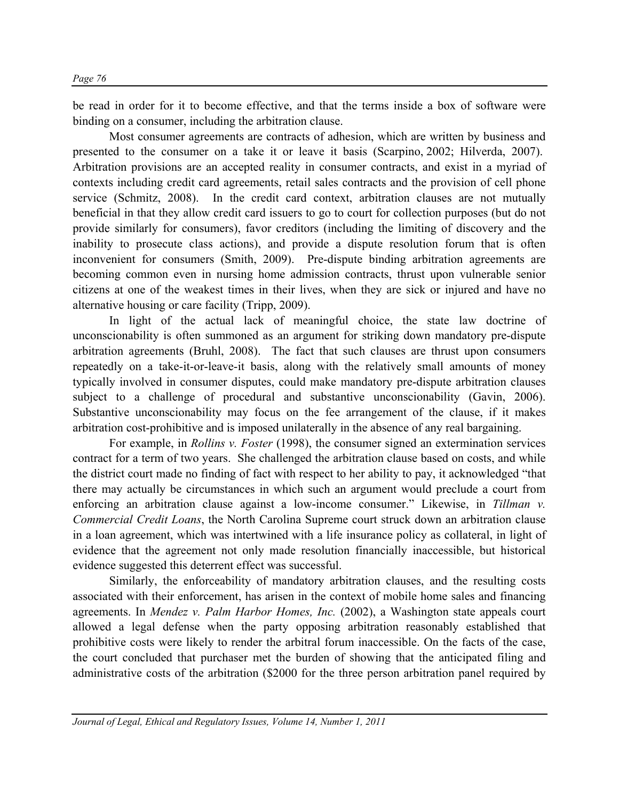be read in order for it to become effective, and that the terms inside a box of software were binding on a consumer, including the arbitration clause.

 Most consumer agreements are contracts of adhesion, which are written by business and presented to the consumer on a take it or leave it basis (Scarpino, 2002; Hilverda, 2007). Arbitration provisions are an accepted reality in consumer contracts, and exist in a myriad of contexts including credit card agreements, retail sales contracts and the provision of cell phone service (Schmitz, 2008). In the credit card context, arbitration clauses are not mutually beneficial in that they allow credit card issuers to go to court for collection purposes (but do not provide similarly for consumers), favor creditors (including the limiting of discovery and the inability to prosecute class actions), and provide a dispute resolution forum that is often inconvenient for consumers (Smith, 2009). Pre-dispute binding arbitration agreements are becoming common even in nursing home admission contracts, thrust upon vulnerable senior citizens at one of the weakest times in their lives, when they are sick or injured and have no alternative housing or care facility (Tripp, 2009).

 In light of the actual lack of meaningful choice, the state law doctrine of unconscionability is often summoned as an argument for striking down mandatory pre-dispute arbitration agreements (Bruhl, 2008). The fact that such clauses are thrust upon consumers repeatedly on a take-it-or-leave-it basis, along with the relatively small amounts of money typically involved in consumer disputes, could make mandatory pre-dispute arbitration clauses subject to a challenge of procedural and substantive unconscionability (Gavin, 2006). Substantive unconscionability may focus on the fee arrangement of the clause, if it makes arbitration cost-prohibitive and is imposed unilaterally in the absence of any real bargaining.

For example, in *Rollins v. Foster* (1998), the consumer signed an extermination services contract for a term of two years. She challenged the arbitration clause based on costs, and while the district court made no finding of fact with respect to her ability to pay, it acknowledged "that there may actually be circumstances in which such an argument would preclude a court from enforcing an arbitration clause against a low-income consumer." Likewise, in *Tillman v. Commercial Credit Loans*, the North Carolina Supreme court struck down an arbitration clause in a loan agreement, which was intertwined with a life insurance policy as collateral, in light of evidence that the agreement not only made resolution financially inaccessible, but historical evidence suggested this deterrent effect was successful.

 Similarly, the enforceability of mandatory arbitration clauses, and the resulting costs associated with their enforcement, has arisen in the context of mobile home sales and financing agreements. In *Mendez v. Palm Harbor Homes, Inc.* (2002), a Washington state appeals court allowed a legal defense when the party opposing arbitration reasonably established that prohibitive costs were likely to render the arbitral forum inaccessible. On the facts of the case, the court concluded that purchaser met the burden of showing that the anticipated filing and administrative costs of the arbitration (\$2000 for the three person arbitration panel required by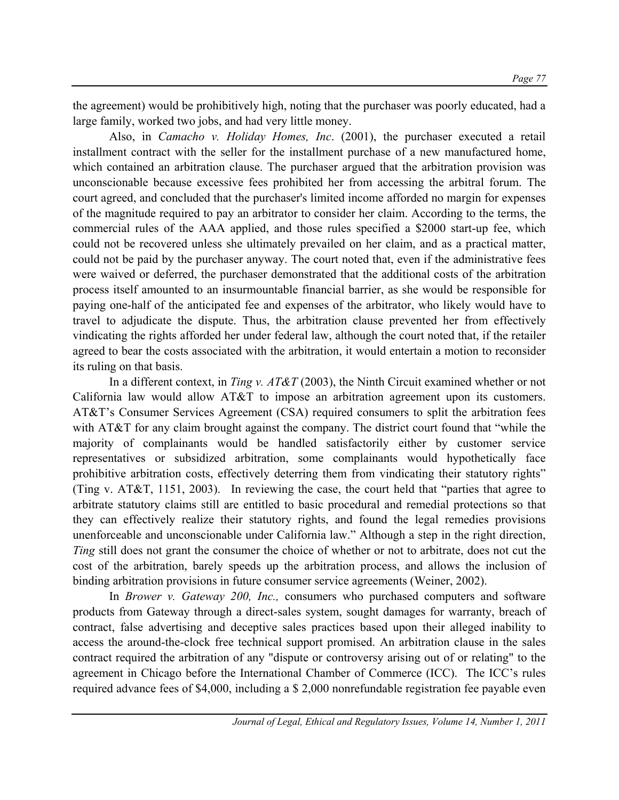the agreement) would be prohibitively high, noting that the purchaser was poorly educated, had a large family, worked two jobs, and had very little money.

 Also, in *Camacho v. Holiday Homes, Inc*. (2001), the purchaser executed a retail installment contract with the seller for the installment purchase of a new manufactured home, which contained an arbitration clause. The purchaser argued that the arbitration provision was unconscionable because excessive fees prohibited her from accessing the arbitral forum. The court agreed, and concluded that the purchaser's limited income afforded no margin for expenses of the magnitude required to pay an arbitrator to consider her claim. According to the terms, the commercial rules of the AAA applied, and those rules specified a \$2000 start-up fee, which could not be recovered unless she ultimately prevailed on her claim, and as a practical matter, could not be paid by the purchaser anyway. The court noted that, even if the administrative fees were waived or deferred, the purchaser demonstrated that the additional costs of the arbitration process itself amounted to an insurmountable financial barrier, as she would be responsible for paying one-half of the anticipated fee and expenses of the arbitrator, who likely would have to travel to adjudicate the dispute. Thus, the arbitration clause prevented her from effectively vindicating the rights afforded her under federal law, although the court noted that, if the retailer agreed to bear the costs associated with the arbitration, it would entertain a motion to reconsider its ruling on that basis.

 In a different context, in *Ting v. AT&T* (2003), the Ninth Circuit examined whether or not California law would allow AT&T to impose an arbitration agreement upon its customers. AT&T's Consumer Services Agreement (CSA) required consumers to split the arbitration fees with AT&T for any claim brought against the company. The district court found that "while the majority of complainants would be handled satisfactorily either by customer service representatives or subsidized arbitration, some complainants would hypothetically face prohibitive arbitration costs, effectively deterring them from vindicating their statutory rights" (Ting v. AT&T, 1151, 2003). In reviewing the case, the court held that "parties that agree to arbitrate statutory claims still are entitled to basic procedural and remedial protections so that they can effectively realize their statutory rights, and found the legal remedies provisions unenforceable and unconscionable under California law." Although a step in the right direction, *Ting* still does not grant the consumer the choice of whether or not to arbitrate, does not cut the cost of the arbitration, barely speeds up the arbitration process, and allows the inclusion of binding arbitration provisions in future consumer service agreements (Weiner, 2002).

 In *Brower v. Gateway 200, Inc.,* consumers who purchased computers and software products from Gateway through a direct-sales system, sought damages for warranty, breach of contract, false advertising and deceptive sales practices based upon their alleged inability to access the around-the-clock free technical support promised. An arbitration clause in the sales contract required the arbitration of any "dispute or controversy arising out of or relating" to the agreement in Chicago before the International Chamber of Commerce (ICC). The ICC's rules required advance fees of \$4,000, including a \$ 2,000 nonrefundable registration fee payable even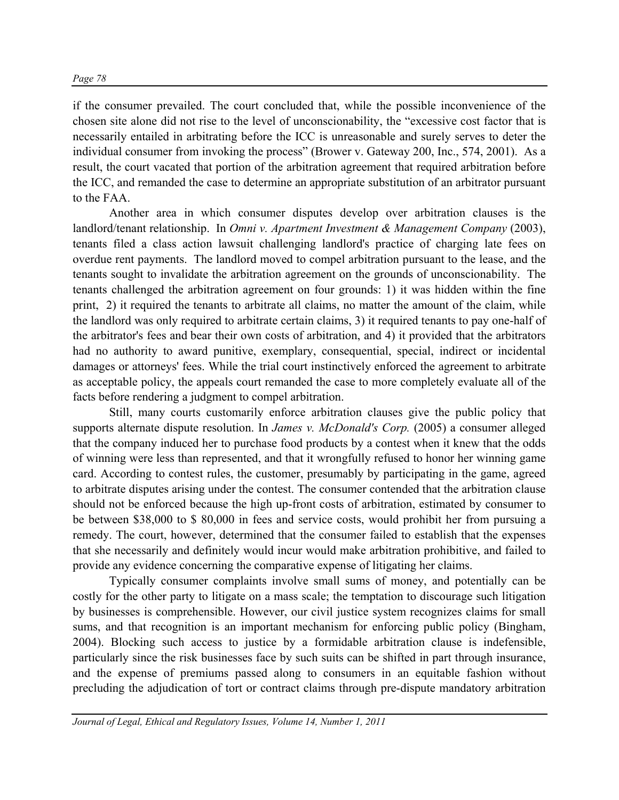if the consumer prevailed. The court concluded that, while the possible inconvenience of the chosen site alone did not rise to the level of unconscionability, the "excessive cost factor that is necessarily entailed in arbitrating before the ICC is unreasonable and surely serves to deter the individual consumer from invoking the process" (Brower v. Gateway 200, Inc., 574, 2001). As a result, the court vacated that portion of the arbitration agreement that required arbitration before the ICC, and remanded the case to determine an appropriate substitution of an arbitrator pursuant to the FAA.

 Another area in which consumer disputes develop over arbitration clauses is the landlord/tenant relationship. In *Omni v. Apartment Investment & Management Company* (2003), tenants filed a class action lawsuit challenging landlord's practice of charging late fees on overdue rent payments. The landlord moved to compel arbitration pursuant to the lease, and the tenants sought to invalidate the arbitration agreement on the grounds of unconscionability. The tenants challenged the arbitration agreement on four grounds: 1) it was hidden within the fine print, 2) it required the tenants to arbitrate all claims, no matter the amount of the claim, while the landlord was only required to arbitrate certain claims, 3) it required tenants to pay one-half of the arbitrator's fees and bear their own costs of arbitration, and 4) it provided that the arbitrators had no authority to award punitive, exemplary, consequential, special, indirect or incidental damages or attorneys' fees. While the trial court instinctively enforced the agreement to arbitrate as acceptable policy, the appeals court remanded the case to more completely evaluate all of the facts before rendering a judgment to compel arbitration.

Still, many courts customarily enforce arbitration clauses give the public policy that supports alternate dispute resolution. In *James v. McDonald's Corp.* (2005) a consumer alleged that the company induced her to purchase food products by a contest when it knew that the odds of winning were less than represented, and that it wrongfully refused to honor her winning game card. According to contest rules, the customer, presumably by participating in the game, agreed to arbitrate disputes arising under the contest. The consumer contended that the arbitration clause should not be enforced because the high up-front costs of arbitration, estimated by consumer to be between \$38,000 to \$ 80,000 in fees and service costs, would prohibit her from pursuing a remedy. The court, however, determined that the consumer failed to establish that the expenses that she necessarily and definitely would incur would make arbitration prohibitive, and failed to provide any evidence concerning the comparative expense of litigating her claims.

 Typically consumer complaints involve small sums of money, and potentially can be costly for the other party to litigate on a mass scale; the temptation to discourage such litigation by businesses is comprehensible. However, our civil justice system recognizes claims for small sums, and that recognition is an important mechanism for enforcing public policy (Bingham, 2004). Blocking such access to justice by a formidable arbitration clause is indefensible, particularly since the risk businesses face by such suits can be shifted in part through insurance, and the expense of premiums passed along to consumers in an equitable fashion without precluding the adjudication of tort or contract claims through pre-dispute mandatory arbitration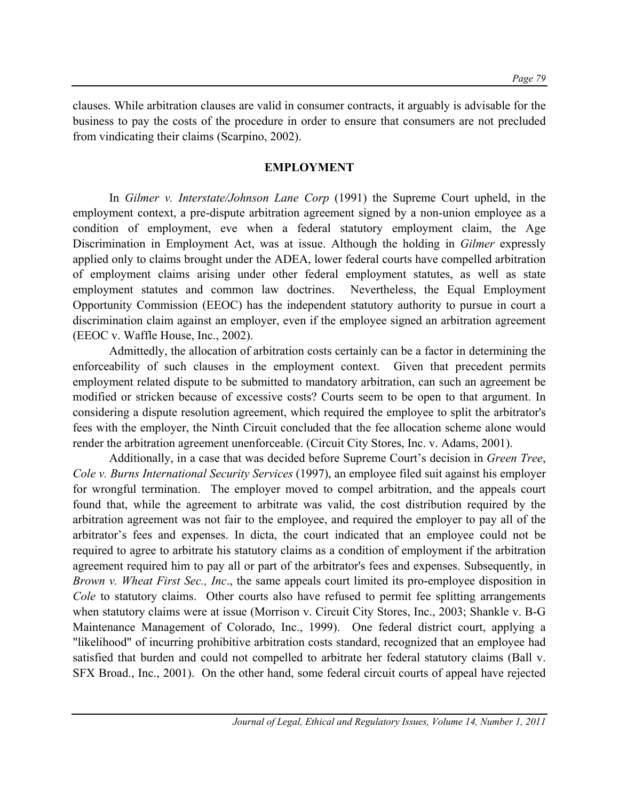clauses. While arbitration clauses are valid in consumer contracts, it arguably is advisable for the business to pay the costs of the procedure in order to ensure that consumers are not precluded from vindicating their claims (Scarpino, 2002).

## **EMPLOYMENT**

 In *Gilmer v. Interstate/Johnson Lane Corp* (1991) the Supreme Court upheld, in the employment context, a pre-dispute arbitration agreement signed by a non-union employee as a condition of employment, eve when a federal statutory employment claim, the Age Discrimination in Employment Act, was at issue. Although the holding in *Gilmer* expressly applied only to claims brought under the ADEA, lower federal courts have compelled arbitration of employment claims arising under other federal employment statutes, as well as state employment statutes and common law doctrines. Nevertheless, the Equal Employment Opportunity Commission (EEOC) has the independent statutory authority to pursue in court a discrimination claim against an employer, even if the employee signed an arbitration agreement (EEOC v. Waffle House, Inc., 2002).

 Admittedly, the allocation of arbitration costs certainly can be a factor in determining the enforceability of such clauses in the employment context. Given that precedent permits employment related dispute to be submitted to mandatory arbitration, can such an agreement be modified or stricken because of excessive costs? Courts seem to be open to that argument. In considering a dispute resolution agreement, which required the employee to split the arbitrator's fees with the employer, the Ninth Circuit concluded that the fee allocation scheme alone would render the arbitration agreement unenforceable. (Circuit City Stores, Inc. v. Adams, 2001).

 Additionally, in a case that was decided before Supreme Court's decision in *Green Tree*, *Cole v. Burns International Security Services* (1997), an employee filed suit against his employer for wrongful termination. The employer moved to compel arbitration, and the appeals court found that, while the agreement to arbitrate was valid, the cost distribution required by the arbitration agreement was not fair to the employee, and required the employer to pay all of the arbitrator's fees and expenses. In dicta, the court indicated that an employee could not be required to agree to arbitrate his statutory claims as a condition of employment if the arbitration agreement required him to pay all or part of the arbitrator's fees and expenses. Subsequently, in *Brown v. Wheat First Sec., Inc*., the same appeals court limited its pro-employee disposition in *Cole* to statutory claims. Other courts also have refused to permit fee splitting arrangements when statutory claims were at issue (Morrison v. Circuit City Stores, Inc., 2003; Shankle v. B-G Maintenance Management of Colorado, Inc., 1999). One federal district court, applying a "likelihood" of incurring prohibitive arbitration costs standard, recognized that an employee had satisfied that burden and could not compelled to arbitrate her federal statutory claims (Ball v. SFX Broad., Inc., 2001). On the other hand, some federal circuit courts of appeal have rejected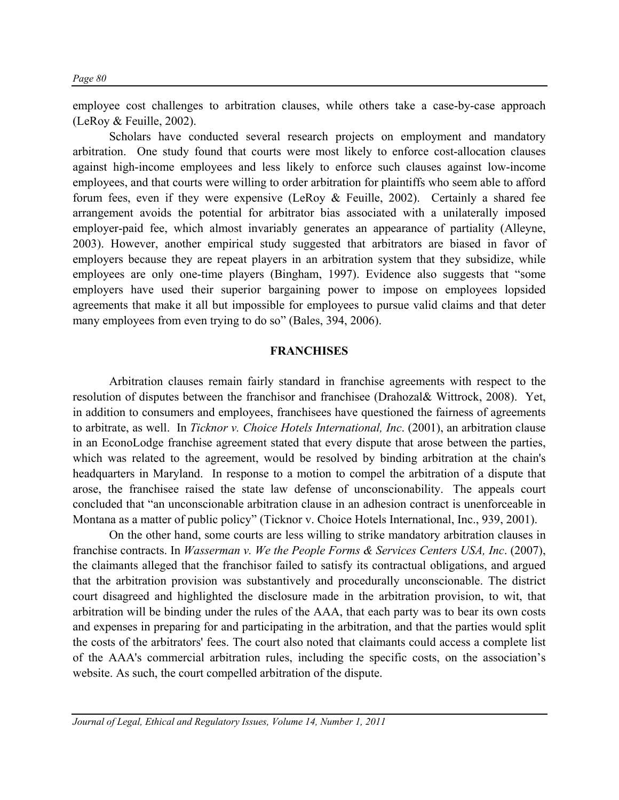employee cost challenges to arbitration clauses, while others take a case-by-case approach (LeRoy & Feuille, 2002).

 Scholars have conducted several research projects on employment and mandatory arbitration. One study found that courts were most likely to enforce cost-allocation clauses against high-income employees and less likely to enforce such clauses against low-income employees, and that courts were willing to order arbitration for plaintiffs who seem able to afford forum fees, even if they were expensive (LeRoy & Feuille, 2002). Certainly a shared fee arrangement avoids the potential for arbitrator bias associated with a unilaterally imposed employer-paid fee, which almost invariably generates an appearance of partiality (Alleyne, 2003). However, another empirical study suggested that arbitrators are biased in favor of employers because they are repeat players in an arbitration system that they subsidize, while employees are only one-time players (Bingham, 1997). Evidence also suggests that "some employers have used their superior bargaining power to impose on employees lopsided agreements that make it all but impossible for employees to pursue valid claims and that deter many employees from even trying to do so" (Bales, 394, 2006).

### **FRANCHISES**

 Arbitration clauses remain fairly standard in franchise agreements with respect to the resolution of disputes between the franchisor and franchisee (Drahozal& Wittrock, 2008). Yet, in addition to consumers and employees, franchisees have questioned the fairness of agreements to arbitrate, as well. In *Ticknor v. Choice Hotels International, Inc*. (2001), an arbitration clause in an EconoLodge franchise agreement stated that every dispute that arose between the parties, which was related to the agreement, would be resolved by binding arbitration at the chain's headquarters in Maryland. In response to a motion to compel the arbitration of a dispute that arose, the franchisee raised the state law defense of unconscionability. The appeals court concluded that "an unconscionable arbitration clause in an adhesion contract is unenforceable in Montana as a matter of public policy" (Ticknor v. Choice Hotels International, Inc., 939, 2001).

 On the other hand, some courts are less willing to strike mandatory arbitration clauses in franchise contracts. In *Wasserman v. We the People Forms & Services Centers USA, Inc*. (2007), the claimants alleged that the franchisor failed to satisfy its contractual obligations, and argued that the arbitration provision was substantively and procedurally unconscionable. The district court disagreed and highlighted the disclosure made in the arbitration provision, to wit, that arbitration will be binding under the rules of the AAA, that each party was to bear its own costs and expenses in preparing for and participating in the arbitration, and that the parties would split the costs of the arbitrators' fees. The court also noted that claimants could access a complete list of the AAA's commercial arbitration rules, including the specific costs, on the association's website. As such, the court compelled arbitration of the dispute.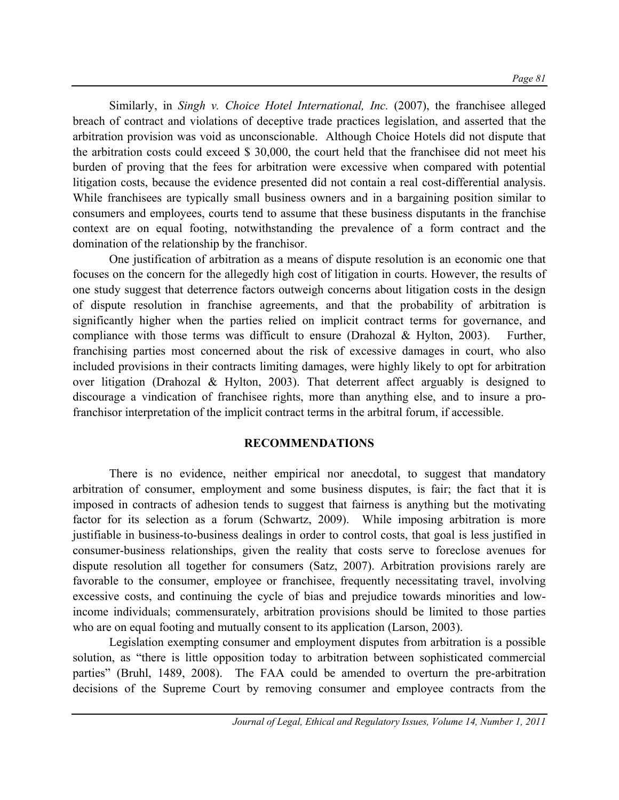Similarly, in *Singh v. Choice Hotel International, Inc.* (2007), the franchisee alleged breach of contract and violations of deceptive trade practices legislation, and asserted that the arbitration provision was void as unconscionable. Although Choice Hotels did not dispute that the arbitration costs could exceed \$ 30,000, the court held that the franchisee did not meet his burden of proving that the fees for arbitration were excessive when compared with potential litigation costs, because the evidence presented did not contain a real cost-differential analysis. While franchisees are typically small business owners and in a bargaining position similar to consumers and employees, courts tend to assume that these business disputants in the franchise context are on equal footing, notwithstanding the prevalence of a form contract and the domination of the relationship by the franchisor.

One justification of arbitration as a means of dispute resolution is an economic one that focuses on the concern for the allegedly high cost of litigation in courts. However, the results of one study suggest that deterrence factors outweigh concerns about litigation costs in the design of dispute resolution in franchise agreements, and that the probability of arbitration is significantly higher when the parties relied on implicit contract terms for governance, and compliance with those terms was difficult to ensure (Drahozal & Hylton, 2003). Further, franchising parties most concerned about the risk of excessive damages in court, who also included provisions in their contracts limiting damages, were highly likely to opt for arbitration over litigation (Drahozal & Hylton, 2003). That deterrent affect arguably is designed to discourage a vindication of franchisee rights, more than anything else, and to insure a profranchisor interpretation of the implicit contract terms in the arbitral forum, if accessible.

### **RECOMMENDATIONS**

 There is no evidence, neither empirical nor anecdotal, to suggest that mandatory arbitration of consumer, employment and some business disputes, is fair; the fact that it is imposed in contracts of adhesion tends to suggest that fairness is anything but the motivating factor for its selection as a forum (Schwartz, 2009). While imposing arbitration is more justifiable in business-to-business dealings in order to control costs, that goal is less justified in consumer-business relationships, given the reality that costs serve to foreclose avenues for dispute resolution all together for consumers (Satz, 2007). Arbitration provisions rarely are favorable to the consumer, employee or franchisee, frequently necessitating travel, involving excessive costs, and continuing the cycle of bias and prejudice towards minorities and lowincome individuals; commensurately, arbitration provisions should be limited to those parties who are on equal footing and mutually consent to its application (Larson, 2003).

 Legislation exempting consumer and employment disputes from arbitration is a possible solution, as "there is little opposition today to arbitration between sophisticated commercial parties" (Bruhl, 1489, 2008). The FAA could be amended to overturn the pre-arbitration decisions of the Supreme Court by removing consumer and employee contracts from the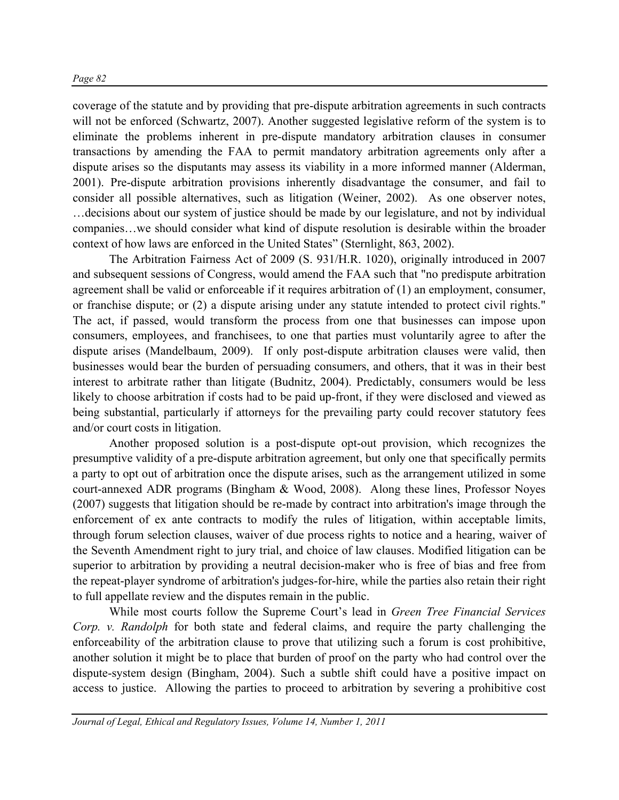coverage of the statute and by providing that pre-dispute arbitration agreements in such contracts will not be enforced (Schwartz, 2007). Another suggested legislative reform of the system is to eliminate the problems inherent in pre-dispute mandatory arbitration clauses in consumer transactions by amending the FAA to permit mandatory arbitration agreements only after a dispute arises so the disputants may assess its viability in a more informed manner (Alderman, 2001). Pre-dispute arbitration provisions inherently disadvantage the consumer, and fail to consider all possible alternatives, such as litigation (Weiner, 2002). As one observer notes, …decisions about our system of justice should be made by our legislature, and not by individual companies…we should consider what kind of dispute resolution is desirable within the broader context of how laws are enforced in the United States" (Sternlight, 863, 2002).

 The Arbitration Fairness Act of 2009 (S. 931/H.R. 1020), originally introduced in 2007 and subsequent sessions of Congress, would amend the FAA such that "no predispute arbitration agreement shall be valid or enforceable if it requires arbitration of (1) an employment, consumer, or franchise dispute; or (2) a dispute arising under any statute intended to protect civil rights." The act, if passed, would transform the process from one that businesses can impose upon consumers, employees, and franchisees, to one that parties must voluntarily agree to after the dispute arises (Mandelbaum, 2009). If only post-dispute arbitration clauses were valid, then businesses would bear the burden of persuading consumers, and others, that it was in their best interest to arbitrate rather than litigate (Budnitz, 2004). Predictably, consumers would be less likely to choose arbitration if costs had to be paid up-front, if they were disclosed and viewed as being substantial, particularly if attorneys for the prevailing party could recover statutory fees and/or court costs in litigation.

 Another proposed solution is a post-dispute opt-out provision, which recognizes the presumptive validity of a pre-dispute arbitration agreement, but only one that specifically permits a party to opt out of arbitration once the dispute arises, such as the arrangement utilized in some court-annexed ADR programs (Bingham & Wood, 2008). Along these lines, Professor Noyes (2007) suggests that litigation should be re-made by contract into arbitration's image through the enforcement of ex ante contracts to modify the rules of litigation, within acceptable limits, through forum selection clauses, waiver of due process rights to notice and a hearing, waiver of the Seventh Amendment right to jury trial, and choice of law clauses. Modified litigation can be superior to arbitration by providing a neutral decision-maker who is free of bias and free from the repeat-player syndrome of arbitration's judges-for-hire, while the parties also retain their right to full appellate review and the disputes remain in the public.

 While most courts follow the Supreme Court's lead in *Green Tree Financial Services Corp. v. Randolph* for both state and federal claims, and require the party challenging the enforceability of the arbitration clause to prove that utilizing such a forum is cost prohibitive, another solution it might be to place that burden of proof on the party who had control over the dispute-system design (Bingham, 2004). Such a subtle shift could have a positive impact on access to justice. Allowing the parties to proceed to arbitration by severing a prohibitive cost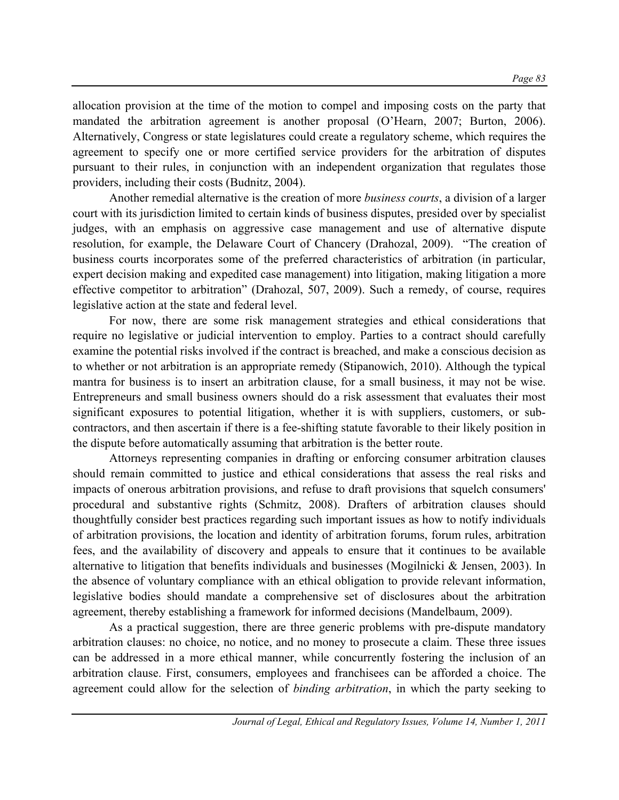allocation provision at the time of the motion to compel and imposing costs on the party that mandated the arbitration agreement is another proposal (O'Hearn, 2007; Burton, 2006). Alternatively, Congress or state legislatures could create a regulatory scheme, which requires the agreement to specify one or more certified service providers for the arbitration of disputes pursuant to their rules, in conjunction with an independent organization that regulates those providers, including their costs (Budnitz, 2004).

 Another remedial alternative is the creation of more *business courts*, a division of a larger court with its jurisdiction limited to certain kinds of business disputes, presided over by specialist judges, with an emphasis on aggressive case management and use of alternative dispute resolution, for example, the Delaware Court of Chancery (Drahozal, 2009). "The creation of business courts incorporates some of the preferred characteristics of arbitration (in particular, expert decision making and expedited case management) into litigation, making litigation a more effective competitor to arbitration" (Drahozal, 507, 2009). Such a remedy, of course, requires legislative action at the state and federal level.

 For now, there are some risk management strategies and ethical considerations that require no legislative or judicial intervention to employ. Parties to a contract should carefully examine the potential risks involved if the contract is breached, and make a conscious decision as to whether or not arbitration is an appropriate remedy (Stipanowich, 2010). Although the typical mantra for business is to insert an arbitration clause, for a small business, it may not be wise. Entrepreneurs and small business owners should do a risk assessment that evaluates their most significant exposures to potential litigation, whether it is with suppliers, customers, or subcontractors, and then ascertain if there is a fee-shifting statute favorable to their likely position in the dispute before automatically assuming that arbitration is the better route.

 Attorneys representing companies in drafting or enforcing consumer arbitration clauses should remain committed to justice and ethical considerations that assess the real risks and impacts of onerous arbitration provisions, and refuse to draft provisions that squelch consumers' procedural and substantive rights (Schmitz, 2008). Drafters of arbitration clauses should thoughtfully consider best practices regarding such important issues as how to notify individuals of arbitration provisions, the location and identity of arbitration forums, forum rules, arbitration fees, and the availability of discovery and appeals to ensure that it continues to be available alternative to litigation that benefits individuals and businesses (Mogilnicki & Jensen, 2003). In the absence of voluntary compliance with an ethical obligation to provide relevant information, legislative bodies should mandate a comprehensive set of disclosures about the arbitration agreement, thereby establishing a framework for informed decisions (Mandelbaum, 2009).

 As a practical suggestion, there are three generic problems with pre-dispute mandatory arbitration clauses: no choice, no notice, and no money to prosecute a claim. These three issues can be addressed in a more ethical manner, while concurrently fostering the inclusion of an arbitration clause. First, consumers, employees and franchisees can be afforded a choice. The agreement could allow for the selection of *binding arbitration*, in which the party seeking to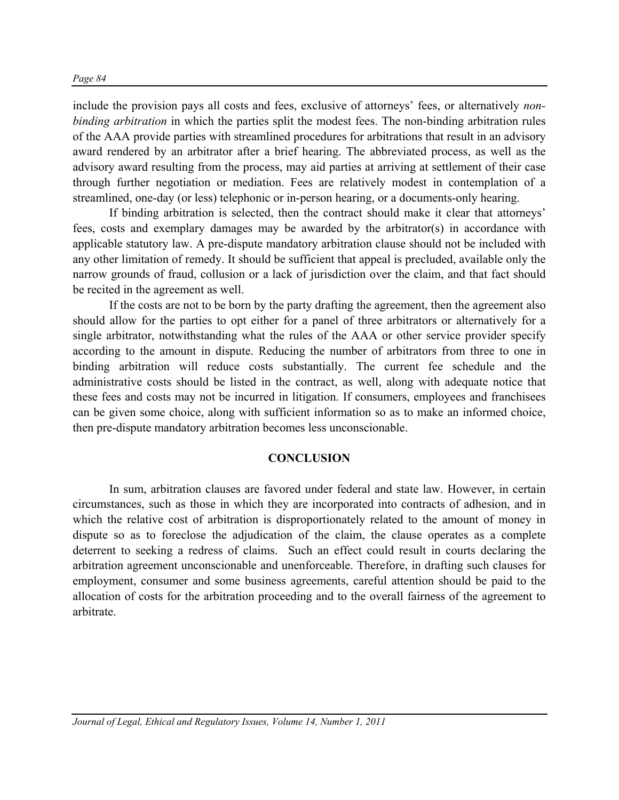include the provision pays all costs and fees, exclusive of attorneys' fees, or alternatively *nonbinding arbitration* in which the parties split the modest fees. The non-binding arbitration rules of the AAA provide parties with streamlined procedures for arbitrations that result in an advisory award rendered by an arbitrator after a brief hearing. The abbreviated process, as well as the advisory award resulting from the process, may aid parties at arriving at settlement of their case through further negotiation or mediation. Fees are relatively modest in contemplation of a streamlined, one-day (or less) telephonic or in-person hearing, or a documents-only hearing.

 If binding arbitration is selected, then the contract should make it clear that attorneys' fees, costs and exemplary damages may be awarded by the arbitrator(s) in accordance with applicable statutory law. A pre-dispute mandatory arbitration clause should not be included with any other limitation of remedy. It should be sufficient that appeal is precluded, available only the narrow grounds of fraud, collusion or a lack of jurisdiction over the claim, and that fact should be recited in the agreement as well.

 If the costs are not to be born by the party drafting the agreement, then the agreement also should allow for the parties to opt either for a panel of three arbitrators or alternatively for a single arbitrator, notwithstanding what the rules of the AAA or other service provider specify according to the amount in dispute. Reducing the number of arbitrators from three to one in binding arbitration will reduce costs substantially. The current fee schedule and the administrative costs should be listed in the contract, as well, along with adequate notice that these fees and costs may not be incurred in litigation. If consumers, employees and franchisees can be given some choice, along with sufficient information so as to make an informed choice, then pre-dispute mandatory arbitration becomes less unconscionable.

### **CONCLUSION**

 In sum, arbitration clauses are favored under federal and state law. However, in certain circumstances, such as those in which they are incorporated into contracts of adhesion, and in which the relative cost of arbitration is disproportionately related to the amount of money in dispute so as to foreclose the adjudication of the claim, the clause operates as a complete deterrent to seeking a redress of claims. Such an effect could result in courts declaring the arbitration agreement unconscionable and unenforceable. Therefore, in drafting such clauses for employment, consumer and some business agreements, careful attention should be paid to the allocation of costs for the arbitration proceeding and to the overall fairness of the agreement to arbitrate.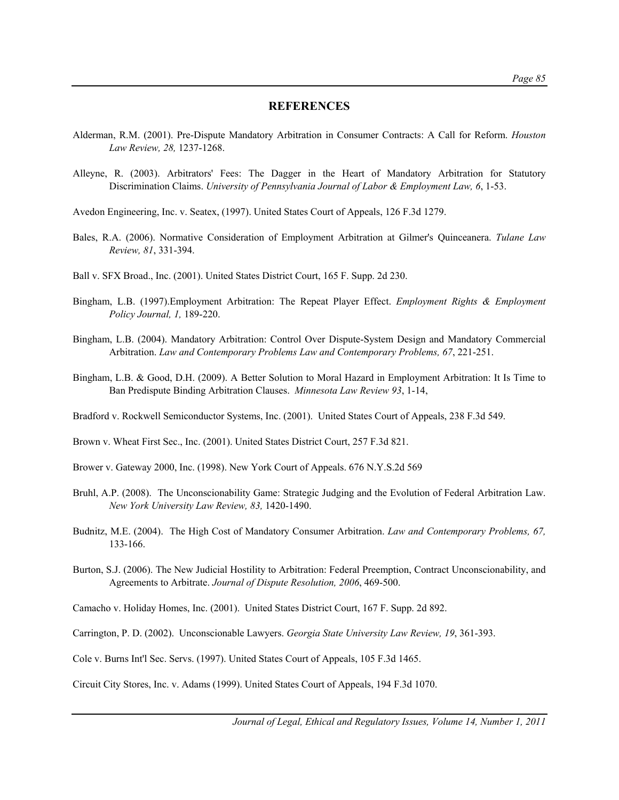#### **REFERENCES**

- Alderman, R.M. (2001). Pre-Dispute Mandatory Arbitration in Consumer Contracts: A Call for Reform. *Houston Law Review, 28,* 1237-1268.
- Alleyne, R. (2003). Arbitrators' Fees: The Dagger in the Heart of Mandatory Arbitration for Statutory Discrimination Claims. *University of Pennsylvania Journal of Labor & Employment Law, 6*, 1-53.
- Avedon Engineering, Inc. v. Seatex, (1997). United States Court of Appeals, 126 F.3d 1279.
- Bales, R.A. (2006). Normative Consideration of Employment Arbitration at Gilmer's Quinceanera. *Tulane Law Review, 81*, 331-394.
- Ball v. SFX Broad., Inc. (2001). United States District Court, 165 F. Supp. 2d 230.
- Bingham, L.B. (1997).Employment Arbitration: The Repeat Player Effect. *Employment Rights & Employment Policy Journal, 1,* 189-220.
- Bingham, L.B. (2004). Mandatory Arbitration: Control Over Dispute-System Design and Mandatory Commercial Arbitration. *Law and Contemporary Problems Law and Contemporary Problems, 67*, 221-251.
- Bingham, L.B. & Good, D.H. (2009). A Better Solution to Moral Hazard in Employment Arbitration: It Is Time to Ban Predispute Binding Arbitration Clauses. *Minnesota Law Review 93*, 1-14,
- Bradford v. Rockwell Semiconductor Systems, Inc. (2001). United States Court of Appeals, 238 F.3d 549.
- Brown v. Wheat First Sec., Inc. (2001). United States District Court, 257 F.3d 821.
- Brower v. Gateway 2000, Inc. (1998). New York Court of Appeals. 676 N.Y.S.2d 569
- Bruhl, A.P. (2008). The Unconscionability Game: Strategic Judging and the Evolution of Federal Arbitration Law. *New York University Law Review, 83,* 1420-1490.
- Budnitz, M.E. (2004). The High Cost of Mandatory Consumer Arbitration. *Law and Contemporary Problems, 67,*  133-166.
- Burton, S.J. (2006). The New Judicial Hostility to Arbitration: Federal Preemption, Contract Unconscionability, and Agreements to Arbitrate. *Journal of Dispute Resolution, 2006*, 469-500.
- Camacho v. Holiday Homes, Inc. (2001). United States District Court, 167 F. Supp. 2d 892.
- Carrington, P. D. (2002). Unconscionable Lawyers. *Georgia State University Law Review, 19*, 361-393.
- Cole v. Burns Int'l Sec. Servs. (1997). United States Court of Appeals, 105 F.3d 1465.
- Circuit City Stores, Inc. v. Adams (1999). United States Court of Appeals, 194 F.3d 1070.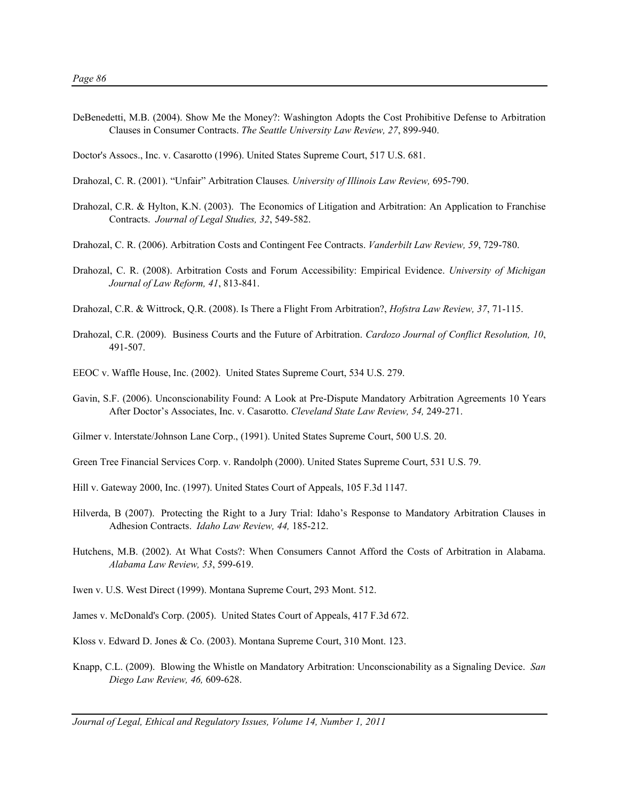DeBenedetti, M.B. (2004). Show Me the Money?: Washington Adopts the Cost Prohibitive Defense to Arbitration Clauses in Consumer Contracts. *The Seattle University Law Review, 27*, 899-940.

Doctor's Assocs., Inc. v. Casarotto (1996). United States Supreme Court, 517 U.S. 681.

- Drahozal, C. R. (2001). "Unfair" Arbitration Clauses*. University of Illinois Law Review,* 695-790.
- Drahozal, C.R. & Hylton, K.N. (2003). The Economics of Litigation and Arbitration: An Application to Franchise Contracts. *Journal of Legal Studies, 32*, 549-582.
- Drahozal, C. R. (2006). Arbitration Costs and Contingent Fee Contracts. *Vanderbilt Law Review, 59*, 729-780.
- Drahozal, C. R. (2008). Arbitration Costs and Forum Accessibility: Empirical Evidence. *University of Michigan Journal of Law Reform, 41*, 813-841.
- Drahozal, C.R. & Wittrock, Q.R. (2008). Is There a Flight From Arbitration?, *Hofstra Law Review, 37*, 71-115.
- Drahozal, C.R. (2009). Business Courts and the Future of Arbitration. *Cardozo Journal of Conflict Resolution, 10*, 491-507.
- EEOC v. Waffle House, Inc. (2002). United States Supreme Court, 534 U.S. 279.
- Gavin, S.F. (2006). Unconscionability Found: A Look at Pre-Dispute Mandatory Arbitration Agreements 10 Years After Doctor's Associates, Inc. v. Casarotto. *Cleveland State Law Review, 54,* 249-271.
- Gilmer v. Interstate/Johnson Lane Corp., (1991). United States Supreme Court, 500 U.S. 20.
- Green Tree Financial Services Corp. v. Randolph (2000). United States Supreme Court, 531 U.S. 79.
- Hill v. Gateway 2000, Inc. (1997). United States Court of Appeals, 105 F.3d 1147.
- Hilverda, B (2007). Protecting the Right to a Jury Trial: Idaho's Response to Mandatory Arbitration Clauses in Adhesion Contracts. *Idaho Law Review, 44,* 185-212.
- Hutchens, M.B. (2002). At What Costs?: When Consumers Cannot Afford the Costs of Arbitration in Alabama. *Alabama Law Review, 53*, 599-619.
- Iwen v. U.S. West Direct (1999). Montana Supreme Court, 293 Mont. 512.
- James v. McDonald's Corp. (2005). United States Court of Appeals, 417 F.3d 672.
- Kloss v. Edward D. Jones & Co. (2003). Montana Supreme Court, 310 Mont. 123.
- Knapp, C.L. (2009). Blowing the Whistle on Mandatory Arbitration: Unconscionability as a Signaling Device. *San Diego Law Review, 46,* 609-628.

*Journal of Legal, Ethical and Regulatory Issues, Volume 14, Number 1, 2011*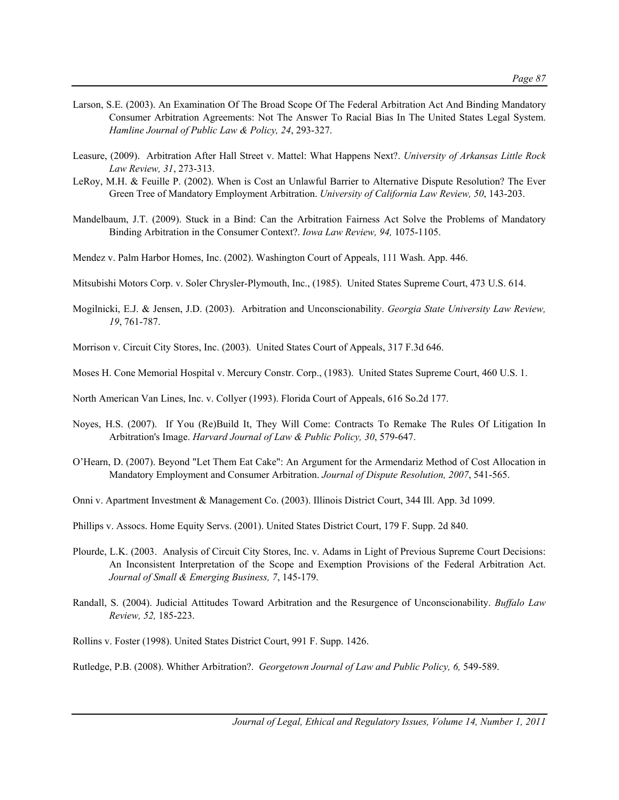- Larson, S.E. (2003). An Examination Of The Broad Scope Of The Federal Arbitration Act And Binding Mandatory Consumer Arbitration Agreements: Not The Answer To Racial Bias In The United States Legal System. *Hamline Journal of Public Law & Policy, 24*, 293-327.
- Leasure, (2009). Arbitration After Hall Street v. Mattel: What Happens Next?. *University of Arkansas Little Rock Law Review, 31*, 273-313.
- LeRoy, M.H. & Feuille P. (2002). When is Cost an Unlawful Barrier to Alternative Dispute Resolution? The Ever Green Tree of Mandatory Employment Arbitration. *University of California Law Review, 50*, 143-203.
- Mandelbaum, J.T. (2009). Stuck in a Bind: Can the Arbitration Fairness Act Solve the Problems of Mandatory Binding Arbitration in the Consumer Context?. *Iowa Law Review, 94,* 1075-1105.
- Mendez v. Palm Harbor Homes, Inc. (2002). Washington Court of Appeals, 111 Wash. App. 446.
- Mitsubishi Motors Corp. v. Soler Chrysler-Plymouth, Inc., (1985). United States Supreme Court, 473 U.S. 614.
- Mogilnicki, E.J. & Jensen, J.D. (2003). Arbitration and Unconscionability. *Georgia State University Law Review, 19*, 761-787.
- Morrison v. Circuit City Stores, Inc. (2003). United States Court of Appeals, 317 F.3d 646.
- Moses H. Cone Memorial Hospital v. Mercury Constr. Corp., (1983). United States Supreme Court, 460 U.S. 1.
- North American Van Lines, Inc. v. Collyer (1993). Florida Court of Appeals, 616 So.2d 177.
- Noyes, H.S. (2007). If You (Re)Build It, They Will Come: Contracts To Remake The Rules Of Litigation In Arbitration's Image. *Harvard Journal of Law & Public Policy, 30*, 579-647.
- O'Hearn, D. (2007). Beyond "Let Them Eat Cake": An Argument for the Armendariz Method of Cost Allocation in Mandatory Employment and Consumer Arbitration. *Journal of Dispute Resolution, 2007*, 541-565.
- Onni v. Apartment Investment & Management Co. (2003). Illinois District Court, 344 Ill. App. 3d 1099.
- Phillips v. Assocs. Home Equity Servs. (2001). United States District Court, 179 F. Supp. 2d 840.
- Plourde, L.K. (2003. Analysis of Circuit City Stores, Inc. v. Adams in Light of Previous Supreme Court Decisions: An Inconsistent Interpretation of the Scope and Exemption Provisions of the Federal Arbitration Act. *Journal of Small & Emerging Business, 7*, 145-179.
- Randall, S. (2004). Judicial Attitudes Toward Arbitration and the Resurgence of Unconscionability. *Buffalo Law Review, 52,* 185-223.
- Rollins v. Foster (1998). United States District Court, 991 F. Supp. 1426.

Rutledge, P.B. (2008). Whither Arbitration?. *Georgetown Journal of Law and Public Policy, 6,* 549-589.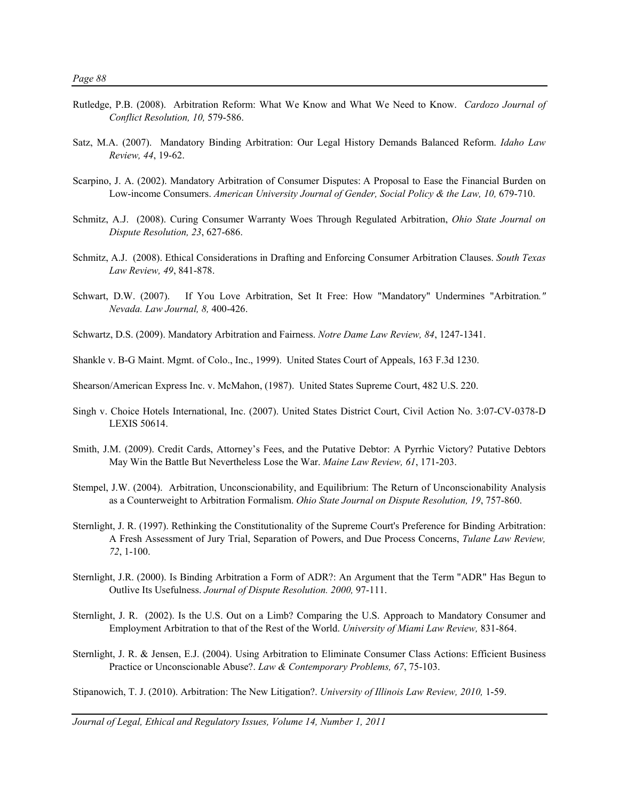- Rutledge, P.B. (2008). Arbitration Reform: What We Know and What We Need to Know. *Cardozo Journal of Conflict Resolution, 10,* 579-586.
- Satz, M.A. (2007). Mandatory Binding Arbitration: Our Legal History Demands Balanced Reform. *Idaho Law Review, 44*, 19-62.
- Scarpino, J. A. (2002). Mandatory Arbitration of Consumer Disputes: A Proposal to Ease the Financial Burden on Low-income Consumers. *American University Journal of Gender, Social Policy & the Law, 10,* 679-710.
- Schmitz, A.J. (2008). Curing Consumer Warranty Woes Through Regulated Arbitration, *Ohio State Journal on Dispute Resolution, 23*, 627-686.
- Schmitz, A.J. (2008). Ethical Considerations in Drafting and Enforcing Consumer Arbitration Clauses. *South Texas Law Review, 49*, 841-878.
- Schwart, D.W. (2007). If You Love Arbitration, Set It Free: How "Mandatory" Undermines "Arbitration*." Nevada. Law Journal, 8,* 400-426.
- Schwartz, D.S. (2009). Mandatory Arbitration and Fairness. *Notre Dame Law Review, 84*, 1247-1341.
- Shankle v. B-G Maint. Mgmt. of Colo., Inc., 1999). United States Court of Appeals, 163 F.3d 1230.
- Shearson/American Express Inc. v. McMahon, (1987). United States Supreme Court, 482 U.S. 220.
- Singh v. Choice Hotels International, Inc. (2007). United States District Court, Civil Action No. 3:07-CV-0378-D LEXIS 50614.
- Smith, J.M. (2009). Credit Cards, Attorney's Fees, and the Putative Debtor: A Pyrrhic Victory? Putative Debtors May Win the Battle But Nevertheless Lose the War. *Maine Law Review, 61*, 171-203.
- Stempel, J.W. (2004). Arbitration, Unconscionability, and Equilibrium: The Return of Unconscionability Analysis as a Counterweight to Arbitration Formalism. *Ohio State Journal on Dispute Resolution, 19*, 757-860.
- Sternlight, J. R. (1997). Rethinking the Constitutionality of the Supreme Court's Preference for Binding Arbitration: A Fresh Assessment of Jury Trial, Separation of Powers, and Due Process Concerns, *Tulane Law Review, 72*, 1-100.
- Sternlight, J.R. (2000). Is Binding Arbitration a Form of ADR?: An Argument that the Term "ADR" Has Begun to Outlive Its Usefulness. *Journal of Dispute Resolution. 2000,* 97-111.
- Sternlight, J. R. (2002). Is the U.S. Out on a Limb? Comparing the U.S. Approach to Mandatory Consumer and Employment Arbitration to that of the Rest of the World. *University of Miami Law Review,* 831-864.
- Sternlight, J. R. & Jensen, E.J. (2004). Using Arbitration to Eliminate Consumer Class Actions: Efficient Business Practice or Unconscionable Abuse?. *Law & Contemporary Problems, 67*, 75-103.

Stipanowich, T. J. (2010). Arbitration: The New Litigation?. *University of Illinois Law Review, 2010,* 1-59.

*Journal of Legal, Ethical and Regulatory Issues, Volume 14, Number 1, 2011*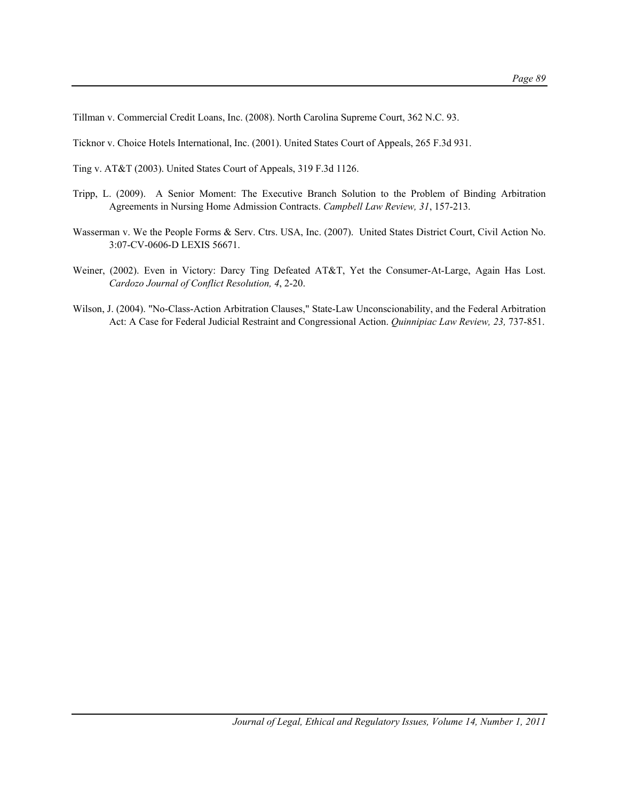Tillman v. Commercial Credit Loans, Inc. (2008). North Carolina Supreme Court, 362 N.C. 93.

Ticknor v. Choice Hotels International, Inc. (2001). United States Court of Appeals, 265 F.3d 931.

Ting v. AT&T (2003). United States Court of Appeals, 319 F.3d 1126.

- Tripp, L. (2009). A Senior Moment: The Executive Branch Solution to the Problem of Binding Arbitration Agreements in Nursing Home Admission Contracts. *Campbell Law Review, 31*, 157-213.
- Wasserman v. We the People Forms & Serv. Ctrs. USA, Inc. (2007). United States District Court, Civil Action No. 3:07-CV-0606-D LEXIS 56671.
- Weiner, (2002). Even in Victory: Darcy Ting Defeated AT&T, Yet the Consumer-At-Large, Again Has Lost. *Cardozo Journal of Conflict Resolution, 4*, 2-20.
- Wilson, J. (2004). "No-Class-Action Arbitration Clauses," State-Law Unconscionability, and the Federal Arbitration Act: A Case for Federal Judicial Restraint and Congressional Action. *Quinnipiac Law Review, 23,* 737-851.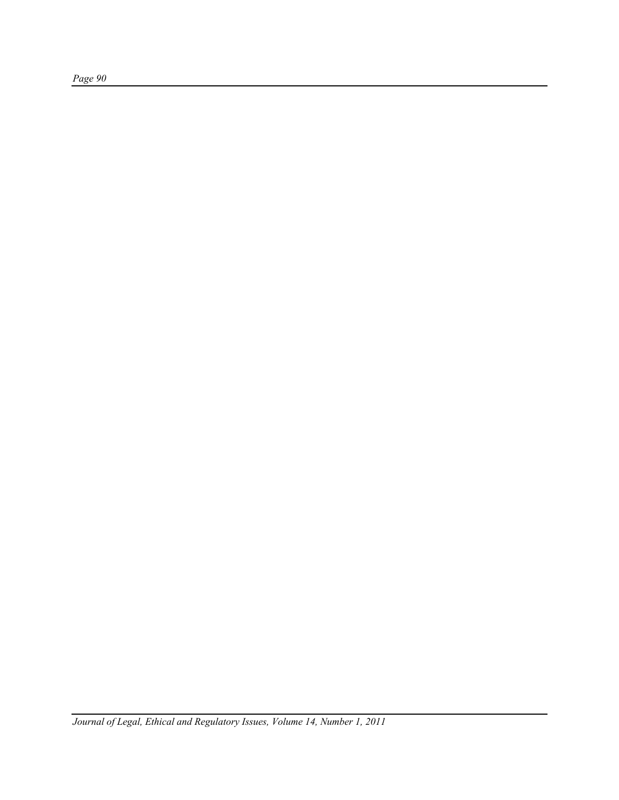*Page 90*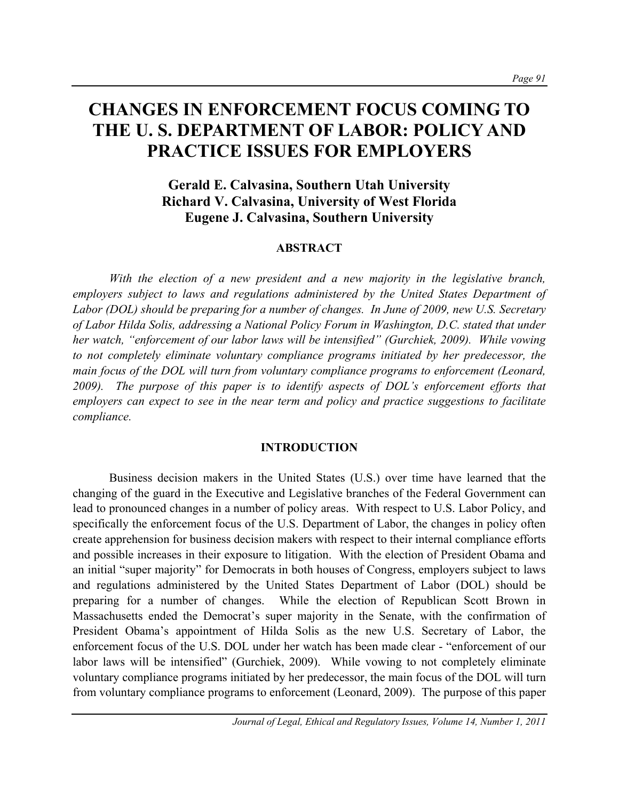# **CHANGES IN ENFORCEMENT FOCUS COMING TO THE U. S. DEPARTMENT OF LABOR: POLICY AND PRACTICE ISSUES FOR EMPLOYERS**

# **Gerald E. Calvasina, Southern Utah University Richard V. Calvasina, University of West Florida Eugene J. Calvasina, Southern University**

### **ABSTRACT**

*With the election of a new president and a new majority in the legislative branch, employers subject to laws and regulations administered by the United States Department of Labor (DOL) should be preparing for a number of changes. In June of 2009, new U.S. Secretary of Labor Hilda Solis, addressing a National Policy Forum in Washington, D.C. stated that under her watch, "enforcement of our labor laws will be intensified" (Gurchiek, 2009). While vowing to not completely eliminate voluntary compliance programs initiated by her predecessor, the main focus of the DOL will turn from voluntary compliance programs to enforcement (Leonard, 2009). The purpose of this paper is to identify aspects of DOL's enforcement efforts that employers can expect to see in the near term and policy and practice suggestions to facilitate compliance.* 

## **INTRODUCTION**

 Business decision makers in the United States (U.S.) over time have learned that the changing of the guard in the Executive and Legislative branches of the Federal Government can lead to pronounced changes in a number of policy areas. With respect to U.S. Labor Policy, and specifically the enforcement focus of the U.S. Department of Labor, the changes in policy often create apprehension for business decision makers with respect to their internal compliance efforts and possible increases in their exposure to litigation. With the election of President Obama and an initial "super majority" for Democrats in both houses of Congress, employers subject to laws and regulations administered by the United States Department of Labor (DOL) should be preparing for a number of changes. While the election of Republican Scott Brown in Massachusetts ended the Democrat's super majority in the Senate, with the confirmation of President Obama's appointment of Hilda Solis as the new U.S. Secretary of Labor, the enforcement focus of the U.S. DOL under her watch has been made clear - "enforcement of our labor laws will be intensified" (Gurchiek, 2009). While vowing to not completely eliminate voluntary compliance programs initiated by her predecessor, the main focus of the DOL will turn from voluntary compliance programs to enforcement (Leonard, 2009). The purpose of this paper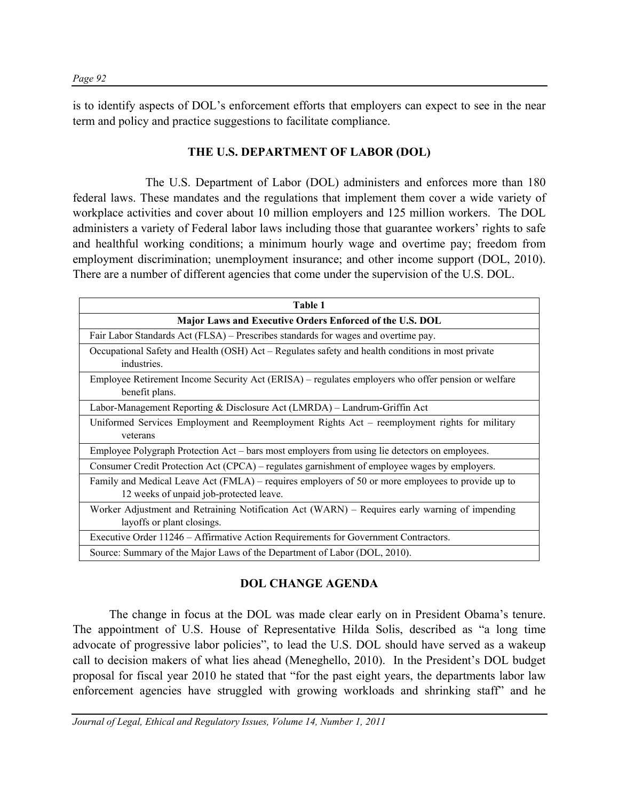is to identify aspects of DOL's enforcement efforts that employers can expect to see in the near term and policy and practice suggestions to facilitate compliance.

# **THE U.S. DEPARTMENT OF LABOR (DOL)**

 The U.S. Department of Labor (DOL) administers and enforces more than 180 federal laws. These mandates and the regulations that implement them cover a wide variety of workplace activities and cover about 10 million employers and 125 million workers. The DOL administers a variety of Federal labor laws including those that guarantee workers' rights to safe and healthful working conditions; a minimum hourly wage and overtime pay; freedom from employment discrimination; unemployment insurance; and other income support (DOL, 2010). There are a number of different agencies that come under the supervision of the U.S. DOL.

| Table 1                                                                                            |
|----------------------------------------------------------------------------------------------------|
| Major Laws and Executive Orders Enforced of the U.S. DOL                                           |
| Fair Labor Standards Act (FLSA) – Prescribes standards for wages and overtime pay.                 |
| Occupational Safety and Health (OSH) Act – Regulates safety and health conditions in most private  |
| industries.                                                                                        |
| Employee Retirement Income Security Act (ERISA) – regulates employers who offer pension or welfare |
| benefit plans.                                                                                     |
| Labor-Management Reporting & Disclosure Act (LMRDA) - Landrum-Griffin Act                          |
| Uniformed Services Employment and Reemployment Rights Act – reemployment rights for military       |
| veterans                                                                                           |
| Employee Polygraph Protection Act – bars most employers from using lie detectors on employees.     |
| Consumer Credit Protection Act (CPCA) – regulates garnishment of employee wages by employers.      |
| Family and Medical Leave Act (FMLA) – requires employers of 50 or more employees to provide up to  |
| 12 weeks of unpaid job-protected leave.                                                            |
| Worker Adjustment and Retraining Notification Act (WARN) – Requires early warning of impending     |
| layoffs or plant closings.                                                                         |
| Executive Order 11246 - Affirmative Action Requirements for Government Contractors.                |
| Source: Summary of the Major Laws of the Department of Labor (DOL, 2010).                          |

# **DOL CHANGE AGENDA**

 The change in focus at the DOL was made clear early on in President Obama's tenure. The appointment of U.S. House of Representative Hilda Solis, described as "a long time advocate of progressive labor policies", to lead the U.S. DOL should have served as a wakeup call to decision makers of what lies ahead (Meneghello, 2010). In the President's DOL budget proposal for fiscal year 2010 he stated that "for the past eight years, the departments labor law enforcement agencies have struggled with growing workloads and shrinking staff" and he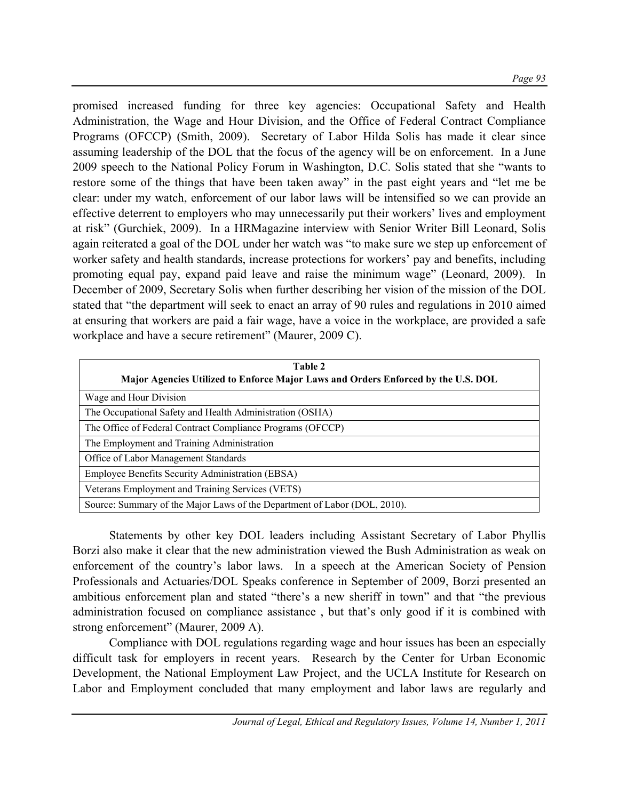promised increased funding for three key agencies: Occupational Safety and Health Administration, the Wage and Hour Division, and the Office of Federal Contract Compliance Programs (OFCCP) (Smith, 2009). Secretary of Labor Hilda Solis has made it clear since assuming leadership of the DOL that the focus of the agency will be on enforcement. In a June 2009 speech to the National Policy Forum in Washington, D.C. Solis stated that she "wants to restore some of the things that have been taken away" in the past eight years and "let me be clear: under my watch, enforcement of our labor laws will be intensified so we can provide an effective deterrent to employers who may unnecessarily put their workers' lives and employment at risk" (Gurchiek, 2009). In a HRMagazine interview with Senior Writer Bill Leonard, Solis again reiterated a goal of the DOL under her watch was "to make sure we step up enforcement of worker safety and health standards, increase protections for workers' pay and benefits, including promoting equal pay, expand paid leave and raise the minimum wage" (Leonard, 2009). In December of 2009, Secretary Solis when further describing her vision of the mission of the DOL stated that "the department will seek to enact an array of 90 rules and regulations in 2010 aimed at ensuring that workers are paid a fair wage, have a voice in the workplace, are provided a safe workplace and have a secure retirement" (Maurer, 2009 C).

| Table 2                                                                           |
|-----------------------------------------------------------------------------------|
| Major Agencies Utilized to Enforce Major Laws and Orders Enforced by the U.S. DOL |
| Wage and Hour Division                                                            |
| The Occupational Safety and Health Administration (OSHA)                          |
| The Office of Federal Contract Compliance Programs (OFCCP)                        |
| The Employment and Training Administration                                        |
| Office of Labor Management Standards                                              |
| Employee Benefits Security Administration (EBSA)                                  |
| Veterans Employment and Training Services (VETS)                                  |
| Source: Summary of the Major Laws of the Department of Labor (DOL, 2010).         |

Statements by other key DOL leaders including Assistant Secretary of Labor Phyllis Borzi also make it clear that the new administration viewed the Bush Administration as weak on enforcement of the country's labor laws. In a speech at the American Society of Pension Professionals and Actuaries/DOL Speaks conference in September of 2009, Borzi presented an ambitious enforcement plan and stated "there's a new sheriff in town" and that "the previous administration focused on compliance assistance , but that's only good if it is combined with strong enforcement" (Maurer, 2009 A).

 Compliance with DOL regulations regarding wage and hour issues has been an especially difficult task for employers in recent years. Research by the Center for Urban Economic Development, the National Employment Law Project, and the UCLA Institute for Research on Labor and Employment concluded that many employment and labor laws are regularly and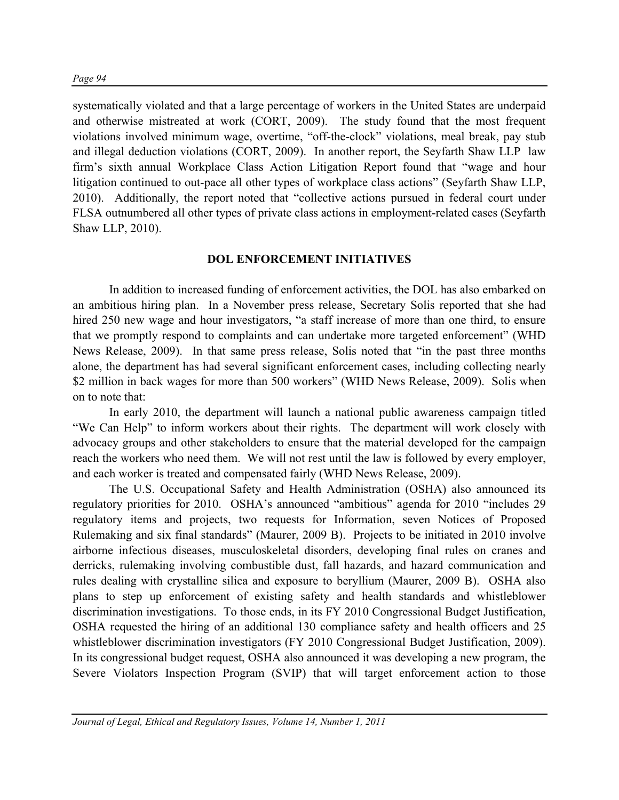systematically violated and that a large percentage of workers in the United States are underpaid and otherwise mistreated at work (CORT, 2009). The study found that the most frequent violations involved minimum wage, overtime, "off-the-clock" violations, meal break, pay stub and illegal deduction violations (CORT, 2009). In another report, the Seyfarth Shaw LLP law firm's sixth annual Workplace Class Action Litigation Report found that "wage and hour litigation continued to out-pace all other types of workplace class actions" (Seyfarth Shaw LLP, 2010). Additionally, the report noted that "collective actions pursued in federal court under FLSA outnumbered all other types of private class actions in employment-related cases (Seyfarth Shaw LLP, 2010).

### **DOL ENFORCEMENT INITIATIVES**

 In addition to increased funding of enforcement activities, the DOL has also embarked on an ambitious hiring plan. In a November press release, Secretary Solis reported that she had hired 250 new wage and hour investigators, "a staff increase of more than one third, to ensure that we promptly respond to complaints and can undertake more targeted enforcement" (WHD News Release, 2009). In that same press release, Solis noted that "in the past three months alone, the department has had several significant enforcement cases, including collecting nearly \$2 million in back wages for more than 500 workers" (WHD News Release, 2009). Solis when on to note that:

In early 2010, the department will launch a national public awareness campaign titled "We Can Help" to inform workers about their rights. The department will work closely with advocacy groups and other stakeholders to ensure that the material developed for the campaign reach the workers who need them. We will not rest until the law is followed by every employer, and each worker is treated and compensated fairly (WHD News Release, 2009).

 The U.S. Occupational Safety and Health Administration (OSHA) also announced its regulatory priorities for 2010. OSHA's announced "ambitious" agenda for 2010 "includes 29 regulatory items and projects, two requests for Information, seven Notices of Proposed Rulemaking and six final standards" (Maurer, 2009 B). Projects to be initiated in 2010 involve airborne infectious diseases, musculoskeletal disorders, developing final rules on cranes and derricks, rulemaking involving combustible dust, fall hazards, and hazard communication and rules dealing with crystalline silica and exposure to beryllium (Maurer, 2009 B). OSHA also plans to step up enforcement of existing safety and health standards and whistleblower discrimination investigations. To those ends, in its FY 2010 Congressional Budget Justification, OSHA requested the hiring of an additional 130 compliance safety and health officers and 25 whistleblower discrimination investigators (FY 2010 Congressional Budget Justification, 2009). In its congressional budget request, OSHA also announced it was developing a new program, the Severe Violators Inspection Program (SVIP) that will target enforcement action to those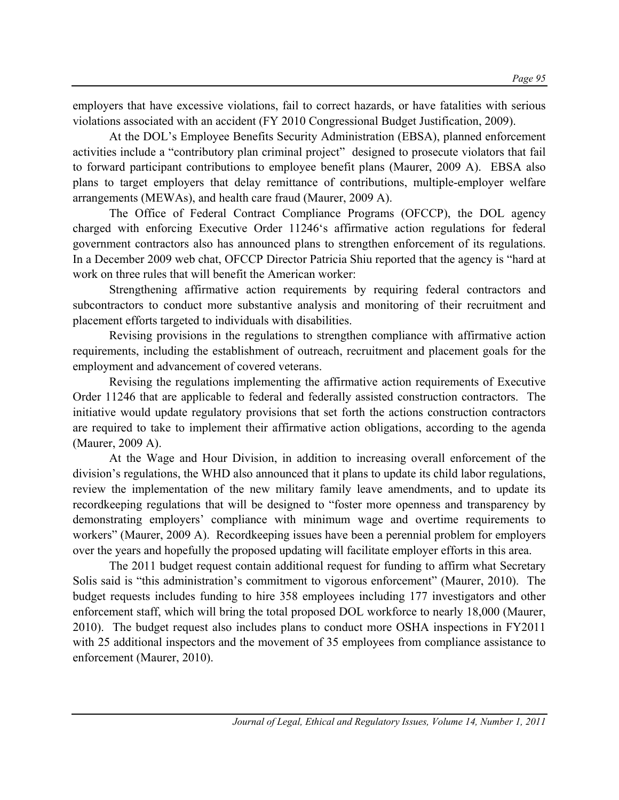employers that have excessive violations, fail to correct hazards, or have fatalities with serious violations associated with an accident (FY 2010 Congressional Budget Justification, 2009).

 At the DOL's Employee Benefits Security Administration (EBSA), planned enforcement activities include a "contributory plan criminal project" designed to prosecute violators that fail to forward participant contributions to employee benefit plans (Maurer, 2009 A). EBSA also plans to target employers that delay remittance of contributions, multiple-employer welfare arrangements (MEWAs), and health care fraud (Maurer, 2009 A).

 The Office of Federal Contract Compliance Programs (OFCCP), the DOL agency charged with enforcing Executive Order 11246's affirmative action regulations for federal government contractors also has announced plans to strengthen enforcement of its regulations. In a December 2009 web chat, OFCCP Director Patricia Shiu reported that the agency is "hard at work on three rules that will benefit the American worker:

Strengthening affirmative action requirements by requiring federal contractors and subcontractors to conduct more substantive analysis and monitoring of their recruitment and placement efforts targeted to individuals with disabilities.

Revising provisions in the regulations to strengthen compliance with affirmative action requirements, including the establishment of outreach, recruitment and placement goals for the employment and advancement of covered veterans.

Revising the regulations implementing the affirmative action requirements of Executive Order 11246 that are applicable to federal and federally assisted construction contractors. The initiative would update regulatory provisions that set forth the actions construction contractors are required to take to implement their affirmative action obligations, according to the agenda (Maurer, 2009 A).

 At the Wage and Hour Division, in addition to increasing overall enforcement of the division's regulations, the WHD also announced that it plans to update its child labor regulations, review the implementation of the new military family leave amendments, and to update its recordkeeping regulations that will be designed to "foster more openness and transparency by demonstrating employers' compliance with minimum wage and overtime requirements to workers" (Maurer, 2009 A). Recordkeeping issues have been a perennial problem for employers over the years and hopefully the proposed updating will facilitate employer efforts in this area.

 The 2011 budget request contain additional request for funding to affirm what Secretary Solis said is "this administration's commitment to vigorous enforcement" (Maurer, 2010). The budget requests includes funding to hire 358 employees including 177 investigators and other enforcement staff, which will bring the total proposed DOL workforce to nearly 18,000 (Maurer, 2010). The budget request also includes plans to conduct more OSHA inspections in FY2011 with 25 additional inspectors and the movement of 35 employees from compliance assistance to enforcement (Maurer, 2010).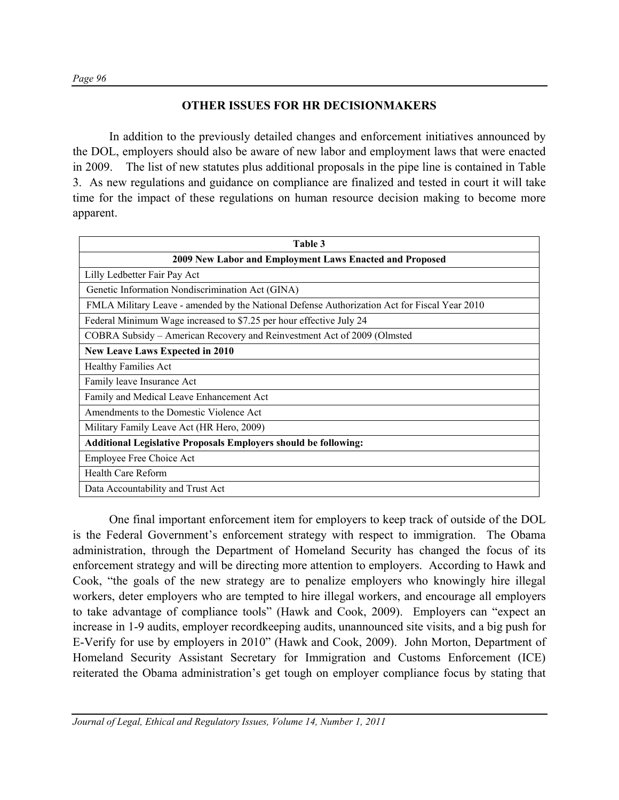# **OTHER ISSUES FOR HR DECISIONMAKERS**

 In addition to the previously detailed changes and enforcement initiatives announced by the DOL, employers should also be aware of new labor and employment laws that were enacted in 2009. The list of new statutes plus additional proposals in the pipe line is contained in Table 3. As new regulations and guidance on compliance are finalized and tested in court it will take time for the impact of these regulations on human resource decision making to become more apparent.

| Table 3                                                                                      |
|----------------------------------------------------------------------------------------------|
| 2009 New Labor and Employment Laws Enacted and Proposed                                      |
| Lilly Ledbetter Fair Pay Act                                                                 |
| Genetic Information Nondiscrimination Act (GINA)                                             |
| FMLA Military Leave - amended by the National Defense Authorization Act for Fiscal Year 2010 |
| Federal Minimum Wage increased to \$7.25 per hour effective July 24                          |
| COBRA Subsidy – American Recovery and Reinvestment Act of 2009 (Olmsted                      |
| <b>New Leave Laws Expected in 2010</b>                                                       |
| Healthy Families Act                                                                         |
| Family leave Insurance Act                                                                   |
| Family and Medical Leave Enhancement Act                                                     |
| Amendments to the Domestic Violence Act                                                      |
| Military Family Leave Act (HR Hero, 2009)                                                    |
| <b>Additional Legislative Proposals Employers should be following:</b>                       |
| Employee Free Choice Act                                                                     |
| <b>Health Care Reform</b>                                                                    |
| Data Accountability and Trust Act                                                            |

One final important enforcement item for employers to keep track of outside of the DOL is the Federal Government's enforcement strategy with respect to immigration. The Obama administration, through the Department of Homeland Security has changed the focus of its enforcement strategy and will be directing more attention to employers. According to Hawk and Cook, "the goals of the new strategy are to penalize employers who knowingly hire illegal workers, deter employers who are tempted to hire illegal workers, and encourage all employers to take advantage of compliance tools" (Hawk and Cook, 2009). Employers can "expect an increase in 1-9 audits, employer recordkeeping audits, unannounced site visits, and a big push for E-Verify for use by employers in 2010" (Hawk and Cook, 2009). John Morton, Department of Homeland Security Assistant Secretary for Immigration and Customs Enforcement (ICE) reiterated the Obama administration's get tough on employer compliance focus by stating that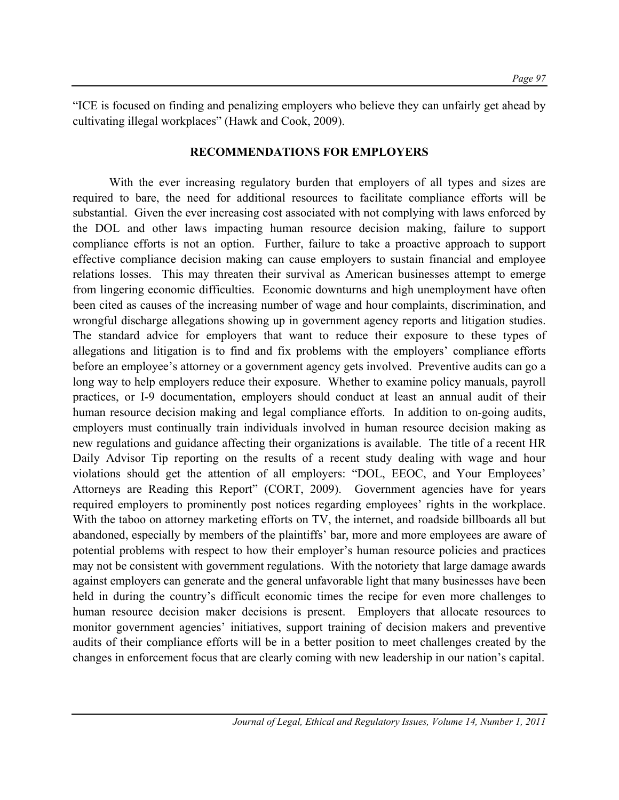"ICE is focused on finding and penalizing employers who believe they can unfairly get ahead by cultivating illegal workplaces" (Hawk and Cook, 2009).

### **RECOMMENDATIONS FOR EMPLOYERS**

 With the ever increasing regulatory burden that employers of all types and sizes are required to bare, the need for additional resources to facilitate compliance efforts will be substantial. Given the ever increasing cost associated with not complying with laws enforced by the DOL and other laws impacting human resource decision making, failure to support compliance efforts is not an option. Further, failure to take a proactive approach to support effective compliance decision making can cause employers to sustain financial and employee relations losses. This may threaten their survival as American businesses attempt to emerge from lingering economic difficulties. Economic downturns and high unemployment have often been cited as causes of the increasing number of wage and hour complaints, discrimination, and wrongful discharge allegations showing up in government agency reports and litigation studies. The standard advice for employers that want to reduce their exposure to these types of allegations and litigation is to find and fix problems with the employers' compliance efforts before an employee's attorney or a government agency gets involved. Preventive audits can go a long way to help employers reduce their exposure. Whether to examine policy manuals, payroll practices, or I-9 documentation, employers should conduct at least an annual audit of their human resource decision making and legal compliance efforts. In addition to on-going audits, employers must continually train individuals involved in human resource decision making as new regulations and guidance affecting their organizations is available. The title of a recent HR Daily Advisor Tip reporting on the results of a recent study dealing with wage and hour violations should get the attention of all employers: "DOL, EEOC, and Your Employees' Attorneys are Reading this Report" (CORT, 2009). Government agencies have for years required employers to prominently post notices regarding employees' rights in the workplace. With the taboo on attorney marketing efforts on TV, the internet, and roadside billboards all but abandoned, especially by members of the plaintiffs' bar, more and more employees are aware of potential problems with respect to how their employer's human resource policies and practices may not be consistent with government regulations. With the notoriety that large damage awards against employers can generate and the general unfavorable light that many businesses have been held in during the country's difficult economic times the recipe for even more challenges to human resource decision maker decisions is present. Employers that allocate resources to monitor government agencies' initiatives, support training of decision makers and preventive audits of their compliance efforts will be in a better position to meet challenges created by the changes in enforcement focus that are clearly coming with new leadership in our nation's capital.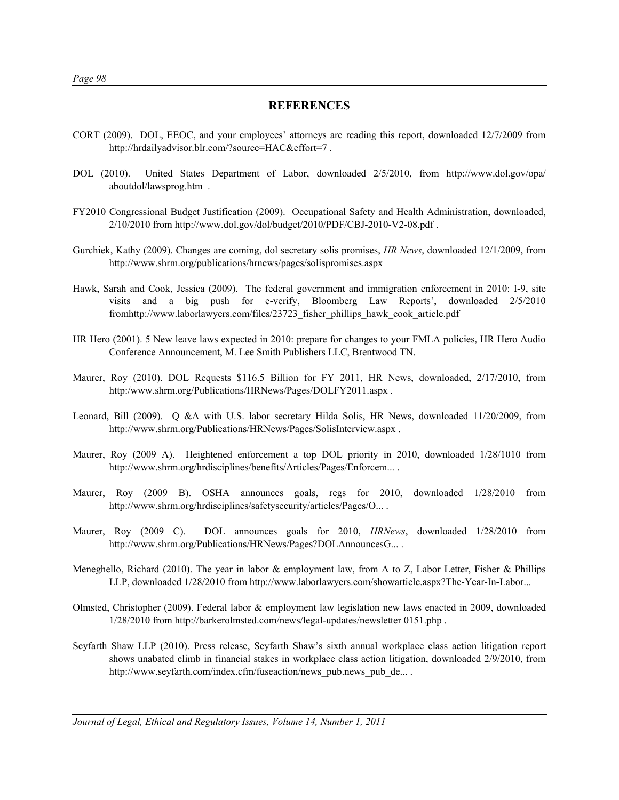#### **REFERENCES**

- CORT (2009). DOL, EEOC, and your employees' attorneys are reading this report, downloaded 12/7/2009 from http://hrdailyadvisor.blr.com/?source=HAC&effort=7 .
- DOL (2010). United States Department of Labor, downloaded 2/5/2010, from http://www.dol.gov/opa/ aboutdol/lawsprog.htm .
- FY2010 Congressional Budget Justification (2009). Occupational Safety and Health Administration, downloaded, 2/10/2010 from http://www.dol.gov/dol/budget/2010/PDF/CBJ-2010-V2-08.pdf .
- Gurchiek, Kathy (2009). Changes are coming, dol secretary solis promises, *HR News*, downloaded 12/1/2009, from http://www.shrm.org/publications/hrnews/pages/solispromises.aspx
- Hawk, Sarah and Cook, Jessica (2009). The federal government and immigration enforcement in 2010: I-9, site visits and a big push for e-verify, Bloomberg Law Reports', downloaded 2/5/2010 fromhttp://www.laborlawyers.com/files/23723\_fisher\_phillips\_hawk\_cook\_article.pdf
- HR Hero (2001). 5 New leave laws expected in 2010: prepare for changes to your FMLA policies, HR Hero Audio Conference Announcement, M. Lee Smith Publishers LLC, Brentwood TN.
- Maurer, Roy (2010). DOL Requests \$116.5 Billion for FY 2011, HR News, downloaded, 2/17/2010, from http:/www.shrm.org/Publications/HRNews/Pages/DOLFY2011.aspx .
- Leonard, Bill (2009). Q &A with U.S. labor secretary Hilda Solis, HR News, downloaded 11/20/2009, from http://www.shrm.org/Publications/HRNews/Pages/SolisInterview.aspx .
- Maurer, Roy (2009 A). Heightened enforcement a top DOL priority in 2010, downloaded 1/28/1010 from http://www.shrm.org/hrdisciplines/benefits/Articles/Pages/Enforcem... .
- Maurer, Roy (2009 B). OSHA announces goals, regs for 2010, downloaded 1/28/2010 from http://www.shrm.org/hrdisciplines/safetysecurity/articles/Pages/O... .
- Maurer, Roy (2009 C). DOL announces goals for 2010, *HRNews*, downloaded 1/28/2010 from http://www.shrm.org/Publications/HRNews/Pages?DOLAnnouncesG... .
- Meneghello, Richard (2010). The year in labor & employment law, from A to Z, Labor Letter, Fisher & Phillips LLP, downloaded 1/28/2010 from http://www.laborlawyers.com/showarticle.aspx?The-Year-In-Labor...
- Olmsted, Christopher (2009). Federal labor & employment law legislation new laws enacted in 2009, downloaded 1/28/2010 from http://barkerolmsted.com/news/legal-updates/newsletter 0151.php .
- Seyfarth Shaw LLP (2010). Press release, Seyfarth Shaw's sixth annual workplace class action litigation report shows unabated climb in financial stakes in workplace class action litigation, downloaded 2/9/2010, from http://www.seyfarth.com/index.cfm/fuseaction/news\_pub.news\_pub\_de... .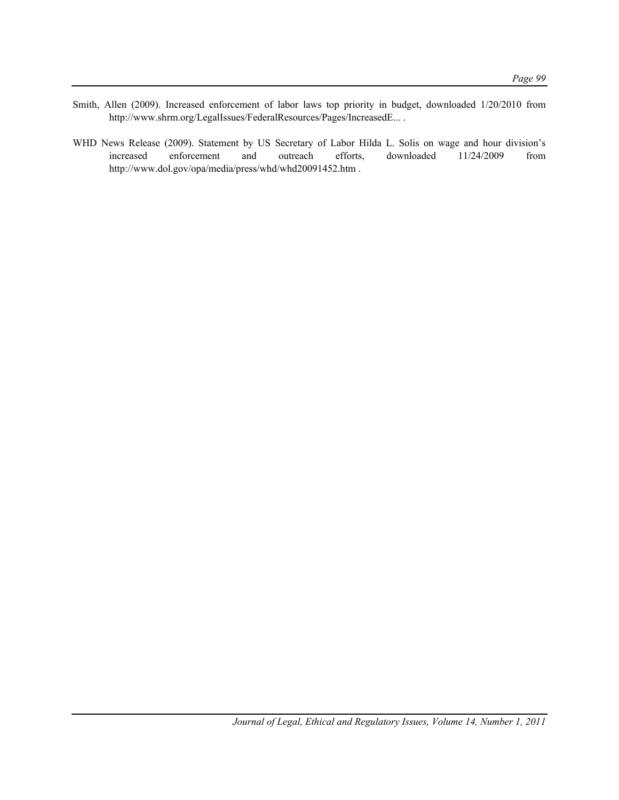- Smith, Allen (2009). Increased enforcement of labor laws top priority in budget, downloaded 1/20/2010 from http://www.shrm.org/LegalIssues/FederalResources/Pages/IncreasedE... .
- WHD News Release (2009). Statement by US Secretary of Labor Hilda L. Solis on wage and hour division's increased enforcement and outreach efforts, downloaded 11/24/2009 from http://www.dol.gov/opa/media/press/whd/whd20091452.htm .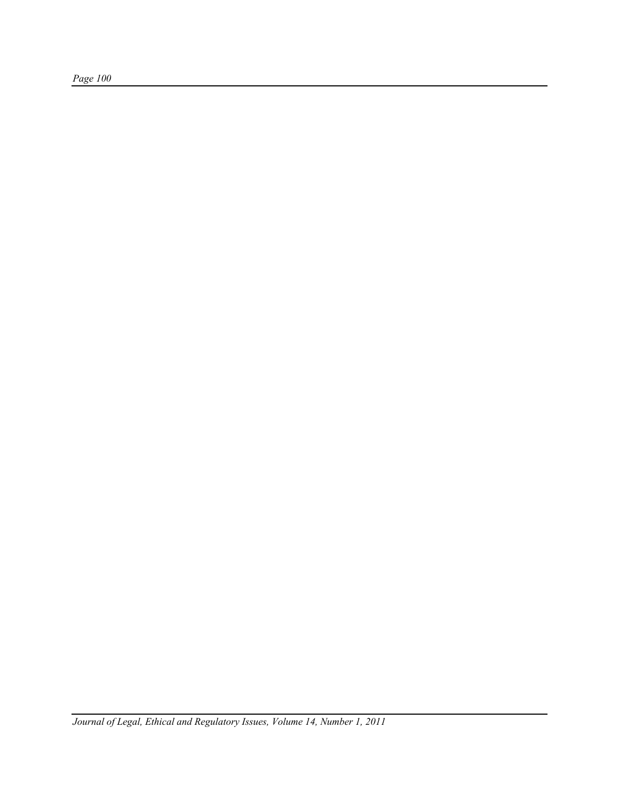*Page 100*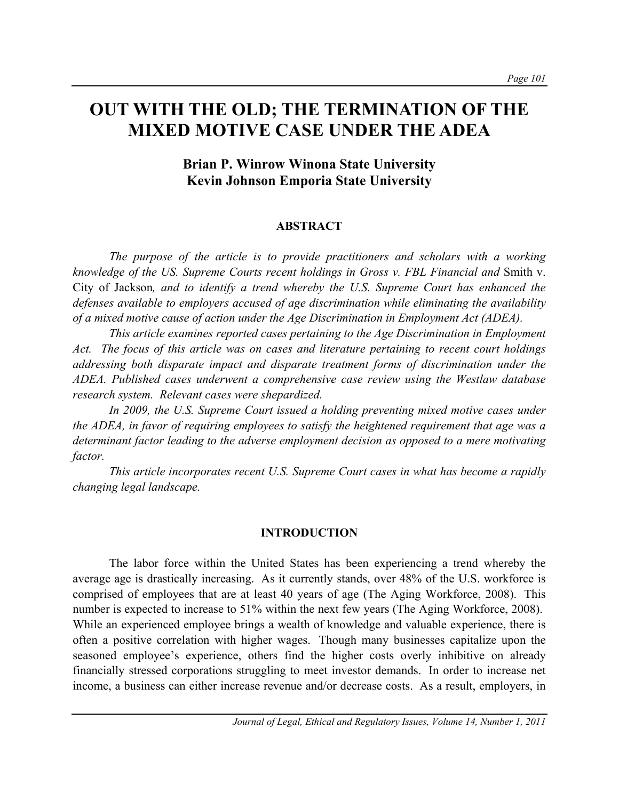# **OUT WITH THE OLD; THE TERMINATION OF THE MIXED MOTIVE CASE UNDER THE ADEA**

# **Brian P. Winrow Winona State University Kevin Johnson Emporia State University**

### **ABSTRACT**

*The purpose of the article is to provide practitioners and scholars with a working knowledge of the US. Supreme Courts recent holdings in Gross v. FBL Financial and* Smith v. City of Jackson*, and to identify a trend whereby the U.S. Supreme Court has enhanced the defenses available to employers accused of age discrimination while eliminating the availability of a mixed motive cause of action under the Age Discrimination in Employment Act (ADEA).* 

*This article examines reported cases pertaining to the Age Discrimination in Employment Act. The focus of this article was on cases and literature pertaining to recent court holdings addressing both disparate impact and disparate treatment forms of discrimination under the ADEA. Published cases underwent a comprehensive case review using the Westlaw database research system. Relevant cases were shepardized.* 

*In 2009, the U.S. Supreme Court issued a holding preventing mixed motive cases under the ADEA, in favor of requiring employees to satisfy the heightened requirement that age was a determinant factor leading to the adverse employment decision as opposed to a mere motivating factor.* 

*This article incorporates recent U.S. Supreme Court cases in what has become a rapidly changing legal landscape.* 

### **INTRODUCTION**

The labor force within the United States has been experiencing a trend whereby the average age is drastically increasing. As it currently stands, over 48% of the U.S. workforce is comprised of employees that are at least 40 years of age (The Aging Workforce, 2008). This number is expected to increase to 51% within the next few years (The Aging Workforce, 2008). While an experienced employee brings a wealth of knowledge and valuable experience, there is often a positive correlation with higher wages. Though many businesses capitalize upon the seasoned employee's experience, others find the higher costs overly inhibitive on already financially stressed corporations struggling to meet investor demands. In order to increase net income, a business can either increase revenue and/or decrease costs. As a result, employers, in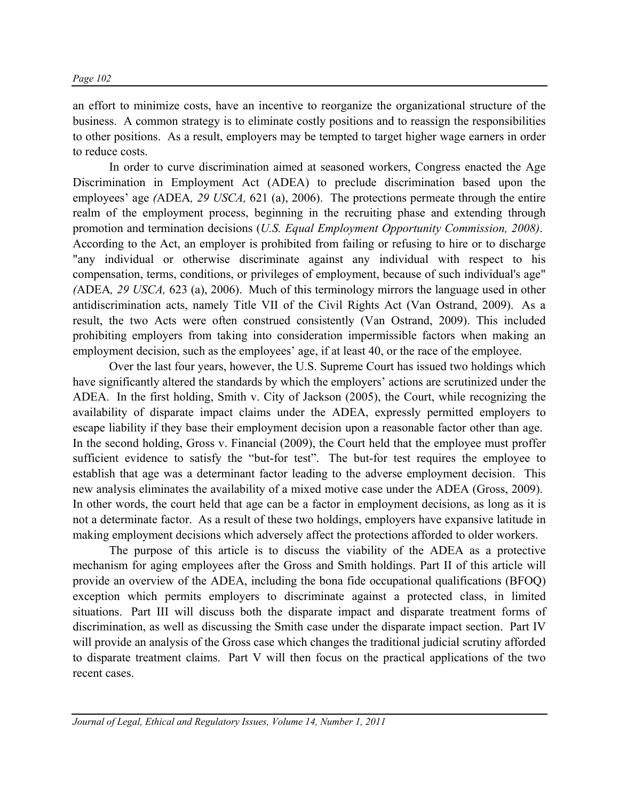an effort to minimize costs, have an incentive to reorganize the organizational structure of the business. A common strategy is to eliminate costly positions and to reassign the responsibilities to other positions. As a result, employers may be tempted to target higher wage earners in order to reduce costs.

In order to curve discrimination aimed at seasoned workers, Congress enacted the Age Discrimination in Employment Act (ADEA) to preclude discrimination based upon the employees' age *(*ADEA*, 29 USCA,* 621 (a), 2006).The protections permeate through the entire realm of the employment process, beginning in the recruiting phase and extending through promotion and termination decisions (*U.S. Equal Employment Opportunity Commission, 2008)*. According to the Act, an employer is prohibited from failing or refusing to hire or to discharge "any individual or otherwise discriminate against any individual with respect to his compensation, terms, conditions, or privileges of employment, because of such individual's age" *(*ADEA*, 29 USCA,* 623 (a), 2006). Much of this terminology mirrors the language used in other antidiscrimination acts, namely Title VII of the Civil Rights Act (Van Ostrand, 2009). As a result, the two Acts were often construed consistently (Van Ostrand, 2009). This included prohibiting employers from taking into consideration impermissible factors when making an employment decision, such as the employees' age, if at least 40, or the race of the employee.

Over the last four years, however, the U.S. Supreme Court has issued two holdings which have significantly altered the standards by which the employers' actions are scrutinized under the ADEA. In the first holding, Smith v. City of Jackson (2005), the Court, while recognizing the availability of disparate impact claims under the ADEA, expressly permitted employers to escape liability if they base their employment decision upon a reasonable factor other than age. In the second holding, Gross v. Financial (2009), the Court held that the employee must proffer sufficient evidence to satisfy the "but-for test". The but-for test requires the employee to establish that age was a determinant factor leading to the adverse employment decision. This new analysis eliminates the availability of a mixed motive case under the ADEA (Gross, 2009). In other words, the court held that age can be a factor in employment decisions, as long as it is not a determinate factor. As a result of these two holdings, employers have expansive latitude in making employment decisions which adversely affect the protections afforded to older workers.

The purpose of this article is to discuss the viability of the ADEA as a protective mechanism for aging employees after the Gross and Smith holdings. Part II of this article will provide an overview of the ADEA, including the bona fide occupational qualifications (BFOQ) exception which permits employers to discriminate against a protected class, in limited situations. Part III will discuss both the disparate impact and disparate treatment forms of discrimination, as well as discussing the Smith case under the disparate impact section. Part IV will provide an analysis of the Gross case which changes the traditional judicial scrutiny afforded to disparate treatment claims. Part V will then focus on the practical applications of the two recent cases.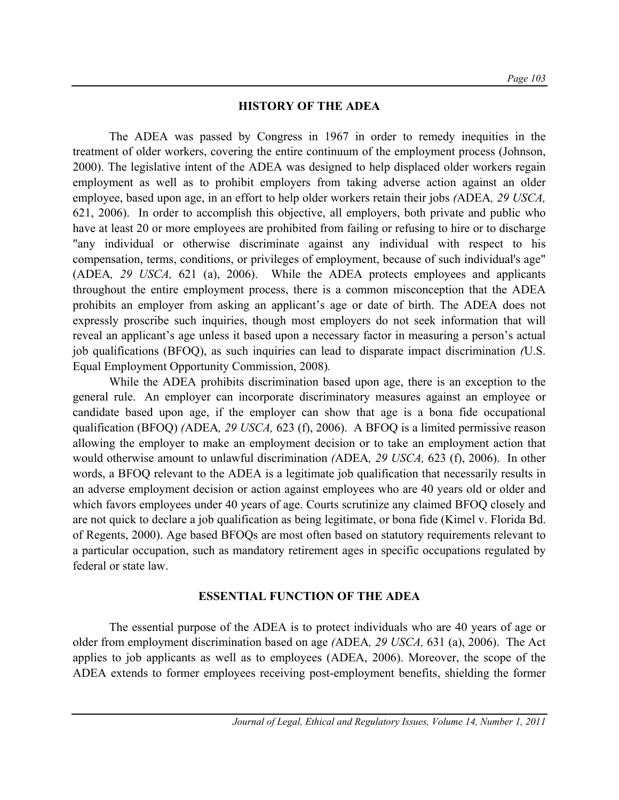#### **HISTORY OF THE ADEA**

The ADEA was passed by Congress in 1967 in order to remedy inequities in the treatment of older workers, covering the entire continuum of the employment process (Johnson, 2000). The legislative intent of the ADEA was designed to help displaced older workers regain employment as well as to prohibit employers from taking adverse action against an older employee, based upon age, in an effort to help older workers retain their jobs *(*ADEA*, 29 USCA,*  621, 2006). In order to accomplish this objective, all employers, both private and public who have at least 20 or more employees are prohibited from failing or refusing to hire or to discharge "any individual or otherwise discriminate against any individual with respect to his compensation, terms, conditions, or privileges of employment, because of such individual's age" (ADEA*, 29 USCA,* 621 (a), 2006). While the ADEA protects employees and applicants throughout the entire employment process, there is a common misconception that the ADEA prohibits an employer from asking an applicant's age or date of birth. The ADEA does not expressly proscribe such inquiries, though most employers do not seek information that will reveal an applicant's age unless it based upon a necessary factor in measuring a person's actual job qualifications (BFOQ), as such inquiries can lead to disparate impact discrimination *(*U.S. Equal Employment Opportunity Commission, 2008)*.* 

While the ADEA prohibits discrimination based upon age, there is an exception to the general rule. An employer can incorporate discriminatory measures against an employee or candidate based upon age, if the employer can show that age is a bona fide occupational qualification (BFOQ) *(*ADEA*, 29 USCA,* 623 (f), 2006). A BFOQ is a limited permissive reason allowing the employer to make an employment decision or to take an employment action that would otherwise amount to unlawful discrimination *(*ADEA*, 29 USCA,* 623 (f), 2006).In other words, a BFOQ relevant to the ADEA is a legitimate job qualification that necessarily results in an adverse employment decision or action against employees who are 40 years old or older and which favors employees under 40 years of age. Courts scrutinize any claimed BFOQ closely and are not quick to declare a job qualification as being legitimate, or bona fide (Kimel v. Florida Bd. of Regents, 2000). Age based BFOQs are most often based on statutory requirements relevant to a particular occupation, such as mandatory retirement ages in specific occupations regulated by federal or state law.

#### **ESSENTIAL FUNCTION OF THE ADEA**

The essential purpose of the ADEA is to protect individuals who are 40 years of age or older from employment discrimination based on age *(*ADEA*, 29 USCA,* 631 (a), 2006).The Act applies to job applicants as well as to employees (ADEA, 2006). Moreover, the scope of the ADEA extends to former employees receiving post-employment benefits, shielding the former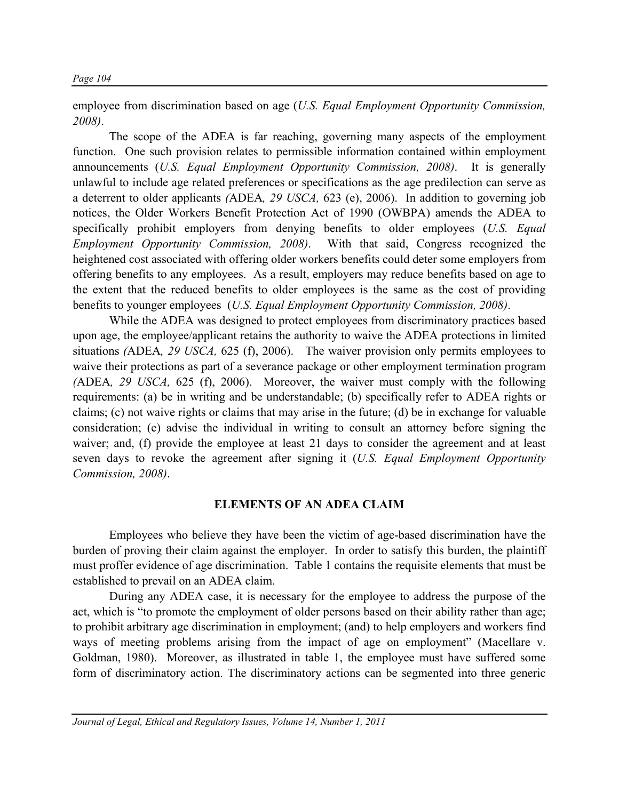employee from discrimination based on age (*U.S. Equal Employment Opportunity Commission, 2008)*.

The scope of the ADEA is far reaching, governing many aspects of the employment function. One such provision relates to permissible information contained within employment announcements (*U.S. Equal Employment Opportunity Commission, 2008)*. It is generally unlawful to include age related preferences or specifications as the age predilection can serve as a deterrent to older applicants *(*ADEA*, 29 USCA,* 623 (e), 2006).In addition to governing job notices, the Older Workers Benefit Protection Act of 1990 (OWBPA) amends the ADEA to specifically prohibit employers from denying benefits to older employees (*U.S. Equal Employment Opportunity Commission, 2008)*. With that said, Congress recognized the heightened cost associated with offering older workers benefits could deter some employers from offering benefits to any employees. As a result, employers may reduce benefits based on age to the extent that the reduced benefits to older employees is the same as the cost of providing benefits to younger employees (*U.S. Equal Employment Opportunity Commission, 2008)*.

While the ADEA was designed to protect employees from discriminatory practices based upon age, the employee/applicant retains the authority to waive the ADEA protections in limited situations *(*ADEA*, 29 USCA,* 625 (f), 2006). The waiver provision only permits employees to waive their protections as part of a severance package or other employment termination program *(*ADEA*, 29 USCA,* 625 (f), 2006). Moreover, the waiver must comply with the following requirements: (a) be in writing and be understandable; (b) specifically refer to ADEA rights or claims; (c) not waive rights or claims that may arise in the future; (d) be in exchange for valuable consideration; (e) advise the individual in writing to consult an attorney before signing the waiver; and, (f) provide the employee at least 21 days to consider the agreement and at least seven days to revoke the agreement after signing it (*U.S. Equal Employment Opportunity Commission, 2008)*.

#### **ELEMENTS OF AN ADEA CLAIM**

Employees who believe they have been the victim of age-based discrimination have the burden of proving their claim against the employer. In order to satisfy this burden, the plaintiff must proffer evidence of age discrimination. Table 1 contains the requisite elements that must be established to prevail on an ADEA claim.

During any ADEA case, it is necessary for the employee to address the purpose of the act, which is "to promote the employment of older persons based on their ability rather than age; to prohibit arbitrary age discrimination in employment; (and) to help employers and workers find ways of meeting problems arising from the impact of age on employment" (Macellare v. Goldman, 1980). Moreover, as illustrated in table 1, the employee must have suffered some form of discriminatory action. The discriminatory actions can be segmented into three generic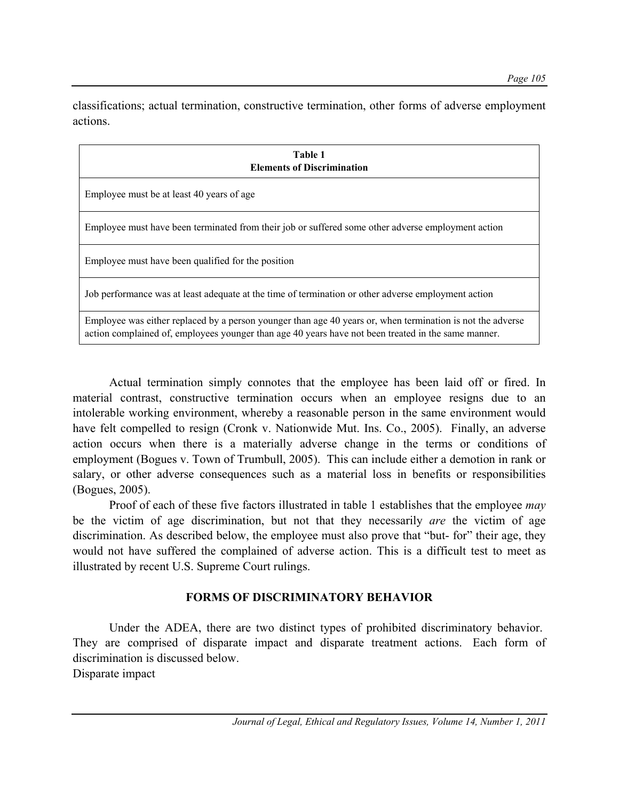classifications; actual termination, constructive termination, other forms of adverse employment actions.

| Table 1<br><b>Elements of Discrimination</b>                                                                                                                                                                      |  |  |  |  |
|-------------------------------------------------------------------------------------------------------------------------------------------------------------------------------------------------------------------|--|--|--|--|
| Employee must be at least 40 years of age                                                                                                                                                                         |  |  |  |  |
| Employee must have been terminated from their job or suffered some other adverse employment action                                                                                                                |  |  |  |  |
| Employee must have been qualified for the position                                                                                                                                                                |  |  |  |  |
| Job performance was at least adequate at the time of termination or other adverse employment action                                                                                                               |  |  |  |  |
| Employee was either replaced by a person younger than age 40 years or, when termination is not the adverse<br>action complained of, employees younger than age 40 years have not been treated in the same manner. |  |  |  |  |

Actual termination simply connotes that the employee has been laid off or fired. In material contrast, constructive termination occurs when an employee resigns due to an intolerable working environment, whereby a reasonable person in the same environment would have felt compelled to resign (Cronk v. Nationwide Mut. Ins. Co., 2005). Finally, an adverse action occurs when there is a materially adverse change in the terms or conditions of employment (Bogues v. Town of Trumbull, 2005). This can include either a demotion in rank or salary, or other adverse consequences such as a material loss in benefits or responsibilities (Bogues, 2005).

Proof of each of these five factors illustrated in table 1 establishes that the employee *may* be the victim of age discrimination, but not that they necessarily *are* the victim of age discrimination. As described below, the employee must also prove that "but- for" their age, they would not have suffered the complained of adverse action. This is a difficult test to meet as illustrated by recent U.S. Supreme Court rulings.

# **FORMS OF DISCRIMINATORY BEHAVIOR**

Under the ADEA, there are two distinct types of prohibited discriminatory behavior. They are comprised of disparate impact and disparate treatment actions. Each form of discrimination is discussed below.

Disparate impact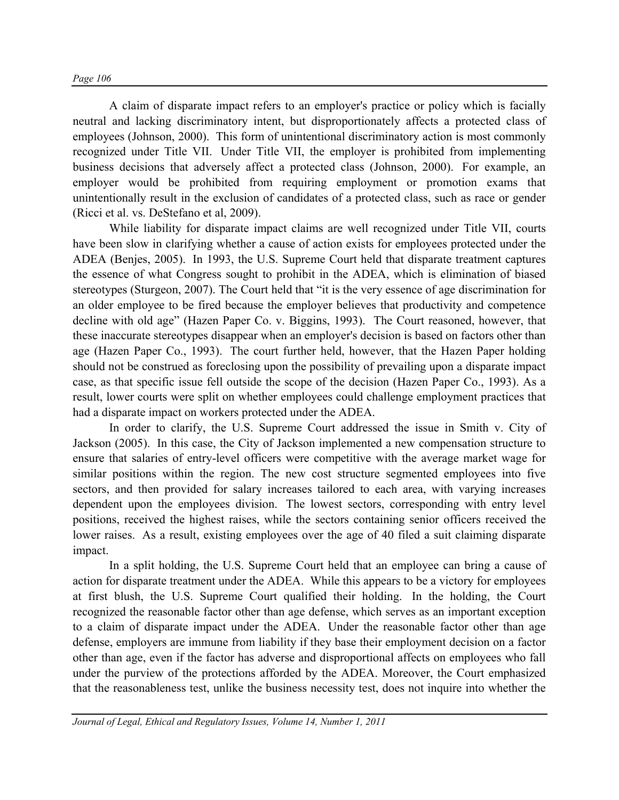#### *Page 106*

A claim of disparate impact refers to an employer's practice or policy which is facially neutral and lacking discriminatory intent, but disproportionately affects a protected class of employees (Johnson, 2000). This form of unintentional discriminatory action is most commonly recognized under Title VII. Under Title VII, the employer is prohibited from implementing business decisions that adversely affect a protected class (Johnson, 2000). For example, an employer would be prohibited from requiring employment or promotion exams that unintentionally result in the exclusion of candidates of a protected class, such as race or gender (Ricci et al. vs. DeStefano et al, 2009).

While liability for disparate impact claims are well recognized under Title VII, courts have been slow in clarifying whether a cause of action exists for employees protected under the ADEA (Benjes, 2005). In 1993, the U.S. Supreme Court held that disparate treatment captures the essence of what Congress sought to prohibit in the ADEA, which is elimination of biased stereotypes (Sturgeon, 2007). The Court held that "it is the very essence of age discrimination for an older employee to be fired because the employer believes that productivity and competence decline with old age" (Hazen Paper Co. v. Biggins, 1993). The Court reasoned, however, that these inaccurate stereotypes disappear when an employer's decision is based on factors other than age (Hazen Paper Co., 1993). The court further held, however, that the Hazen Paper holding should not be construed as foreclosing upon the possibility of prevailing upon a disparate impact case, as that specific issue fell outside the scope of the decision (Hazen Paper Co., 1993). As a result, lower courts were split on whether employees could challenge employment practices that had a disparate impact on workers protected under the ADEA.

In order to clarify, the U.S. Supreme Court addressed the issue in Smith v. City of Jackson (2005). In this case, the City of Jackson implemented a new compensation structure to ensure that salaries of entry-level officers were competitive with the average market wage for similar positions within the region. The new cost structure segmented employees into five sectors, and then provided for salary increases tailored to each area, with varying increases dependent upon the employees division. The lowest sectors, corresponding with entry level positions, received the highest raises, while the sectors containing senior officers received the lower raises. As a result, existing employees over the age of 40 filed a suit claiming disparate impact.

In a split holding, the U.S. Supreme Court held that an employee can bring a cause of action for disparate treatment under the ADEA. While this appears to be a victory for employees at first blush, the U.S. Supreme Court qualified their holding. In the holding, the Court recognized the reasonable factor other than age defense, which serves as an important exception to a claim of disparate impact under the ADEA. Under the reasonable factor other than age defense, employers are immune from liability if they base their employment decision on a factor other than age, even if the factor has adverse and disproportional affects on employees who fall under the purview of the protections afforded by the ADEA. Moreover, the Court emphasized that the reasonableness test, unlike the business necessity test, does not inquire into whether the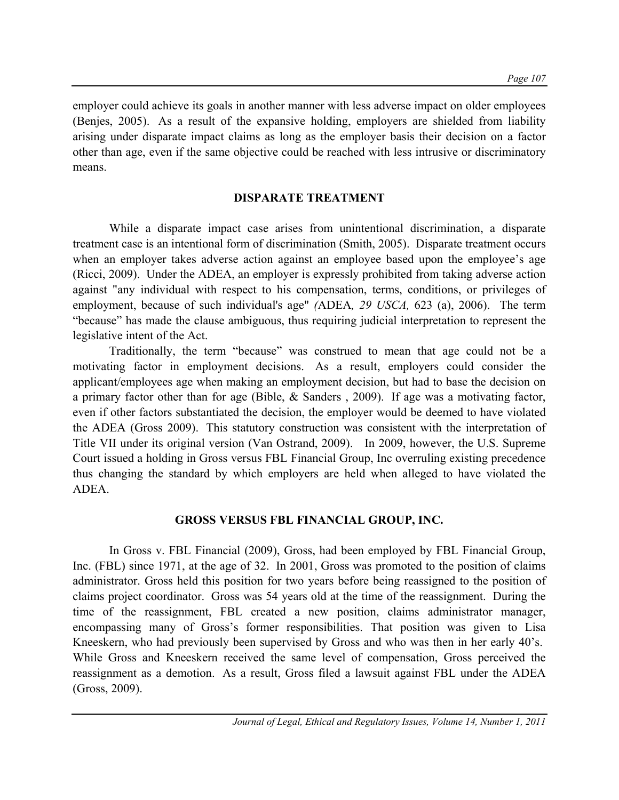employer could achieve its goals in another manner with less adverse impact on older employees (Benjes, 2005). As a result of the expansive holding, employers are shielded from liability arising under disparate impact claims as long as the employer basis their decision on a factor other than age, even if the same objective could be reached with less intrusive or discriminatory means.

# **DISPARATE TREATMENT**

While a disparate impact case arises from unintentional discrimination, a disparate treatment case is an intentional form of discrimination (Smith, 2005). Disparate treatment occurs when an employer takes adverse action against an employee based upon the employee's age (Ricci, 2009). Under the ADEA, an employer is expressly prohibited from taking adverse action against "any individual with respect to his compensation, terms, conditions, or privileges of employment, because of such individual's age" *(*ADEA*, 29 USCA,* 623 (a), 2006). The term "because" has made the clause ambiguous, thus requiring judicial interpretation to represent the legislative intent of the Act.

Traditionally, the term "because" was construed to mean that age could not be a motivating factor in employment decisions. As a result, employers could consider the applicant/employees age when making an employment decision, but had to base the decision on a primary factor other than for age (Bible, & Sanders , 2009). If age was a motivating factor, even if other factors substantiated the decision, the employer would be deemed to have violated the ADEA (Gross 2009). This statutory construction was consistent with the interpretation of Title VII under its original version (Van Ostrand, 2009). In 2009, however, the U.S. Supreme Court issued a holding in Gross versus FBL Financial Group, Inc overruling existing precedence thus changing the standard by which employers are held when alleged to have violated the ADEA.

# **GROSS VERSUS FBL FINANCIAL GROUP, INC.**

In Gross v. FBL Financial (2009), Gross, had been employed by FBL Financial Group, Inc. (FBL) since 1971, at the age of 32. In 2001, Gross was promoted to the position of claims administrator. Gross held this position for two years before being reassigned to the position of claims project coordinator. Gross was 54 years old at the time of the reassignment. During the time of the reassignment, FBL created a new position, claims administrator manager, encompassing many of Gross's former responsibilities. That position was given to Lisa Kneeskern, who had previously been supervised by Gross and who was then in her early 40's. While Gross and Kneeskern received the same level of compensation, Gross perceived the reassignment as a demotion. As a result, Gross filed a lawsuit against FBL under the ADEA (Gross, 2009).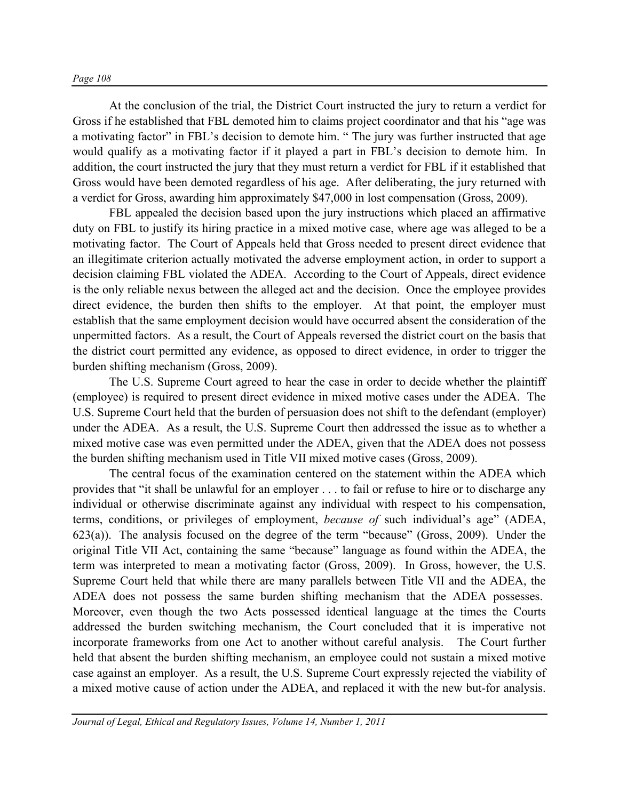At the conclusion of the trial, the District Court instructed the jury to return a verdict for Gross if he established that FBL demoted him to claims project coordinator and that his "age was a motivating factor" in FBL's decision to demote him. " The jury was further instructed that age would qualify as a motivating factor if it played a part in FBL's decision to demote him. In addition, the court instructed the jury that they must return a verdict for FBL if it established that Gross would have been demoted regardless of his age. After deliberating, the jury returned with a verdict for Gross, awarding him approximately \$47,000 in lost compensation (Gross, 2009).

FBL appealed the decision based upon the jury instructions which placed an affirmative duty on FBL to justify its hiring practice in a mixed motive case, where age was alleged to be a motivating factor. The Court of Appeals held that Gross needed to present direct evidence that an illegitimate criterion actually motivated the adverse employment action, in order to support a decision claiming FBL violated the ADEA. According to the Court of Appeals, direct evidence is the only reliable nexus between the alleged act and the decision. Once the employee provides direct evidence, the burden then shifts to the employer. At that point, the employer must establish that the same employment decision would have occurred absent the consideration of the unpermitted factors. As a result, the Court of Appeals reversed the district court on the basis that the district court permitted any evidence, as opposed to direct evidence, in order to trigger the burden shifting mechanism (Gross, 2009).

The U.S. Supreme Court agreed to hear the case in order to decide whether the plaintiff (employee) is required to present direct evidence in mixed motive cases under the ADEA. The U.S. Supreme Court held that the burden of persuasion does not shift to the defendant (employer) under the ADEA. As a result, the U.S. Supreme Court then addressed the issue as to whether a mixed motive case was even permitted under the ADEA, given that the ADEA does not possess the burden shifting mechanism used in Title VII mixed motive cases (Gross, 2009).

The central focus of the examination centered on the statement within the ADEA which provides that "it shall be unlawful for an employer . . . to fail or refuse to hire or to discharge any individual or otherwise discriminate against any individual with respect to his compensation, terms, conditions, or privileges of employment, *because of* such individual's age" (ADEA, 623(a)). The analysis focused on the degree of the term "because" (Gross, 2009). Under the original Title VII Act, containing the same "because" language as found within the ADEA, the term was interpreted to mean a motivating factor (Gross, 2009). In Gross, however, the U.S. Supreme Court held that while there are many parallels between Title VII and the ADEA, the ADEA does not possess the same burden shifting mechanism that the ADEA possesses. Moreover, even though the two Acts possessed identical language at the times the Courts addressed the burden switching mechanism, the Court concluded that it is imperative not incorporate frameworks from one Act to another without careful analysis. The Court further held that absent the burden shifting mechanism, an employee could not sustain a mixed motive case against an employer. As a result, the U.S. Supreme Court expressly rejected the viability of a mixed motive cause of action under the ADEA, and replaced it with the new but-for analysis.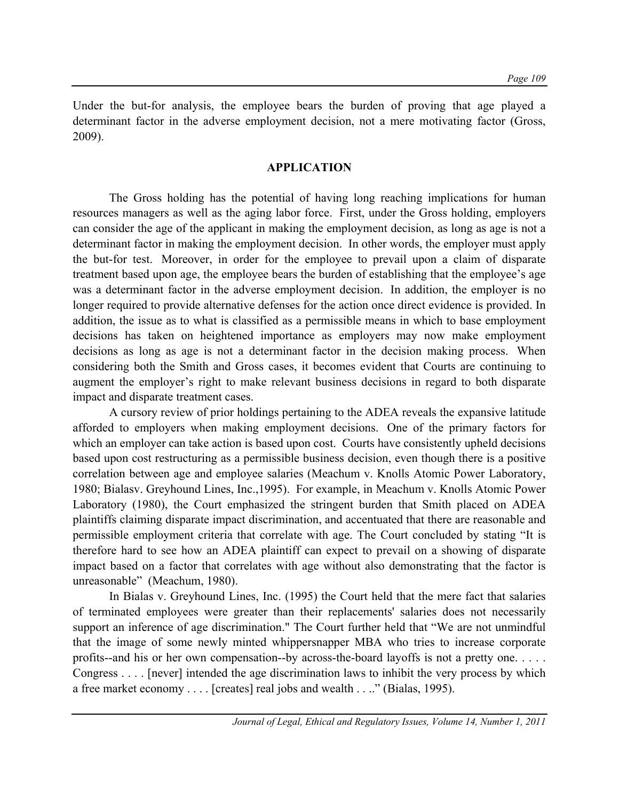Under the but-for analysis, the employee bears the burden of proving that age played a determinant factor in the adverse employment decision, not a mere motivating factor (Gross, 2009).

# **APPLICATION**

The Gross holding has the potential of having long reaching implications for human resources managers as well as the aging labor force. First, under the Gross holding, employers can consider the age of the applicant in making the employment decision, as long as age is not a determinant factor in making the employment decision. In other words, the employer must apply the but-for test. Moreover, in order for the employee to prevail upon a claim of disparate treatment based upon age, the employee bears the burden of establishing that the employee's age was a determinant factor in the adverse employment decision. In addition, the employer is no longer required to provide alternative defenses for the action once direct evidence is provided. In addition, the issue as to what is classified as a permissible means in which to base employment decisions has taken on heightened importance as employers may now make employment decisions as long as age is not a determinant factor in the decision making process. When considering both the Smith and Gross cases, it becomes evident that Courts are continuing to augment the employer's right to make relevant business decisions in regard to both disparate impact and disparate treatment cases.

A cursory review of prior holdings pertaining to the ADEA reveals the expansive latitude afforded to employers when making employment decisions. One of the primary factors for which an employer can take action is based upon cost. Courts have consistently upheld decisions based upon cost restructuring as a permissible business decision, even though there is a positive correlation between age and employee salaries (Meachum v. Knolls Atomic Power Laboratory, 1980; Bialasv. Greyhound Lines, Inc.,1995). For example, in Meachum v. Knolls Atomic Power Laboratory (1980), the Court emphasized the stringent burden that Smith placed on ADEA plaintiffs claiming disparate impact discrimination, and accentuated that there are reasonable and permissible employment criteria that correlate with age. The Court concluded by stating "It is therefore hard to see how an ADEA plaintiff can expect to prevail on a showing of disparate impact based on a factor that correlates with age without also demonstrating that the factor is unreasonable" (Meachum, 1980).

In Bialas v. Greyhound Lines, Inc. (1995) the Court held that the mere fact that salaries of terminated employees were greater than their replacements' salaries does not necessarily support an inference of age discrimination." The Court further held that "We are not unmindful that the image of some newly minted whippersnapper MBA who tries to increase corporate profits--and his or her own compensation--by across-the-board layoffs is not a pretty one. . . . . Congress . . . . [never] intended the age discrimination laws to inhibit the very process by which a free market economy . . . . [creates] real jobs and wealth . . .." (Bialas, 1995).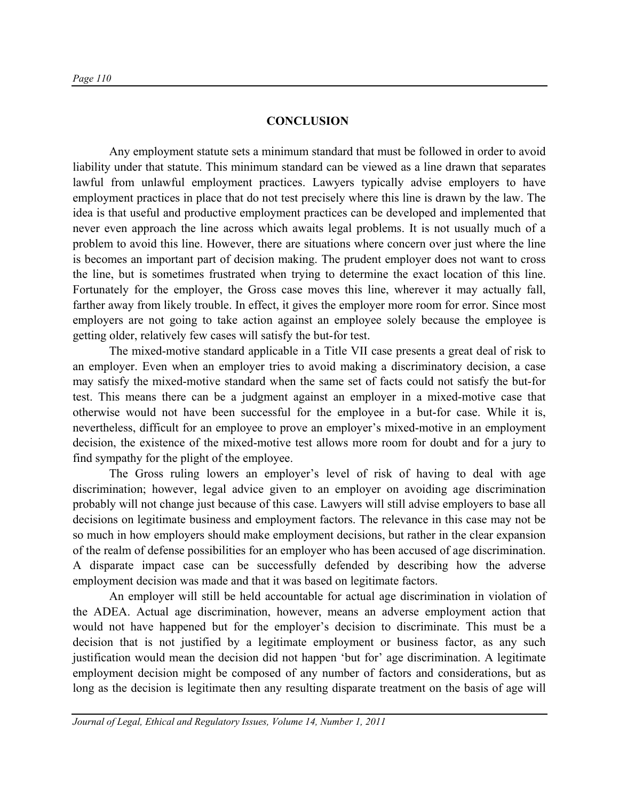#### **CONCLUSION**

Any employment statute sets a minimum standard that must be followed in order to avoid liability under that statute. This minimum standard can be viewed as a line drawn that separates lawful from unlawful employment practices. Lawyers typically advise employers to have employment practices in place that do not test precisely where this line is drawn by the law. The idea is that useful and productive employment practices can be developed and implemented that never even approach the line across which awaits legal problems. It is not usually much of a problem to avoid this line. However, there are situations where concern over just where the line is becomes an important part of decision making. The prudent employer does not want to cross the line, but is sometimes frustrated when trying to determine the exact location of this line. Fortunately for the employer, the Gross case moves this line, wherever it may actually fall, farther away from likely trouble. In effect, it gives the employer more room for error. Since most employers are not going to take action against an employee solely because the employee is getting older, relatively few cases will satisfy the but-for test.

The mixed-motive standard applicable in a Title VII case presents a great deal of risk to an employer. Even when an employer tries to avoid making a discriminatory decision, a case may satisfy the mixed-motive standard when the same set of facts could not satisfy the but-for test. This means there can be a judgment against an employer in a mixed-motive case that otherwise would not have been successful for the employee in a but-for case. While it is, nevertheless, difficult for an employee to prove an employer's mixed-motive in an employment decision, the existence of the mixed-motive test allows more room for doubt and for a jury to find sympathy for the plight of the employee.

The Gross ruling lowers an employer's level of risk of having to deal with age discrimination; however, legal advice given to an employer on avoiding age discrimination probably will not change just because of this case. Lawyers will still advise employers to base all decisions on legitimate business and employment factors. The relevance in this case may not be so much in how employers should make employment decisions, but rather in the clear expansion of the realm of defense possibilities for an employer who has been accused of age discrimination. A disparate impact case can be successfully defended by describing how the adverse employment decision was made and that it was based on legitimate factors.

An employer will still be held accountable for actual age discrimination in violation of the ADEA. Actual age discrimination, however, means an adverse employment action that would not have happened but for the employer's decision to discriminate. This must be a decision that is not justified by a legitimate employment or business factor, as any such justification would mean the decision did not happen 'but for' age discrimination. A legitimate employment decision might be composed of any number of factors and considerations, but as long as the decision is legitimate then any resulting disparate treatment on the basis of age will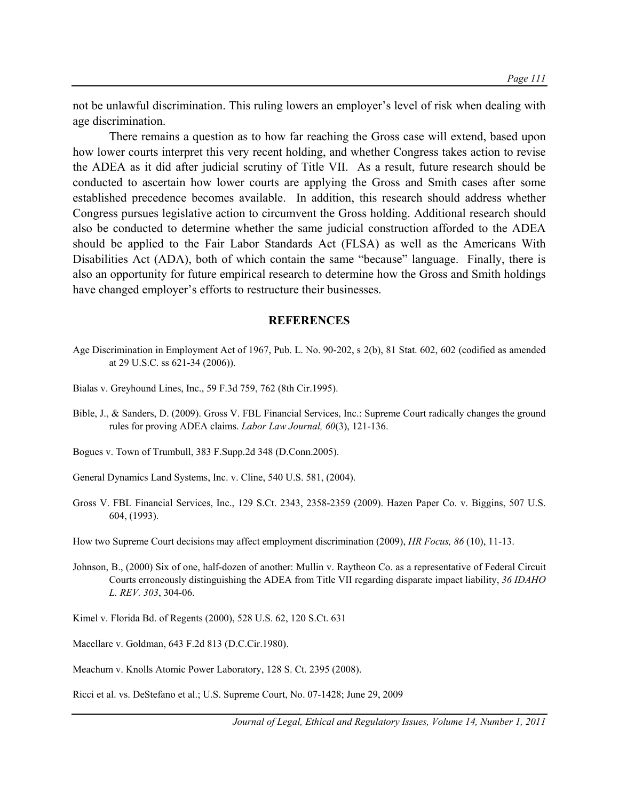not be unlawful discrimination. This ruling lowers an employer's level of risk when dealing with age discrimination.

There remains a question as to how far reaching the Gross case will extend, based upon how lower courts interpret this very recent holding, and whether Congress takes action to revise the ADEA as it did after judicial scrutiny of Title VII. As a result, future research should be conducted to ascertain how lower courts are applying the Gross and Smith cases after some established precedence becomes available. In addition, this research should address whether Congress pursues legislative action to circumvent the Gross holding. Additional research should also be conducted to determine whether the same judicial construction afforded to the ADEA should be applied to the Fair Labor Standards Act (FLSA) as well as the Americans With Disabilities Act (ADA), both of which contain the same "because" language. Finally, there is also an opportunity for future empirical research to determine how the Gross and Smith holdings have changed employer's efforts to restructure their businesses.

#### **REFERENCES**

- Age Discrimination in Employment Act of 1967, Pub. L. No. 90-202, s 2(b), 81 Stat. 602, 602 (codified as amended at 29 U.S.C. ss 621-34 (2006)).
- Bialas v. Greyhound Lines, Inc., 59 F.3d 759, 762 (8th Cir.1995).
- Bible, J., & Sanders, D. (2009). Gross V. FBL Financial Services, Inc.: Supreme Court radically changes the ground rules for proving ADEA claims. *Labor Law Journal, 60*(3), 121-136.
- Bogues v. Town of Trumbull, 383 F.Supp.2d 348 (D.Conn.2005).
- General Dynamics Land Systems, Inc. v. Cline, 540 U.S. 581, (2004).
- Gross V. FBL Financial Services, Inc., 129 S.Ct. 2343, 2358-2359 (2009). Hazen Paper Co. v. Biggins, 507 U.S. 604, (1993).
- How two Supreme Court decisions may affect employment discrimination (2009), *HR Focus, 86* (10), 11-13.
- Johnson, B., (2000) Six of one, half-dozen of another: Mullin v. Raytheon Co. as a representative of Federal Circuit Courts erroneously distinguishing the ADEA from Title VII regarding disparate impact liability, *36 IDAHO L. REV. 303*, 304-06.

Kimel v. Florida Bd. of Regents (2000), 528 U.S. 62, 120 S.Ct. 631

Macellare v. Goldman, 643 F.2d 813 (D.C.Cir.1980).

Meachum v. Knolls Atomic Power Laboratory, 128 S. Ct. 2395 (2008).

Ricci et al. vs. DeStefano et al.; U.S. Supreme Court, No. 07-1428; June 29, 2009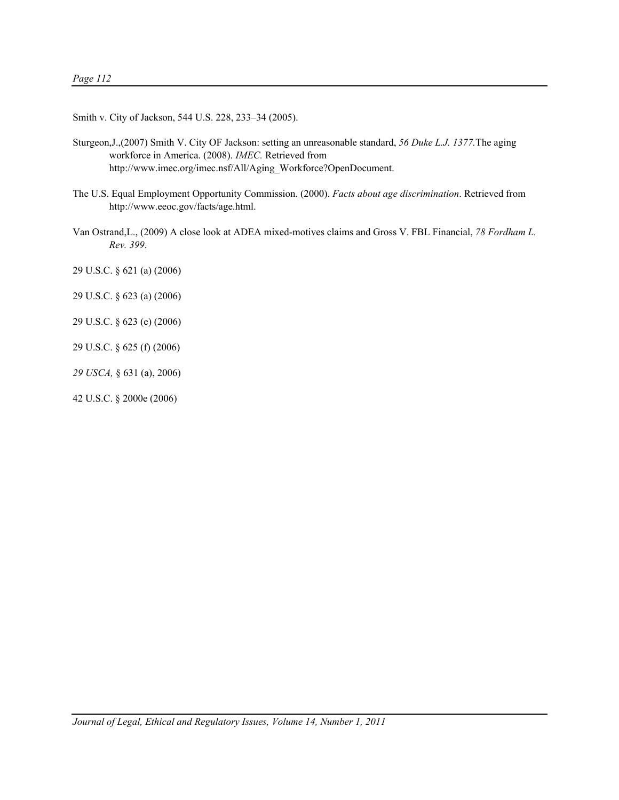#### *Page 112*

Smith v. City of Jackson, 544 U.S. 228, 233–34 (2005).

- Sturgeon,J.,(2007) Smith V. City OF Jackson: setting an unreasonable standard, *56 Duke L.J. 1377.*The aging workforce in America. (2008). *IMEC.* Retrieved from http://www.imec.org/imec.nsf/All/Aging\_Workforce?OpenDocument.
- The U.S. Equal Employment Opportunity Commission. (2000). *Facts about age discrimination*. Retrieved from http://www.eeoc.gov/facts/age.html.
- Van Ostrand,L., (2009) A close look at ADEA mixed-motives claims and Gross V. FBL Financial, *78 Fordham L. Rev. 399*.
- 29 U.S.C. § 621 (a) (2006)
- 29 U.S.C. § 623 (a) (2006)
- 29 U.S.C. § 623 (e) (2006)
- 29 U.S.C. § 625 (f) (2006)
- *29 USCA,* § 631 (a), 2006)
- 42 U.S.C. § 2000e (2006)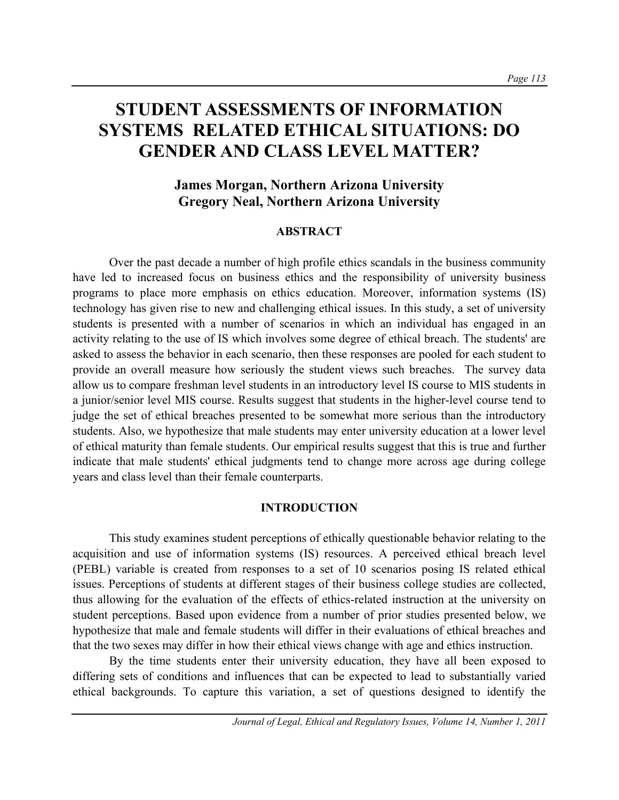# **STUDENT ASSESSMENTS OF INFORMATION SYSTEMS RELATED ETHICAL SITUATIONS: DO GENDER AND CLASS LEVEL MATTER?**

# **James Morgan, Northern Arizona University Gregory Neal, Northern Arizona University**

#### **ABSTRACT**

 Over the past decade a number of high profile ethics scandals in the business community have led to increased focus on business ethics and the responsibility of university business programs to place more emphasis on ethics education. Moreover, information systems (IS) technology has given rise to new and challenging ethical issues. In this study, a set of university students is presented with a number of scenarios in which an individual has engaged in an activity relating to the use of IS which involves some degree of ethical breach. The students' are asked to assess the behavior in each scenario, then these responses are pooled for each student to provide an overall measure how seriously the student views such breaches. The survey data allow us to compare freshman level students in an introductory level IS course to MIS students in a junior/senior level MIS course. Results suggest that students in the higher-level course tend to judge the set of ethical breaches presented to be somewhat more serious than the introductory students. Also, we hypothesize that male students may enter university education at a lower level of ethical maturity than female students. Our empirical results suggest that this is true and further indicate that male students' ethical judgments tend to change more across age during college years and class level than their female counterparts.

#### **INTRODUCTION**

 This study examines student perceptions of ethically questionable behavior relating to the acquisition and use of information systems (IS) resources. A perceived ethical breach level (PEBL) variable is created from responses to a set of 10 scenarios posing IS related ethical issues. Perceptions of students at different stages of their business college studies are collected, thus allowing for the evaluation of the effects of ethics-related instruction at the university on student perceptions. Based upon evidence from a number of prior studies presented below, we hypothesize that male and female students will differ in their evaluations of ethical breaches and that the two sexes may differ in how their ethical views change with age and ethics instruction.

 By the time students enter their university education, they have all been exposed to differing sets of conditions and influences that can be expected to lead to substantially varied ethical backgrounds. To capture this variation, a set of questions designed to identify the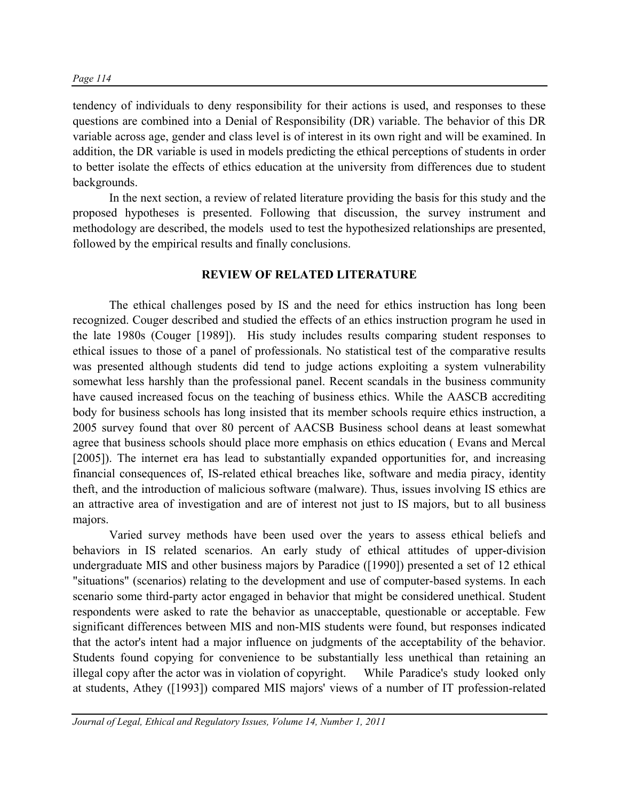tendency of individuals to deny responsibility for their actions is used, and responses to these questions are combined into a Denial of Responsibility (DR) variable. The behavior of this DR variable across age, gender and class level is of interest in its own right and will be examined. In addition, the DR variable is used in models predicting the ethical perceptions of students in order to better isolate the effects of ethics education at the university from differences due to student backgrounds.

 In the next section, a review of related literature providing the basis for this study and the proposed hypotheses is presented. Following that discussion, the survey instrument and methodology are described, the models used to test the hypothesized relationships are presented, followed by the empirical results and finally conclusions.

#### **REVIEW OF RELATED LITERATURE**

 The ethical challenges posed by IS and the need for ethics instruction has long been recognized. Couger described and studied the effects of an ethics instruction program he used in the late 1980s (Couger [1989]). His study includes results comparing student responses to ethical issues to those of a panel of professionals. No statistical test of the comparative results was presented although students did tend to judge actions exploiting a system vulnerability somewhat less harshly than the professional panel. Recent scandals in the business community have caused increased focus on the teaching of business ethics. While the AASCB accrediting body for business schools has long insisted that its member schools require ethics instruction, a 2005 survey found that over 80 percent of AACSB Business school deans at least somewhat agree that business schools should place more emphasis on ethics education ( Evans and Mercal [2005]). The internet era has lead to substantially expanded opportunities for, and increasing financial consequences of, IS-related ethical breaches like, software and media piracy, identity theft, and the introduction of malicious software (malware). Thus, issues involving IS ethics are an attractive area of investigation and are of interest not just to IS majors, but to all business majors.

 Varied survey methods have been used over the years to assess ethical beliefs and behaviors in IS related scenarios. An early study of ethical attitudes of upper-division undergraduate MIS and other business majors by Paradice ([1990]) presented a set of 12 ethical "situations" (scenarios) relating to the development and use of computer-based systems. In each scenario some third-party actor engaged in behavior that might be considered unethical. Student respondents were asked to rate the behavior as unacceptable, questionable or acceptable. Few significant differences between MIS and non-MIS students were found, but responses indicated that the actor's intent had a major influence on judgments of the acceptability of the behavior. Students found copying for convenience to be substantially less unethical than retaining an illegal copy after the actor was in violation of copyright. While Paradice's study looked only at students, Athey ([1993]) compared MIS majors' views of a number of IT profession-related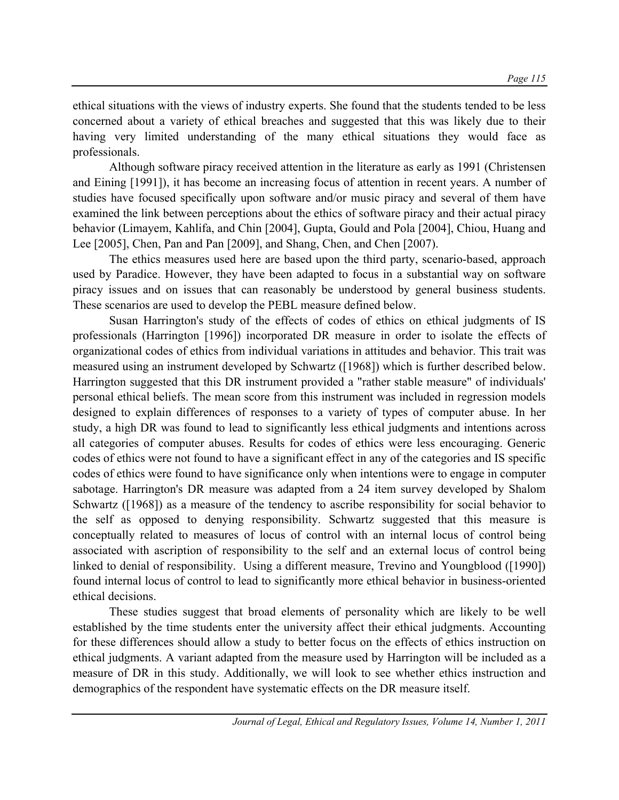ethical situations with the views of industry experts. She found that the students tended to be less concerned about a variety of ethical breaches and suggested that this was likely due to their having very limited understanding of the many ethical situations they would face as professionals.

 Although software piracy received attention in the literature as early as 1991 (Christensen and Eining [1991]), it has become an increasing focus of attention in recent years. A number of studies have focused specifically upon software and/or music piracy and several of them have examined the link between perceptions about the ethics of software piracy and their actual piracy behavior (Limayem, Kahlifa, and Chin [2004], Gupta, Gould and Pola [2004], Chiou, Huang and Lee [2005], Chen, Pan and Pan [2009], and Shang, Chen, and Chen [2007).

 The ethics measures used here are based upon the third party, scenario-based, approach used by Paradice. However, they have been adapted to focus in a substantial way on software piracy issues and on issues that can reasonably be understood by general business students. These scenarios are used to develop the PEBL measure defined below.

 Susan Harrington's study of the effects of codes of ethics on ethical judgments of IS professionals (Harrington [1996]) incorporated DR measure in order to isolate the effects of organizational codes of ethics from individual variations in attitudes and behavior. This trait was measured using an instrument developed by Schwartz ([1968]) which is further described below. Harrington suggested that this DR instrument provided a "rather stable measure" of individuals' personal ethical beliefs. The mean score from this instrument was included in regression models designed to explain differences of responses to a variety of types of computer abuse. In her study, a high DR was found to lead to significantly less ethical judgments and intentions across all categories of computer abuses. Results for codes of ethics were less encouraging. Generic codes of ethics were not found to have a significant effect in any of the categories and IS specific codes of ethics were found to have significance only when intentions were to engage in computer sabotage. Harrington's DR measure was adapted from a 24 item survey developed by Shalom Schwartz ([1968]) as a measure of the tendency to ascribe responsibility for social behavior to the self as opposed to denying responsibility. Schwartz suggested that this measure is conceptually related to measures of locus of control with an internal locus of control being associated with ascription of responsibility to the self and an external locus of control being linked to denial of responsibility. Using a different measure, Trevino and Youngblood ([1990]) found internal locus of control to lead to significantly more ethical behavior in business-oriented ethical decisions.

 These studies suggest that broad elements of personality which are likely to be well established by the time students enter the university affect their ethical judgments. Accounting for these differences should allow a study to better focus on the effects of ethics instruction on ethical judgments. A variant adapted from the measure used by Harrington will be included as a measure of DR in this study. Additionally, we will look to see whether ethics instruction and demographics of the respondent have systematic effects on the DR measure itself.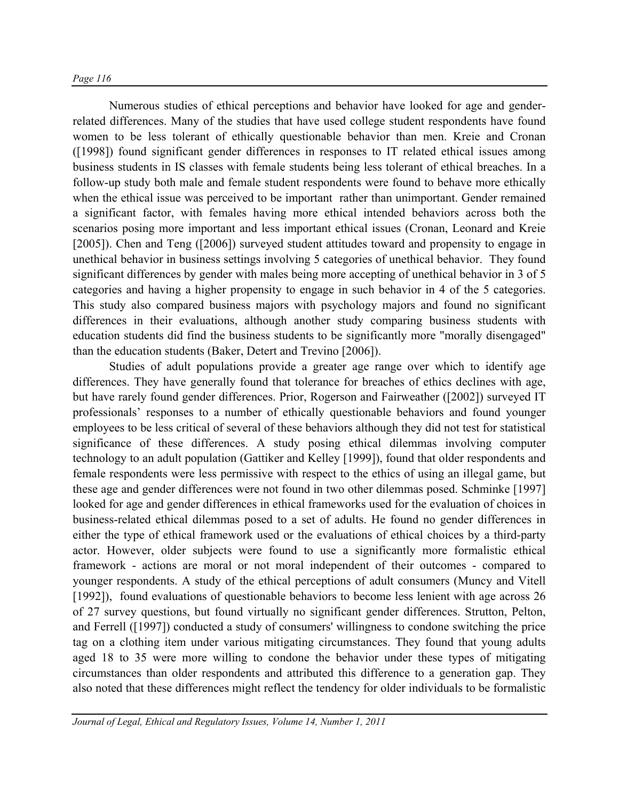Numerous studies of ethical perceptions and behavior have looked for age and genderrelated differences. Many of the studies that have used college student respondents have found women to be less tolerant of ethically questionable behavior than men. Kreie and Cronan ([1998]) found significant gender differences in responses to IT related ethical issues among business students in IS classes with female students being less tolerant of ethical breaches. In a follow-up study both male and female student respondents were found to behave more ethically when the ethical issue was perceived to be important rather than unimportant. Gender remained a significant factor, with females having more ethical intended behaviors across both the scenarios posing more important and less important ethical issues (Cronan, Leonard and Kreie [2005]). Chen and Teng ([2006]) surveyed student attitudes toward and propensity to engage in unethical behavior in business settings involving 5 categories of unethical behavior. They found significant differences by gender with males being more accepting of unethical behavior in 3 of 5 categories and having a higher propensity to engage in such behavior in 4 of the 5 categories. This study also compared business majors with psychology majors and found no significant differences in their evaluations, although another study comparing business students with education students did find the business students to be significantly more "morally disengaged" than the education students (Baker, Detert and Trevino [2006]).

 Studies of adult populations provide a greater age range over which to identify age differences. They have generally found that tolerance for breaches of ethics declines with age, but have rarely found gender differences. Prior, Rogerson and Fairweather ([2002]) surveyed IT professionals' responses to a number of ethically questionable behaviors and found younger employees to be less critical of several of these behaviors although they did not test for statistical significance of these differences. A study posing ethical dilemmas involving computer technology to an adult population (Gattiker and Kelley [1999]), found that older respondents and female respondents were less permissive with respect to the ethics of using an illegal game, but these age and gender differences were not found in two other dilemmas posed. Schminke [1997] looked for age and gender differences in ethical frameworks used for the evaluation of choices in business-related ethical dilemmas posed to a set of adults. He found no gender differences in either the type of ethical framework used or the evaluations of ethical choices by a third-party actor. However, older subjects were found to use a significantly more formalistic ethical framework - actions are moral or not moral independent of their outcomes - compared to younger respondents. A study of the ethical perceptions of adult consumers (Muncy and Vitell [1992]), found evaluations of questionable behaviors to become less lenient with age across 26 of 27 survey questions, but found virtually no significant gender differences. Strutton, Pelton, and Ferrell ([1997]) conducted a study of consumers' willingness to condone switching the price tag on a clothing item under various mitigating circumstances. They found that young adults aged 18 to 35 were more willing to condone the behavior under these types of mitigating circumstances than older respondents and attributed this difference to a generation gap. They also noted that these differences might reflect the tendency for older individuals to be formalistic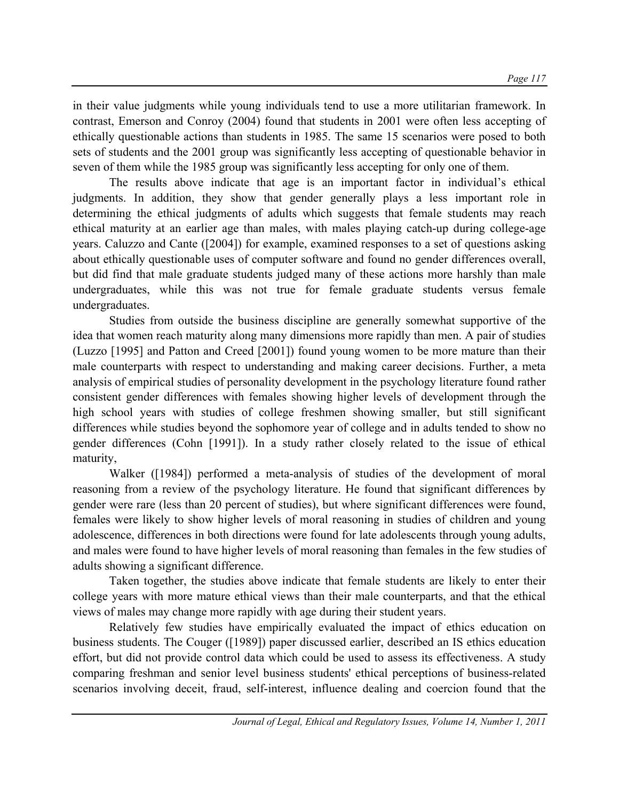in their value judgments while young individuals tend to use a more utilitarian framework. In contrast, Emerson and Conroy (2004) found that students in 2001 were often less accepting of ethically questionable actions than students in 1985. The same 15 scenarios were posed to both sets of students and the 2001 group was significantly less accepting of questionable behavior in seven of them while the 1985 group was significantly less accepting for only one of them.

 The results above indicate that age is an important factor in individual's ethical judgments. In addition, they show that gender generally plays a less important role in determining the ethical judgments of adults which suggests that female students may reach ethical maturity at an earlier age than males, with males playing catch-up during college-age years. Caluzzo and Cante ([2004]) for example, examined responses to a set of questions asking about ethically questionable uses of computer software and found no gender differences overall, but did find that male graduate students judged many of these actions more harshly than male undergraduates, while this was not true for female graduate students versus female undergraduates.

 Studies from outside the business discipline are generally somewhat supportive of the idea that women reach maturity along many dimensions more rapidly than men. A pair of studies (Luzzo [1995] and Patton and Creed [2001]) found young women to be more mature than their male counterparts with respect to understanding and making career decisions. Further, a meta analysis of empirical studies of personality development in the psychology literature found rather consistent gender differences with females showing higher levels of development through the high school years with studies of college freshmen showing smaller, but still significant differences while studies beyond the sophomore year of college and in adults tended to show no gender differences (Cohn [1991]). In a study rather closely related to the issue of ethical maturity,

Walker ([1984]) performed a meta-analysis of studies of the development of moral reasoning from a review of the psychology literature. He found that significant differences by gender were rare (less than 20 percent of studies), but where significant differences were found, females were likely to show higher levels of moral reasoning in studies of children and young adolescence, differences in both directions were found for late adolescents through young adults, and males were found to have higher levels of moral reasoning than females in the few studies of adults showing a significant difference.

 Taken together, the studies above indicate that female students are likely to enter their college years with more mature ethical views than their male counterparts, and that the ethical views of males may change more rapidly with age during their student years.

Relatively few studies have empirically evaluated the impact of ethics education on business students. The Couger ([1989]) paper discussed earlier, described an IS ethics education effort, but did not provide control data which could be used to assess its effectiveness. A study comparing freshman and senior level business students' ethical perceptions of business-related scenarios involving deceit, fraud, self-interest, influence dealing and coercion found that the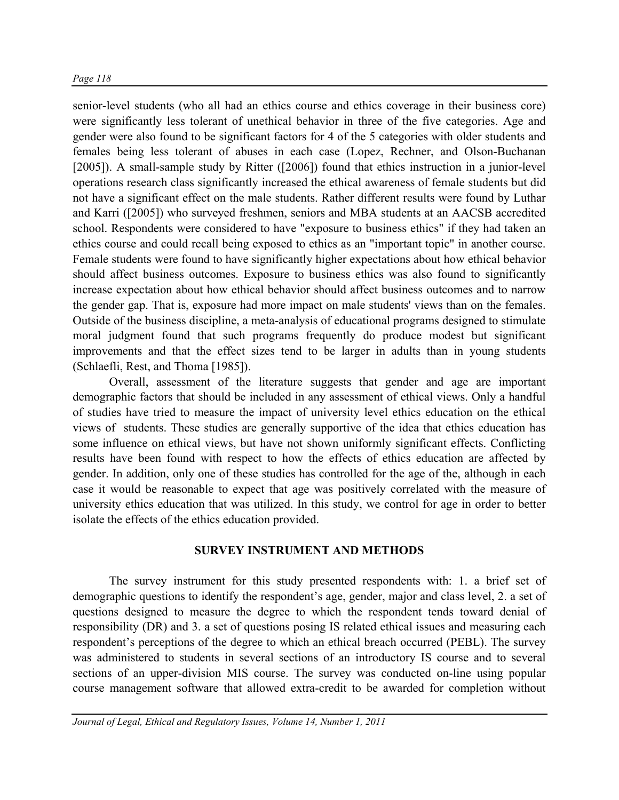senior-level students (who all had an ethics course and ethics coverage in their business core) were significantly less tolerant of unethical behavior in three of the five categories. Age and gender were also found to be significant factors for 4 of the 5 categories with older students and females being less tolerant of abuses in each case (Lopez, Rechner, and Olson-Buchanan [2005]). A small-sample study by Ritter ([2006]) found that ethics instruction in a junior-level operations research class significantly increased the ethical awareness of female students but did not have a significant effect on the male students. Rather different results were found by Luthar and Karri ([2005]) who surveyed freshmen, seniors and MBA students at an AACSB accredited school. Respondents were considered to have "exposure to business ethics" if they had taken an ethics course and could recall being exposed to ethics as an "important topic" in another course. Female students were found to have significantly higher expectations about how ethical behavior should affect business outcomes. Exposure to business ethics was also found to significantly increase expectation about how ethical behavior should affect business outcomes and to narrow the gender gap. That is, exposure had more impact on male students' views than on the females. Outside of the business discipline, a meta-analysis of educational programs designed to stimulate moral judgment found that such programs frequently do produce modest but significant improvements and that the effect sizes tend to be larger in adults than in young students (Schlaefli, Rest, and Thoma [1985]).

 Overall, assessment of the literature suggests that gender and age are important demographic factors that should be included in any assessment of ethical views. Only a handful of studies have tried to measure the impact of university level ethics education on the ethical views of students. These studies are generally supportive of the idea that ethics education has some influence on ethical views, but have not shown uniformly significant effects. Conflicting results have been found with respect to how the effects of ethics education are affected by gender. In addition, only one of these studies has controlled for the age of the, although in each case it would be reasonable to expect that age was positively correlated with the measure of university ethics education that was utilized. In this study, we control for age in order to better isolate the effects of the ethics education provided.

#### **SURVEY INSTRUMENT AND METHODS**

 The survey instrument for this study presented respondents with: 1. a brief set of demographic questions to identify the respondent's age, gender, major and class level, 2. a set of questions designed to measure the degree to which the respondent tends toward denial of responsibility (DR) and 3. a set of questions posing IS related ethical issues and measuring each respondent's perceptions of the degree to which an ethical breach occurred (PEBL). The survey was administered to students in several sections of an introductory IS course and to several sections of an upper-division MIS course. The survey was conducted on-line using popular course management software that allowed extra-credit to be awarded for completion without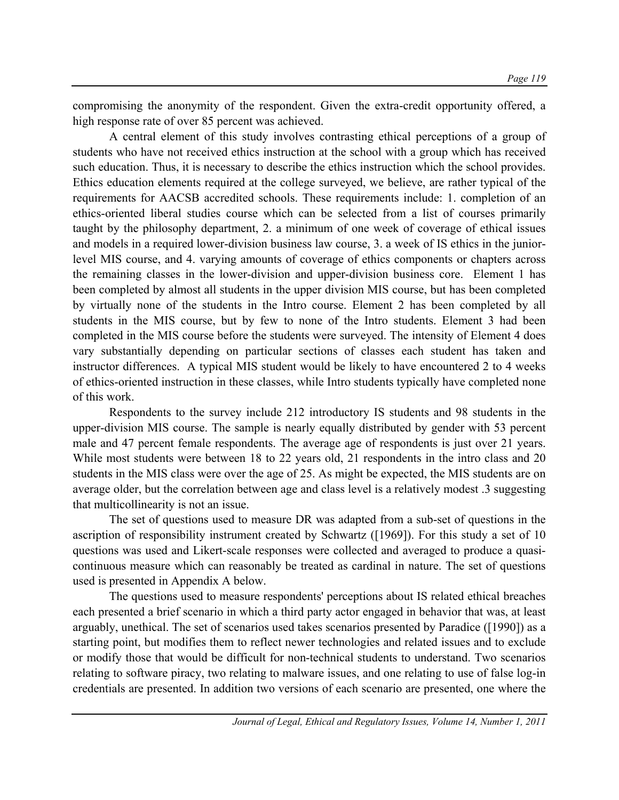compromising the anonymity of the respondent. Given the extra-credit opportunity offered, a high response rate of over 85 percent was achieved.

A central element of this study involves contrasting ethical perceptions of a group of students who have not received ethics instruction at the school with a group which has received such education. Thus, it is necessary to describe the ethics instruction which the school provides. Ethics education elements required at the college surveyed, we believe, are rather typical of the requirements for AACSB accredited schools. These requirements include: 1. completion of an ethics-oriented liberal studies course which can be selected from a list of courses primarily taught by the philosophy department, 2. a minimum of one week of coverage of ethical issues and models in a required lower-division business law course, 3. a week of IS ethics in the juniorlevel MIS course, and 4. varying amounts of coverage of ethics components or chapters across the remaining classes in the lower-division and upper-division business core. Element 1 has been completed by almost all students in the upper division MIS course, but has been completed by virtually none of the students in the Intro course. Element 2 has been completed by all students in the MIS course, but by few to none of the Intro students. Element 3 had been completed in the MIS course before the students were surveyed. The intensity of Element 4 does vary substantially depending on particular sections of classes each student has taken and instructor differences. A typical MIS student would be likely to have encountered 2 to 4 weeks of ethics-oriented instruction in these classes, while Intro students typically have completed none of this work.

Respondents to the survey include 212 introductory IS students and 98 students in the upper-division MIS course. The sample is nearly equally distributed by gender with 53 percent male and 47 percent female respondents. The average age of respondents is just over 21 years. While most students were between 18 to 22 years old, 21 respondents in the intro class and 20 students in the MIS class were over the age of 25. As might be expected, the MIS students are on average older, but the correlation between age and class level is a relatively modest .3 suggesting that multicollinearity is not an issue.

The set of questions used to measure DR was adapted from a sub-set of questions in the ascription of responsibility instrument created by Schwartz ([1969]). For this study a set of 10 questions was used and Likert-scale responses were collected and averaged to produce a quasicontinuous measure which can reasonably be treated as cardinal in nature. The set of questions used is presented in Appendix A below.

The questions used to measure respondents' perceptions about IS related ethical breaches each presented a brief scenario in which a third party actor engaged in behavior that was, at least arguably, unethical. The set of scenarios used takes scenarios presented by Paradice ([1990]) as a starting point, but modifies them to reflect newer technologies and related issues and to exclude or modify those that would be difficult for non-technical students to understand. Two scenarios relating to software piracy, two relating to malware issues, and one relating to use of false log-in credentials are presented. In addition two versions of each scenario are presented, one where the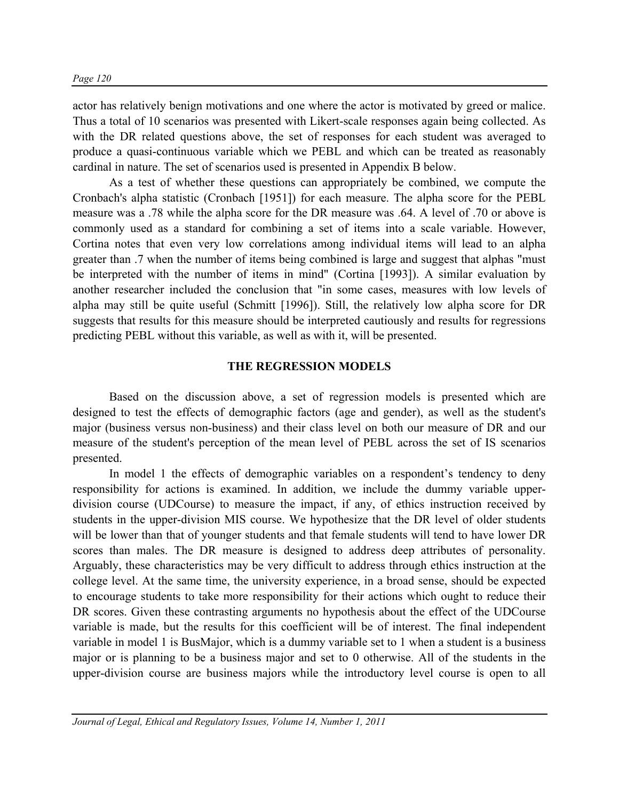actor has relatively benign motivations and one where the actor is motivated by greed or malice. Thus a total of 10 scenarios was presented with Likert-scale responses again being collected. As with the DR related questions above, the set of responses for each student was averaged to produce a quasi-continuous variable which we PEBL and which can be treated as reasonably cardinal in nature. The set of scenarios used is presented in Appendix B below.

As a test of whether these questions can appropriately be combined, we compute the Cronbach's alpha statistic (Cronbach [1951]) for each measure. The alpha score for the PEBL measure was a .78 while the alpha score for the DR measure was .64. A level of .70 or above is commonly used as a standard for combining a set of items into a scale variable. However, Cortina notes that even very low correlations among individual items will lead to an alpha greater than .7 when the number of items being combined is large and suggest that alphas "must be interpreted with the number of items in mind" (Cortina [1993]). A similar evaluation by another researcher included the conclusion that "in some cases, measures with low levels of alpha may still be quite useful (Schmitt [1996]). Still, the relatively low alpha score for DR suggests that results for this measure should be interpreted cautiously and results for regressions predicting PEBL without this variable, as well as with it, will be presented.

### **THE REGRESSION MODELS**

Based on the discussion above, a set of regression models is presented which are designed to test the effects of demographic factors (age and gender), as well as the student's major (business versus non-business) and their class level on both our measure of DR and our measure of the student's perception of the mean level of PEBL across the set of IS scenarios presented.

 In model 1 the effects of demographic variables on a respondent's tendency to deny responsibility for actions is examined. In addition, we include the dummy variable upperdivision course (UDCourse) to measure the impact, if any, of ethics instruction received by students in the upper-division MIS course. We hypothesize that the DR level of older students will be lower than that of younger students and that female students will tend to have lower DR scores than males. The DR measure is designed to address deep attributes of personality. Arguably, these characteristics may be very difficult to address through ethics instruction at the college level. At the same time, the university experience, in a broad sense, should be expected to encourage students to take more responsibility for their actions which ought to reduce their DR scores. Given these contrasting arguments no hypothesis about the effect of the UDCourse variable is made, but the results for this coefficient will be of interest. The final independent variable in model 1 is BusMajor, which is a dummy variable set to 1 when a student is a business major or is planning to be a business major and set to 0 otherwise. All of the students in the upper-division course are business majors while the introductory level course is open to all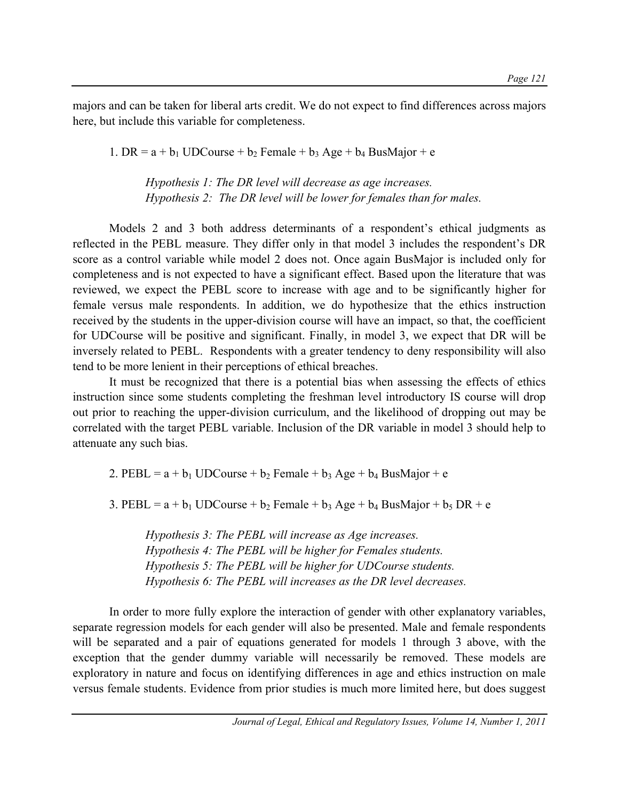majors and can be taken for liberal arts credit. We do not expect to find differences across majors here, but include this variable for completeness.

1. DR =  $a + b_1$  UDCourse +  $b_2$  Female +  $b_3$  Age +  $b_4$  BusMajor + e

*Hypothesis 1: The DR level will decrease as age increases. Hypothesis 2: The DR level will be lower for females than for males.* 

 Models 2 and 3 both address determinants of a respondent's ethical judgments as reflected in the PEBL measure. They differ only in that model 3 includes the respondent's DR score as a control variable while model 2 does not. Once again BusMajor is included only for completeness and is not expected to have a significant effect. Based upon the literature that was reviewed, we expect the PEBL score to increase with age and to be significantly higher for female versus male respondents. In addition, we do hypothesize that the ethics instruction received by the students in the upper-division course will have an impact, so that, the coefficient for UDCourse will be positive and significant. Finally, in model 3, we expect that DR will be inversely related to PEBL. Respondents with a greater tendency to deny responsibility will also tend to be more lenient in their perceptions of ethical breaches.

 It must be recognized that there is a potential bias when assessing the effects of ethics instruction since some students completing the freshman level introductory IS course will drop out prior to reaching the upper-division curriculum, and the likelihood of dropping out may be correlated with the target PEBL variable. Inclusion of the DR variable in model 3 should help to attenuate any such bias.

2. PEBL =  $a + b_1$  UDCourse +  $b_2$  Female +  $b_3$  Age +  $b_4$  BusMajor + e

3. PEBL =  $a + b_1$  UDCourse +  $b_2$  Female +  $b_3$  Age +  $b_4$  BusMajor +  $b_5$  DR + e

*Hypothesis 3: The PEBL will increase as Age increases. Hypothesis 4: The PEBL will be higher for Females students. Hypothesis 5: The PEBL will be higher for UDCourse students. Hypothesis 6: The PEBL will increases as the DR level decreases.* 

 In order to more fully explore the interaction of gender with other explanatory variables, separate regression models for each gender will also be presented. Male and female respondents will be separated and a pair of equations generated for models 1 through 3 above, with the exception that the gender dummy variable will necessarily be removed. These models are exploratory in nature and focus on identifying differences in age and ethics instruction on male versus female students. Evidence from prior studies is much more limited here, but does suggest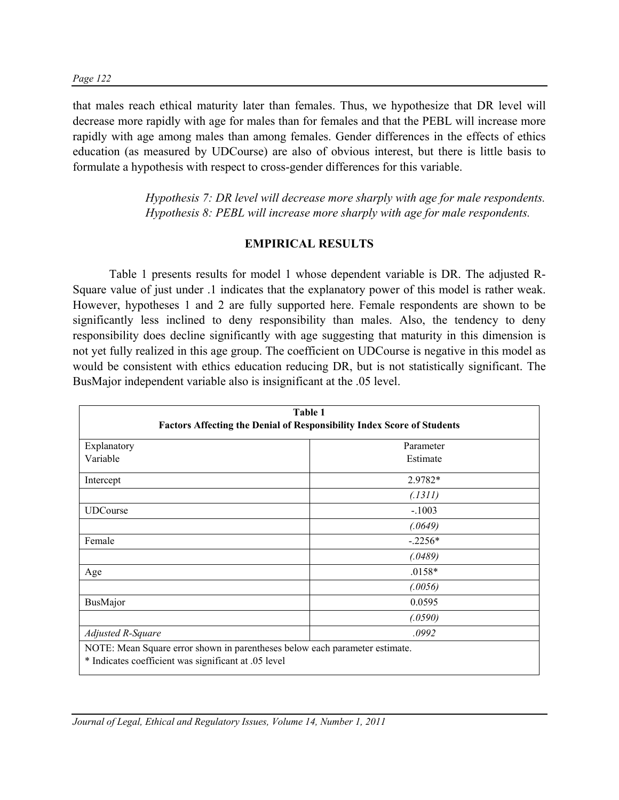that males reach ethical maturity later than females. Thus, we hypothesize that DR level will decrease more rapidly with age for males than for females and that the PEBL will increase more rapidly with age among males than among females. Gender differences in the effects of ethics education (as measured by UDCourse) are also of obvious interest, but there is little basis to formulate a hypothesis with respect to cross-gender differences for this variable.

> *Hypothesis 7: DR level will decrease more sharply with age for male respondents. Hypothesis 8: PEBL will increase more sharply with age for male respondents.*

### **EMPIRICAL RESULTS**

 Table 1 presents results for model 1 whose dependent variable is DR. The adjusted R-Square value of just under .1 indicates that the explanatory power of this model is rather weak. However, hypotheses 1 and 2 are fully supported here. Female respondents are shown to be significantly less inclined to deny responsibility than males. Also, the tendency to deny responsibility does decline significantly with age suggesting that maturity in this dimension is not yet fully realized in this age group. The coefficient on UDCourse is negative in this model as would be consistent with ethics education reducing DR, but is not statistically significant. The BusMajor independent variable also is insignificant at the .05 level.

| Table 1<br><b>Factors Affecting the Denial of Responsibility Index Score of Students</b>                                            |           |  |  |
|-------------------------------------------------------------------------------------------------------------------------------------|-----------|--|--|
| Explanatory                                                                                                                         | Parameter |  |  |
| Variable                                                                                                                            | Estimate  |  |  |
| Intercept                                                                                                                           | 2.9782*   |  |  |
|                                                                                                                                     | (.1311)   |  |  |
| <b>UDCourse</b>                                                                                                                     | $-.1003$  |  |  |
|                                                                                                                                     | (.0649)   |  |  |
| Female                                                                                                                              | $-.2256*$ |  |  |
|                                                                                                                                     | (.0489)   |  |  |
| Age                                                                                                                                 | $.0158*$  |  |  |
|                                                                                                                                     | (.0056)   |  |  |
| BusMajor                                                                                                                            | 0.0595    |  |  |
|                                                                                                                                     | (.0590)   |  |  |
| Adjusted R-Square                                                                                                                   | .0992     |  |  |
| NOTE: Mean Square error shown in parentheses below each parameter estimate.<br>* Indicates coefficient was significant at .05 level |           |  |  |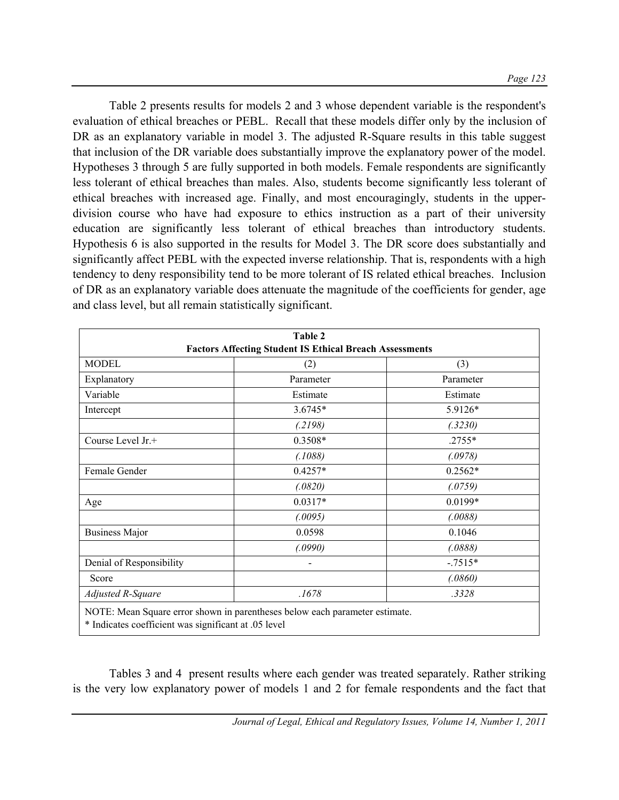Table 2 presents results for models 2 and 3 whose dependent variable is the respondent's evaluation of ethical breaches or PEBL. Recall that these models differ only by the inclusion of DR as an explanatory variable in model 3. The adjusted R-Square results in this table suggest that inclusion of the DR variable does substantially improve the explanatory power of the model. Hypotheses 3 through 5 are fully supported in both models. Female respondents are significantly less tolerant of ethical breaches than males. Also, students become significantly less tolerant of ethical breaches with increased age. Finally, and most encouragingly, students in the upperdivision course who have had exposure to ethics instruction as a part of their university education are significantly less tolerant of ethical breaches than introductory students. Hypothesis 6 is also supported in the results for Model 3. The DR score does substantially and significantly affect PEBL with the expected inverse relationship. That is, respondents with a high tendency to deny responsibility tend to be more tolerant of IS related ethical breaches. Inclusion of DR as an explanatory variable does attenuate the magnitude of the coefficients for gender, age and class level, but all remain statistically significant.

| Table 2                                                                                                                             |           |           |  |  |  |
|-------------------------------------------------------------------------------------------------------------------------------------|-----------|-----------|--|--|--|
| <b>Factors Affecting Student IS Ethical Breach Assessments</b><br><b>MODEL</b><br>(2)<br>(3)                                        |           |           |  |  |  |
| Explanatory                                                                                                                         | Parameter | Parameter |  |  |  |
| Variable                                                                                                                            | Estimate  | Estimate  |  |  |  |
| Intercept                                                                                                                           | $3.6745*$ | 5.9126*   |  |  |  |
|                                                                                                                                     | (.2198)   | (.3230)   |  |  |  |
| Course Level Jr.+                                                                                                                   | $0.3508*$ | .2755*    |  |  |  |
|                                                                                                                                     | (.1088)   | (.0978)   |  |  |  |
| Female Gender                                                                                                                       | $0.4257*$ | $0.2562*$ |  |  |  |
|                                                                                                                                     | (.0820)   | (.0759)   |  |  |  |
| Age                                                                                                                                 | $0.0317*$ | 0.0199*   |  |  |  |
|                                                                                                                                     | (.0095)   | (.0088)   |  |  |  |
| <b>Business Major</b>                                                                                                               | 0.0598    | 0.1046    |  |  |  |
|                                                                                                                                     | (.0990)   | (.0888)   |  |  |  |
| Denial of Responsibility                                                                                                            |           | $-.7515*$ |  |  |  |
| Score                                                                                                                               |           | (.0860)   |  |  |  |
| <b>Adjusted R-Square</b>                                                                                                            | .1678     | .3328     |  |  |  |
| NOTE: Mean Square error shown in parentheses below each parameter estimate.<br>* Indicates coefficient was significant at .05 level |           |           |  |  |  |

 Tables 3 and 4 present results where each gender was treated separately. Rather striking is the very low explanatory power of models 1 and 2 for female respondents and the fact that

 *Journal of Legal, Ethical and Regulatory Issues, Volume 14, Number 1, 2011*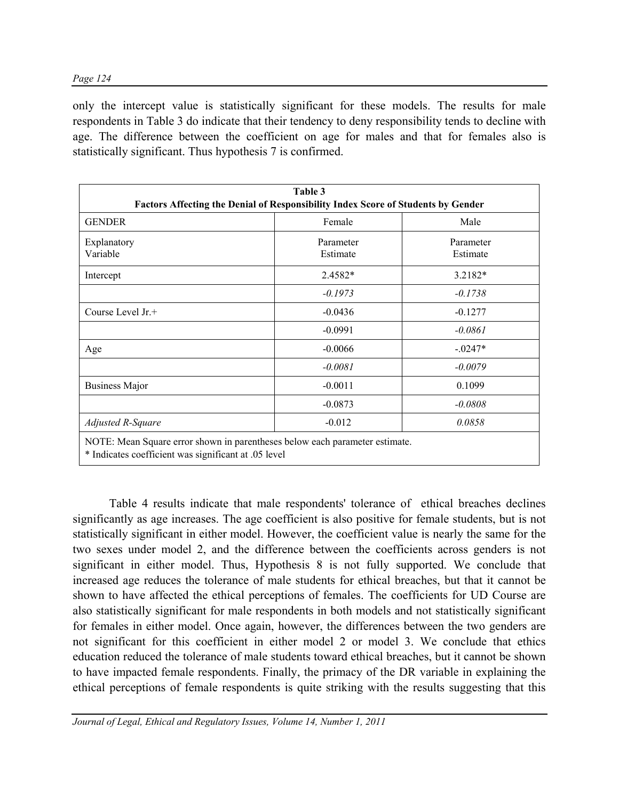only the intercept value is statistically significant for these models. The results for male respondents in Table 3 do indicate that their tendency to deny responsibility tends to decline with age. The difference between the coefficient on age for males and that for females also is statistically significant. Thus hypothesis 7 is confirmed.

| Table 3<br>Factors Affecting the Denial of Responsibility Index Score of Students by Gender |                                                                             |                       |  |  |
|---------------------------------------------------------------------------------------------|-----------------------------------------------------------------------------|-----------------------|--|--|
| <b>GENDER</b>                                                                               | Female                                                                      | Male                  |  |  |
| Explanatory<br>Variable                                                                     | Parameter<br>Estimate                                                       | Parameter<br>Estimate |  |  |
| Intercept                                                                                   | 2.4582*                                                                     | $3.2182*$             |  |  |
|                                                                                             | $-0.1973$                                                                   | $-0.1738$             |  |  |
| Course Level Jr.+                                                                           | $-0.0436$                                                                   | $-0.1277$             |  |  |
|                                                                                             | $-0.0991$                                                                   | $-0.0861$             |  |  |
| Age                                                                                         | $-0.0066$                                                                   | $-0.0247*$            |  |  |
|                                                                                             | $-0.0081$                                                                   | $-0.0079$             |  |  |
| <b>Business Major</b>                                                                       | $-0.0011$                                                                   | 0.1099                |  |  |
|                                                                                             | $-0.0873$                                                                   | $-0.0808$             |  |  |
| Adjusted R-Square                                                                           | $-0.012$                                                                    | 0.0858                |  |  |
| * Indicates coefficient was significant at .05 level                                        | NOTE: Mean Square error shown in parentheses below each parameter estimate. |                       |  |  |

 Table 4 results indicate that male respondents' tolerance of ethical breaches declines significantly as age increases. The age coefficient is also positive for female students, but is not statistically significant in either model. However, the coefficient value is nearly the same for the two sexes under model 2, and the difference between the coefficients across genders is not significant in either model. Thus, Hypothesis 8 is not fully supported. We conclude that increased age reduces the tolerance of male students for ethical breaches, but that it cannot be shown to have affected the ethical perceptions of females. The coefficients for UD Course are also statistically significant for male respondents in both models and not statistically significant for females in either model. Once again, however, the differences between the two genders are not significant for this coefficient in either model 2 or model 3. We conclude that ethics education reduced the tolerance of male students toward ethical breaches, but it cannot be shown to have impacted female respondents. Finally, the primacy of the DR variable in explaining the ethical perceptions of female respondents is quite striking with the results suggesting that this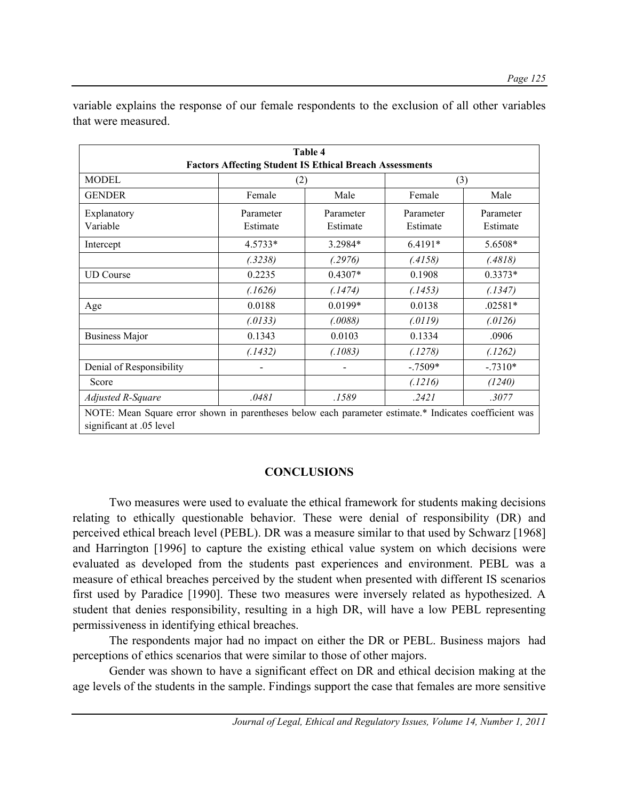| Table 4<br><b>Factors Affecting Student IS Ethical Breach Assessments</b> |                                                                                                                                             |                       |                       |                       |  |  |
|---------------------------------------------------------------------------|---------------------------------------------------------------------------------------------------------------------------------------------|-----------------------|-----------------------|-----------------------|--|--|
| <b>MODEL</b><br>(2)                                                       |                                                                                                                                             |                       | (3)                   |                       |  |  |
| <b>GENDER</b>                                                             | Female                                                                                                                                      | Male                  | Female                | Male                  |  |  |
| Explanatory<br>Variable                                                   | Parameter<br>Estimate                                                                                                                       | Parameter<br>Estimate | Parameter<br>Estimate | Parameter<br>Estimate |  |  |
| Intercept                                                                 | 4.5733*                                                                                                                                     | 3.2984*               | 6.4191*               | 5.6508*               |  |  |
|                                                                           | (.3238)                                                                                                                                     | (.2976)               | (.4158)               | (.4818)               |  |  |
| <b>UD</b> Course                                                          | 0.2235                                                                                                                                      | $0.4307*$             | 0.1908                | $0.3373*$             |  |  |
|                                                                           | (.1626)                                                                                                                                     | (.1474)               | (.1453)               | (.1347)               |  |  |
| Age                                                                       | 0.0188                                                                                                                                      | $0.0199*$             | 0.0138                | $.02581*$             |  |  |
|                                                                           | (.0133)                                                                                                                                     | (.0088)               | (.0119)               | (.0126)               |  |  |
| <b>Business Major</b>                                                     | 0.1343                                                                                                                                      | 0.0103                | 0.1334                | .0906                 |  |  |
|                                                                           | (.1432)                                                                                                                                     | (.1083)               | (.1278)               | (.1262)               |  |  |
| Denial of Responsibility                                                  |                                                                                                                                             |                       | $-.7509*$             | $-.7310*$             |  |  |
| Score                                                                     |                                                                                                                                             |                       | (.1216)               | (1240)                |  |  |
| Adjusted R-Square                                                         | .0481<br>$\mathbf{1}$ and the same in the second second field and second the continuous $\mathbf{2}$ . The distance of $\mathbf{C}^*$ stand | .1589                 | .2421                 | .3077                 |  |  |

variable explains the response of our female respondents to the exclusion of all other variables that were measured.

NOTE: Mean Square error shown in parentheses below each parameter estimate.\* Indicates coefficient was significant at .05 level

# **CONCLUSIONS**

Two measures were used to evaluate the ethical framework for students making decisions relating to ethically questionable behavior. These were denial of responsibility (DR) and perceived ethical breach level (PEBL). DR was a measure similar to that used by Schwarz [1968] and Harrington [1996] to capture the existing ethical value system on which decisions were evaluated as developed from the students past experiences and environment. PEBL was a measure of ethical breaches perceived by the student when presented with different IS scenarios first used by Paradice [1990]. These two measures were inversely related as hypothesized. A student that denies responsibility, resulting in a high DR, will have a low PEBL representing permissiveness in identifying ethical breaches.

 The respondents major had no impact on either the DR or PEBL. Business majors had perceptions of ethics scenarios that were similar to those of other majors.

 Gender was shown to have a significant effect on DR and ethical decision making at the age levels of the students in the sample. Findings support the case that females are more sensitive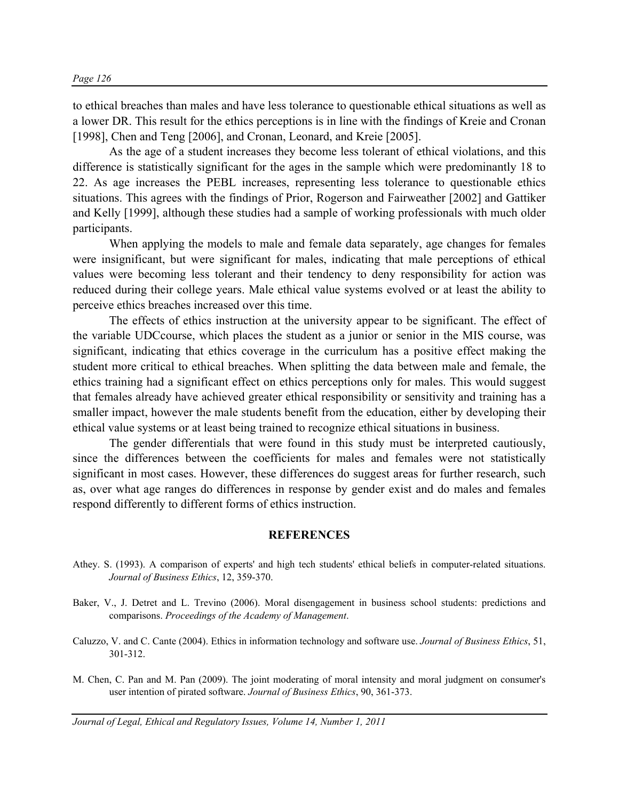to ethical breaches than males and have less tolerance to questionable ethical situations as well as a lower DR. This result for the ethics perceptions is in line with the findings of Kreie and Cronan [1998], Chen and Teng [2006], and Cronan, Leonard, and Kreie [2005].

 As the age of a student increases they become less tolerant of ethical violations, and this difference is statistically significant for the ages in the sample which were predominantly 18 to 22. As age increases the PEBL increases, representing less tolerance to questionable ethics situations. This agrees with the findings of Prior, Rogerson and Fairweather [2002] and Gattiker and Kelly [1999], although these studies had a sample of working professionals with much older participants.

 When applying the models to male and female data separately, age changes for females were insignificant, but were significant for males, indicating that male perceptions of ethical values were becoming less tolerant and their tendency to deny responsibility for action was reduced during their college years. Male ethical value systems evolved or at least the ability to perceive ethics breaches increased over this time.

 The effects of ethics instruction at the university appear to be significant. The effect of the variable UDCcourse, which places the student as a junior or senior in the MIS course, was significant, indicating that ethics coverage in the curriculum has a positive effect making the student more critical to ethical breaches. When splitting the data between male and female, the ethics training had a significant effect on ethics perceptions only for males. This would suggest that females already have achieved greater ethical responsibility or sensitivity and training has a smaller impact, however the male students benefit from the education, either by developing their ethical value systems or at least being trained to recognize ethical situations in business.

 The gender differentials that were found in this study must be interpreted cautiously, since the differences between the coefficients for males and females were not statistically significant in most cases. However, these differences do suggest areas for further research, such as, over what age ranges do differences in response by gender exist and do males and females respond differently to different forms of ethics instruction.

#### **REFERENCES**

- Athey. S. (1993). A comparison of experts' and high tech students' ethical beliefs in computer-related situations. *Journal of Business Ethics*, 12, 359-370.
- Baker, V., J. Detret and L. Trevino (2006). Moral disengagement in business school students: predictions and comparisons. *Proceedings of the Academy of Management*.
- Caluzzo, V. and C. Cante (2004). Ethics in information technology and software use. *Journal of Business Ethics*, 51, 301-312.
- M. Chen, C. Pan and M. Pan (2009). The joint moderating of moral intensity and moral judgment on consumer's user intention of pirated software. *Journal of Business Ethics*, 90, 361-373.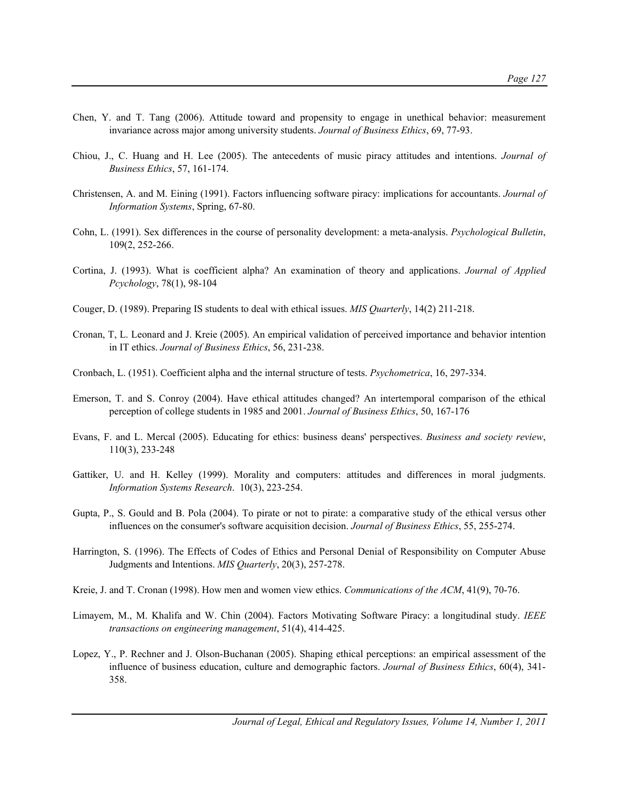- Chen, Y. and T. Tang (2006). Attitude toward and propensity to engage in unethical behavior: measurement invariance across major among university students. *Journal of Business Ethics*, 69, 77-93.
- Chiou, J., C. Huang and H. Lee (2005). The antecedents of music piracy attitudes and intentions. *Journal of Business Ethics*, 57, 161-174.
- Christensen, A. and M. Eining (1991). Factors influencing software piracy: implications for accountants. *Journal of Information Systems*, Spring, 67-80.
- Cohn, L. (1991). Sex differences in the course of personality development: a meta-analysis. *Psychological Bulletin*, 109(2, 252-266.
- Cortina, J. (1993). What is coefficient alpha? An examination of theory and applications. *Journal of Applied Pcychology*, 78(1), 98-104
- Couger, D. (1989). Preparing IS students to deal with ethical issues. *MIS Quarterly*, 14(2) 211-218.
- Cronan, T, L. Leonard and J. Kreie (2005). An empirical validation of perceived importance and behavior intention in IT ethics. *Journal of Business Ethics*, 56, 231-238.
- Cronbach, L. (1951). Coefficient alpha and the internal structure of tests. *Psychometrica*, 16, 297-334.
- Emerson, T. and S. Conroy (2004). Have ethical attitudes changed? An intertemporal comparison of the ethical perception of college students in 1985 and 2001. *Journal of Business Ethics*, 50, 167-176
- Evans, F. and L. Mercal (2005). Educating for ethics: business deans' perspectives. *Business and society review*, 110(3), 233-248
- Gattiker, U. and H. Kelley (1999). Morality and computers: attitudes and differences in moral judgments. *Information Systems Research*. 10(3), 223-254.
- Gupta, P., S. Gould and B. Pola (2004). To pirate or not to pirate: a comparative study of the ethical versus other influences on the consumer's software acquisition decision. *Journal of Business Ethics*, 55, 255-274.
- Harrington, S. (1996). The Effects of Codes of Ethics and Personal Denial of Responsibility on Computer Abuse Judgments and Intentions. *MIS Quarterly*, 20(3), 257-278.
- Kreie, J. and T. Cronan (1998). How men and women view ethics. *Communications of the ACM*, 41(9), 70-76.
- Limayem, M., M. Khalifa and W. Chin (2004). Factors Motivating Software Piracy: a longitudinal study. *IEEE transactions on engineering management*, 51(4), 414-425.
- Lopez, Y., P. Rechner and J. Olson-Buchanan (2005). Shaping ethical perceptions: an empirical assessment of the influence of business education, culture and demographic factors. *Journal of Business Ethics*, 60(4), 341- 358.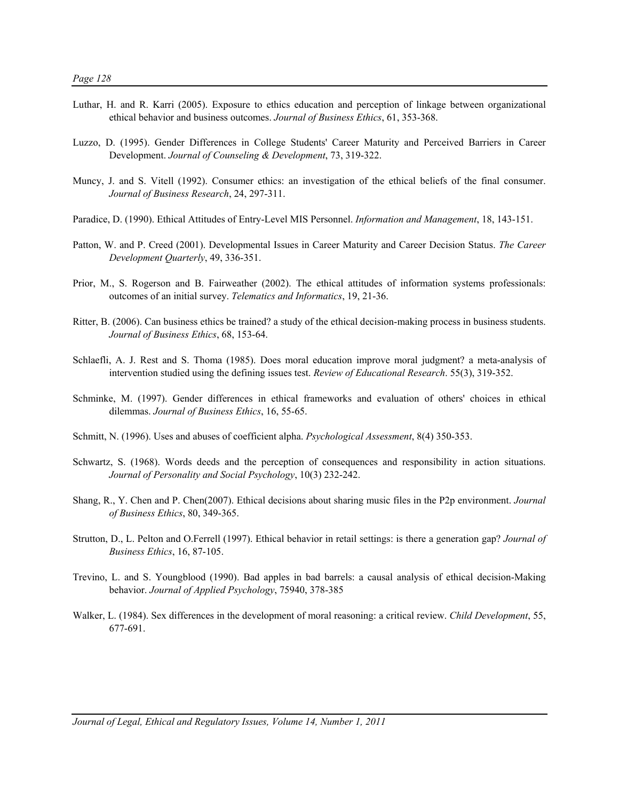- Luthar, H. and R. Karri (2005). Exposure to ethics education and perception of linkage between organizational ethical behavior and business outcomes. *Journal of Business Ethics*, 61, 353-368.
- Luzzo, D. (1995). Gender Differences in College Students' Career Maturity and Perceived Barriers in Career Development. *Journal of Counseling & Development*, 73, 319-322.
- Muncy, J. and S. Vitell (1992). Consumer ethics: an investigation of the ethical beliefs of the final consumer. *Journal of Business Research*, 24, 297-311.
- Paradice, D. (1990). Ethical Attitudes of Entry-Level MIS Personnel. *Information and Management*, 18, 143-151.
- Patton, W. and P. Creed (2001). Developmental Issues in Career Maturity and Career Decision Status. *The Career Development Quarterly*, 49, 336-351.
- Prior, M., S. Rogerson and B. Fairweather (2002). The ethical attitudes of information systems professionals: outcomes of an initial survey. *Telematics and Informatics*, 19, 21-36.
- Ritter, B. (2006). Can business ethics be trained? a study of the ethical decision-making process in business students. *Journal of Business Ethics*, 68, 153-64.
- Schlaefli, A. J. Rest and S. Thoma (1985). Does moral education improve moral judgment? a meta-analysis of intervention studied using the defining issues test. *Review of Educational Research*. 55(3), 319-352.
- Schminke, M. (1997). Gender differences in ethical frameworks and evaluation of others' choices in ethical dilemmas. *Journal of Business Ethics*, 16, 55-65.
- Schmitt, N. (1996). Uses and abuses of coefficient alpha. *Psychological Assessment*, 8(4) 350-353.
- Schwartz, S. (1968). Words deeds and the perception of consequences and responsibility in action situations. *Journal of Personality and Social Psychology*, 10(3) 232-242.
- Shang, R., Y. Chen and P. Chen(2007). Ethical decisions about sharing music files in the P2p environment. *Journal of Business Ethics*, 80, 349-365.
- Strutton, D., L. Pelton and O.Ferrell (1997). Ethical behavior in retail settings: is there a generation gap? *Journal of Business Ethics*, 16, 87-105.
- Trevino, L. and S. Youngblood (1990). Bad apples in bad barrels: a causal analysis of ethical decision-Making behavior. *Journal of Applied Psychology*, 75940, 378-385
- Walker, L. (1984). Sex differences in the development of moral reasoning: a critical review. *Child Development*, 55, 677-691.

*Journal of Legal, Ethical and Regulatory Issues, Volume 14, Number 1, 2011*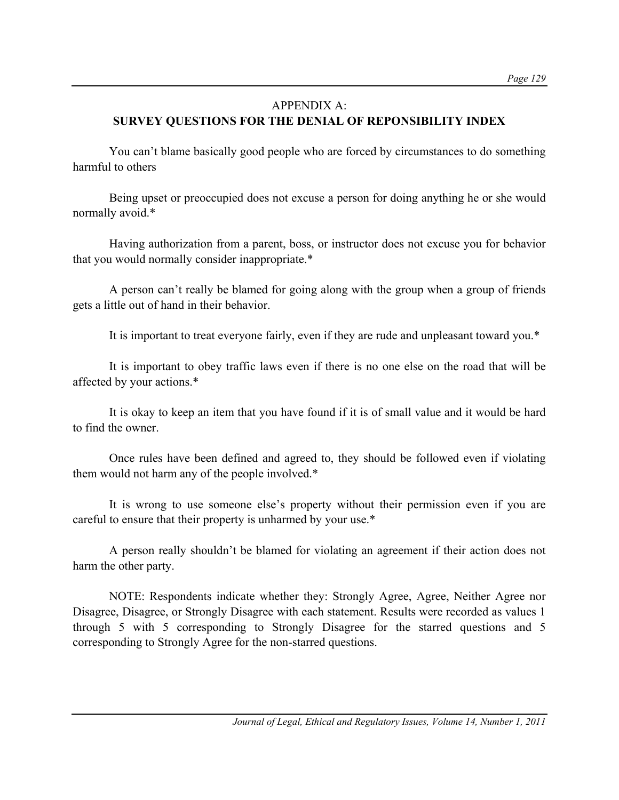# APPENDIX A: **SURVEY QUESTIONS FOR THE DENIAL OF REPONSIBILITY INDEX**

You can't blame basically good people who are forced by circumstances to do something harmful to others

Being upset or preoccupied does not excuse a person for doing anything he or she would normally avoid.\*

Having authorization from a parent, boss, or instructor does not excuse you for behavior that you would normally consider inappropriate.\*

A person can't really be blamed for going along with the group when a group of friends gets a little out of hand in their behavior.

It is important to treat everyone fairly, even if they are rude and unpleasant toward you.\*

It is important to obey traffic laws even if there is no one else on the road that will be affected by your actions.\*

It is okay to keep an item that you have found if it is of small value and it would be hard to find the owner.

Once rules have been defined and agreed to, they should be followed even if violating them would not harm any of the people involved.\*

It is wrong to use someone else's property without their permission even if you are careful to ensure that their property is unharmed by your use.\*

A person really shouldn't be blamed for violating an agreement if their action does not harm the other party.

NOTE: Respondents indicate whether they: Strongly Agree, Agree, Neither Agree nor Disagree, Disagree, or Strongly Disagree with each statement. Results were recorded as values 1 through 5 with 5 corresponding to Strongly Disagree for the starred questions and 5 corresponding to Strongly Agree for the non-starred questions.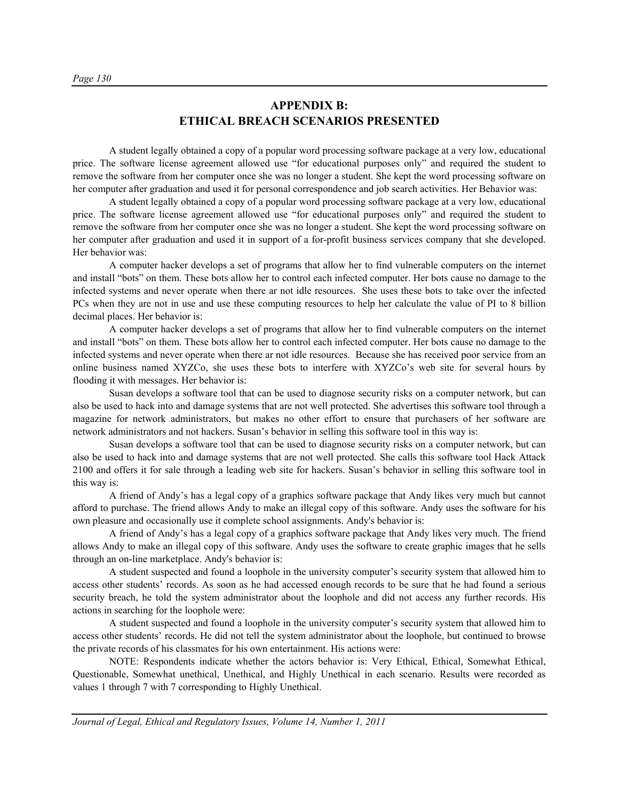## **APPENDIX B: ETHICAL BREACH SCENARIOS PRESENTED**

A student legally obtained a copy of a popular word processing software package at a very low, educational price. The software license agreement allowed use "for educational purposes only" and required the student to remove the software from her computer once she was no longer a student. She kept the word processing software on her computer after graduation and used it for personal correspondence and job search activities. Her Behavior was:

A student legally obtained a copy of a popular word processing software package at a very low, educational price. The software license agreement allowed use "for educational purposes only" and required the student to remove the software from her computer once she was no longer a student. She kept the word processing software on her computer after graduation and used it in support of a for-profit business services company that she developed. Her behavior was:

A computer hacker develops a set of programs that allow her to find vulnerable computers on the internet and install "bots" on them. These bots allow her to control each infected computer. Her bots cause no damage to the infected systems and never operate when there ar not idle resources. She uses these bots to take over the infected PCs when they are not in use and use these computing resources to help her calculate the value of PI to 8 billion decimal places. Her behavior is:

A computer hacker develops a set of programs that allow her to find vulnerable computers on the internet and install "bots" on them. These bots allow her to control each infected computer. Her bots cause no damage to the infected systems and never operate when there ar not idle resources. Because she has received poor service from an online business named XYZCo, she uses these bots to interfere with XYZCo's web site for several hours by flooding it with messages. Her behavior is:

Susan develops a software tool that can be used to diagnose security risks on a computer network, but can also be used to hack into and damage systems that are not well protected. She advertises this software tool through a magazine for network administrators, but makes no other effort to ensure that purchasers of her software are network administrators and not hackers. Susan's behavior in selling this software tool in this way is:

Susan develops a software tool that can be used to diagnose security risks on a computer network, but can also be used to hack into and damage systems that are not well protected. She calls this software tool Hack Attack 2100 and offers it for sale through a leading web site for hackers. Susan's behavior in selling this software tool in this way is:

A friend of Andy's has a legal copy of a graphics software package that Andy likes very much but cannot afford to purchase. The friend allows Andy to make an illegal copy of this software. Andy uses the software for his own pleasure and occasionally use it complete school assignments. Andy's behavior is:

A friend of Andy's has a legal copy of a graphics software package that Andy likes very much. The friend allows Andy to make an illegal copy of this software. Andy uses the software to create graphic images that he sells through an on-line marketplace. Andy's behavior is:

A student suspected and found a loophole in the university computer's security system that allowed him to access other students' records. As soon as he had accessed enough records to be sure that he had found a serious security breach, he told the system administrator about the loophole and did not access any further records. His actions in searching for the loophole were:

A student suspected and found a loophole in the university computer's security system that allowed him to access other students' records. He did not tell the system administrator about the loophole, but continued to browse the private records of his classmates for his own entertainment. His actions were:

NOTE: Respondents indicate whether the actors behavior is: Very Ethical, Ethical, Somewhat Ethical, Questionable, Somewhat unethical, Unethical, and Highly Unethical in each scenario. Results were recorded as values 1 through 7 with 7 corresponding to Highly Unethical.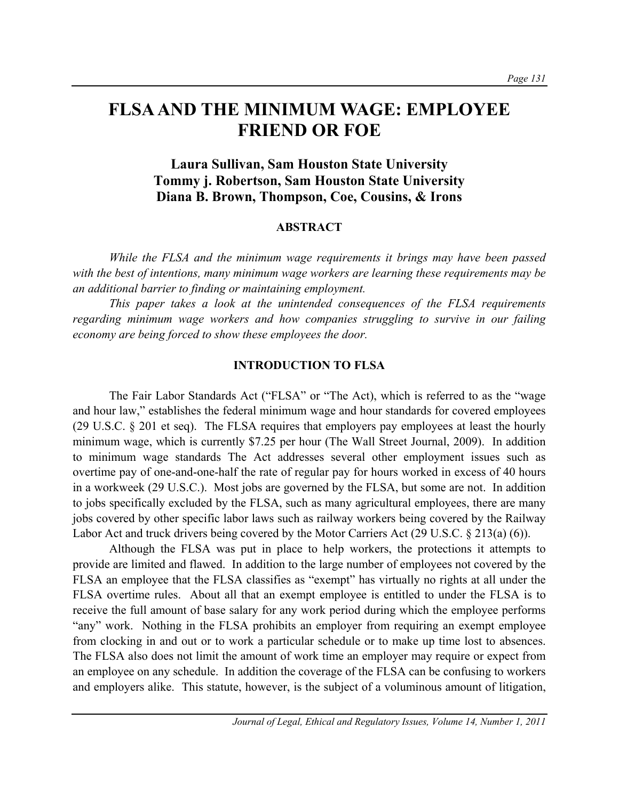# **FLSA AND THE MINIMUM WAGE: EMPLOYEE FRIEND OR FOE**

# **Laura Sullivan, Sam Houston State University Tommy j. Robertson, Sam Houston State University Diana B. Brown, Thompson, Coe, Cousins, & Irons**

#### **ABSTRACT**

*While the FLSA and the minimum wage requirements it brings may have been passed with the best of intentions, many minimum wage workers are learning these requirements may be an additional barrier to finding or maintaining employment.* 

*This paper takes a look at the unintended consequences of the FLSA requirements regarding minimum wage workers and how companies struggling to survive in our failing economy are being forced to show these employees the door.* 

#### **INTRODUCTION TO FLSA**

The Fair Labor Standards Act ("FLSA" or "The Act), which is referred to as the "wage and hour law," establishes the federal minimum wage and hour standards for covered employees (29 U.S.C. § 201 et seq). The FLSA requires that employers pay employees at least the hourly minimum wage, which is currently \$7.25 per hour (The Wall Street Journal, 2009). In addition to minimum wage standards The Act addresses several other employment issues such as overtime pay of one-and-one-half the rate of regular pay for hours worked in excess of 40 hours in a workweek (29 U.S.C.). Most jobs are governed by the FLSA, but some are not. In addition to jobs specifically excluded by the FLSA, such as many agricultural employees, there are many jobs covered by other specific labor laws such as railway workers being covered by the Railway Labor Act and truck drivers being covered by the Motor Carriers Act (29 U.S.C. § 213(a) (6)).

Although the FLSA was put in place to help workers, the protections it attempts to provide are limited and flawed. In addition to the large number of employees not covered by the FLSA an employee that the FLSA classifies as "exempt" has virtually no rights at all under the FLSA overtime rules. About all that an exempt employee is entitled to under the FLSA is to receive the full amount of base salary for any work period during which the employee performs "any" work. Nothing in the FLSA prohibits an employer from requiring an exempt employee from clocking in and out or to work a particular schedule or to make up time lost to absences. The FLSA also does not limit the amount of work time an employer may require or expect from an employee on any schedule. In addition the coverage of the FLSA can be confusing to workers and employers alike. This statute, however, is the subject of a voluminous amount of litigation,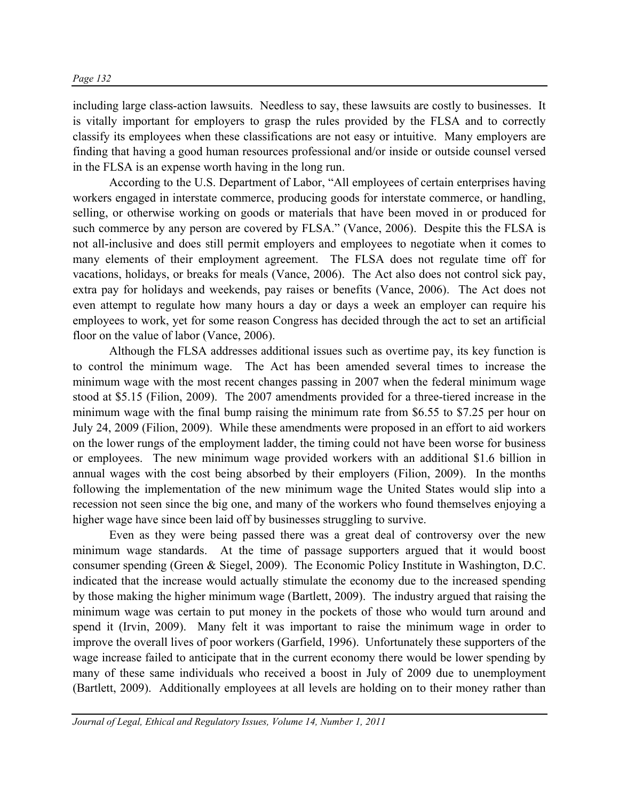including large class-action lawsuits. Needless to say, these lawsuits are costly to businesses. It is vitally important for employers to grasp the rules provided by the FLSA and to correctly classify its employees when these classifications are not easy or intuitive. Many employers are finding that having a good human resources professional and/or inside or outside counsel versed in the FLSA is an expense worth having in the long run.

According to the U.S. Department of Labor, "All employees of certain enterprises having workers engaged in interstate commerce, producing goods for interstate commerce, or handling, selling, or otherwise working on goods or materials that have been moved in or produced for such commerce by any person are covered by FLSA." (Vance, 2006). Despite this the FLSA is not all-inclusive and does still permit employers and employees to negotiate when it comes to many elements of their employment agreement. The FLSA does not regulate time off for vacations, holidays, or breaks for meals (Vance, 2006). The Act also does not control sick pay, extra pay for holidays and weekends, pay raises or benefits (Vance, 2006). The Act does not even attempt to regulate how many hours a day or days a week an employer can require his employees to work, yet for some reason Congress has decided through the act to set an artificial floor on the value of labor (Vance, 2006).

Although the FLSA addresses additional issues such as overtime pay, its key function is to control the minimum wage. The Act has been amended several times to increase the minimum wage with the most recent changes passing in 2007 when the federal minimum wage stood at \$5.15 (Filion, 2009). The 2007 amendments provided for a three-tiered increase in the minimum wage with the final bump raising the minimum rate from \$6.55 to \$7.25 per hour on July 24, 2009 (Filion, 2009). While these amendments were proposed in an effort to aid workers on the lower rungs of the employment ladder, the timing could not have been worse for business or employees. The new minimum wage provided workers with an additional \$1.6 billion in annual wages with the cost being absorbed by their employers (Filion, 2009). In the months following the implementation of the new minimum wage the United States would slip into a recession not seen since the big one, and many of the workers who found themselves enjoying a higher wage have since been laid off by businesses struggling to survive.

Even as they were being passed there was a great deal of controversy over the new minimum wage standards. At the time of passage supporters argued that it would boost consumer spending (Green & Siegel, 2009). The Economic Policy Institute in Washington, D.C. indicated that the increase would actually stimulate the economy due to the increased spending by those making the higher minimum wage (Bartlett, 2009). The industry argued that raising the minimum wage was certain to put money in the pockets of those who would turn around and spend it (Irvin, 2009). Many felt it was important to raise the minimum wage in order to improve the overall lives of poor workers (Garfield, 1996). Unfortunately these supporters of the wage increase failed to anticipate that in the current economy there would be lower spending by many of these same individuals who received a boost in July of 2009 due to unemployment (Bartlett, 2009). Additionally employees at all levels are holding on to their money rather than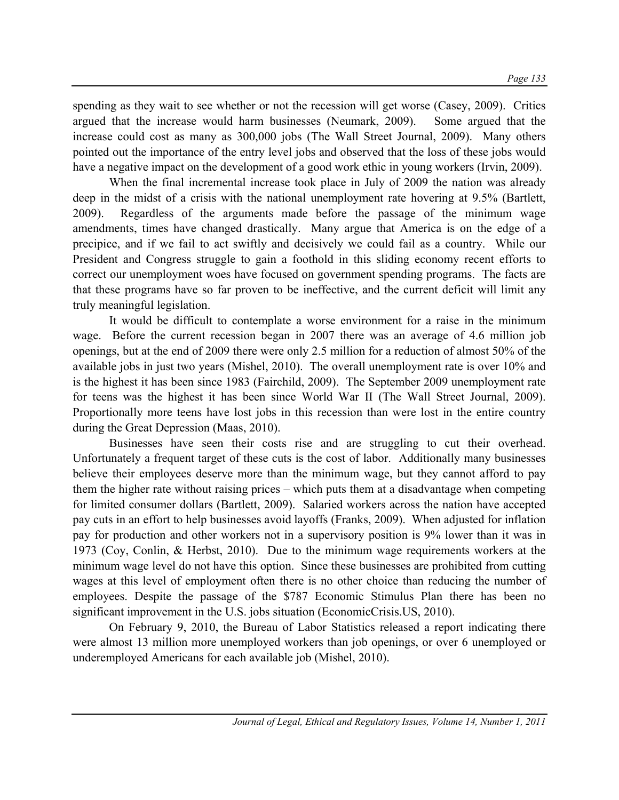spending as they wait to see whether or not the recession will get worse (Casey, 2009). Critics argued that the increase would harm businesses (Neumark, 2009). Some argued that the increase could cost as many as 300,000 jobs (The Wall Street Journal, 2009). Many others pointed out the importance of the entry level jobs and observed that the loss of these jobs would have a negative impact on the development of a good work ethic in young workers (Irvin, 2009).

When the final incremental increase took place in July of 2009 the nation was already deep in the midst of a crisis with the national unemployment rate hovering at 9.5% (Bartlett, 2009). Regardless of the arguments made before the passage of the minimum wage amendments, times have changed drastically. Many argue that America is on the edge of a precipice, and if we fail to act swiftly and decisively we could fail as a country. While our President and Congress struggle to gain a foothold in this sliding economy recent efforts to correct our unemployment woes have focused on government spending programs. The facts are that these programs have so far proven to be ineffective, and the current deficit will limit any truly meaningful legislation.

It would be difficult to contemplate a worse environment for a raise in the minimum wage. Before the current recession began in 2007 there was an average of 4.6 million job openings, but at the end of 2009 there were only 2.5 million for a reduction of almost 50% of the available jobs in just two years (Mishel, 2010). The overall unemployment rate is over 10% and is the highest it has been since 1983 (Fairchild, 2009). The September 2009 unemployment rate for teens was the highest it has been since World War II (The Wall Street Journal, 2009). Proportionally more teens have lost jobs in this recession than were lost in the entire country during the Great Depression (Maas, 2010).

Businesses have seen their costs rise and are struggling to cut their overhead. Unfortunately a frequent target of these cuts is the cost of labor. Additionally many businesses believe their employees deserve more than the minimum wage, but they cannot afford to pay them the higher rate without raising prices – which puts them at a disadvantage when competing for limited consumer dollars (Bartlett, 2009). Salaried workers across the nation have accepted pay cuts in an effort to help businesses avoid layoffs (Franks, 2009). When adjusted for inflation pay for production and other workers not in a supervisory position is 9% lower than it was in 1973 (Coy, Conlin, & Herbst, 2010). Due to the minimum wage requirements workers at the minimum wage level do not have this option. Since these businesses are prohibited from cutting wages at this level of employment often there is no other choice than reducing the number of employees. Despite the passage of the \$787 Economic Stimulus Plan there has been no significant improvement in the U.S. jobs situation (EconomicCrisis.US, 2010).

On February 9, 2010, the Bureau of Labor Statistics released a report indicating there were almost 13 million more unemployed workers than job openings, or over 6 unemployed or underemployed Americans for each available job (Mishel, 2010).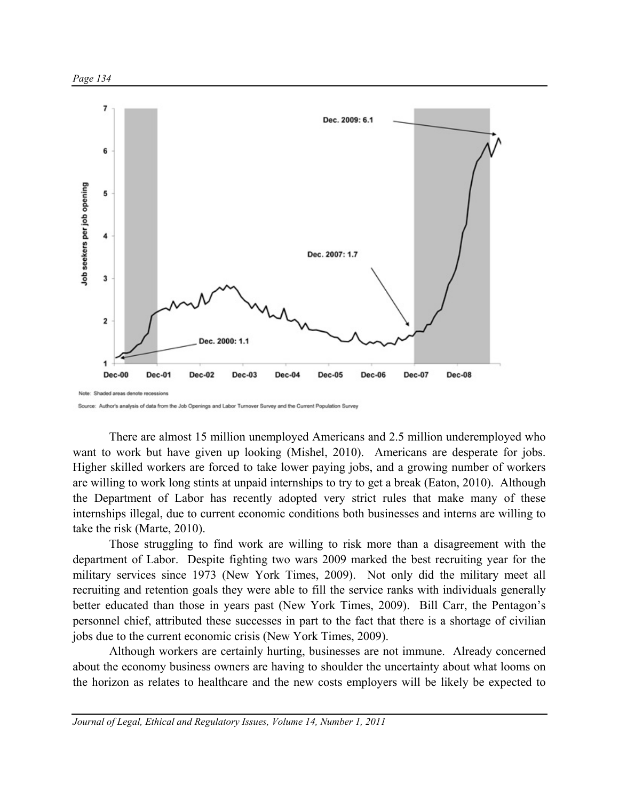

Source: Author's analysis of data from the Job Openings and Labor Turnover Survey and the Current Population Survey

There are almost 15 million unemployed Americans and 2.5 million underemployed who want to work but have given up looking (Mishel, 2010). Americans are desperate for jobs. Higher skilled workers are forced to take lower paying jobs, and a growing number of workers are willing to work long stints at unpaid internships to try to get a break (Eaton, 2010). Although the Department of Labor has recently adopted very strict rules that make many of these internships illegal, due to current economic conditions both businesses and interns are willing to take the risk (Marte, 2010).

Those struggling to find work are willing to risk more than a disagreement with the department of Labor. Despite fighting two wars 2009 marked the best recruiting year for the military services since 1973 (New York Times, 2009). Not only did the military meet all recruiting and retention goals they were able to fill the service ranks with individuals generally better educated than those in years past (New York Times, 2009). Bill Carr, the Pentagon's personnel chief, attributed these successes in part to the fact that there is a shortage of civilian jobs due to the current economic crisis (New York Times, 2009).

Although workers are certainly hurting, businesses are not immune. Already concerned about the economy business owners are having to shoulder the uncertainty about what looms on the horizon as relates to healthcare and the new costs employers will be likely be expected to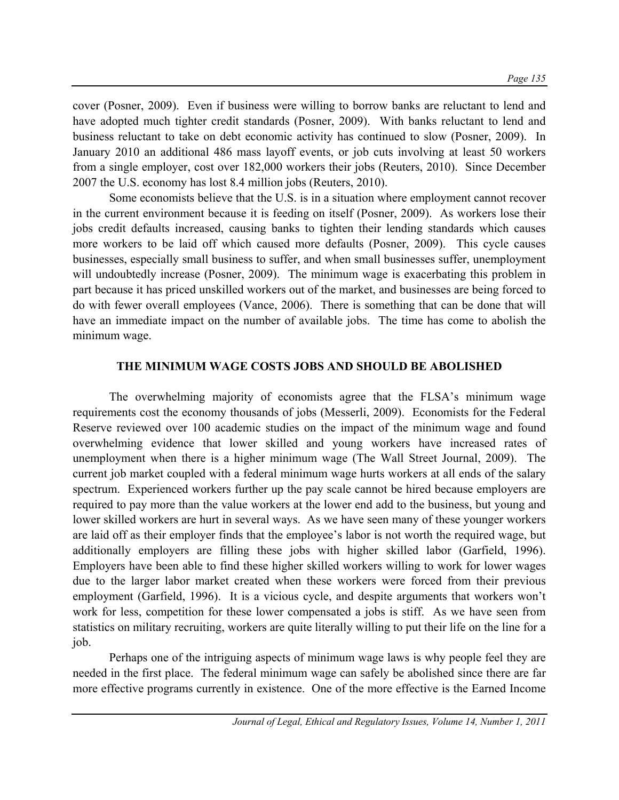cover (Posner, 2009). Even if business were willing to borrow banks are reluctant to lend and have adopted much tighter credit standards (Posner, 2009). With banks reluctant to lend and business reluctant to take on debt economic activity has continued to slow (Posner, 2009). In January 2010 an additional 486 mass layoff events, or job cuts involving at least 50 workers from a single employer, cost over 182,000 workers their jobs (Reuters, 2010). Since December 2007 the U.S. economy has lost 8.4 million jobs (Reuters, 2010).

Some economists believe that the U.S. is in a situation where employment cannot recover in the current environment because it is feeding on itself (Posner, 2009). As workers lose their jobs credit defaults increased, causing banks to tighten their lending standards which causes more workers to be laid off which caused more defaults (Posner, 2009). This cycle causes businesses, especially small business to suffer, and when small businesses suffer, unemployment will undoubtedly increase (Posner, 2009). The minimum wage is exacerbating this problem in part because it has priced unskilled workers out of the market, and businesses are being forced to do with fewer overall employees (Vance, 2006). There is something that can be done that will have an immediate impact on the number of available jobs. The time has come to abolish the minimum wage.

# **THE MINIMUM WAGE COSTS JOBS AND SHOULD BE ABOLISHED**

The overwhelming majority of economists agree that the FLSA's minimum wage requirements cost the economy thousands of jobs (Messerli, 2009). Economists for the Federal Reserve reviewed over 100 academic studies on the impact of the minimum wage and found overwhelming evidence that lower skilled and young workers have increased rates of unemployment when there is a higher minimum wage (The Wall Street Journal, 2009). The current job market coupled with a federal minimum wage hurts workers at all ends of the salary spectrum. Experienced workers further up the pay scale cannot be hired because employers are required to pay more than the value workers at the lower end add to the business, but young and lower skilled workers are hurt in several ways. As we have seen many of these younger workers are laid off as their employer finds that the employee's labor is not worth the required wage, but additionally employers are filling these jobs with higher skilled labor (Garfield, 1996). Employers have been able to find these higher skilled workers willing to work for lower wages due to the larger labor market created when these workers were forced from their previous employment (Garfield, 1996). It is a vicious cycle, and despite arguments that workers won't work for less, competition for these lower compensated a jobs is stiff. As we have seen from statistics on military recruiting, workers are quite literally willing to put their life on the line for a job.

Perhaps one of the intriguing aspects of minimum wage laws is why people feel they are needed in the first place. The federal minimum wage can safely be abolished since there are far more effective programs currently in existence. One of the more effective is the Earned Income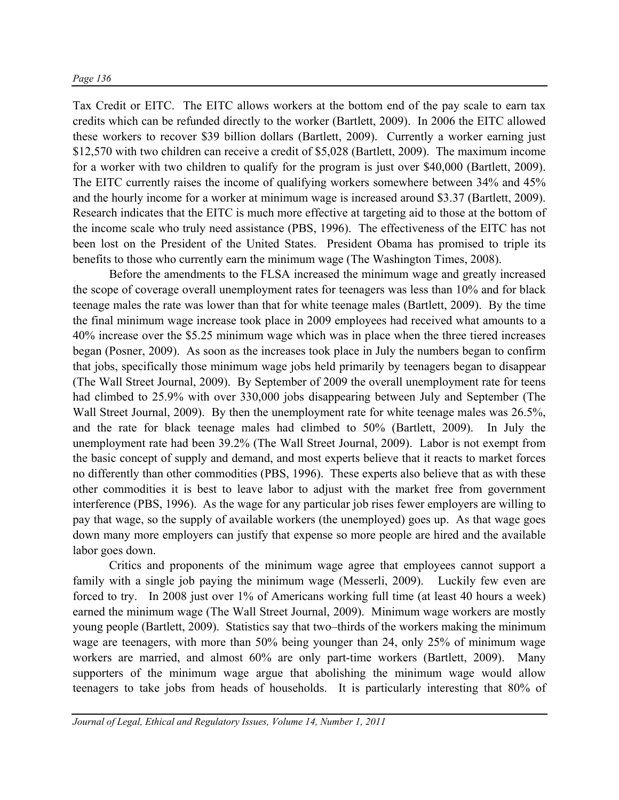Tax Credit or EITC. The EITC allows workers at the bottom end of the pay scale to earn tax credits which can be refunded directly to the worker (Bartlett, 2009). In 2006 the EITC allowed these workers to recover \$39 billion dollars (Bartlett, 2009). Currently a worker earning just \$12,570 with two children can receive a credit of \$5,028 (Bartlett, 2009). The maximum income for a worker with two children to qualify for the program is just over \$40,000 (Bartlett, 2009). The EITC currently raises the income of qualifying workers somewhere between 34% and 45% and the hourly income for a worker at minimum wage is increased around \$3.37 (Bartlett, 2009). Research indicates that the EITC is much more effective at targeting aid to those at the bottom of the income scale who truly need assistance (PBS, 1996). The effectiveness of the EITC has not been lost on the President of the United States. President Obama has promised to triple its benefits to those who currently earn the minimum wage (The Washington Times, 2008).

Before the amendments to the FLSA increased the minimum wage and greatly increased the scope of coverage overall unemployment rates for teenagers was less than 10% and for black teenage males the rate was lower than that for white teenage males (Bartlett, 2009). By the time the final minimum wage increase took place in 2009 employees had received what amounts to a 40% increase over the \$5.25 minimum wage which was in place when the three tiered increases began (Posner, 2009). As soon as the increases took place in July the numbers began to confirm that jobs, specifically those minimum wage jobs held primarily by teenagers began to disappear (The Wall Street Journal, 2009). By September of 2009 the overall unemployment rate for teens had climbed to 25.9% with over 330,000 jobs disappearing between July and September (The Wall Street Journal, 2009). By then the unemployment rate for white teenage males was 26.5%, and the rate for black teenage males had climbed to 50% (Bartlett, 2009). In July the unemployment rate had been 39.2% (The Wall Street Journal, 2009). Labor is not exempt from the basic concept of supply and demand, and most experts believe that it reacts to market forces no differently than other commodities (PBS, 1996). These experts also believe that as with these other commodities it is best to leave labor to adjust with the market free from government interference (PBS, 1996). As the wage for any particular job rises fewer employers are willing to pay that wage, so the supply of available workers (the unemployed) goes up. As that wage goes down many more employers can justify that expense so more people are hired and the available labor goes down.

Critics and proponents of the minimum wage agree that employees cannot support a family with a single job paying the minimum wage (Messerli, 2009). Luckily few even are forced to try. In 2008 just over 1% of Americans working full time (at least 40 hours a week) earned the minimum wage (The Wall Street Journal, 2009). Minimum wage workers are mostly young people (Bartlett, 2009). Statistics say that two–thirds of the workers making the minimum wage are teenagers, with more than 50% being younger than 24, only 25% of minimum wage workers are married, and almost 60% are only part-time workers (Bartlett, 2009). Many supporters of the minimum wage argue that abolishing the minimum wage would allow teenagers to take jobs from heads of households. It is particularly interesting that 80% of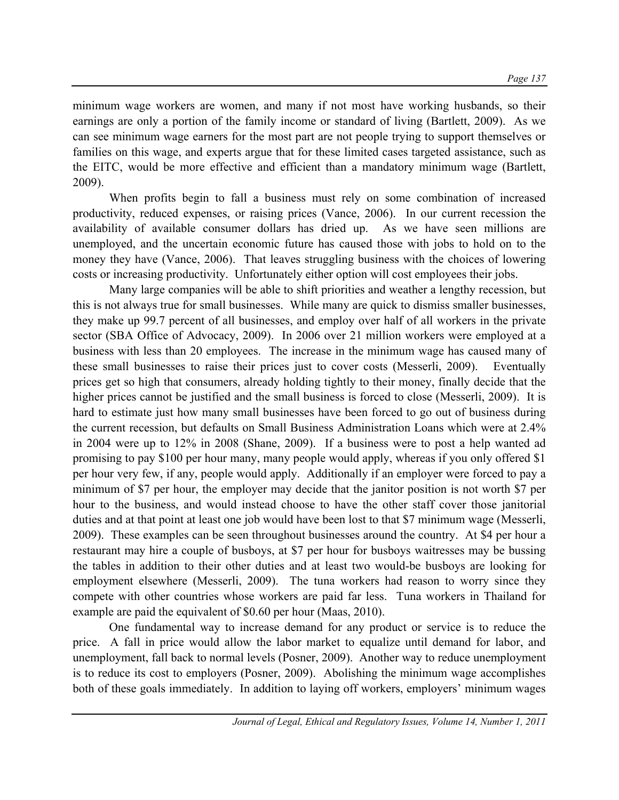minimum wage workers are women, and many if not most have working husbands, so their earnings are only a portion of the family income or standard of living (Bartlett, 2009). As we can see minimum wage earners for the most part are not people trying to support themselves or families on this wage, and experts argue that for these limited cases targeted assistance, such as the EITC, would be more effective and efficient than a mandatory minimum wage (Bartlett, 2009).

When profits begin to fall a business must rely on some combination of increased productivity, reduced expenses, or raising prices (Vance, 2006). In our current recession the availability of available consumer dollars has dried up. As we have seen millions are unemployed, and the uncertain economic future has caused those with jobs to hold on to the money they have (Vance, 2006). That leaves struggling business with the choices of lowering costs or increasing productivity. Unfortunately either option will cost employees their jobs.

Many large companies will be able to shift priorities and weather a lengthy recession, but this is not always true for small businesses. While many are quick to dismiss smaller businesses, they make up 99.7 percent of all businesses, and employ over half of all workers in the private sector (SBA Office of Advocacy, 2009). In 2006 over 21 million workers were employed at a business with less than 20 employees. The increase in the minimum wage has caused many of these small businesses to raise their prices just to cover costs (Messerli, 2009). Eventually prices get so high that consumers, already holding tightly to their money, finally decide that the higher prices cannot be justified and the small business is forced to close (Messerli, 2009). It is hard to estimate just how many small businesses have been forced to go out of business during the current recession, but defaults on Small Business Administration Loans which were at 2.4% in 2004 were up to 12% in 2008 (Shane, 2009). If a business were to post a help wanted ad promising to pay \$100 per hour many, many people would apply, whereas if you only offered \$1 per hour very few, if any, people would apply. Additionally if an employer were forced to pay a minimum of \$7 per hour, the employer may decide that the janitor position is not worth \$7 per hour to the business, and would instead choose to have the other staff cover those janitorial duties and at that point at least one job would have been lost to that \$7 minimum wage (Messerli, 2009). These examples can be seen throughout businesses around the country. At \$4 per hour a restaurant may hire a couple of busboys, at \$7 per hour for busboys waitresses may be bussing the tables in addition to their other duties and at least two would-be busboys are looking for employment elsewhere (Messerli, 2009). The tuna workers had reason to worry since they compete with other countries whose workers are paid far less. Tuna workers in Thailand for example are paid the equivalent of \$0.60 per hour (Maas, 2010).

One fundamental way to increase demand for any product or service is to reduce the price. A fall in price would allow the labor market to equalize until demand for labor, and unemployment, fall back to normal levels (Posner, 2009). Another way to reduce unemployment is to reduce its cost to employers (Posner, 2009). Abolishing the minimum wage accomplishes both of these goals immediately. In addition to laying off workers, employers' minimum wages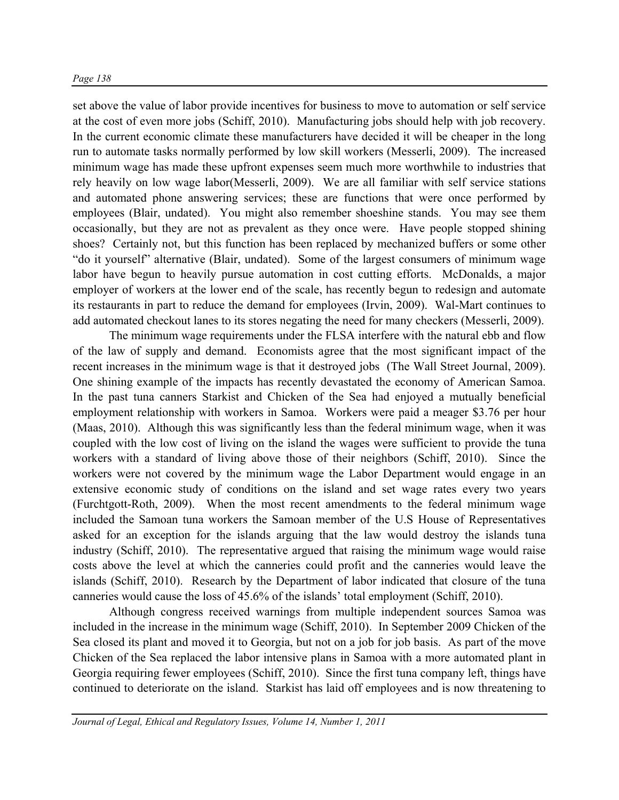set above the value of labor provide incentives for business to move to automation or self service at the cost of even more jobs (Schiff, 2010). Manufacturing jobs should help with job recovery. In the current economic climate these manufacturers have decided it will be cheaper in the long run to automate tasks normally performed by low skill workers (Messerli, 2009). The increased minimum wage has made these upfront expenses seem much more worthwhile to industries that rely heavily on low wage labor(Messerli, 2009). We are all familiar with self service stations and automated phone answering services; these are functions that were once performed by employees (Blair, undated). You might also remember shoeshine stands. You may see them occasionally, but they are not as prevalent as they once were. Have people stopped shining shoes? Certainly not, but this function has been replaced by mechanized buffers or some other "do it yourself" alternative (Blair, undated). Some of the largest consumers of minimum wage labor have begun to heavily pursue automation in cost cutting efforts. McDonalds, a major employer of workers at the lower end of the scale, has recently begun to redesign and automate its restaurants in part to reduce the demand for employees (Irvin, 2009). Wal-Mart continues to add automated checkout lanes to its stores negating the need for many checkers (Messerli, 2009).

The minimum wage requirements under the FLSA interfere with the natural ebb and flow of the law of supply and demand. Economists agree that the most significant impact of the recent increases in the minimum wage is that it destroyed jobs (The Wall Street Journal, 2009). One shining example of the impacts has recently devastated the economy of American Samoa. In the past tuna canners Starkist and Chicken of the Sea had enjoyed a mutually beneficial employment relationship with workers in Samoa. Workers were paid a meager \$3.76 per hour (Maas, 2010). Although this was significantly less than the federal minimum wage, when it was coupled with the low cost of living on the island the wages were sufficient to provide the tuna workers with a standard of living above those of their neighbors (Schiff, 2010). Since the workers were not covered by the minimum wage the Labor Department would engage in an extensive economic study of conditions on the island and set wage rates every two years (Furchtgott-Roth, 2009). When the most recent amendments to the federal minimum wage included the Samoan tuna workers the Samoan member of the U.S House of Representatives asked for an exception for the islands arguing that the law would destroy the islands tuna industry (Schiff, 2010). The representative argued that raising the minimum wage would raise costs above the level at which the canneries could profit and the canneries would leave the islands (Schiff, 2010). Research by the Department of labor indicated that closure of the tuna canneries would cause the loss of 45.6% of the islands' total employment (Schiff, 2010).

Although congress received warnings from multiple independent sources Samoa was included in the increase in the minimum wage (Schiff, 2010). In September 2009 Chicken of the Sea closed its plant and moved it to Georgia, but not on a job for job basis. As part of the move Chicken of the Sea replaced the labor intensive plans in Samoa with a more automated plant in Georgia requiring fewer employees (Schiff, 2010). Since the first tuna company left, things have continued to deteriorate on the island. Starkist has laid off employees and is now threatening to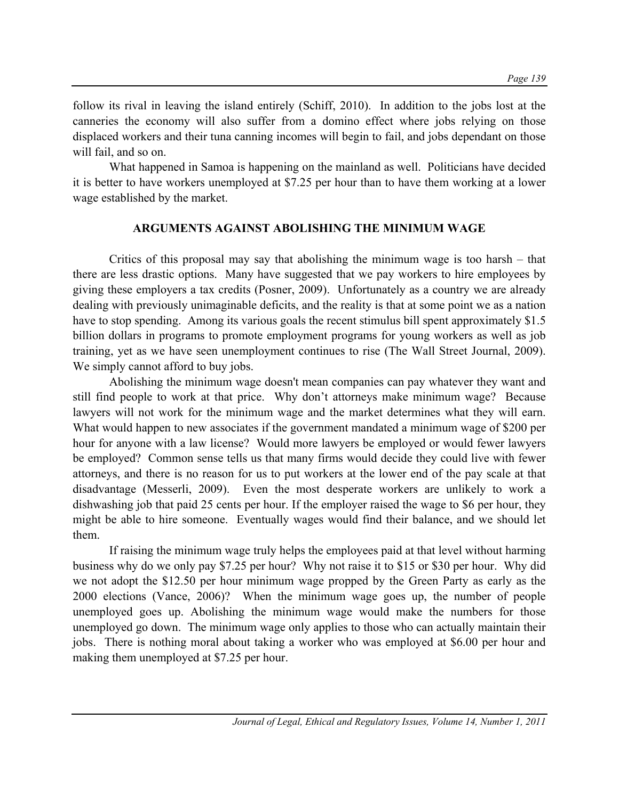follow its rival in leaving the island entirely (Schiff, 2010). In addition to the jobs lost at the canneries the economy will also suffer from a domino effect where jobs relying on those displaced workers and their tuna canning incomes will begin to fail, and jobs dependant on those will fail, and so on.

What happened in Samoa is happening on the mainland as well. Politicians have decided it is better to have workers unemployed at \$7.25 per hour than to have them working at a lower wage established by the market.

# **ARGUMENTS AGAINST ABOLISHING THE MINIMUM WAGE**

Critics of this proposal may say that abolishing the minimum wage is too harsh – that there are less drastic options. Many have suggested that we pay workers to hire employees by giving these employers a tax credits (Posner, 2009). Unfortunately as a country we are already dealing with previously unimaginable deficits, and the reality is that at some point we as a nation have to stop spending. Among its various goals the recent stimulus bill spent approximately \$1.5 billion dollars in programs to promote employment programs for young workers as well as job training, yet as we have seen unemployment continues to rise (The Wall Street Journal, 2009). We simply cannot afford to buy jobs.

Abolishing the minimum wage doesn't mean companies can pay whatever they want and still find people to work at that price. Why don't attorneys make minimum wage? Because lawyers will not work for the minimum wage and the market determines what they will earn. What would happen to new associates if the government mandated a minimum wage of \$200 per hour for anyone with a law license? Would more lawyers be employed or would fewer lawyers be employed? Common sense tells us that many firms would decide they could live with fewer attorneys, and there is no reason for us to put workers at the lower end of the pay scale at that disadvantage (Messerli, 2009). Even the most desperate workers are unlikely to work a dishwashing job that paid 25 cents per hour. If the employer raised the wage to \$6 per hour, they might be able to hire someone. Eventually wages would find their balance, and we should let them.

If raising the minimum wage truly helps the employees paid at that level without harming business why do we only pay \$7.25 per hour? Why not raise it to \$15 or \$30 per hour. Why did we not adopt the \$12.50 per hour minimum wage propped by the Green Party as early as the 2000 elections (Vance, 2006)? When the minimum wage goes up, the number of people unemployed goes up. Abolishing the minimum wage would make the numbers for those unemployed go down. The minimum wage only applies to those who can actually maintain their jobs. There is nothing moral about taking a worker who was employed at \$6.00 per hour and making them unemployed at \$7.25 per hour.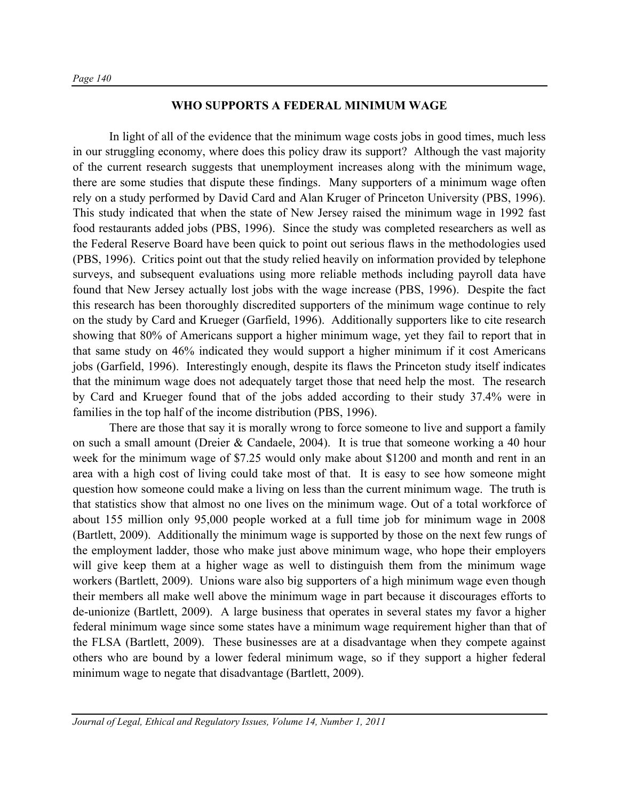#### **WHO SUPPORTS A FEDERAL MINIMUM WAGE**

In light of all of the evidence that the minimum wage costs jobs in good times, much less in our struggling economy, where does this policy draw its support? Although the vast majority of the current research suggests that unemployment increases along with the minimum wage, there are some studies that dispute these findings. Many supporters of a minimum wage often rely on a study performed by David Card and Alan Kruger of Princeton University (PBS, 1996). This study indicated that when the state of New Jersey raised the minimum wage in 1992 fast food restaurants added jobs (PBS, 1996). Since the study was completed researchers as well as the Federal Reserve Board have been quick to point out serious flaws in the methodologies used (PBS, 1996). Critics point out that the study relied heavily on information provided by telephone surveys, and subsequent evaluations using more reliable methods including payroll data have found that New Jersey actually lost jobs with the wage increase (PBS, 1996). Despite the fact this research has been thoroughly discredited supporters of the minimum wage continue to rely on the study by Card and Krueger (Garfield, 1996). Additionally supporters like to cite research showing that 80% of Americans support a higher minimum wage, yet they fail to report that in that same study on 46% indicated they would support a higher minimum if it cost Americans jobs (Garfield, 1996). Interestingly enough, despite its flaws the Princeton study itself indicates that the minimum wage does not adequately target those that need help the most. The research by Card and Krueger found that of the jobs added according to their study 37.4% were in families in the top half of the income distribution (PBS, 1996).

There are those that say it is morally wrong to force someone to live and support a family on such a small amount (Dreier & Candaele, 2004). It is true that someone working a 40 hour week for the minimum wage of \$7.25 would only make about \$1200 and month and rent in an area with a high cost of living could take most of that. It is easy to see how someone might question how someone could make a living on less than the current minimum wage. The truth is that statistics show that almost no one lives on the minimum wage. Out of a total workforce of about 155 million only 95,000 people worked at a full time job for minimum wage in 2008 (Bartlett, 2009). Additionally the minimum wage is supported by those on the next few rungs of the employment ladder, those who make just above minimum wage, who hope their employers will give keep them at a higher wage as well to distinguish them from the minimum wage workers (Bartlett, 2009). Unions ware also big supporters of a high minimum wage even though their members all make well above the minimum wage in part because it discourages efforts to de-unionize (Bartlett, 2009). A large business that operates in several states my favor a higher federal minimum wage since some states have a minimum wage requirement higher than that of the FLSA (Bartlett, 2009). These businesses are at a disadvantage when they compete against others who are bound by a lower federal minimum wage, so if they support a higher federal minimum wage to negate that disadvantage (Bartlett, 2009).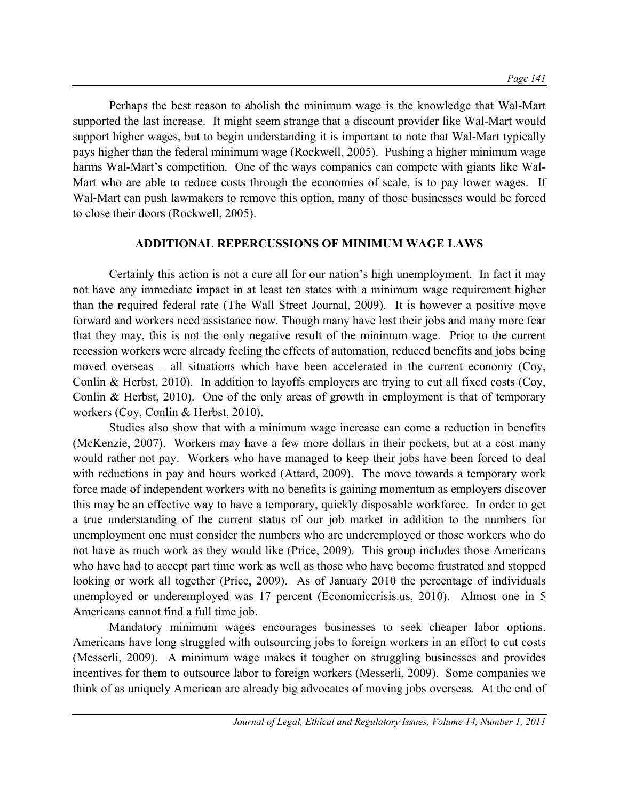Perhaps the best reason to abolish the minimum wage is the knowledge that Wal-Mart supported the last increase. It might seem strange that a discount provider like Wal-Mart would support higher wages, but to begin understanding it is important to note that Wal-Mart typically pays higher than the federal minimum wage (Rockwell, 2005). Pushing a higher minimum wage harms Wal-Mart's competition. One of the ways companies can compete with giants like Wal-Mart who are able to reduce costs through the economies of scale, is to pay lower wages. If Wal-Mart can push lawmakers to remove this option, many of those businesses would be forced to close their doors (Rockwell, 2005).

## **ADDITIONAL REPERCUSSIONS OF MINIMUM WAGE LAWS**

Certainly this action is not a cure all for our nation's high unemployment. In fact it may not have any immediate impact in at least ten states with a minimum wage requirement higher than the required federal rate (The Wall Street Journal, 2009). It is however a positive move forward and workers need assistance now. Though many have lost their jobs and many more fear that they may, this is not the only negative result of the minimum wage. Prior to the current recession workers were already feeling the effects of automation, reduced benefits and jobs being moved overseas – all situations which have been accelerated in the current economy (Coy, Conlin & Herbst, 2010). In addition to layoffs employers are trying to cut all fixed costs (Coy, Conlin & Herbst, 2010). One of the only areas of growth in employment is that of temporary workers (Coy, Conlin & Herbst, 2010).

Studies also show that with a minimum wage increase can come a reduction in benefits (McKenzie, 2007). Workers may have a few more dollars in their pockets, but at a cost many would rather not pay. Workers who have managed to keep their jobs have been forced to deal with reductions in pay and hours worked (Attard, 2009). The move towards a temporary work force made of independent workers with no benefits is gaining momentum as employers discover this may be an effective way to have a temporary, quickly disposable workforce. In order to get a true understanding of the current status of our job market in addition to the numbers for unemployment one must consider the numbers who are underemployed or those workers who do not have as much work as they would like (Price, 2009). This group includes those Americans who have had to accept part time work as well as those who have become frustrated and stopped looking or work all together (Price, 2009). As of January 2010 the percentage of individuals unemployed or underemployed was 17 percent (Economiccrisis.us, 2010). Almost one in 5 Americans cannot find a full time job.

Mandatory minimum wages encourages businesses to seek cheaper labor options. Americans have long struggled with outsourcing jobs to foreign workers in an effort to cut costs (Messerli, 2009). A minimum wage makes it tougher on struggling businesses and provides incentives for them to outsource labor to foreign workers (Messerli, 2009). Some companies we think of as uniquely American are already big advocates of moving jobs overseas. At the end of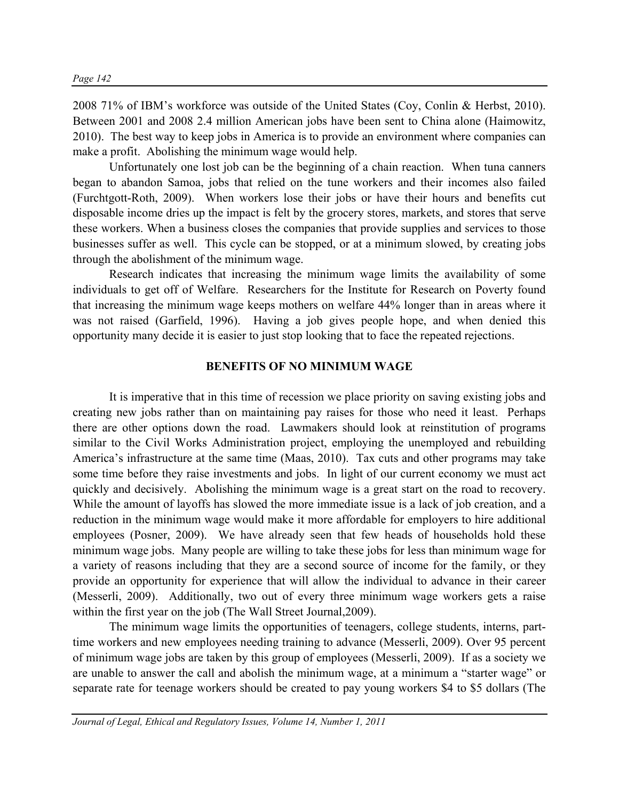2008 71% of IBM's workforce was outside of the United States (Coy, Conlin & Herbst, 2010). Between 2001 and 2008 2.4 million American jobs have been sent to China alone (Haimowitz, 2010). The best way to keep jobs in America is to provide an environment where companies can make a profit. Abolishing the minimum wage would help.

Unfortunately one lost job can be the beginning of a chain reaction. When tuna canners began to abandon Samoa, jobs that relied on the tune workers and their incomes also failed (Furchtgott-Roth, 2009). When workers lose their jobs or have their hours and benefits cut disposable income dries up the impact is felt by the grocery stores, markets, and stores that serve these workers. When a business closes the companies that provide supplies and services to those businesses suffer as well. This cycle can be stopped, or at a minimum slowed, by creating jobs through the abolishment of the minimum wage.

Research indicates that increasing the minimum wage limits the availability of some individuals to get off of Welfare. Researchers for the Institute for Research on Poverty found that increasing the minimum wage keeps mothers on welfare 44% longer than in areas where it was not raised (Garfield, 1996). Having a job gives people hope, and when denied this opportunity many decide it is easier to just stop looking that to face the repeated rejections.

## **BENEFITS OF NO MINIMUM WAGE**

It is imperative that in this time of recession we place priority on saving existing jobs and creating new jobs rather than on maintaining pay raises for those who need it least. Perhaps there are other options down the road. Lawmakers should look at reinstitution of programs similar to the Civil Works Administration project, employing the unemployed and rebuilding America's infrastructure at the same time (Maas, 2010). Tax cuts and other programs may take some time before they raise investments and jobs. In light of our current economy we must act quickly and decisively. Abolishing the minimum wage is a great start on the road to recovery. While the amount of layoffs has slowed the more immediate issue is a lack of job creation, and a reduction in the minimum wage would make it more affordable for employers to hire additional employees (Posner, 2009). We have already seen that few heads of households hold these minimum wage jobs. Many people are willing to take these jobs for less than minimum wage for a variety of reasons including that they are a second source of income for the family, or they provide an opportunity for experience that will allow the individual to advance in their career (Messerli, 2009). Additionally, two out of every three minimum wage workers gets a raise within the first year on the job (The Wall Street Journal,2009).

The minimum wage limits the opportunities of teenagers, college students, interns, parttime workers and new employees needing training to advance (Messerli, 2009). Over 95 percent of minimum wage jobs are taken by this group of employees (Messerli, 2009). If as a society we are unable to answer the call and abolish the minimum wage, at a minimum a "starter wage" or separate rate for teenage workers should be created to pay young workers \$4 to \$5 dollars (The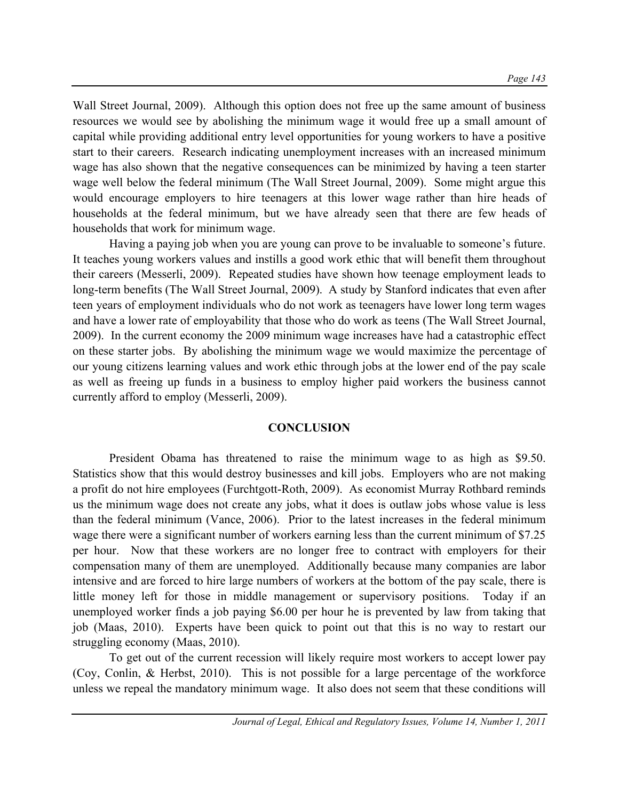Wall Street Journal, 2009). Although this option does not free up the same amount of business resources we would see by abolishing the minimum wage it would free up a small amount of capital while providing additional entry level opportunities for young workers to have a positive start to their careers. Research indicating unemployment increases with an increased minimum wage has also shown that the negative consequences can be minimized by having a teen starter wage well below the federal minimum (The Wall Street Journal, 2009). Some might argue this would encourage employers to hire teenagers at this lower wage rather than hire heads of households at the federal minimum, but we have already seen that there are few heads of households that work for minimum wage.

Having a paying job when you are young can prove to be invaluable to someone's future. It teaches young workers values and instills a good work ethic that will benefit them throughout their careers (Messerli, 2009). Repeated studies have shown how teenage employment leads to long-term benefits (The Wall Street Journal, 2009). A study by Stanford indicates that even after teen years of employment individuals who do not work as teenagers have lower long term wages and have a lower rate of employability that those who do work as teens (The Wall Street Journal, 2009). In the current economy the 2009 minimum wage increases have had a catastrophic effect on these starter jobs. By abolishing the minimum wage we would maximize the percentage of our young citizens learning values and work ethic through jobs at the lower end of the pay scale as well as freeing up funds in a business to employ higher paid workers the business cannot currently afford to employ (Messerli, 2009).

### **CONCLUSION**

President Obama has threatened to raise the minimum wage to as high as \$9.50. Statistics show that this would destroy businesses and kill jobs. Employers who are not making a profit do not hire employees (Furchtgott-Roth, 2009). As economist Murray Rothbard reminds us the minimum wage does not create any jobs, what it does is outlaw jobs whose value is less than the federal minimum (Vance, 2006). Prior to the latest increases in the federal minimum wage there were a significant number of workers earning less than the current minimum of \$7.25 per hour. Now that these workers are no longer free to contract with employers for their compensation many of them are unemployed. Additionally because many companies are labor intensive and are forced to hire large numbers of workers at the bottom of the pay scale, there is little money left for those in middle management or supervisory positions. Today if an unemployed worker finds a job paying \$6.00 per hour he is prevented by law from taking that job (Maas, 2010). Experts have been quick to point out that this is no way to restart our struggling economy (Maas, 2010).

To get out of the current recession will likely require most workers to accept lower pay (Coy, Conlin, & Herbst, 2010). This is not possible for a large percentage of the workforce unless we repeal the mandatory minimum wage. It also does not seem that these conditions will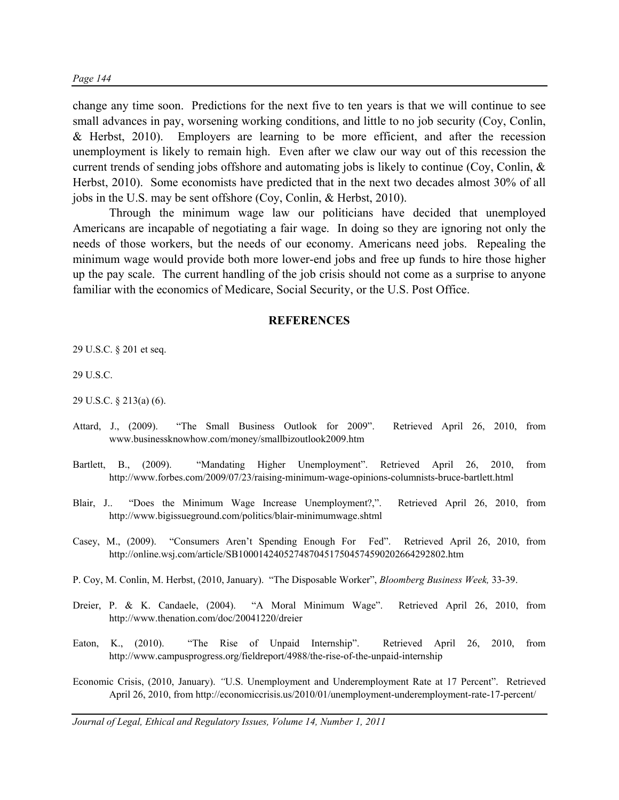change any time soon. Predictions for the next five to ten years is that we will continue to see small advances in pay, worsening working conditions, and little to no job security (Coy, Conlin, & Herbst, 2010). Employers are learning to be more efficient, and after the recession unemployment is likely to remain high. Even after we claw our way out of this recession the current trends of sending jobs offshore and automating jobs is likely to continue (Coy, Conlin, & Herbst, 2010). Some economists have predicted that in the next two decades almost 30% of all jobs in the U.S. may be sent offshore (Coy, Conlin, & Herbst, 2010).

Through the minimum wage law our politicians have decided that unemployed Americans are incapable of negotiating a fair wage. In doing so they are ignoring not only the needs of those workers, but the needs of our economy. Americans need jobs. Repealing the minimum wage would provide both more lower-end jobs and free up funds to hire those higher up the pay scale. The current handling of the job crisis should not come as a surprise to anyone familiar with the economics of Medicare, Social Security, or the U.S. Post Office.

#### **REFERENCES**

29 U.S.C. § 201 et seq.

29 U.S.C.

29 U.S.C. § 213(a) (6).

- Attard, J., (2009). "The Small Business Outlook for 2009". Retrieved April 26, 2010, from www.businessknowhow.com/money/smallbizoutlook2009.htm
- Bartlett, B., (2009). "Mandating Higher Unemployment". Retrieved April 26, 2010, from http://www.forbes.com/2009/07/23/raising-minimum-wage-opinions-columnists-bruce-bartlett.html
- Blair, J.. "Does the Minimum Wage Increase Unemployment?,". Retrieved April 26, 2010, from http://www.bigissueground.com/politics/blair-minimumwage.shtml
- Casey, M., (2009). "Consumers Aren't Spending Enough For Fed". Retrieved April 26, 2010, from http://online.wsj.com/article/SB10001424052748704517504574590202664292802.htm
- P. Coy, M. Conlin, M. Herbst, (2010, January). "The Disposable Worker", *Bloomberg Business Week,* 33-39.
- Dreier, P. & K. Candaele, (2004). "A Moral Minimum Wage". Retrieved April 26, 2010, from http://www.thenation.com/doc/20041220/dreier
- Eaton, K., (2010). "The Rise of Unpaid Internship". Retrieved April 26, 2010, from http://www.campusprogress.org/fieldreport/4988/the-rise-of-the-unpaid-internship
- Economic Crisis, (2010, January). *"*U.S. Unemployment and Underemployment Rate at 17 Percent".Retrieved April 26, 2010, from http://economiccrisis.us/2010/01/unemployment-underemployment-rate-17-percent/

*Journal of Legal, Ethical and Regulatory Issues, Volume 14, Number 1, 2011*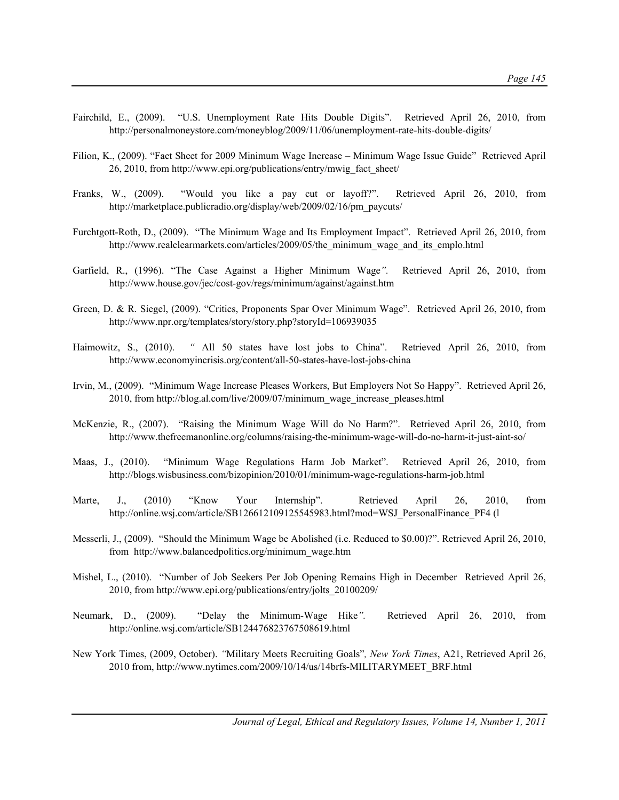- Fairchild, E., (2009). "U.S. Unemployment Rate Hits Double Digits". Retrieved April 26, 2010, from http://personalmoneystore.com/moneyblog/2009/11/06/unemployment-rate-hits-double-digits/
- Filion, K., (2009). "Fact Sheet for 2009 Minimum Wage Increase Minimum Wage Issue Guide" Retrieved April 26, 2010, from http://www.epi.org/publications/entry/mwig\_fact\_sheet/
- Franks, W., (2009). "Would you like a pay cut or layoff?". Retrieved April 26, 2010, from http://marketplace.publicradio.org/display/web/2009/02/16/pm\_paycuts/
- Furchtgott-Roth, D., (2009). "The Minimum Wage and Its Employment Impact". Retrieved April 26, 2010, from http://www.realclearmarkets.com/articles/2009/05/the\_minimum\_wage\_and\_its\_emplo.html
- Garfield, R., (1996). "The Case Against a Higher Minimum Wage*".* Retrieved April 26, 2010, from http://www.house.gov/jec/cost-gov/regs/minimum/against/against.htm
- Green, D. & R. Siegel, (2009). "Critics, Proponents Spar Over Minimum Wage". Retrieved April 26, 2010, from http://www.npr.org/templates/story/story.php?storyId=106939035
- Haimowitz, S., (2010). *"* All 50 states have lost jobs to China". Retrieved April 26, 2010, from http://www.economyincrisis.org/content/all-50-states-have-lost-jobs-china
- Irvin, M., (2009). "Minimum Wage Increase Pleases Workers, But Employers Not So Happy". Retrieved April 26, 2010, from http://blog.al.com/live/2009/07/minimum\_wage\_increase\_pleases.html
- McKenzie, R., (2007). "Raising the Minimum Wage Will do No Harm?". Retrieved April 26, 2010, from http://www.thefreemanonline.org/columns/raising-the-minimum-wage-will-do-no-harm-it-just-aint-so/
- Maas, J., (2010). "Minimum Wage Regulations Harm Job Market". Retrieved April 26, 2010, from http://blogs.wisbusiness.com/bizopinion/2010/01/minimum-wage-regulations-harm-job.html
- Marte, J., (2010) "Know Your Internship". Retrieved April 26, 2010, from http://online.wsj.com/article/SB126612109125545983.html?mod=WSJ\_PersonalFinance\_PF4 (l
- Messerli, J., (2009). "Should the Minimum Wage be Abolished (i.e. Reduced to \$0.00)?". Retrieved April 26, 2010, from http://www.balancedpolitics.org/minimum\_wage.htm
- Mishel, L., (2010). "Number of Job Seekers Per Job Opening Remains High in December Retrieved April 26, 2010, from http://www.epi.org/publications/entry/jolts\_20100209/
- Neumark, D., (2009). "Delay the Minimum-Wage Hike*".* Retrieved April 26, 2010, from http://online.wsj.com/article/SB124476823767508619.html
- New York Times, (2009, October). *"*Military Meets Recruiting Goals"*, New York Times*, A21, Retrieved April 26, 2010 from, http://www.nytimes.com/2009/10/14/us/14brfs-MILITARYMEET\_BRF.html